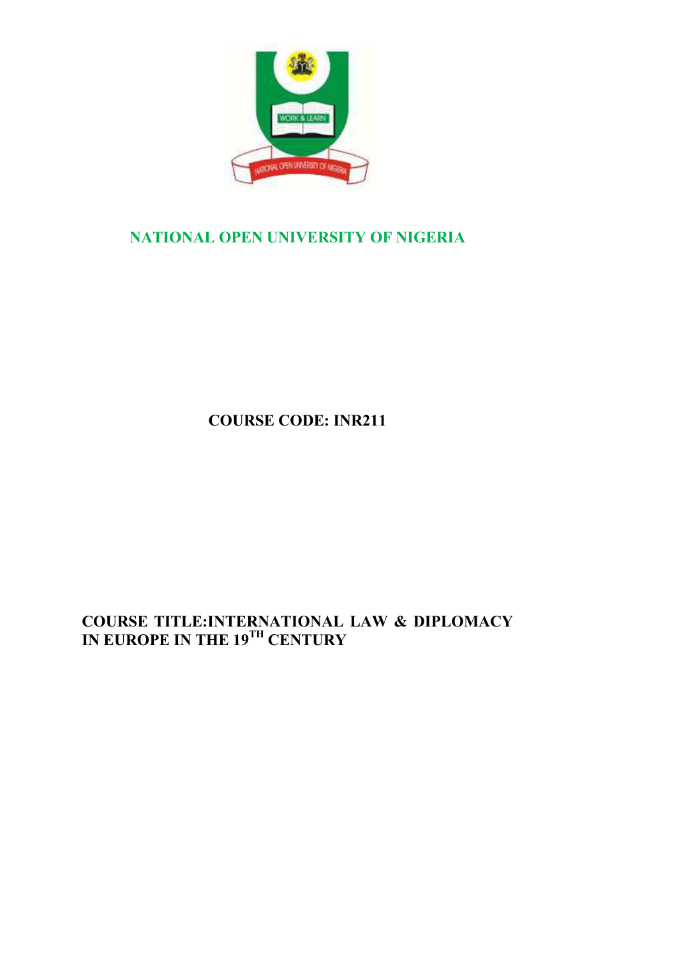

# **NATIONAL OPEN UNIVERSITY OF NIGERIA**

**COURSE CODE: INR211**

# **COURSE TITLE:INTERNATIONAL LAW & DIPLOMACY IN EUROPE IN THE 19TH CENTURY**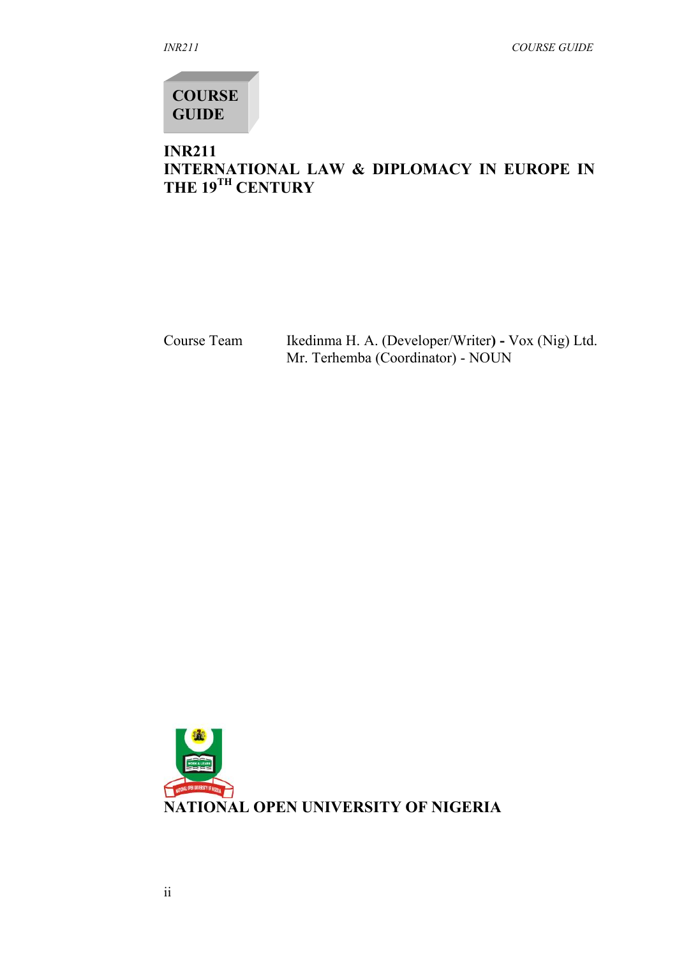**COURSE GUIDE**

# **INR211 INTERNATIONAL LAW & DIPLOMACY IN EUROPE IN THE 19TH CENTURY**

Course Team Ikedinma H. A. (Developer/Writer**) -** Vox (Nig) Ltd. Mr. Terhemba (Coordinator) - NOUN

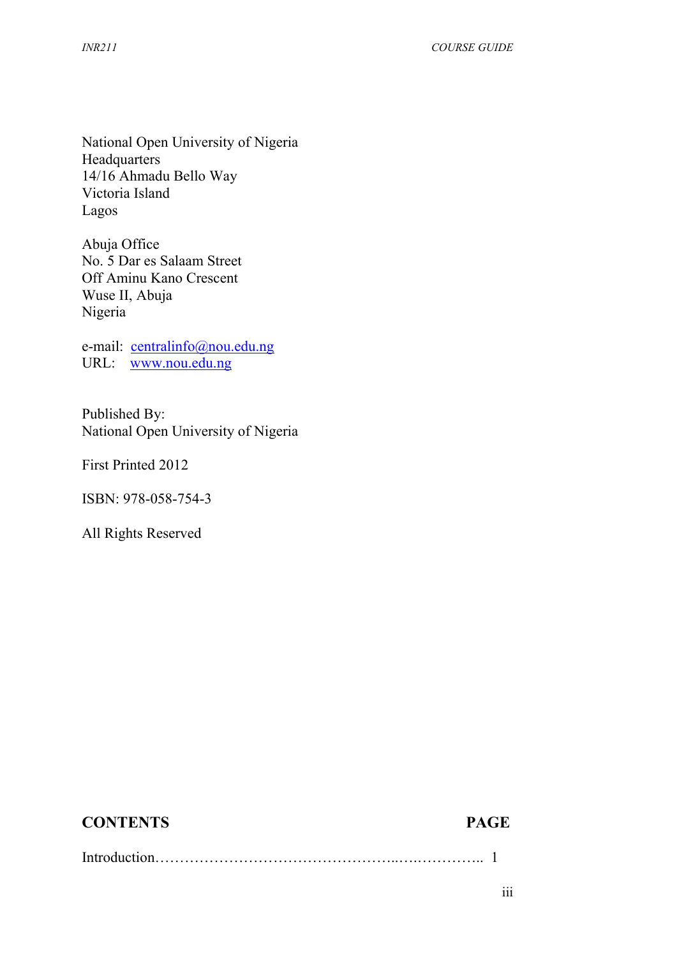National Open University of Nigeria Headquarters 14/16 Ahmadu Bello Way Victoria Island Lagos

Abuja Office No. 5 Dar es Salaam Street Off Aminu Kano Crescent Wuse II, Abuja Nigeria

e-mail: centralinfo@nou.edu.ng URL: www.nou.edu.ng

Published By: National Open University of Nigeria

First Printed 2012

ISBN: 978-058-754-3

All Rights Reserved

# **CONTENTS PAGE**

Introduction…………………………………………..….………….. 1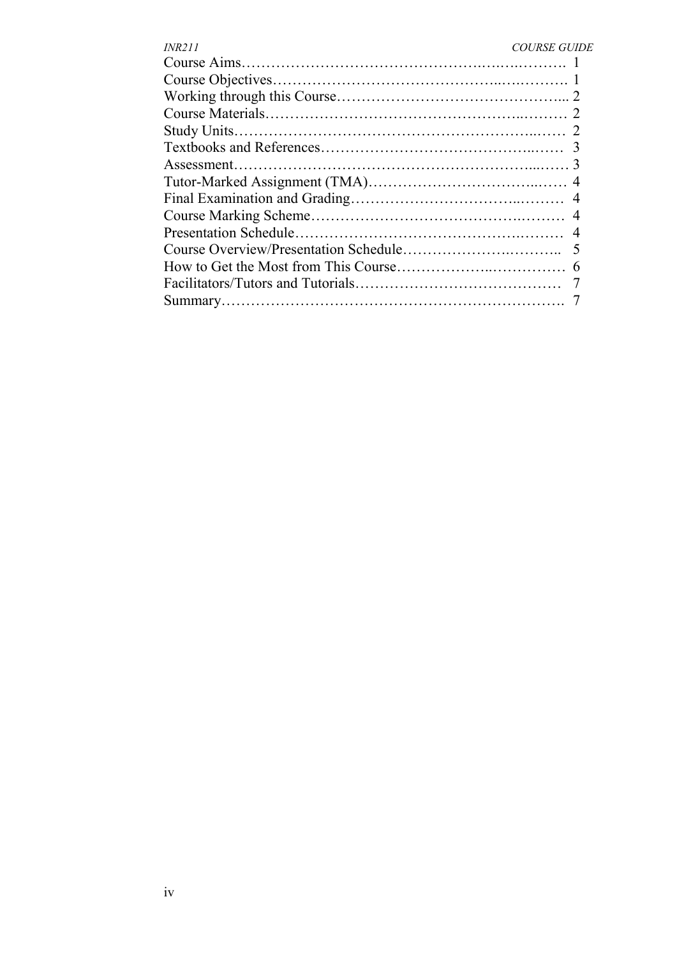| <i><b>INR211</b></i> | <b>COURSE GUIDE</b> |
|----------------------|---------------------|
|                      |                     |
|                      |                     |
|                      |                     |
|                      |                     |
|                      |                     |
|                      |                     |
|                      |                     |
|                      |                     |
|                      |                     |
|                      |                     |
|                      |                     |
|                      |                     |
|                      |                     |
|                      |                     |
|                      |                     |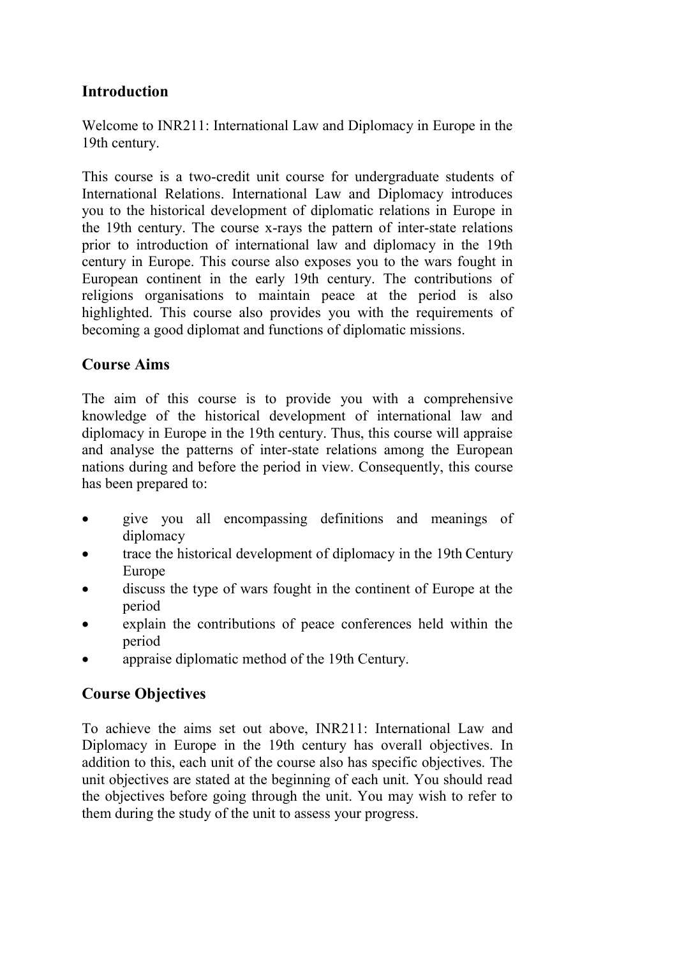# **Introduction**

Welcome to INR211: International Law and Diplomacy in Europe in the 19th century.

This course is a two-credit unit course for undergraduate students of International Relations. International Law and Diplomacy introduces you to the historical development of diplomatic relations in Europe in the 19th century. The course x-rays the pattern of inter-state relations prior to introduction of international law and diplomacy in the 19th century in Europe. This course also exposes you to the wars fought in European continent in the early 19th century. The contributions of religions organisations to maintain peace at the period is also highlighted. This course also provides you with the requirements of becoming a good diplomat and functions of diplomatic missions.

# **Course Aims**

The aim of this course is to provide you with a comprehensive knowledge of the historical development of international law and diplomacy in Europe in the 19th century. Thus, this course will appraise and analyse the patterns of inter-state relations among the European nations during and before the period in view. Consequently, this course has been prepared to:

- give you all encompassing definitions and meanings of diplomacy
- trace the historical development of diplomacy in the 19th Century Europe
- discuss the type of wars fought in the continent of Europe at the period
- explain the contributions of peace conferences held within the period
- appraise diplomatic method of the 19th Century.

# **Course Objectives**

To achieve the aims set out above, INR211: International Law and Diplomacy in Europe in the 19th century has overall objectives. In addition to this, each unit of the course also has specific objectives. The unit objectives are stated at the beginning of each unit. You should read the objectives before going through the unit. You may wish to refer to them during the study of the unit to assess your progress.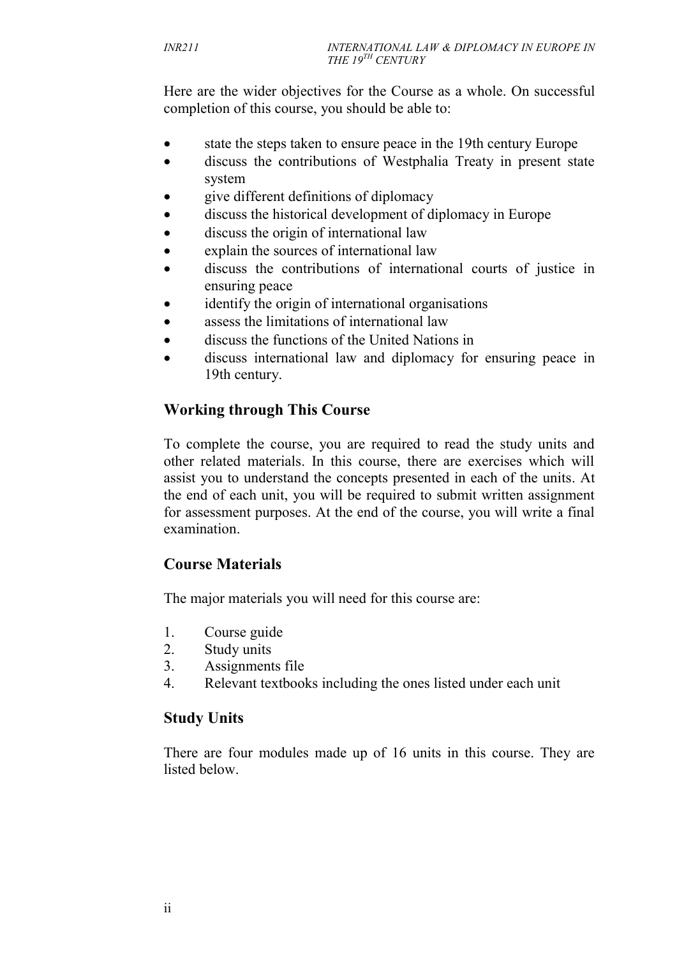Here are the wider objectives for the Course as a whole. On successful completion of this course, you should be able to:

- state the steps taken to ensure peace in the 19th century Europe
- discuss the contributions of Westphalia Treaty in present state system
- give different definitions of diplomacy
- discuss the historical development of diplomacy in Europe
- discuss the origin of international law
- explain the sources of international law
- discuss the contributions of international courts of justice in ensuring peace
- identify the origin of international organisations
- assess the limitations of international law
- discuss the functions of the United Nations in
- discuss international law and diplomacy for ensuring peace in 19th century.

# **Working through This Course**

To complete the course, you are required to read the study units and other related materials. In this course, there are exercises which will assist you to understand the concepts presented in each of the units. At the end of each unit, you will be required to submit written assignment for assessment purposes. At the end of the course, you will write a final examination.

# **Course Materials**

The major materials you will need for this course are:

- 1. Course guide
- 2. Study units
- 3. Assignments file
- 4. Relevant textbooks including the ones listed under each unit

# **Study Units**

There are four modules made up of 16 units in this course. They are listed below.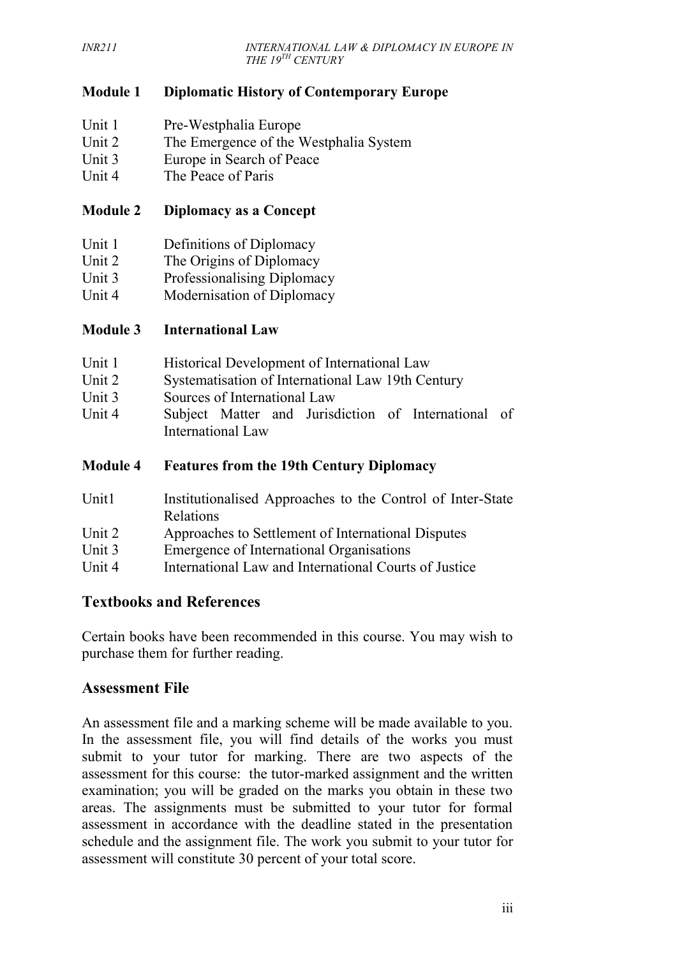# **Module 1 Diplomatic History of Contemporary Europe**

- Unit 1 Pre-Westphalia Europe
- Unit 2 The Emergence of the Westphalia System
- Unit 3 Europe in Search of Peace
- Unit 4 The Peace of Paris

#### **Module 2 Diplomacy as a Concept**

- Unit 1 Definitions of Diplomacy
- Unit 2 The Origins of Diplomacy
- Unit 3 Professionalising Diplomacy
- Unit 4 Modernisation of Diplomacy

#### **Module 3 International Law**

- Unit 2 Systematisation of International Law 19th Century
- Unit 3 Sources of International Law
- Unit 4 Subject Matter and Jurisdiction of International of International Law

#### **Module 4 Features from the 19th Century Diplomacy**

- Unit1 Institutionalised Approaches to the Control of Inter-State Relations
- Unit 2 Approaches to Settlement of International Disputes
- Unit 3 Emergence of International Organisations
- Unit 4 International Law and International Courts of Justice

#### **Textbooks and References**

Certain books have been recommended in this course. You may wish to purchase them for further reading.

#### **Assessment File**

An assessment file and a marking scheme will be made available to you. In the assessment file, you will find details of the works you must submit to your tutor for marking. There are two aspects of the assessment for this course: the tutor-marked assignment and the written examination; you will be graded on the marks you obtain in these two areas. The assignments must be submitted to your tutor for formal assessment in accordance with the deadline stated in the presentation schedule and the assignment file. The work you submit to your tutor for assessment will constitute 30 percent of your total score.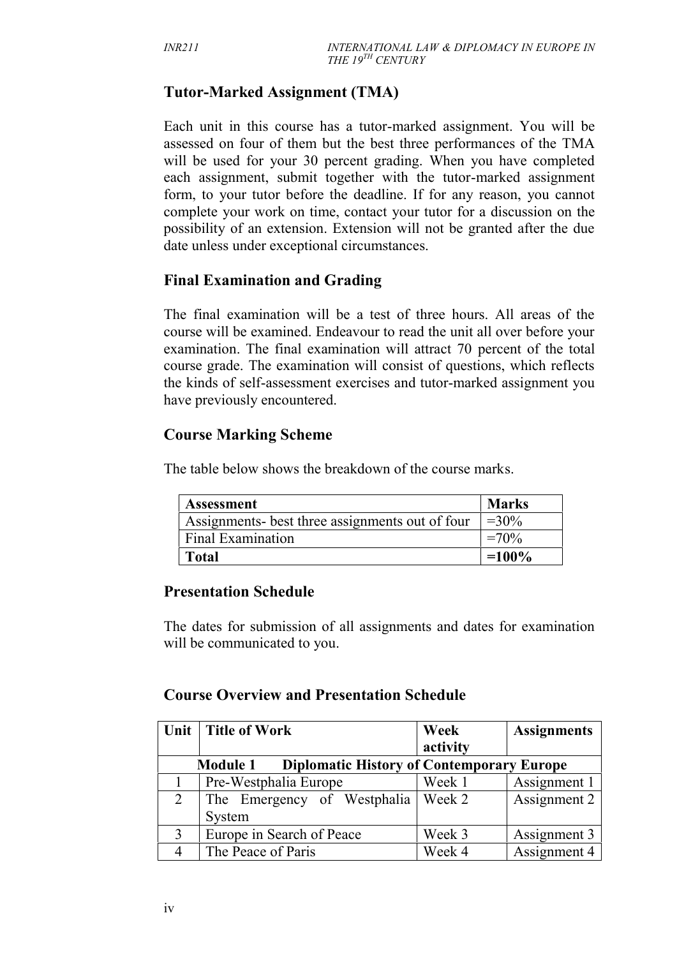# **Tutor-Marked Assignment (TMA)**

Each unit in this course has a tutor-marked assignment. You will be assessed on four of them but the best three performances of the TMA will be used for your 30 percent grading. When you have completed each assignment, submit together with the tutor-marked assignment form, to your tutor before the deadline. If for any reason, you cannot complete your work on time, contact your tutor for a discussion on the possibility of an extension. Extension will not be granted after the due date unless under exceptional circumstances.

# **Final Examination and Grading**

The final examination will be a test of three hours. All areas of the course will be examined. Endeavour to read the unit all over before your examination. The final examination will attract 70 percent of the total course grade. The examination will consist of questions, which reflects the kinds of self-assessment exercises and tutor-marked assignment you have previously encountered.

# **Course Marking Scheme**

The table below shows the breakdown of the course marks.

| <b>Assessment</b>                               | <b>Marks</b> |
|-------------------------------------------------|--------------|
| Assignments- best three assignments out of four | $=30\%$      |
| Final Examination                               | $=70\%$      |
| <b>Total</b>                                    | $=100\%$     |

# **Presentation Schedule**

The dates for submission of all assignments and dates for examination will be communicated to you.

#### **Course Overview and Presentation Schedule**

|   | Unit   Title of Work                                                | Week     | <b>Assignments</b> |
|---|---------------------------------------------------------------------|----------|--------------------|
|   |                                                                     | activity |                    |
|   | <b>Diplomatic History of Contemporary Europe</b><br><b>Module 1</b> |          |                    |
|   | Pre-Westphalia Europe                                               | Week 1   | Assignment 1       |
| 2 | The Emergency of Westphalia   Week 2                                |          | Assignment 2       |
|   | System                                                              |          |                    |
| 3 | Europe in Search of Peace                                           | Week 3   | Assignment 3       |
|   | The Peace of Paris                                                  | Week 4   | Assignment 4       |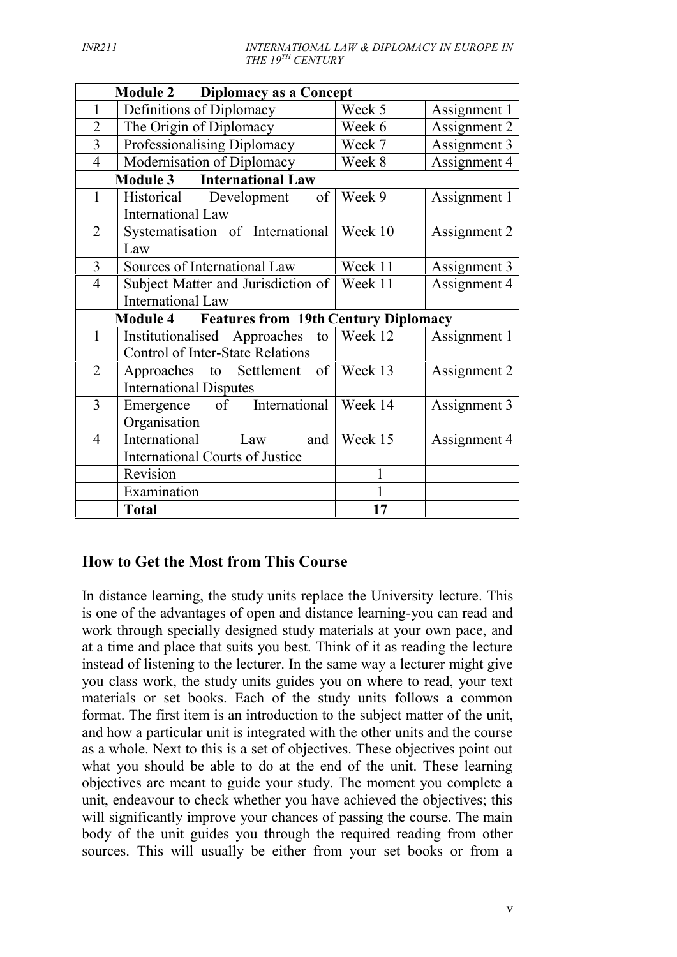| <b>Module 2</b><br>Diplomacy as a Concept                                                     |         |              |
|-----------------------------------------------------------------------------------------------|---------|--------------|
| Definitions of Diplomacy<br>1                                                                 | Week 5  | Assignment 1 |
| The Origin of Diplomacy<br>$\overline{2}$                                                     | Week 6  | Assignment 2 |
| Professionalising Diplomacy<br>3                                                              | Week 7  | Assignment 3 |
| Modernisation of Diplomacy<br>$\overline{4}$                                                  | Week 8  | Assignment 4 |
| <b>Module 3</b><br><b>International Law</b>                                                   |         |              |
| $\mathbf{1}$<br>Historical<br>of<br>Development<br>International Law                          | Week 9  | Assignment 1 |
| Systematisation of International<br>$\overline{2}$<br>Law                                     | Week 10 | Assignment 2 |
| Sources of International Law<br>$\overline{3}$                                                | Week 11 | Assignment 3 |
| $\overline{4}$<br>Subject Matter and Jurisdiction of<br>International Law                     | Week 11 | Assignment 4 |
| <b>Module 4 Features from 19th Century Diplomacy</b>                                          |         |              |
| $\mathbf{1}$<br>Institutionalised Approaches<br>to<br><b>Control of Inter-State Relations</b> | Week 12 | Assignment 1 |
| $\overline{2}$<br>Approaches to Settlement of<br><b>International Disputes</b>                | Week 13 | Assignment 2 |
| 3<br>Emergence of International<br>Organisation                                               | Week 14 | Assignment 3 |
| International<br>$\overline{4}$<br>Law<br>and                                                 | Week 15 | Assignment 4 |
| <b>International Courts of Justice</b>                                                        |         |              |
| Revision                                                                                      | 1       |              |
| Examination                                                                                   | 1       |              |
| <b>Total</b>                                                                                  | 17      |              |

# **How to Get the Most from This Course**

In distance learning, the study units replace the University lecture. This is one of the advantages of open and distance learning-you can read and work through specially designed study materials at your own pace, and at a time and place that suits you best. Think of it as reading the lecture instead of listening to the lecturer. In the same way a lecturer might give you class work, the study units guides you on where to read, your text materials or set books. Each of the study units follows a common format. The first item is an introduction to the subject matter of the unit, and how a particular unit is integrated with the other units and the course as a whole. Next to this is a set of objectives. These objectives point out what you should be able to do at the end of the unit. These learning objectives are meant to guide your study. The moment you complete a unit, endeavour to check whether you have achieved the objectives; this will significantly improve your chances of passing the course. The main body of the unit guides you through the required reading from other sources. This will usually be either from your set books or from a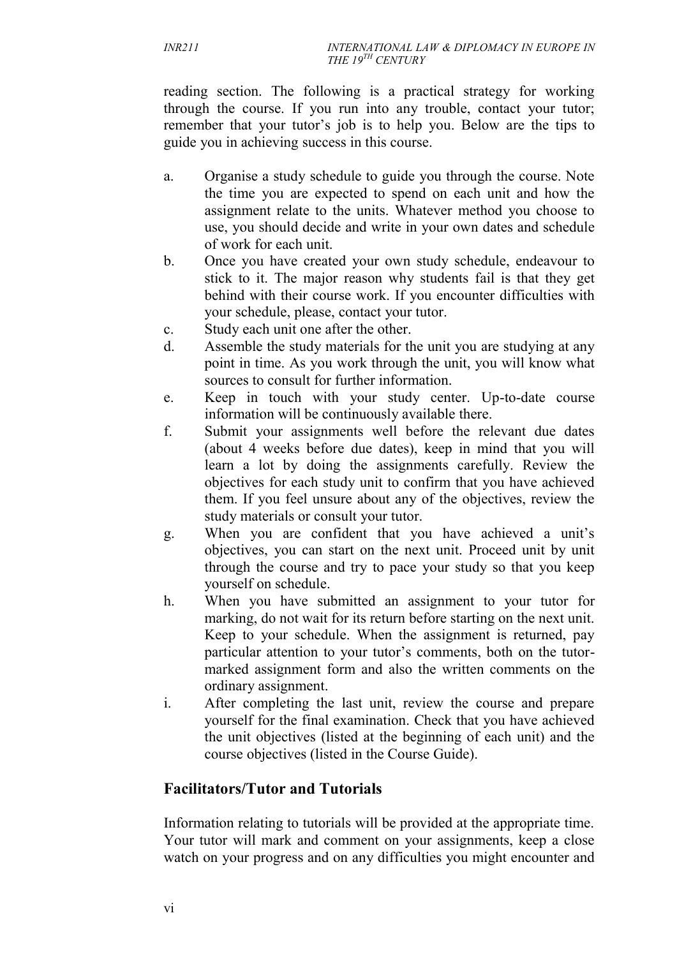reading section. The following is a practical strategy for working through the course. If you run into any trouble, contact your tutor; remember that your tutor's job is to help you. Below are the tips to guide you in achieving success in this course.

- a. Organise a study schedule to guide you through the course. Note the time you are expected to spend on each unit and how the assignment relate to the units. Whatever method you choose to use, you should decide and write in your own dates and schedule of work for each unit.
- b. Once you have created your own study schedule, endeavour to stick to it. The major reason why students fail is that they get behind with their course work. If you encounter difficulties with your schedule, please, contact your tutor.
- c. Study each unit one after the other.
- d. Assemble the study materials for the unit you are studying at any point in time. As you work through the unit, you will know what sources to consult for further information.
- e. Keep in touch with your study center. Up-to-date course information will be continuously available there.
- f. Submit your assignments well before the relevant due dates (about 4 weeks before due dates), keep in mind that you will learn a lot by doing the assignments carefully. Review the objectives for each study unit to confirm that you have achieved them. If you feel unsure about any of the objectives, review the study materials or consult your tutor.
- g. When you are confident that you have achieved a unit's objectives, you can start on the next unit. Proceed unit by unit through the course and try to pace your study so that you keep yourself on schedule.
- h. When you have submitted an assignment to your tutor for marking, do not wait for its return before starting on the next unit. Keep to your schedule. When the assignment is returned, pay particular attention to your tutor's comments, both on the tutor marked assignment form and also the written comments on the ordinary assignment.
- i. After completing the last unit, review the course and prepare yourself for the final examination. Check that you have achieved the unit objectives (listed at the beginning of each unit) and the course objectives (listed in the Course Guide).

# **Facilitators/Tutor and Tutorials**

Information relating to tutorials will be provided at the appropriate time. Your tutor will mark and comment on your assignments, keep a close watch on your progress and on any difficulties you might encounter and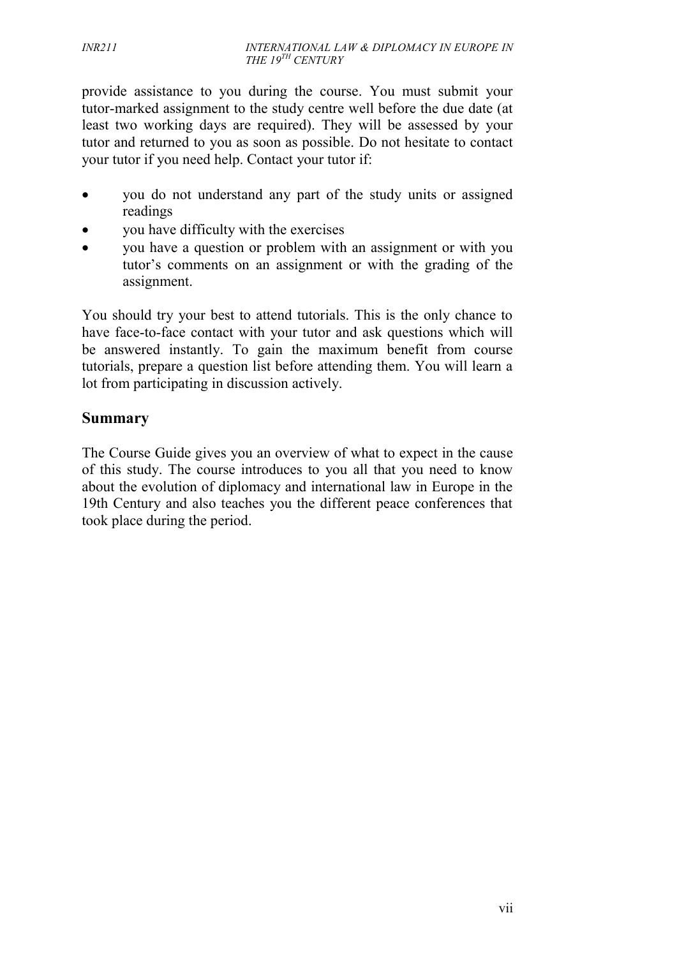provide assistance to you during the course. You must submit your tutor-marked assignment to the study centre well before the due date (at least two working days are required). They will be assessed by your tutor and returned to you as soon as possible. Do not hesitate to contact your tutor if you need help. Contact your tutor if:

- you do not understand any part of the study units or assigned readings
- you have difficulty with the exercises
- you have a question or problem with an assignment or with you tutor's comments on an assignment or with the grading of the assignment.

You should try your best to attend tutorials. This is the only chance to have face-to-face contact with your tutor and ask questions which will be answered instantly. To gain the maximum benefit from course tutorials, prepare a question list before attending them. You will learn a lot from participating in discussion actively.

### **Summary**

The Course Guide gives you an overview of what to expect in the cause of this study. The course introduces to you all that you need to know about the evolution of diplomacy and international law in Europe in the 19th Century and also teaches you the different peace conferences that took place during the period.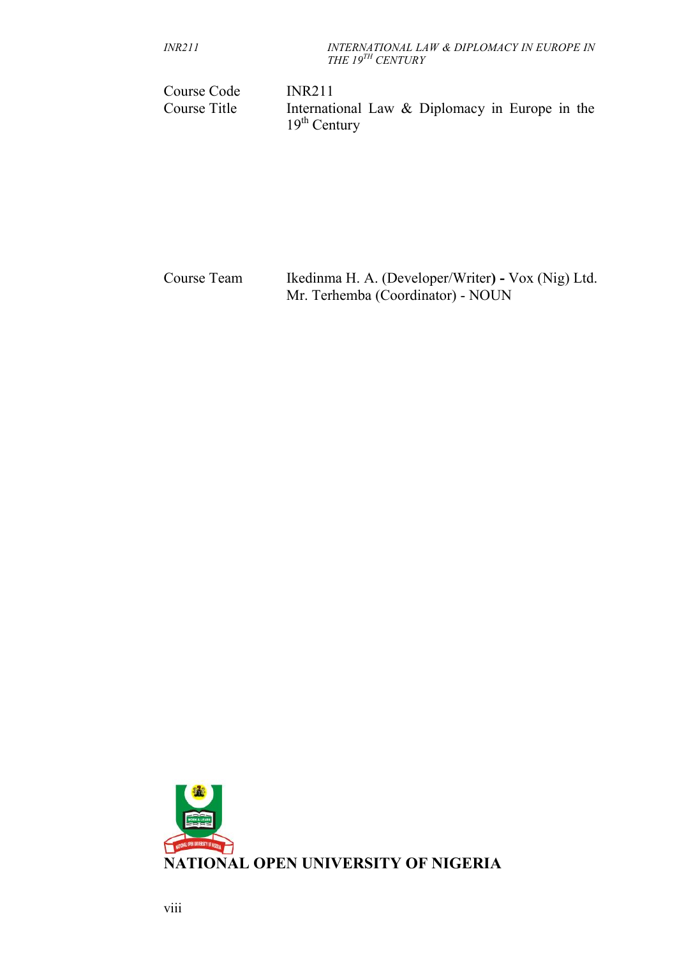| <i>INR211</i> | INTERNATIONAL LAW & DIPLOMACY IN EUROPE IN |
|---------------|--------------------------------------------|
|               | THE 19 <sup>th</sup> CENTURY               |

| Course Code  | <b>INR211</b>                                                    |
|--------------|------------------------------------------------------------------|
| Course Title | International Law & Diplomacy in Europe in the<br>$19th$ Century |
|              |                                                                  |

| Course Team | Ikedinma H. A. (Developer/Writer) - Vox (Nig) Ltd.<br>Mr. Terhemba (Coordinator) - NOUN |
|-------------|-----------------------------------------------------------------------------------------|
|             |                                                                                         |

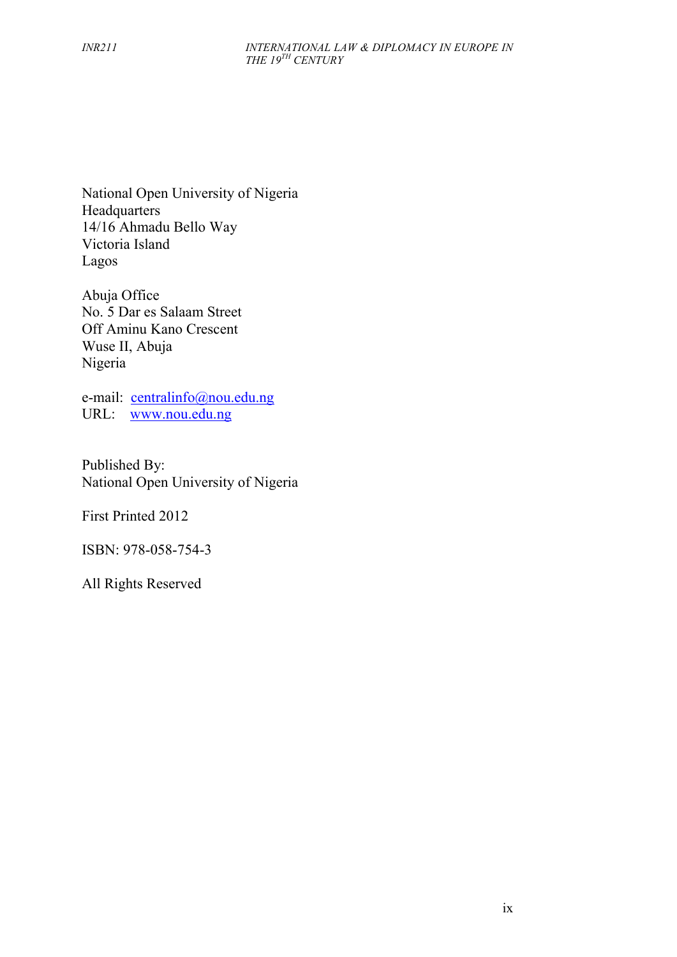National Open University of Nigeria **Headquarters** 14/16 Ahmadu Bello Way Victoria Island Lagos

Abuja Office No. 5 Dar es Salaam Street Off Aminu Kano Crescent Wuse II, Abuja Nigeria

e-mail: centralinfo@nou.edu.ng URL: www.nou.edu.ng

Published By: National Open University of Nigeria

First Printed 2012

ISBN: 978-058-754-3

All Rights Reserved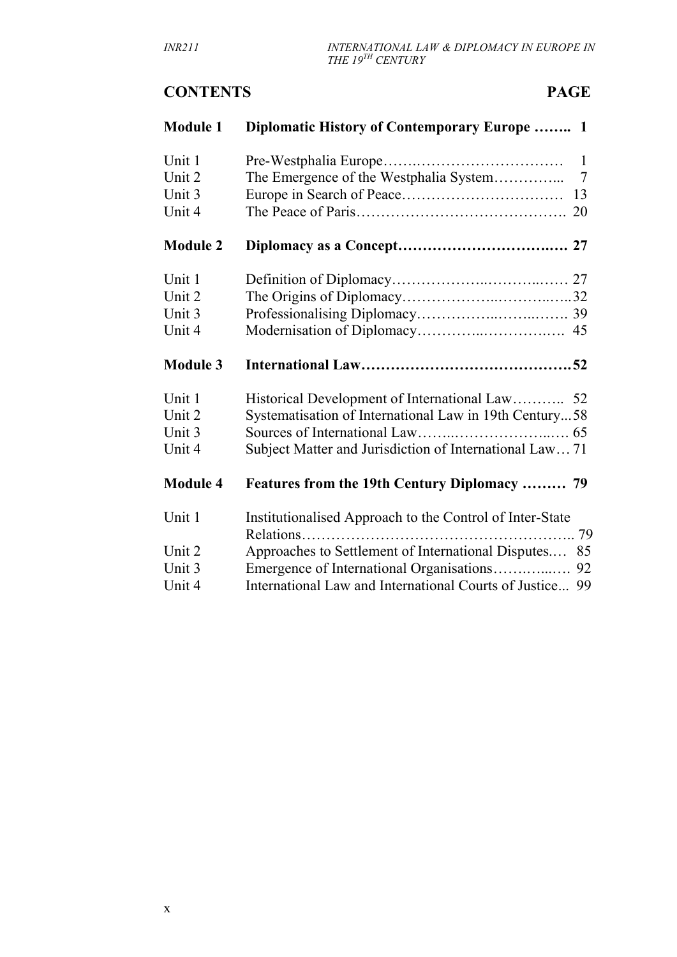# **CONTENTS PAGE**

| <b>Module 1</b> | Diplomatic History of Contemporary Europe  1                   |
|-----------------|----------------------------------------------------------------|
| Unit 1          | $\mathbf{1}$                                                   |
| Unit 2          | The Emergence of the Westphalia System<br>7                    |
| Unit 3          |                                                                |
| Unit 4          |                                                                |
| <b>Module 2</b> |                                                                |
| Unit 1          |                                                                |
| Unit 2          |                                                                |
| Unit 3          |                                                                |
| Unit 4          |                                                                |
| <b>Module 3</b> |                                                                |
| Unit 1          |                                                                |
| Unit 2          | Systematisation of International Law in 19th Century58         |
| Unit 3          |                                                                |
| Unit 4          | Subject Matter and Jurisdiction of International Law 71        |
| <b>Module 4</b> | Features from the 19th Century Diplomacy  79                   |
| Unit 1          | Institutionalised Approach to the Control of Inter-State<br>79 |
| Unit 2          | Approaches to Settlement of International Disputes<br>85       |
| Unit 3          | Emergence of International Organisations<br>92                 |
| Unit 4          | International Law and International Courts of Justice 99       |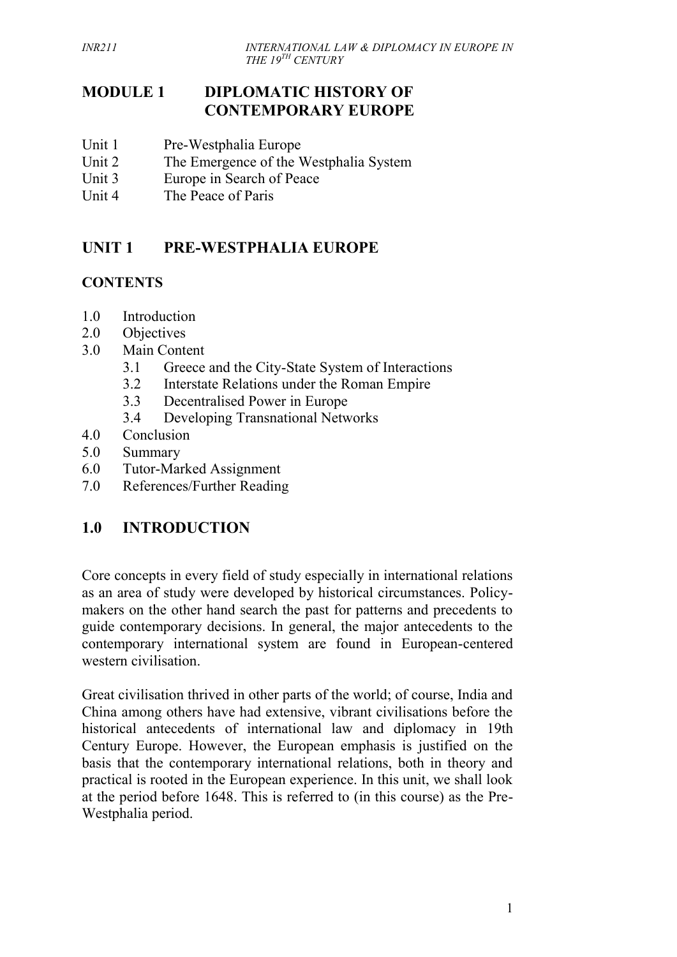# **MODULE 1 DIPLOMATIC HISTORY OF CONTEMPORARY EUROPE**

- Unit 1 Pre-Westphalia Europe
- Unit 2 The Emergence of the Westphalia System
- Unit 3 Europe in Search of Peace
- Unit 4 The Peace of Paris

# **UNIT 1 PRE-WESTPHALIA EUROPE**

### **CONTENTS**

- 1.0 Introduction
- 2.0 Objectives
- 3.0 Main Content
	- 3.1 Greece and the City-State System of Interactions
	- 3.2 Interstate Relations under the Roman Empire
	- 3.3 Decentralised Power in Europe
	- 3.4 Developing Transnational Networks
- 4.0 Conclusion
- 5.0 Summary
- 6.0 Tutor-Marked Assignment
- 7.0 References/Further Reading

# **1.0 INTRODUCTION**

Core concepts in every field of study especially in international relations as an area of study were developed by historical circumstances. Policy makers on the other hand search the past for patterns and precedents to guide contemporary decisions. In general, the major antecedents to the contemporary international system are found in European-centered western civilisation.

Great civilisation thrived in other parts of the world; of course, India and China among others have had extensive, vibrant civilisations before the historical antecedents of international law and diplomacy in 19th Century Europe. However, the European emphasis is justified on the basis that the contemporary international relations, both in theory and practical is rooted in the European experience. In this unit, we shall look at the period before 1648. This is referred to (in this course) as the Pre- Westphalia period.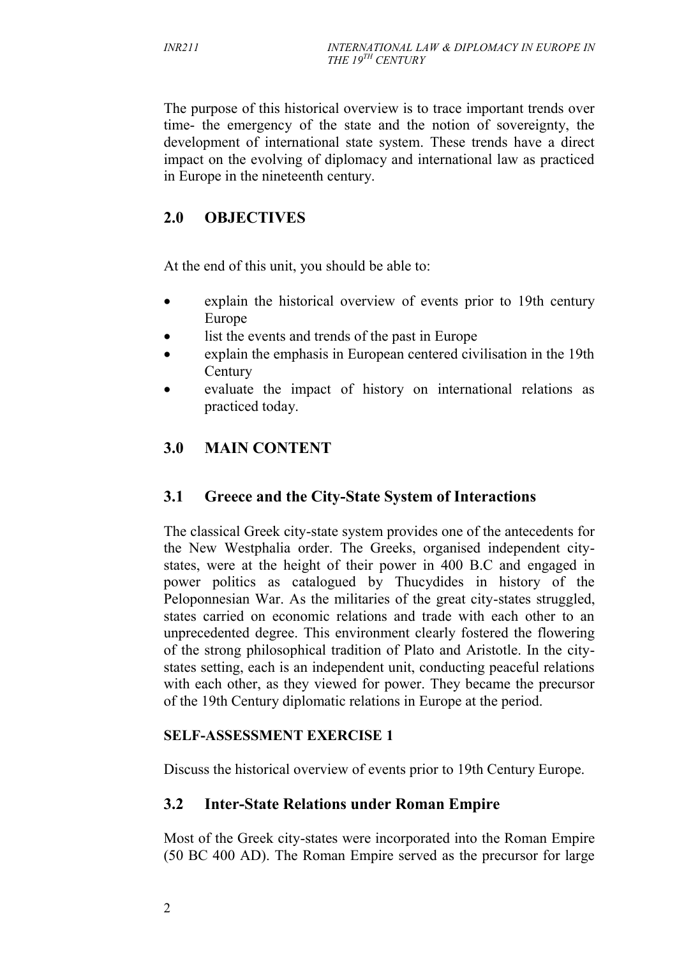The purpose of this historical overview is to trace important trends over time- the emergency of the state and the notion of sovereignty, the development of international state system. These trends have a direct impact on the evolving of diplomacy and international law as practiced in Europe in the nineteenth century.

# **2.0 OBJECTIVES**

At the end of this unit, you should be able to:

- explain the historical overview of events prior to 19th century Europe
- list the events and trends of the past in Europe
- explain the emphasis in European centered civilisation in the 19th **Century**
- evaluate the impact of history on international relations as practiced today.

# **3.0 MAIN CONTENT**

# **3.1 Greece and the City-State System of Interactions**

The classical Greek city-state system provides one of the antecedents for the New Westphalia order. The Greeks, organised independent city states, were at the height of their power in 400 B.C and engaged in power politics as catalogued by Thucydides in history of the Peloponnesian War. As the militaries of the great city-states struggled, states carried on economic relations and trade with each other to an unprecedented degree. This environment clearly fostered the flowering of the strong philosophical tradition of Plato and Aristotle. In the city states setting, each is an independent unit, conducting peaceful relations with each other, as they viewed for power. They became the precursor of the 19th Century diplomatic relations in Europe at the period.

#### **SELF-ASSESSMENT EXERCISE 1**

Discuss the historical overview of events prior to 19th Century Europe.

# **3.2 Inter-State Relations under Roman Empire**

Most of the Greek city-states were incorporated into the Roman Empire (50 BC 400 AD). The Roman Empire served as the precursor for large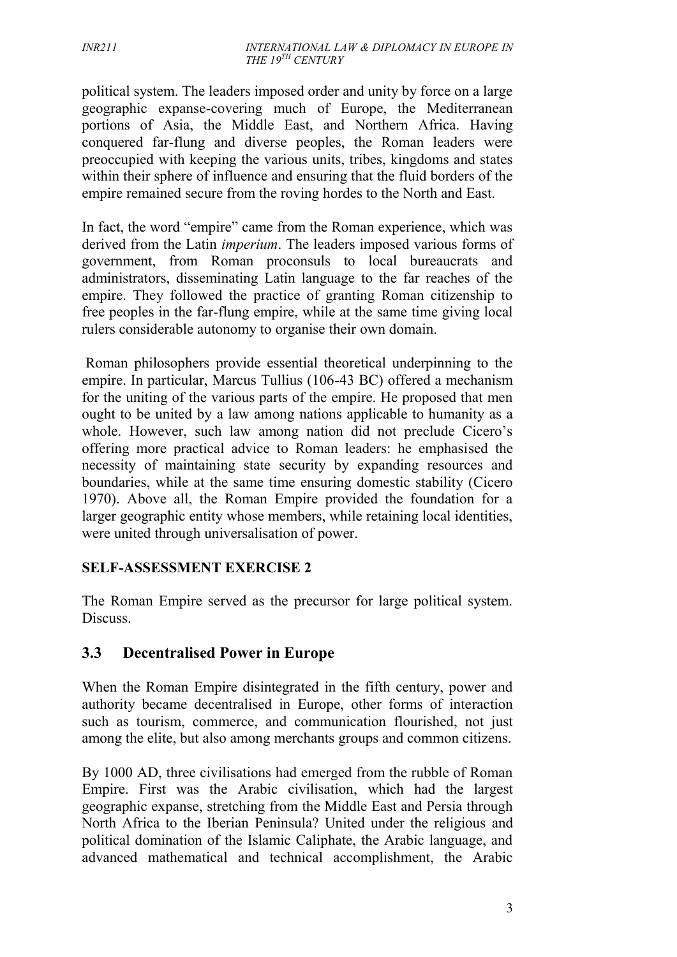political system. The leaders imposed order and unity by force on a large geographic expanse-covering much of Europe, the Mediterranean portions of Asia, the Middle East, and Northern Africa. Having conquered far-flung and diverse peoples, the Roman leaders were preoccupied with keeping the various units, tribes, kingdoms and states within their sphere of influence and ensuring that the fluid borders of the empire remained secure from the roving hordes to the North and East.

In fact, the word "empire" came from the Roman experience, which was derived from the Latin *imperium*. The leaders imposed various forms of government, from Roman proconsuls to local bureaucrats and administrators, disseminating Latin language to the far reaches of the empire. They followed the practice of granting Roman citizenship to free peoples in the far-flung empire, while at the same time giving local rulers considerable autonomy to organise their own domain.

Roman philosophers provide essential theoretical underpinning to the empire. In particular, Marcus Tullius (106-43 BC) offered a mechanism for the uniting of the various parts of the empire. He proposed that men ought to be united by a law among nations applicable to humanity as a whole. However, such law among nation did not preclude Cicero's offering more practical advice to Roman leaders: he emphasised the necessity of maintaining state security by expanding resources and boundaries, while at the same time ensuring domestic stability (Cicero 1970). Above all, the Roman Empire provided the foundation for a larger geographic entity whose members, while retaining local identities, were united through universalisation of power.

#### **SELF-ASSESSMENT EXERCISE 2**

The Roman Empire served as the precursor for large political system. Discuss.

# **3.3 Decentralised Power in Europe**

When the Roman Empire disintegrated in the fifth century, power and authority became decentralised in Europe, other forms of interaction such as tourism, commerce, and communication flourished, not just among the elite, but also among merchants groups and common citizens.

By 1000 AD, three civilisations had emerged from the rubble of Roman Empire. First was the Arabic civilisation, which had the largest geographic expanse, stretching from the Middle East and Persia through North Africa to the Iberian Peninsula? United under the religious and political domination of the Islamic Caliphate, the Arabic language, and advanced mathematical and technical accomplishment, the Arabic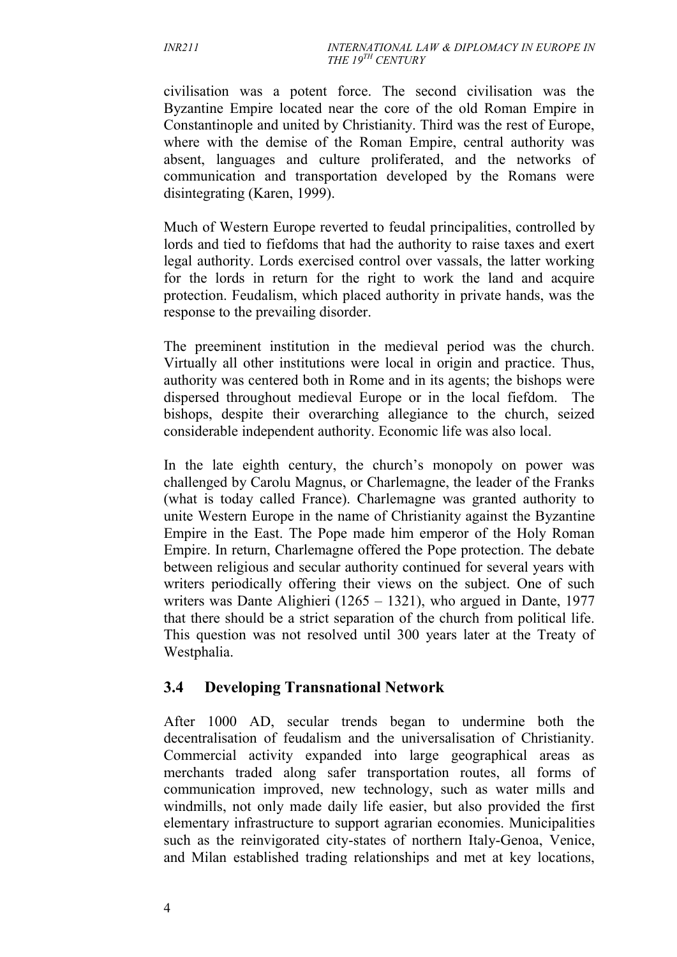civilisation was a potent force. The second civilisation was the Byzantine Empire located near the core of the old Roman Empire in Constantinople and united by Christianity. Third was the rest of Europe, where with the demise of the Roman Empire, central authority was absent, languages and culture proliferated, and the networks of communication and transportation developed by the Romans were disintegrating (Karen, 1999).

Much of Western Europe reverted to feudal principalities, controlled by lords and tied to fiefdoms that had the authority to raise taxes and exert legal authority. Lords exercised control over vassals, the latter working for the lords in return for the right to work the land and acquire protection. Feudalism, which placed authority in private hands, was the response to the prevailing disorder.

The preeminent institution in the medieval period was the church. Virtually all other institutions were local in origin and practice. Thus, authority was centered both in Rome and in its agents; the bishops were dispersed throughout medieval Europe or in the local fiefdom. The bishops, despite their overarching allegiance to the church, seized considerable independent authority. Economic life was also local.

In the late eighth century, the church's monopoly on power was challenged by Carolu Magnus, or Charlemagne, the leader of the Franks (what is today called France). Charlemagne was granted authority to unite Western Europe in the name of Christianity against the Byzantine Empire in the East. The Pope made him emperor of the Holy Roman Empire. In return, Charlemagne offered the Pope protection. The debate between religious and secular authority continued for several years with writers periodically offering their views on the subject. One of such writers was Dante Alighieri (1265 – 1321), who argued in Dante, 1977 that there should be a strict separation of the church from political life. This question was not resolved until 300 years later at the Treaty of Westphalia.

# **3.4 Developing Transnational Network**

After 1000 AD, secular trends began to undermine both the decentralisation of feudalism and the universalisation of Christianity. Commercial activity expanded into large geographical areas as merchants traded along safer transportation routes, all forms of communication improved, new technology, such as water mills and windmills, not only made daily life easier, but also provided the first elementary infrastructure to support agrarian economies. Municipalities such as the reinvigorated city-states of northern Italy-Genoa, Venice, and Milan established trading relationships and met at key locations,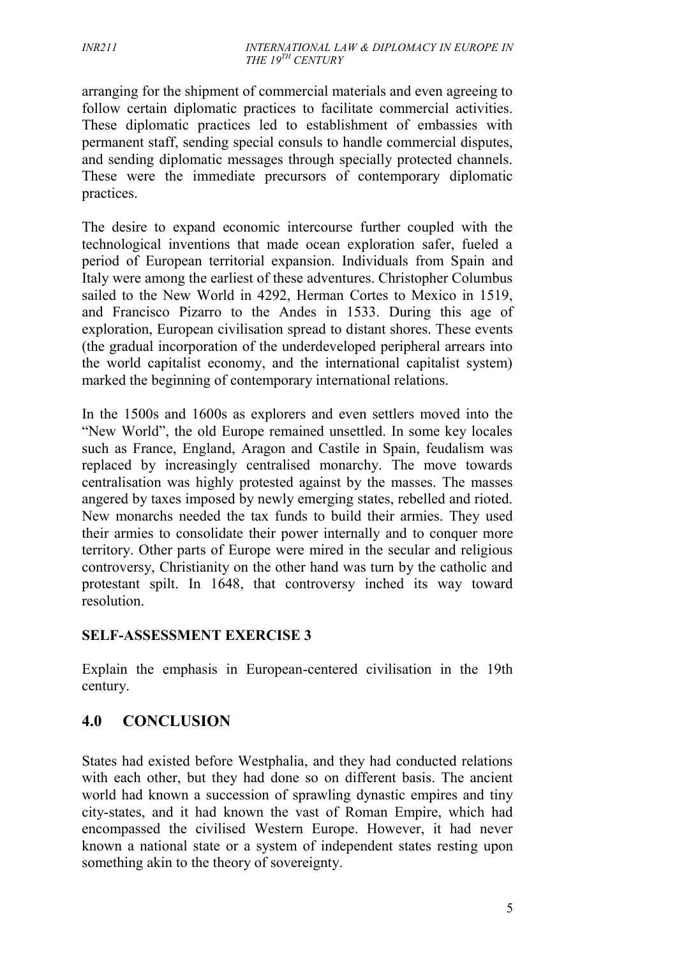arranging for the shipment of commercial materials and even agreeing to follow certain diplomatic practices to facilitate commercial activities. These diplomatic practices led to establishment of embassies with permanent staff, sending special consuls to handle commercial disputes, and sending diplomatic messages through specially protected channels. These were the immediate precursors of contemporary diplomatic practices.

The desire to expand economic intercourse further coupled with the technological inventions that made ocean exploration safer, fueled a period of European territorial expansion. Individuals from Spain and Italy were among the earliest of these adventures. Christopher Columbus sailed to the New World in 4292, Herman Cortes to Mexico in 1519, and Francisco Pizarro to the Andes in 1533. During this age of exploration, European civilisation spread to distant shores. These events (the gradual incorporation of the underdeveloped peripheral arrears into the world capitalist economy, and the international capitalist system) marked the beginning of contemporary international relations.

In the 1500s and 1600s as explorers and even settlers moved into the "New World", the old Europe remained unsettled. In some key locales such as France, England, Aragon and Castile in Spain, feudalism was replaced by increasingly centralised monarchy. The move towards centralisation was highly protested against by the masses. The masses angered by taxes imposed by newly emerging states, rebelled and rioted. New monarchs needed the tax funds to build their armies. They used their armies to consolidate their power internally and to conquer more territory. Other parts of Europe were mired in the secular and religious controversy, Christianity on the other hand was turn by the catholic and protestant spilt. In 1648, that controversy inched its way toward resolution.

#### **SELF-ASSESSMENT EXERCISE 3**

Explain the emphasis in European-centered civilisation in the 19th century.

# **4.0 CONCLUSION**

States had existed before Westphalia, and they had conducted relations with each other, but they had done so on different basis. The ancient world had known a succession of sprawling dynastic empires and tiny city-states, and it had known the vast of Roman Empire, which had encompassed the civilised Western Europe. However, it had never known a national state or a system of independent states resting upon something akin to the theory of sovereignty.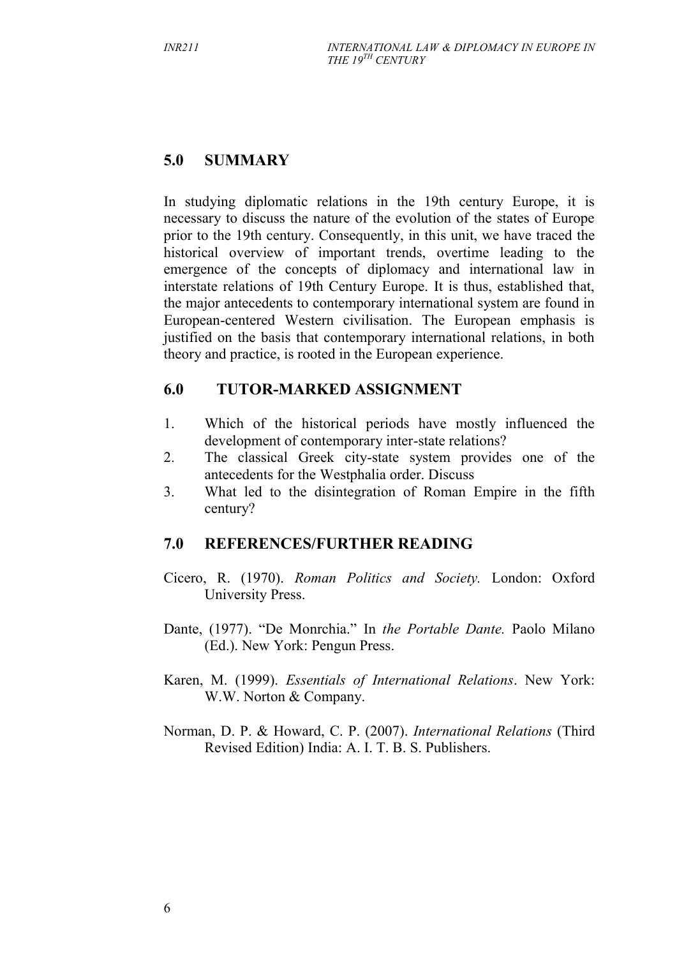# **5.0 SUMMARY**

In studying diplomatic relations in the 19th century Europe, it is necessary to discuss the nature of the evolution of the states of Europe prior to the 19th century. Consequently, in this unit, we have traced the historical overview of important trends, overtime leading to the emergence of the concepts of diplomacy and international law in interstate relations of 19th Century Europe. It is thus, established that, the major antecedents to contemporary international system are found in European-centered Western civilisation. The European emphasis is justified on the basis that contemporary international relations, in both theory and practice, is rooted in the European experience.

# **6.0 TUTOR-MARKED ASSIGNMENT**

- 1. Which of the historical periods have mostly influenced the development of contemporary inter-state relations?
- 2. The classical Greek city-state system provides one of the antecedents for the Westphalia order. Discuss
- 3. What led to the disintegration of Roman Empire in the fifth century?

# **7.0 REFERENCES/FURTHER READING**

- Cicero, R. (1970). *Roman Politics and Society.* London: Oxford University Press.
- Dante, (1977). "De Monrchia." In *the Portable Dante.* Paolo Milano (Ed.). New York: Pengun Press.
- Karen, M. (1999). *Essentials of International Relations*. New York: W.W. Norton & Company.
- Norman, D. P. & Howard, C. P. (2007). *International Relations* (Third Revised Edition) India: A. I. T. B. S. Publishers.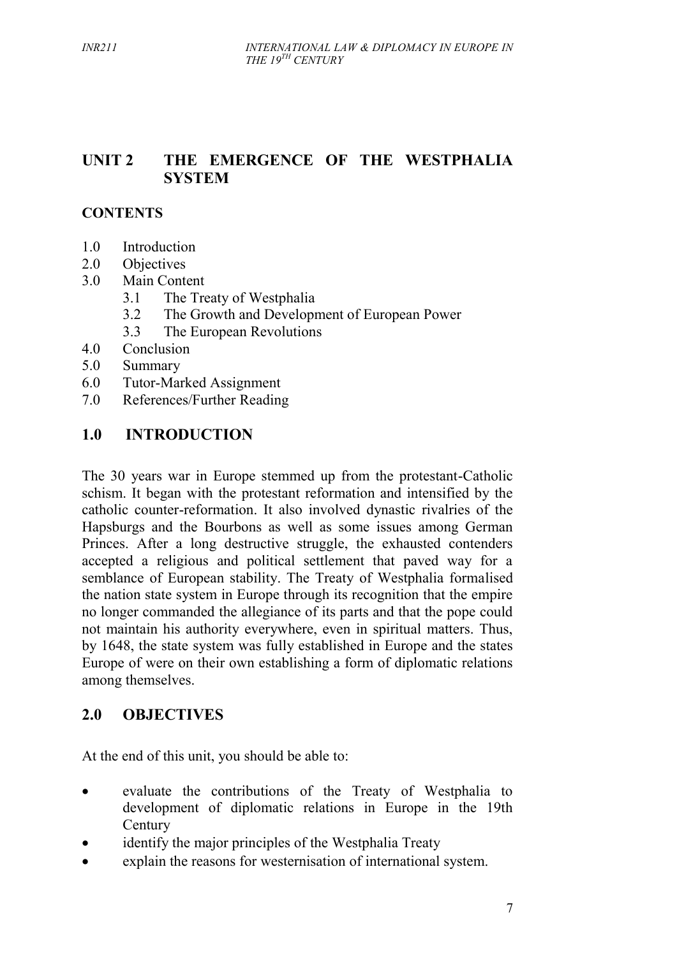# **UNIT 2 THE EMERGENCE OF THE WESTPHALIA SYSTEM**

### **CONTENTS**

- 1.0 Introduction
- 2.0 Objectives
- 3.0 Main Content
	- 3.1 The Treaty of Westphalia
	- 3.2 The Growth and Development of European Power
	- 3.3 The European Revolutions
- 4.0 Conclusion
- 5.0 Summary
- 6.0 Tutor-Marked Assignment
- 7.0 References/Further Reading

### **1.0 INTRODUCTION**

The 30 years war in Europe stemmed up from the protestant-Catholic schism. It began with the protestant reformation and intensified by the catholic counter-reformation. It also involved dynastic rivalries of the Hapsburgs and the Bourbons as well as some issues among German Princes. After a long destructive struggle, the exhausted contenders accepted a religious and political settlement that paved way for a semblance of European stability. The Treaty of Westphalia formalised the nation state system in Europe through its recognition that the empire no longer commanded the allegiance of its parts and that the pope could not maintain his authority everywhere, even in spiritual matters. Thus, by 1648, the state system was fully established in Europe and the states Europe of were on their own establishing a form of diplomatic relations among themselves.

#### **2.0 OBJECTIVES**

At the end of this unit, you should be able to:

- evaluate the contributions of the Treaty of Westphalia to development of diplomatic relations in Europe in the 19th **Century**
- identify the major principles of the Westphalia Treaty
- explain the reasons for westernisation of international system.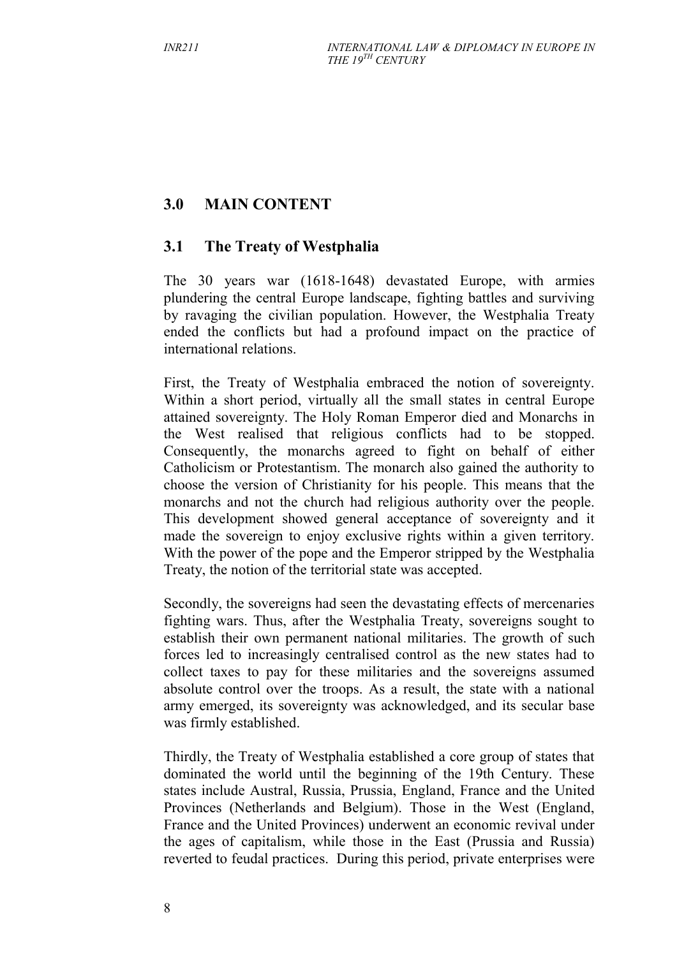# **3.0 MAIN CONTENT**

# **3.1 The Treaty of Westphalia**

The 30 years war (1618-1648) devastated Europe, with armies plundering the central Europe landscape, fighting battles and surviving by ravaging the civilian population. However, the Westphalia Treaty ended the conflicts but had a profound impact on the practice of international relations.

First, the Treaty of Westphalia embraced the notion of sovereignty. Within a short period, virtually all the small states in central Europe attained sovereignty. The Holy Roman Emperor died and Monarchs in the West realised that religious conflicts had to be stopped. Consequently, the monarchs agreed to fight on behalf of either Catholicism or Protestantism. The monarch also gained the authority to choose the version of Christianity for his people. This means that the monarchs and not the church had religious authority over the people. This development showed general acceptance of sovereignty and it made the sovereign to enjoy exclusive rights within a given territory. With the power of the pope and the Emperor stripped by the Westphalia Treaty, the notion of the territorial state was accepted.

Secondly, the sovereigns had seen the devastating effects of mercenaries fighting wars. Thus, after the Westphalia Treaty, sovereigns sought to establish their own permanent national militaries. The growth of such forces led to increasingly centralised control as the new states had to collect taxes to pay for these militaries and the sovereigns assumed absolute control over the troops. As a result, the state with a national army emerged, its sovereignty was acknowledged, and its secular base was firmly established.

Thirdly, the Treaty of Westphalia established a core group of states that dominated the world until the beginning of the 19th Century. These states include Austral, Russia, Prussia, England, France and the United Provinces (Netherlands and Belgium). Those in the West (England, France and the United Provinces) underwent an economic revival under the ages of capitalism, while those in the East (Prussia and Russia) reverted to feudal practices. During this period, private enterprises were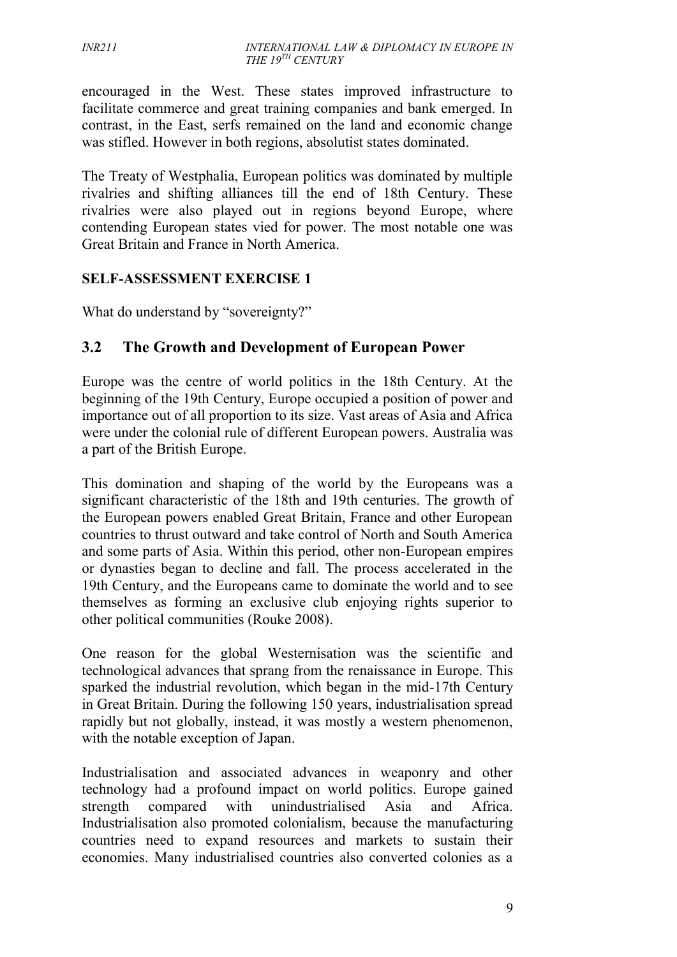encouraged in the West. These states improved infrastructure to facilitate commerce and great training companies and bank emerged. In contrast, in the East, serfs remained on the land and economic change was stifled. However in both regions, absolutist states dominated.

The Treaty of Westphalia, European politics was dominated by multiple rivalries and shifting alliances till the end of 18th Century. These rivalries were also played out in regions beyond Europe, where contending European states vied for power. The most notable one was Great Britain and France in North America.

#### **SELF-ASSESSMENT EXERCISE 1**

What do understand by "sovereignty?"

# **3.2 The Growth and Development of European Power**

Europe was the centre of world politics in the 18th Century. At the beginning of the 19th Century, Europe occupied a position of power and importance out of all proportion to its size. Vast areas of Asia and Africa were under the colonial rule of different European powers. Australia was a part of the British Europe.

This domination and shaping of the world by the Europeans was a significant characteristic of the 18th and 19th centuries. The growth of the European powers enabled Great Britain, France and other European countries to thrust outward and take control of North and South America and some parts of Asia. Within this period, other non-European empires or dynasties began to decline and fall. The process accelerated in the 19th Century, and the Europeans came to dominate the world and to see themselves as forming an exclusive club enjoying rights superior to other political communities (Rouke 2008).

One reason for the global Westernisation was the scientific and technological advances that sprang from the renaissance in Europe. This sparked the industrial revolution, which began in the mid-17th Century in Great Britain. During the following 150 years, industrialisation spread rapidly but not globally, instead, it was mostly a western phenomenon, with the notable exception of Japan.

Industrialisation and associated advances in weaponry and other technology had a profound impact on world politics. Europe gained strength compared with unindustrialised Asia and Africa. Industrialisation also promoted colonialism, because the manufacturing countries need to expand resources and markets to sustain their economies. Many industrialised countries also converted colonies as a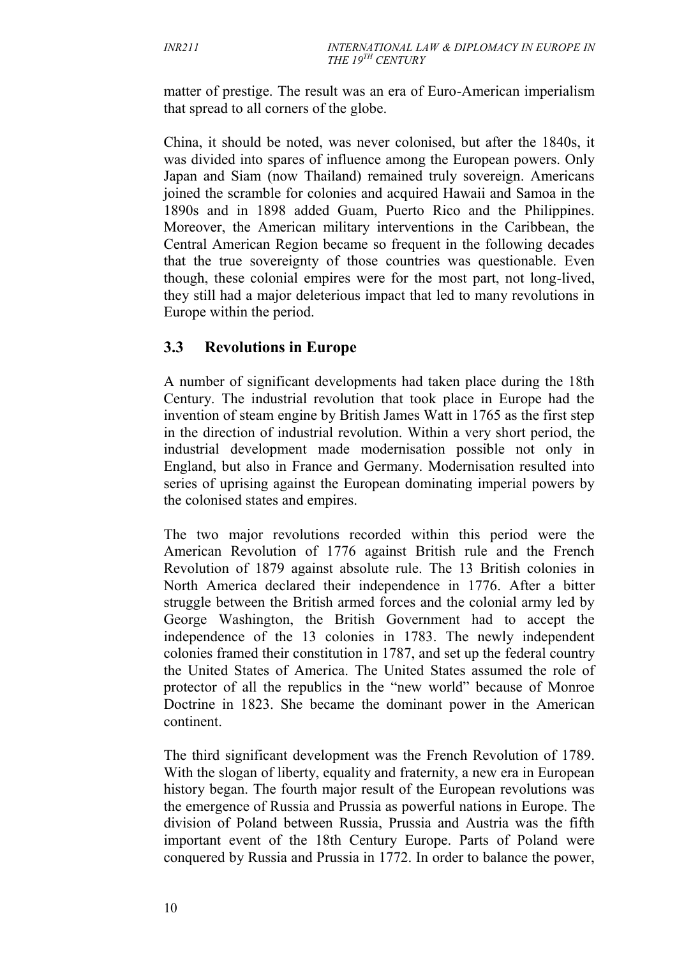matter of prestige. The result was an era of Euro-American imperialism that spread to all corners of the globe.

China, it should be noted, was never colonised, but after the 1840s, it was divided into spares of influence among the European powers. Only Japan and Siam (now Thailand) remained truly sovereign. Americans joined the scramble for colonies and acquired Hawaii and Samoa in the 1890s and in 1898 added Guam, Puerto Rico and the Philippines. Moreover, the American military interventions in the Caribbean, the Central American Region became so frequent in the following decades that the true sovereignty of those countries was questionable. Even though, these colonial empires were for the most part, not long-lived, they still had a major deleterious impact that led to many revolutions in Europe within the period.

### **3.3 Revolutions in Europe**

A number of significant developments had taken place during the 18th Century. The industrial revolution that took place in Europe had the invention of steam engine by British James Watt in 1765 as the first step in the direction of industrial revolution. Within a very short period, the industrial development made modernisation possible not only in England, but also in France and Germany. Modernisation resulted into series of uprising against the European dominating imperial powers by the colonised states and empires.

The two major revolutions recorded within this period were the American Revolution of 1776 against British rule and the French Revolution of 1879 against absolute rule. The 13 British colonies in North America declared their independence in 1776. After a bitter struggle between the British armed forces and the colonial army led by George Washington, the British Government had to accept the independence of the 13 colonies in 1783. The newly independent colonies framed their constitution in 1787, and set up the federal country the United States of America. The United States assumed the role of protector of all the republics in the "new world" because of Monroe Doctrine in 1823. She became the dominant power in the American continent.

The third significant development was the French Revolution of 1789. With the slogan of liberty, equality and fraternity, a new era in European history began. The fourth major result of the European revolutions was the emergence of Russia and Prussia as powerful nations in Europe. The division of Poland between Russia, Prussia and Austria was the fifth important event of the 18th Century Europe. Parts of Poland were conquered by Russia and Prussia in 1772. In order to balance the power,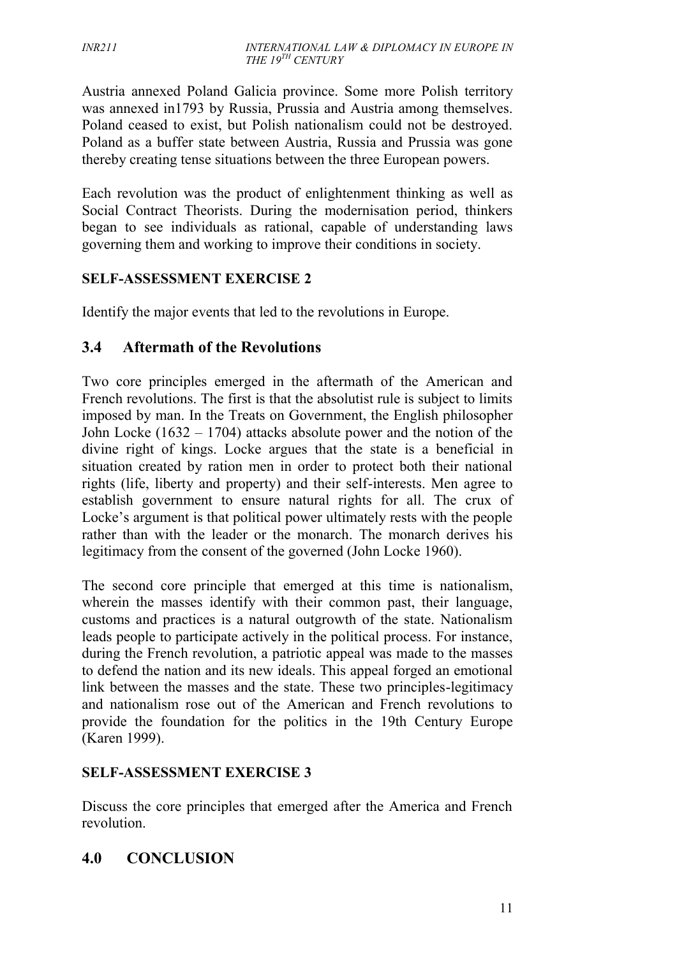Austria annexed Poland Galicia province. Some more Polish territory was annexed in1793 by Russia, Prussia and Austria among themselves. Poland ceased to exist, but Polish nationalism could not be destroyed. Poland as a buffer state between Austria, Russia and Prussia was gone thereby creating tense situations between the three European powers.

Each revolution was the product of enlightenment thinking as well as Social Contract Theorists. During the modernisation period, thinkers began to see individuals as rational, capable of understanding laws governing them and working to improve their conditions in society.

### **SELF-ASSESSMENT EXERCISE 2**

Identify the major events that led to the revolutions in Europe.

### **3.4 Aftermath of the Revolutions**

Two core principles emerged in the aftermath of the American and French revolutions. The first is that the absolutist rule is subject to limits imposed by man. In the Treats on Government, the English philosopher John Locke (1632 – 1704) attacks absolute power and the notion of the divine right of kings. Locke argues that the state is a beneficial in situation created by ration men in order to protect both their national rights (life, liberty and property) and their self-interests. Men agree to establish government to ensure natural rights for all. The crux of Locke's argument is that political power ultimately rests with the people rather than with the leader or the monarch. The monarch derives his legitimacy from the consent of the governed (John Locke 1960).

The second core principle that emerged at this time is nationalism, wherein the masses identify with their common past, their language, customs and practices is a natural outgrowth of the state. Nationalism leads people to participate actively in the political process. For instance, during the French revolution, a patriotic appeal was made to the masses to defend the nation and its new ideals. This appeal forged an emotional link between the masses and the state. These two principles-legitimacy and nationalism rose out of the American and French revolutions to provide the foundation for the politics in the 19th Century Europe (Karen 1999).

#### **SELF-ASSESSMENT EXERCISE 3**

Discuss the core principles that emerged after the America and French revolution.

# **4.0 CONCLUSION**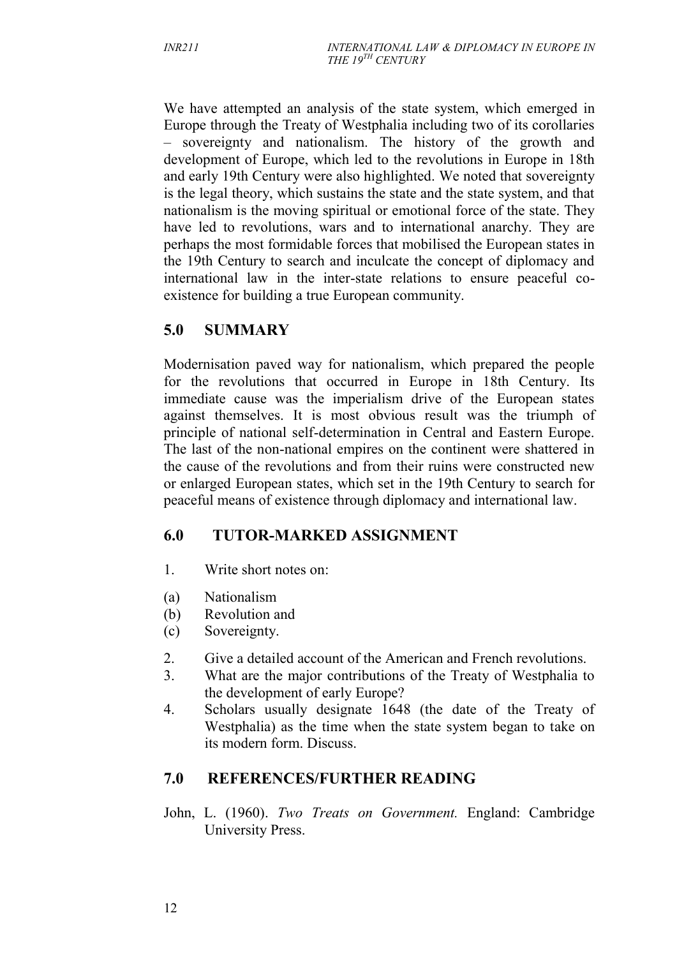We have attempted an analysis of the state system, which emerged in Europe through the Treaty of Westphalia including two of its corollaries – sovereignty and nationalism. The history of the growth and development of Europe, which led to the revolutions in Europe in 18th and early 19th Century were also highlighted. We noted that sovereignty is the legal theory, which sustains the state and the state system, and that nationalism is the moving spiritual or emotional force of the state. They have led to revolutions, wars and to international anarchy. They are perhaps the most formidable forces that mobilised the European states in the 19th Century to search and inculcate the concept of diplomacy and international law in the inter-state relations to ensure peaceful co existence for building a true European community.

# **5.0 SUMMARY**

Modernisation paved way for nationalism, which prepared the people for the revolutions that occurred in Europe in 18th Century. Its immediate cause was the imperialism drive of the European states against themselves. It is most obvious result was the triumph of principle of national self-determination in Central and Eastern Europe. The last of the non-national empires on the continent were shattered in the cause of the revolutions and from their ruins were constructed new or enlarged European states, which set in the 19th Century to search for peaceful means of existence through diplomacy and international law.

# **6.0 TUTOR-MARKED ASSIGNMENT**

- 1. Write short notes on:
- (a) Nationalism
- (b) Revolution and
- (c) Sovereignty.
- 2. Give a detailed account of the American and French revolutions.
- 3. What are the major contributions of the Treaty of Westphalia to the development of early Europe?
- 4. Scholars usually designate 1648 (the date of the Treaty of Westphalia) as the time when the state system began to take on its modern form. Discuss.

#### **7.0 REFERENCES/FURTHER READING**

John, L. (1960). *Two Treats on Government.* England: Cambridge University Press.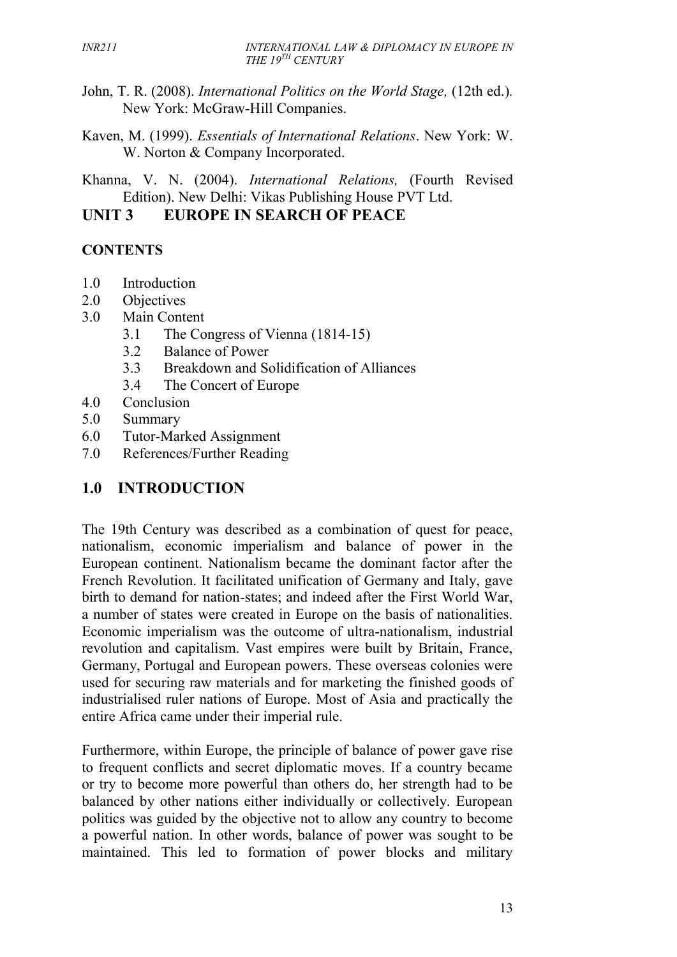- John, T. R. (2008). *International Politics on the World Stage,* (12th ed.)*.* New York: McGraw-Hill Companies.
- Kaven, M. (1999). *Essentials of International Relations*. New York: W. W. Norton & Company Incorporated.

Khanna, V. N. (2004). *International Relations,* (Fourth Revised Edition). New Delhi: Vikas Publishing House PVT Ltd.

#### **UNIT 3 EUROPE IN SEARCH OF PEACE**

# **CONTENTS**

- 1.0 Introduction
- 2.0 Objectives
- 3.0 Main Content
	- 3.1 The Congress of Vienna (1814-15)
	- 3.2 Balance of Power
	- 3.3 Breakdown and Solidification of Alliances
	- 3.4 The Concert of Europe
- 4.0 Conclusion
- 5.0 Summary
- 6.0 Tutor-Marked Assignment
- 7.0 References/Further Reading

# **1.0 INTRODUCTION**

The 19th Century was described as a combination of quest for peace, nationalism, economic imperialism and balance of power in the European continent. Nationalism became the dominant factor after the French Revolution. It facilitated unification of Germany and Italy, gave birth to demand for nation-states; and indeed after the First World War, a number of states were created in Europe on the basis of nationalities. Economic imperialism was the outcome of ultra-nationalism, industrial revolution and capitalism. Vast empires were built by Britain, France, Germany, Portugal and European powers. These overseas colonies were used for securing raw materials and for marketing the finished goods of industrialised ruler nations of Europe. Most of Asia and practically the entire Africa came under their imperial rule.

Furthermore, within Europe, the principle of balance of power gave rise to frequent conflicts and secret diplomatic moves. If a country became or try to become more powerful than others do, her strength had to be balanced by other nations either individually or collectively. European politics was guided by the objective not to allow any country to become a powerful nation. In other words, balance of power was sought to be maintained. This led to formation of power blocks and military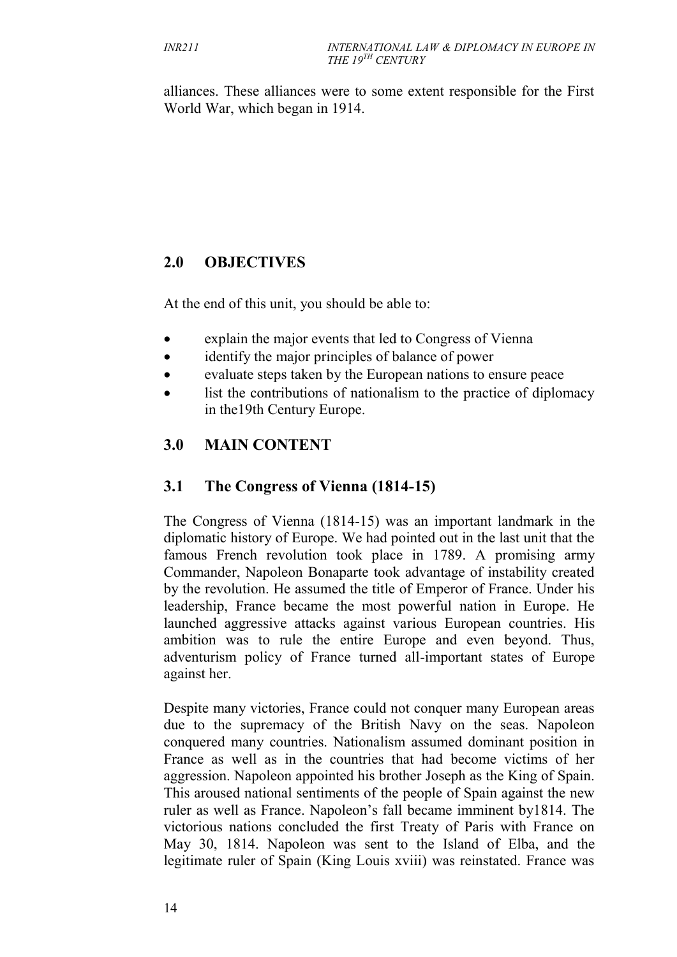alliances. These alliances were to some extent responsible for the First World War, which began in 1914.

# **2.0 OBJECTIVES**

At the end of this unit, you should be able to:

- explain the major events that led to Congress of Vienna
- identify the major principles of balance of power
- evaluate steps taken by the European nations to ensure peace
- list the contributions of nationalism to the practice of diplomacy in the19th Century Europe.

# **3.0 MAIN CONTENT**

# **3.1 The Congress of Vienna (1814-15)**

The Congress of Vienna (1814-15) was an important landmark in the diplomatic history of Europe. We had pointed out in the last unit that the famous French revolution took place in 1789. A promising army Commander, Napoleon Bonaparte took advantage of instability created by the revolution. He assumed the title of Emperor of France. Under his leadership, France became the most powerful nation in Europe. He launched aggressive attacks against various European countries. His ambition was to rule the entire Europe and even beyond. Thus, adventurism policy of France turned all-important states of Europe against her.

Despite many victories, France could not conquer many European areas due to the supremacy of the British Navy on the seas. Napoleon conquered many countries. Nationalism assumed dominant position in France as well as in the countries that had become victims of her aggression. Napoleon appointed his brother Joseph as the King of Spain. This aroused national sentiments of the people of Spain against the new ruler as well as France. Napoleon's fall became imminent by1814. The victorious nations concluded the first Treaty of Paris with France on May 30, 1814. Napoleon was sent to the Island of Elba, and the legitimate ruler of Spain (King Louis xviii) was reinstated. France was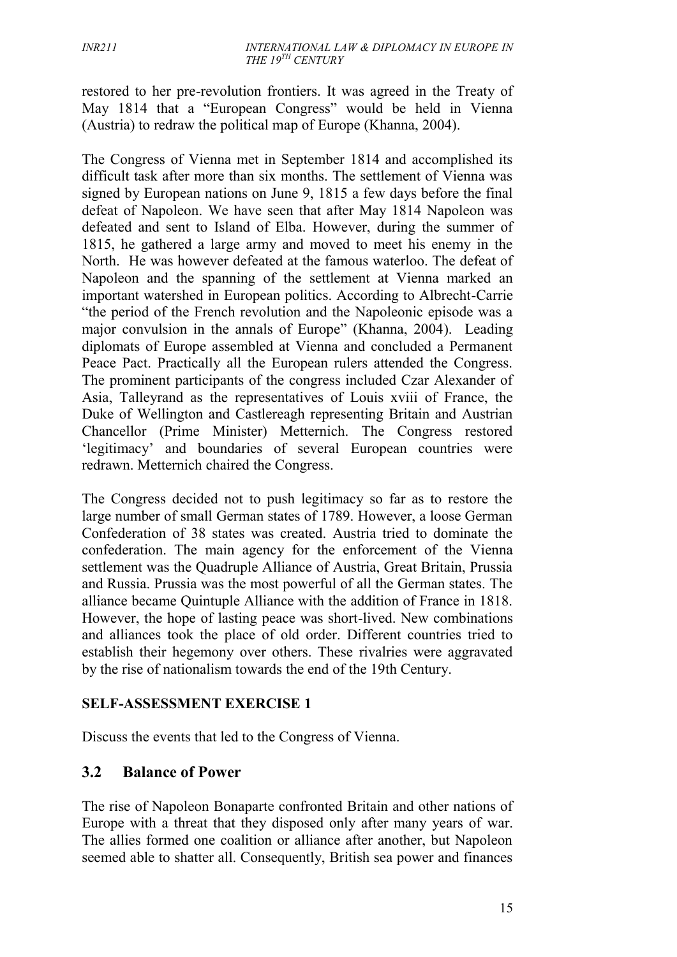restored to her pre-revolution frontiers. It was agreed in the Treaty of May 1814 that a "European Congress" would be held in Vienna (Austria) to redraw the political map of Europe (Khanna, 2004).

The Congress of Vienna met in September 1814 and accomplished its difficult task after more than six months. The settlement of Vienna was signed by European nations on June 9, 1815 a few days before the final defeat of Napoleon. We have seen that after May 1814 Napoleon was defeated and sent to Island of Elba. However, during the summer of 1815, he gathered a large army and moved to meet his enemy in the North. He was however defeated at the famous waterloo. The defeat of Napoleon and the spanning of the settlement at Vienna marked an important watershed in European politics. According to Albrecht-Carrie "the period of the French revolution and the Napoleonic episode was a major convulsion in the annals of Europe" (Khanna, 2004). Leading diplomats of Europe assembled at Vienna and concluded a Permanent Peace Pact. Practically all the European rulers attended the Congress. The prominent participants of the congress included Czar Alexander of Asia, Talleyrand as the representatives of Louis xviii of France, the Duke of Wellington and Castlereagh representing Britain and Austrian Chancellor (Prime Minister) Metternich. The Congress restored 'legitimacy' and boundaries of several European countries were redrawn. Metternich chaired the Congress.

The Congress decided not to push legitimacy so far as to restore the large number of small German states of 1789. However, a loose German Confederation of 38 states was created. Austria tried to dominate the confederation. The main agency for the enforcement of the Vienna settlement was the Quadruple Alliance of Austria, Great Britain, Prussia and Russia. Prussia was the most powerful of all the German states. The alliance became Quintuple Alliance with the addition of France in 1818. However, the hope of lasting peace was short-lived. New combinations and alliances took the place of old order. Different countries tried to establish their hegemony over others. These rivalries were aggravated by the rise of nationalism towards the end of the 19th Century.

#### **SELF-ASSESSMENT EXERCISE 1**

Discuss the events that led to the Congress of Vienna.

#### **3.2 Balance of Power**

The rise of Napoleon Bonaparte confronted Britain and other nations of Europe with a threat that they disposed only after many years of war. The allies formed one coalition or alliance after another, but Napoleon seemed able to shatter all. Consequently, British sea power and finances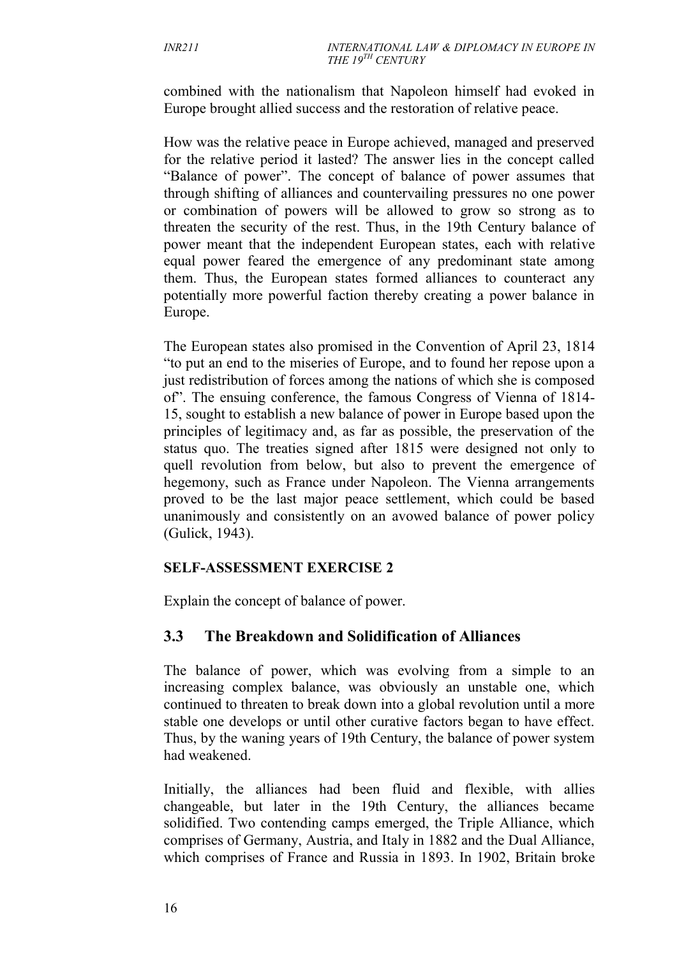combined with the nationalism that Napoleon himself had evoked in Europe brought allied success and the restoration of relative peace.

How was the relative peace in Europe achieved, managed and preserved for the relative period it lasted? The answer lies in the concept called "Balance of power". The concept of balance of power assumes that through shifting of alliances and countervailing pressures no one power or combination of powers will be allowed to grow so strong as to threaten the security of the rest. Thus, in the 19th Century balance of power meant that the independent European states, each with relative equal power feared the emergence of any predominant state among them. Thus, the European states formed alliances to counteract any potentially more powerful faction thereby creating a power balance in Europe.

The European states also promised in the Convention of April 23, 1814 "to put an end to the miseries of Europe, and to found her repose upon a just redistribution of forces among the nations of which she is composed of". The ensuing conference, the famous Congress of Vienna of 1814- 15, sought to establish a new balance of power in Europe based upon the principles of legitimacy and, as far as possible, the preservation of the status quo. The treaties signed after 1815 were designed not only to quell revolution from below, but also to prevent the emergence of hegemony, such as France under Napoleon. The Vienna arrangements proved to be the last major peace settlement, which could be based unanimously and consistently on an avowed balance of power policy (Gulick, 1943).

#### **SELF-ASSESSMENT EXERCISE 2**

Explain the concept of balance of power.

# **3.3 The Breakdown and Solidification of Alliances**

The balance of power, which was evolving from a simple to an increasing complex balance, was obviously an unstable one, which continued to threaten to break down into a global revolution until a more stable one develops or until other curative factors began to have effect. Thus, by the waning years of 19th Century, the balance of power system had weakened.

Initially, the alliances had been fluid and flexible, with allies changeable, but later in the 19th Century, the alliances became solidified. Two contending camps emerged, the Triple Alliance, which comprises of Germany, Austria, and Italy in 1882 and the Dual Alliance, which comprises of France and Russia in 1893. In 1902, Britain broke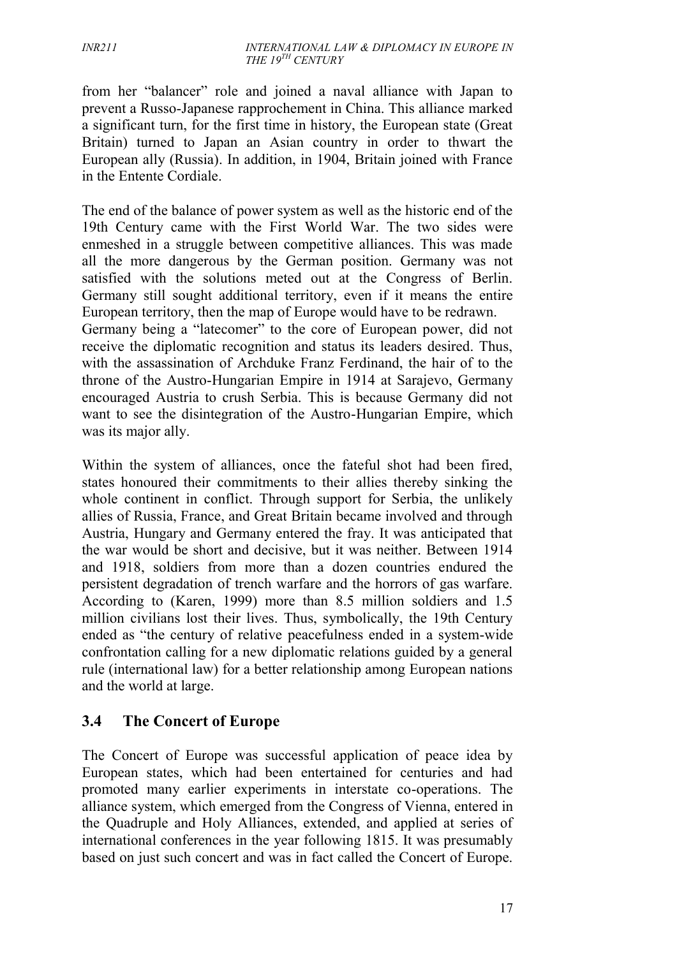from her "balancer" role and joined a naval alliance with Japan to prevent a Russo-Japanese rapprochement in China. This alliance marked a significant turn, for the first time in history, the European state (Great Britain) turned to Japan an Asian country in order to thwart the European ally (Russia). In addition, in 1904, Britain joined with France in the Entente Cordiale.

The end of the balance of power system as well as the historic end of the 19th Century came with the First World War. The two sides were enmeshed in a struggle between competitive alliances. This was made all the more dangerous by the German position. Germany was not satisfied with the solutions meted out at the Congress of Berlin. Germany still sought additional territory, even if it means the entire European territory, then the map of Europe would have to be redrawn.

Germany being a "latecomer" to the core of European power, did not receive the diplomatic recognition and status its leaders desired. Thus, with the assassination of Archduke Franz Ferdinand, the hair of to the throne of the Austro-Hungarian Empire in 1914 at Sarajevo, Germany encouraged Austria to crush Serbia. This is because Germany did not want to see the disintegration of the Austro-Hungarian Empire, which was its major ally.

Within the system of alliances, once the fateful shot had been fired, states honoured their commitments to their allies thereby sinking the whole continent in conflict. Through support for Serbia, the unlikely allies of Russia, France, and Great Britain became involved and through Austria, Hungary and Germany entered the fray. It was anticipated that the war would be short and decisive, but it was neither. Between 1914 and 1918, soldiers from more than a dozen countries endured the persistent degradation of trench warfare and the horrors of gas warfare. According to (Karen, 1999) more than 8.5 million soldiers and 1.5 million civilians lost their lives. Thus, symbolically, the 19th Century ended as "the century of relative peacefulness ended in a system-wide confrontation calling for a new diplomatic relations guided by a general rule (international law) for a better relationship among European nations and the world at large.

# **3.4 The Concert of Europe**

The Concert of Europe was successful application of peace idea by European states, which had been entertained for centuries and had promoted many earlier experiments in interstate co-operations. The alliance system, which emerged from the Congress of Vienna, entered in the Quadruple and Holy Alliances, extended, and applied at series of international conferences in the year following 1815. It was presumably based on just such concert and was in fact called the Concert of Europe.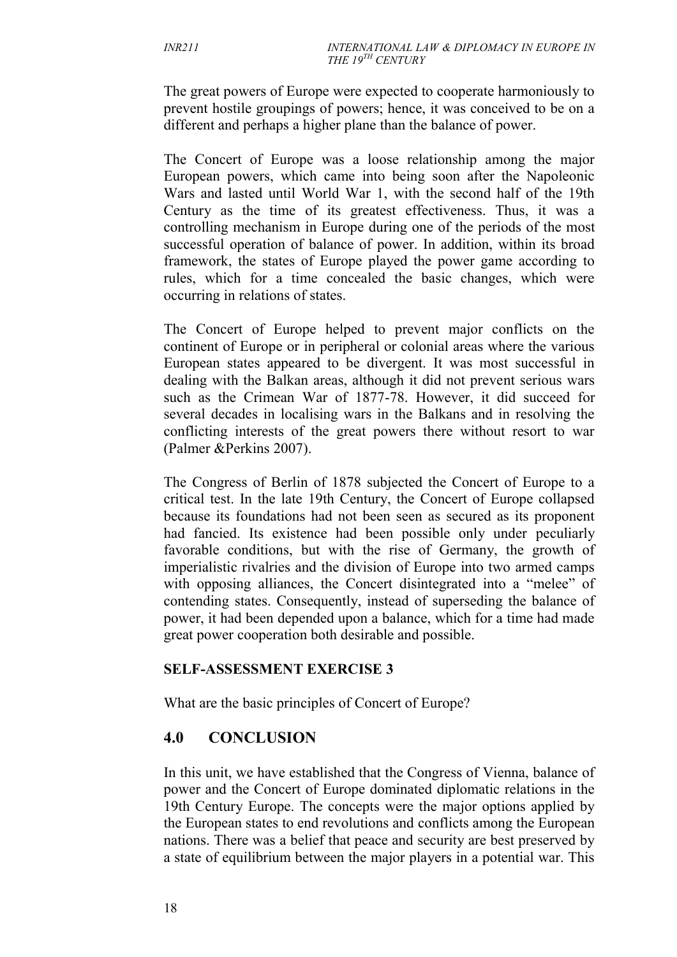The great powers of Europe were expected to cooperate harmoniously to prevent hostile groupings of powers; hence, it was conceived to be on a different and perhaps a higher plane than the balance of power.

The Concert of Europe was a loose relationship among the major European powers, which came into being soon after the Napoleonic Wars and lasted until World War 1, with the second half of the 19th Century as the time of its greatest effectiveness. Thus, it was a controlling mechanism in Europe during one of the periods of the most successful operation of balance of power. In addition, within its broad framework, the states of Europe played the power game according to rules, which for a time concealed the basic changes, which were occurring in relations of states.

The Concert of Europe helped to prevent major conflicts on the continent of Europe or in peripheral or colonial areas where the various European states appeared to be divergent. It was most successful in dealing with the Balkan areas, although it did not prevent serious wars such as the Crimean War of 1877-78. However, it did succeed for several decades in localising wars in the Balkans and in resolving the conflicting interests of the great powers there without resort to war (Palmer &Perkins 2007).

The Congress of Berlin of 1878 subjected the Concert of Europe to a critical test. In the late 19th Century, the Concert of Europe collapsed because its foundations had not been seen as secured as its proponent had fancied. Its existence had been possible only under peculiarly favorable conditions, but with the rise of Germany, the growth of imperialistic rivalries and the division of Europe into two armed camps with opposing alliances, the Concert disintegrated into a "melee" of contending states. Consequently, instead of superseding the balance of power, it had been depended upon a balance, which for a time had made great power cooperation both desirable and possible.

#### **SELF-ASSESSMENT EXERCISE 3**

What are the basic principles of Concert of Europe?

# **4.0 CONCLUSION**

In this unit, we have established that the Congress of Vienna, balance of power and the Concert of Europe dominated diplomatic relations in the 19th Century Europe. The concepts were the major options applied by the European states to end revolutions and conflicts among the European nations. There was a belief that peace and security are best preserved by a state of equilibrium between the major players in a potential war. This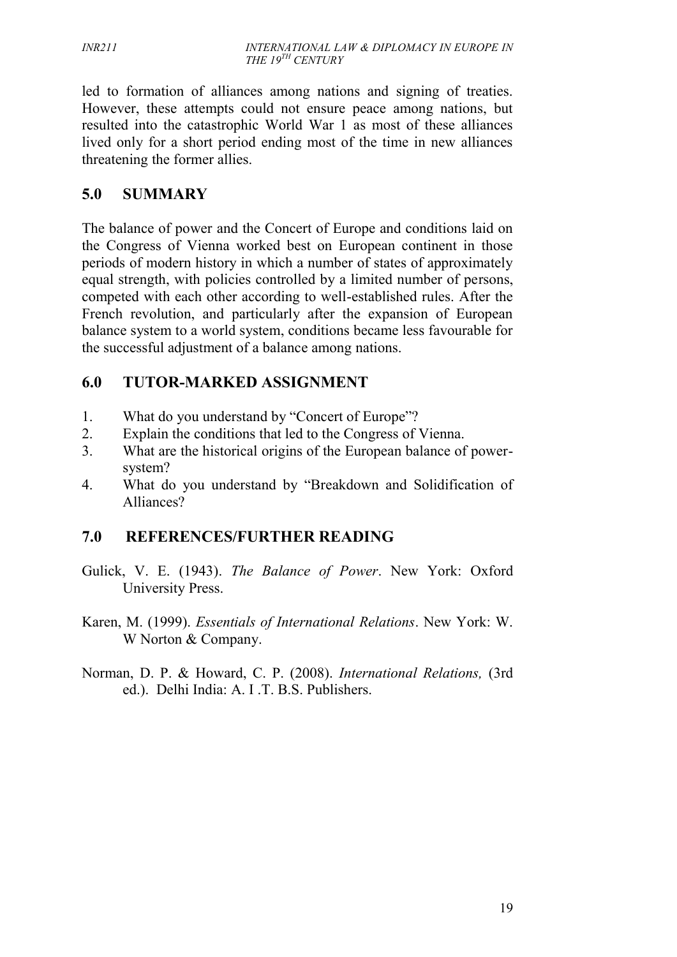led to formation of alliances among nations and signing of treaties. However, these attempts could not ensure peace among nations, but resulted into the catastrophic World War 1 as most of these alliances lived only for a short period ending most of the time in new alliances threatening the former allies.

# **5.0 SUMMARY**

The balance of power and the Concert of Europe and conditions laid on the Congress of Vienna worked best on European continent in those periods of modern history in which a number of states of approximately equal strength, with policies controlled by a limited number of persons, competed with each other according to well-established rules. After the French revolution, and particularly after the expansion of European balance system to a world system, conditions became less favourable for the successful adjustment of a balance among nations.

# **6.0 TUTOR-MARKED ASSIGNMENT**

- 1. What do you understand by "Concert of Europe"?
- 2. Explain the conditions that led to the Congress of Vienna.
- 3. What are the historical origins of the European balance of power system?
- 4. What do you understand by "Breakdown and Solidification of Alliances?

# **7.0 REFERENCES/FURTHER READING**

- Gulick, V. E. (1943). *The Balance of Power*. New York: Oxford University Press.
- Karen, M. (1999). *Essentials of International Relations*. New York: W. W Norton & Company.
- Norman, D. P. & Howard, C. P. (2008). *International Relations,* (3rd ed.). Delhi India: A. I .T. B.S. Publishers.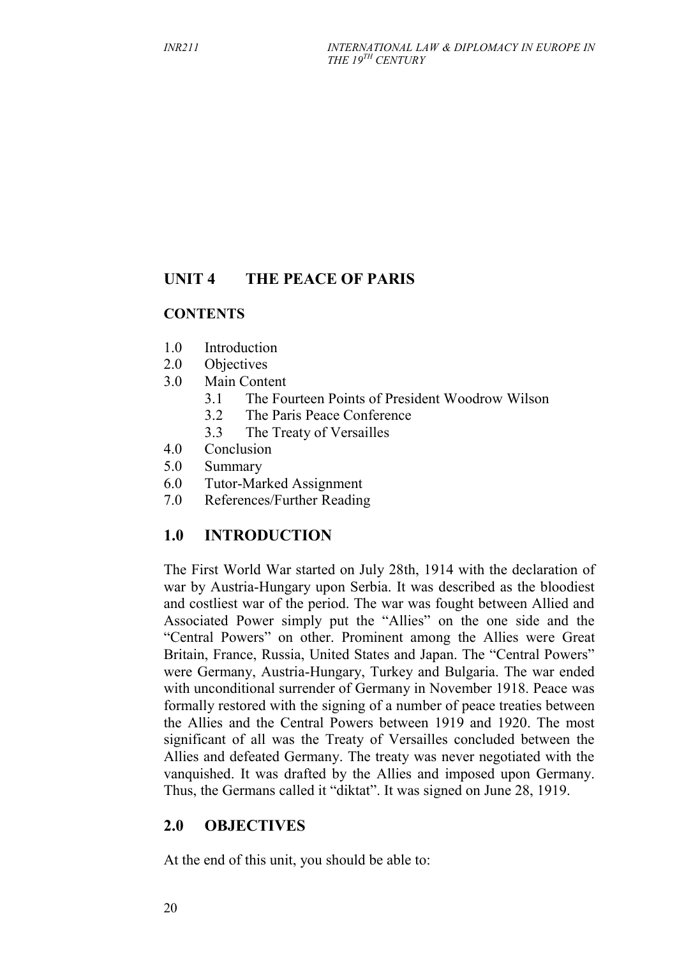# **UNIT 4 THE PEACE OF PARIS**

### **CONTENTS**

- 1.0 Introduction
- 2.0 Objectives
- 3.0 Main Content
	- 3.1 The Fourteen Points of President Woodrow Wilson
	- 3.2 The Paris Peace Conference
	- 3.3 The Treaty of Versailles
- 4.0 Conclusion
- 5.0 Summary
- 6.0 Tutor-Marked Assignment
- 7.0 References/Further Reading

# **1.0 INTRODUCTION**

The First World War started on July 28th, 1914 with the declaration of war by Austria-Hungary upon Serbia. It was described as the bloodiest and costliest war of the period. The war was fought between Allied and Associated Power simply put the "Allies" on the one side and the "Central Powers" on other. Prominent among the Allies were Great Britain, France, Russia, United States and Japan. The "Central Powers" were Germany, Austria-Hungary, Turkey and Bulgaria. The war ended with unconditional surrender of Germany in November 1918. Peace was formally restored with the signing of a number of peace treaties between the Allies and the Central Powers between 1919 and 1920. The most significant of all was the Treaty of Versailles concluded between the Allies and defeated Germany. The treaty was never negotiated with the vanquished. It was drafted by the Allies and imposed upon Germany. Thus, the Germans called it "diktat". It was signed on June 28, 1919.

# **2.0 OBJECTIVES**

At the end of this unit, you should be able to: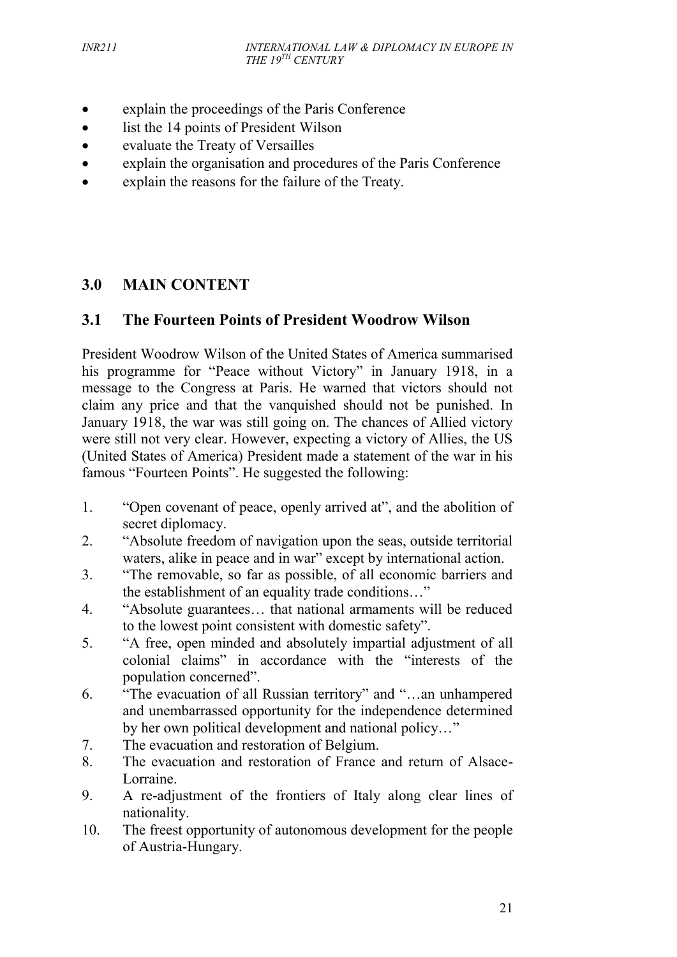- explain the proceedings of the Paris Conference
- list the 14 points of President Wilson
- evaluate the Treaty of Versailles
- explain the organisation and procedures of the Paris Conference
- explain the reasons for the failure of the Treaty.

# **3.0 MAIN CONTENT**

# **3.1 The Fourteen Points of President Woodrow Wilson**

President Woodrow Wilson of the United States of America summarised his programme for "Peace without Victory" in January 1918, in a message to the Congress at Paris. He warned that victors should not claim any price and that the vanquished should not be punished. In January 1918, the war was still going on. The chances of Allied victory were still not very clear. However, expecting a victory of Allies, the US (United States of America) President made a statement of the war in his famous "Fourteen Points". He suggested the following:

- 1. "Open covenant of peace, openly arrived at", and the abolition of secret diplomacy.
- 2. "Absolute freedom of navigation upon the seas, outside territorial waters, alike in peace and in war" except by international action.
- 3. "The removable, so far as possible, of all economic barriers and the establishment of an equality trade conditions…"
- 4. "Absolute guarantees… that national armaments will be reduced to the lowest point consistent with domestic safety".
- 5. "A free, open minded and absolutely impartial adjustment of all colonial claims" in accordance with the "interests of the population concerned".
- 6. "The evacuation of all Russian territory" and "…an unhampered and unembarrassed opportunity for the independence determined by her own political development and national policy…"
- 7. The evacuation and restoration of Belgium.
- 8. The evacuation and restoration of France and return of Alsace- Lorraine.
- 9. A re-adjustment of the frontiers of Italy along clear lines of nationality.
- 10. The freest opportunity of autonomous development for the people of Austria-Hungary.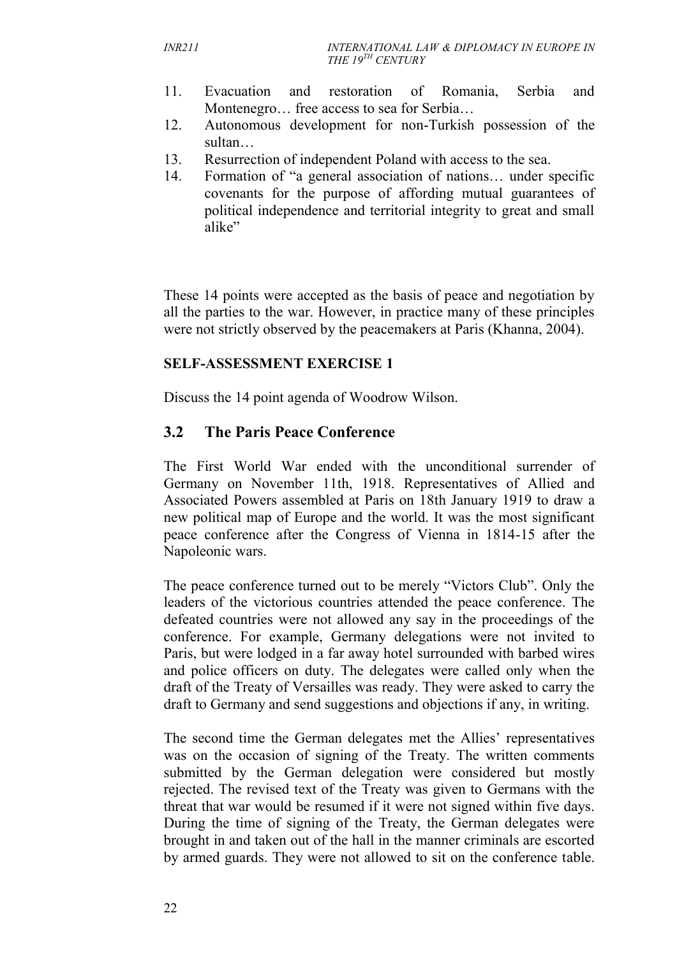- 11. Evacuation and restoration of Romania, Serbia and Montenegro… free access to sea for Serbia…
- 12. Autonomous development for non-Turkish possession of the sultan…
- 13. Resurrection of independent Poland with access to the sea.
- 14. Formation of "a general association of nations… under specific covenants for the purpose of affording mutual guarantees of political independence and territorial integrity to great and small alike"

These 14 points were accepted as the basis of peace and negotiation by all the parties to the war. However, in practice many of these principles were not strictly observed by the peacemakers at Paris (Khanna, 2004).

### **SELF-ASSESSMENT EXERCISE 1**

Discuss the 14 point agenda of Woodrow Wilson.

# **3.2 The Paris Peace Conference**

The First World War ended with the unconditional surrender of Germany on November 11th, 1918. Representatives of Allied and Associated Powers assembled at Paris on 18th January 1919 to draw a new political map of Europe and the world. It was the most significant peace conference after the Congress of Vienna in 1814-15 after the Napoleonic wars.

The peace conference turned out to be merely "Victors Club". Only the leaders of the victorious countries attended the peace conference. The defeated countries were not allowed any say in the proceedings of the conference. For example, Germany delegations were not invited to Paris, but were lodged in a far away hotel surrounded with barbed wires and police officers on duty. The delegates were called only when the draft of the Treaty of Versailles was ready. They were asked to carry the draft to Germany and send suggestions and objections if any, in writing.

The second time the German delegates met the Allies' representatives was on the occasion of signing of the Treaty. The written comments submitted by the German delegation were considered but mostly rejected. The revised text of the Treaty was given to Germans with the threat that war would be resumed if it were not signed within five days. During the time of signing of the Treaty, the German delegates were brought in and taken out of the hall in the manner criminals are escorted by armed guards. They were not allowed to sit on the conference table.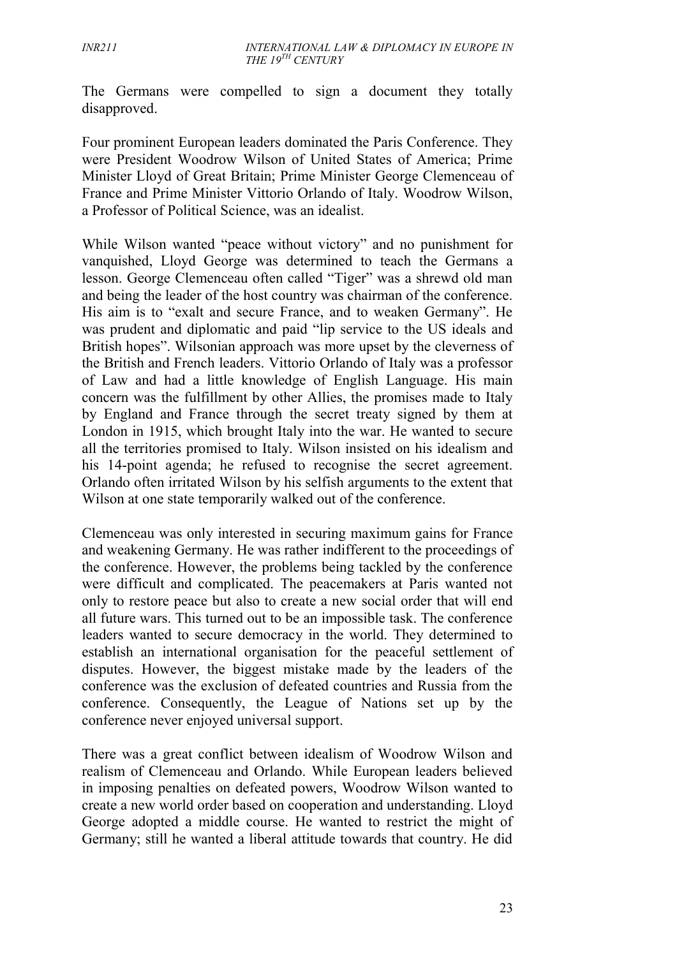The Germans were compelled to sign a document they totally disapproved.

Four prominent European leaders dominated the Paris Conference. They were President Woodrow Wilson of United States of America; Prime Minister Lloyd of Great Britain; Prime Minister George Clemenceau of France and Prime Minister Vittorio Orlando of Italy. Woodrow Wilson, a Professor of Political Science, was an idealist.

While Wilson wanted "peace without victory" and no punishment for vanquished, Lloyd George was determined to teach the Germans a lesson. George Clemenceau often called "Tiger" was a shrewd old man and being the leader of the host country was chairman of the conference. His aim is to "exalt and secure France, and to weaken Germany". He was prudent and diplomatic and paid "lip service to the US ideals and British hopes". Wilsonian approach was more upset by the cleverness of the British and French leaders. Vittorio Orlando of Italy was a professor of Law and had a little knowledge of English Language. His main concern was the fulfillment by other Allies, the promises made to Italy by England and France through the secret treaty signed by them at London in 1915, which brought Italy into the war. He wanted to secure all the territories promised to Italy. Wilson insisted on his idealism and his 14-point agenda; he refused to recognise the secret agreement. Orlando often irritated Wilson by his selfish arguments to the extent that Wilson at one state temporarily walked out of the conference.

Clemenceau was only interested in securing maximum gains for France and weakening Germany. He was rather indifferent to the proceedings of the conference. However, the problems being tackled by the conference were difficult and complicated. The peacemakers at Paris wanted not only to restore peace but also to create a new social order that will end all future wars. This turned out to be an impossible task. The conference leaders wanted to secure democracy in the world. They determined to establish an international organisation for the peaceful settlement of disputes. However, the biggest mistake made by the leaders of the conference was the exclusion of defeated countries and Russia from the conference. Consequently, the League of Nations set up by the conference never enjoyed universal support.

There was a great conflict between idealism of Woodrow Wilson and realism of Clemenceau and Orlando. While European leaders believed in imposing penalties on defeated powers, Woodrow Wilson wanted to create a new world order based on cooperation and understanding. Lloyd George adopted a middle course. He wanted to restrict the might of Germany; still he wanted a liberal attitude towards that country. He did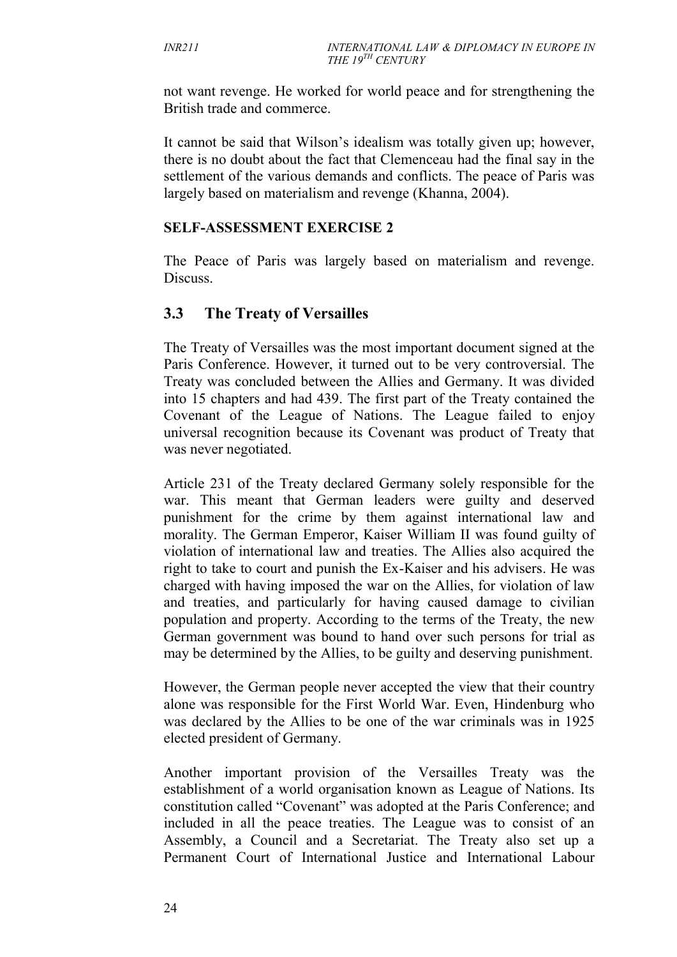not want revenge. He worked for world peace and for strengthening the British trade and commerce.

It cannot be said that Wilson's idealism was totally given up; however, there is no doubt about the fact that Clemenceau had the final say in the settlement of the various demands and conflicts. The peace of Paris was largely based on materialism and revenge (Khanna, 2004).

#### **SELF-ASSESSMENT EXERCISE 2**

The Peace of Paris was largely based on materialism and revenge. Discuss.

#### **3.3 The Treaty of Versailles**

The Treaty of Versailles was the most important document signed at the Paris Conference. However, it turned out to be very controversial. The Treaty was concluded between the Allies and Germany. It was divided into 15 chapters and had 439. The first part of the Treaty contained the Covenant of the League of Nations. The League failed to enjoy universal recognition because its Covenant was product of Treaty that was never negotiated.

Article 231 of the Treaty declared Germany solely responsible for the war. This meant that German leaders were guilty and deserved punishment for the crime by them against international law and morality. The German Emperor, Kaiser William II was found guilty of violation of international law and treaties. The Allies also acquired the right to take to court and punish the Ex-Kaiser and his advisers. He was charged with having imposed the war on the Allies, for violation of law and treaties, and particularly for having caused damage to civilian population and property. According to the terms of the Treaty, the new German government was bound to hand over such persons for trial as may be determined by the Allies, to be guilty and deserving punishment.

However, the German people never accepted the view that their country alone was responsible for the First World War. Even, Hindenburg who was declared by the Allies to be one of the war criminals was in 1925 elected president of Germany.

Another important provision of the Versailles Treaty was the establishment of a world organisation known as League of Nations. Its constitution called "Covenant" was adopted at the Paris Conference; and included in all the peace treaties. The League was to consist of an Assembly, a Council and a Secretariat. The Treaty also set up a Permanent Court of International Justice and International Labour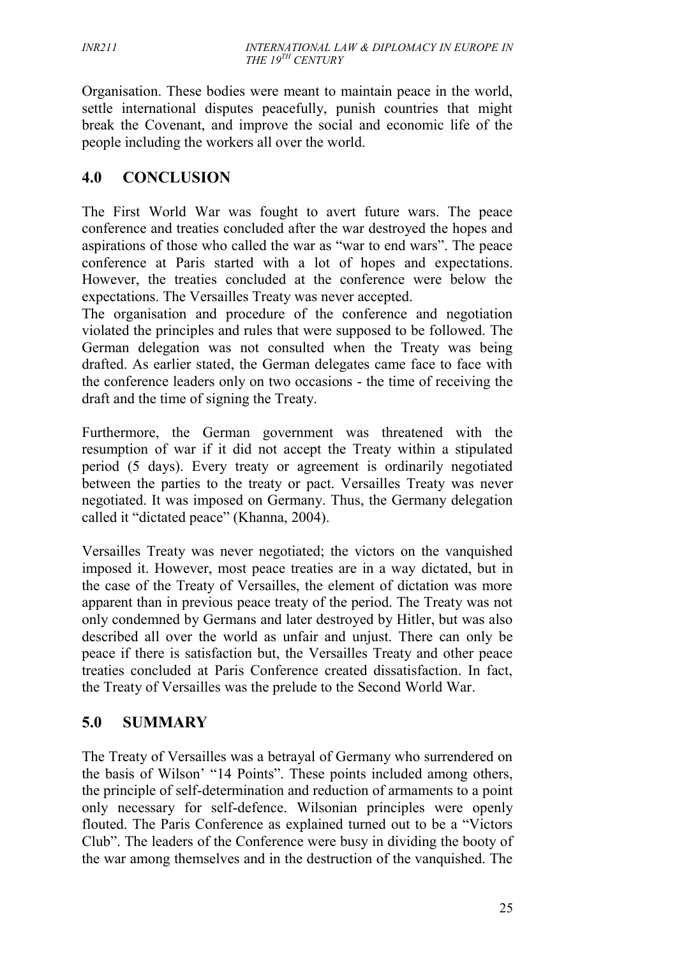Organisation. These bodies were meant to maintain peace in the world, settle international disputes peacefully, punish countries that might break the Covenant, and improve the social and economic life of the people including the workers all over the world.

### **4.0 CONCLUSION**

The First World War was fought to avert future wars. The peace conference and treaties concluded after the war destroyed the hopes and aspirations of those who called the war as "war to end wars". The peace conference at Paris started with a lot of hopes and expectations. However, the treaties concluded at the conference were below the expectations. The Versailles Treaty was never accepted.

The organisation and procedure of the conference and negotiation violated the principles and rules that were supposed to be followed. The German delegation was not consulted when the Treaty was being drafted. As earlier stated, the German delegates came face to face with the conference leaders only on two occasions - the time of receiving the draft and the time of signing the Treaty.

Furthermore, the German government was threatened with the resumption of war if it did not accept the Treaty within a stipulated period (5 days). Every treaty or agreement is ordinarily negotiated between the parties to the treaty or pact. Versailles Treaty was never negotiated. It was imposed on Germany. Thus, the Germany delegation called it "dictated peace" (Khanna, 2004).

Versailles Treaty was never negotiated; the victors on the vanquished imposed it. However, most peace treaties are in a way dictated, but in the case of the Treaty of Versailles, the element of dictation was more apparent than in previous peace treaty of the period. The Treaty was not only condemned by Germans and later destroyed by Hitler, but was also described all over the world as unfair and unjust. There can only be peace if there is satisfaction but, the Versailles Treaty and other peace treaties concluded at Paris Conference created dissatisfaction. In fact, the Treaty of Versailles was the prelude to the Second World War.

## **5.0 SUMMARY**

The Treaty of Versailles was a betrayal of Germany who surrendered on the basis of Wilson' "14 Points". These points included among others, the principle of self-determination and reduction of armaments to a point only necessary for self-defence. Wilsonian principles were openly flouted. The Paris Conference as explained turned out to be a "Victors Club". The leaders of the Conference were busy in dividing the booty of the war among themselves and in the destruction of the vanquished. The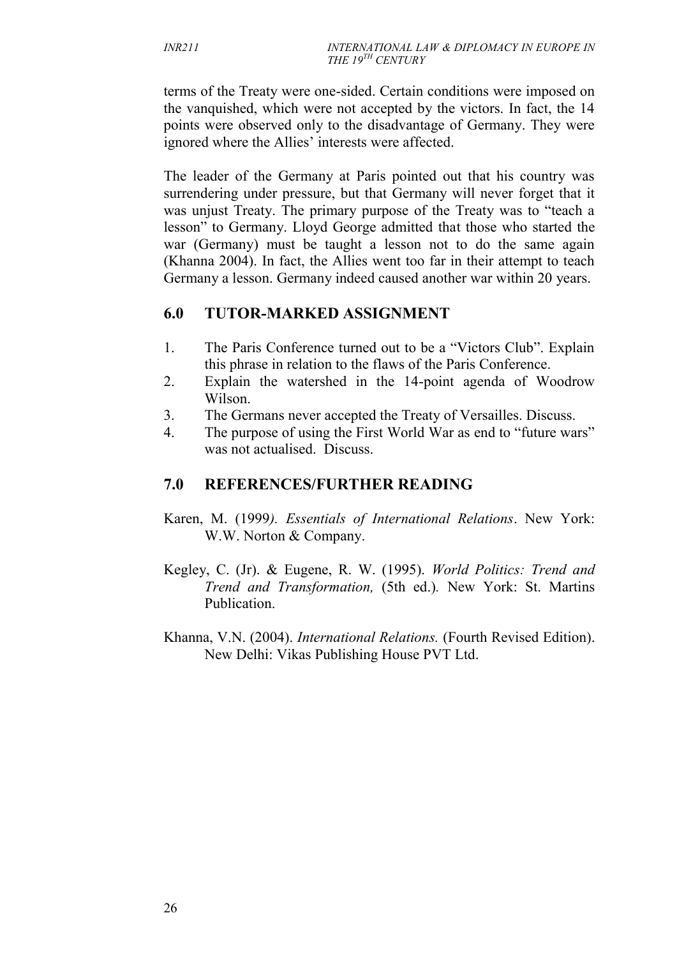terms of the Treaty were one-sided. Certain conditions were imposed on the vanquished, which were not accepted by the victors. In fact, the 14 points were observed only to the disadvantage of Germany. They were ignored where the Allies' interests were affected.

The leader of the Germany at Paris pointed out that his country was surrendering under pressure, but that Germany will never forget that it was unjust Treaty. The primary purpose of the Treaty was to "teach a lesson" to Germany. Lloyd George admitted that those who started the war (Germany) must be taught a lesson not to do the same again (Khanna 2004). In fact, the Allies went too far in their attempt to teach Germany a lesson. Germany indeed caused another war within 20 years.

## **6.0 TUTOR-MARKED ASSIGNMENT**

- 1. The Paris Conference turned out to be a "Victors Club". Explain this phrase in relation to the flaws of the Paris Conference.
- 2. Explain the watershed in the 14-point agenda of Woodrow Wilson.
- 3. The Germans never accepted the Treaty of Versailles. Discuss.
- 4. The purpose of using the First World War as end to "future wars" was not actualised. Discuss.

## **7.0 REFERENCES/FURTHER READING**

- Karen, M. (1999*). Essentials of International Relations*. New York: W.W. Norton & Company.
- Kegley, C. (Jr). & Eugene, R. W. (1995). *World Politics: Trend and Trend and Transformation,* (5th ed.)*.* New York: St. Martins Publication.
- Khanna, V.N. (2004). *International Relations.* (Fourth Revised Edition). New Delhi: Vikas Publishing House PVT Ltd.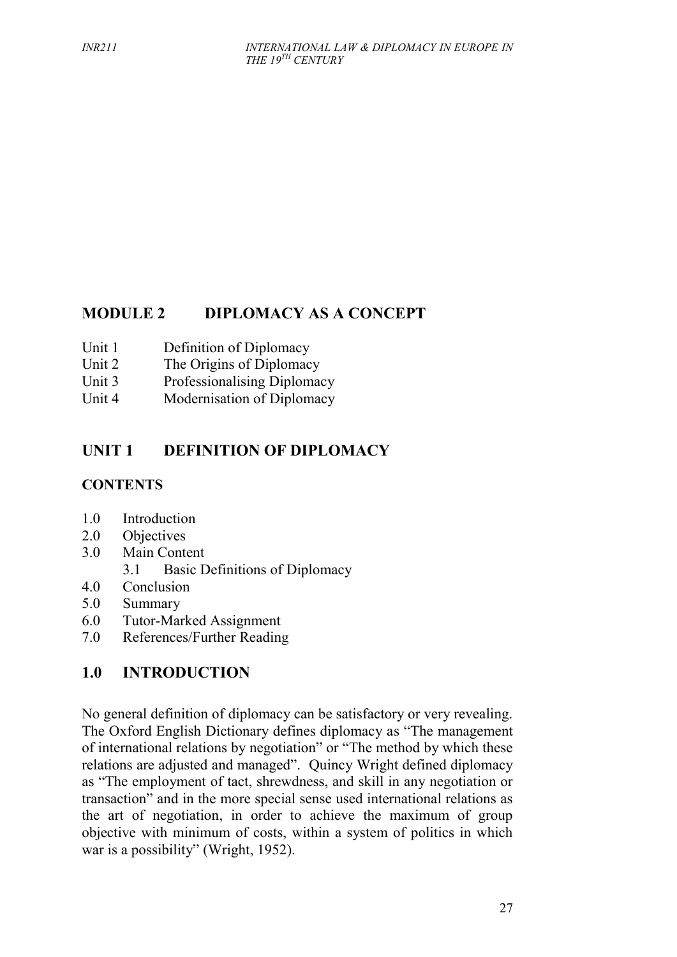## **MODULE 2 DIPLOMACY AS A CONCEPT**

- Unit 1 Definition of Diplomacy
- Unit 2 The Origins of Diplomacy
- Unit 3 Professionalising Diplomacy
- Unit 4 Modernisation of Diplomacy

## **UNIT 1 DEFINITION OF DIPLOMACY**

#### **CONTENTS**

- 1.0 Introduction
- 2.0 Objectives
- 3.0 Main Content
	- 3.1 Basic Definitions of Diplomacy
- 4.0 Conclusion
- 5.0 Summary
- 6.0 Tutor-Marked Assignment
- 7.0 References/Further Reading

## **1.0 INTRODUCTION**

No general definition of diplomacy can be satisfactory or very revealing. The Oxford English Dictionary defines diplomacy as "The management of international relations by negotiation" or "The method by which these relations are adjusted and managed". Quincy Wright defined diplomacy as "The employment of tact, shrewdness, and skill in any negotiation or transaction" and in the more special sense used international relations as the art of negotiation, in order to achieve the maximum of group objective with minimum of costs, within a system of politics in which war is a possibility" (Wright, 1952).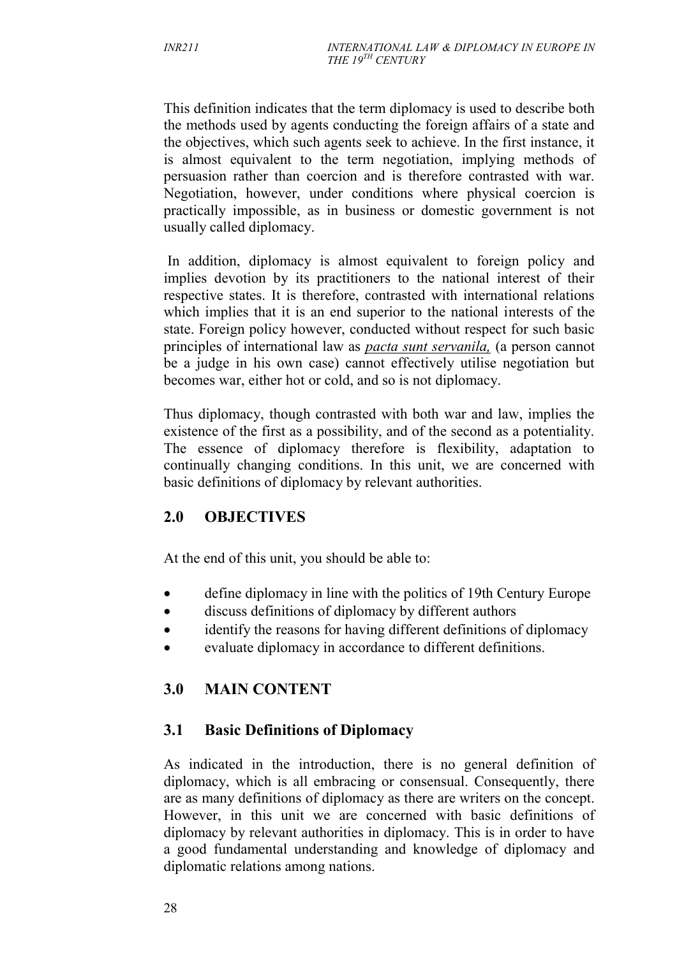This definition indicates that the term diplomacy is used to describe both the methods used by agents conducting the foreign affairs of a state and the objectives, which such agents seek to achieve. In the first instance, it is almost equivalent to the term negotiation, implying methods of persuasion rather than coercion and is therefore contrasted with war. Negotiation, however, under conditions where physical coercion is practically impossible, as in business or domestic government is not usually called diplomacy.

In addition, diplomacy is almost equivalent to foreign policy and implies devotion by its practitioners to the national interest of their respective states. It is therefore, contrasted with international relations which implies that it is an end superior to the national interests of the state. Foreign policy however, conducted without respect for such basic principles of international law as *pacta sunt servanila,* (a person cannot be a judge in his own case) cannot effectively utilise negotiation but becomes war, either hot or cold, and so is not diplomacy.

Thus diplomacy, though contrasted with both war and law, implies the existence of the first as a possibility, and of the second as a potentiality. The essence of diplomacy therefore is flexibility, adaptation to continually changing conditions. In this unit, we are concerned with basic definitions of diplomacy by relevant authorities.

## **2.0 OBJECTIVES**

At the end of this unit, you should be able to:

- define diplomacy in line with the politics of 19th Century Europe
- discuss definitions of diplomacy by different authors
- identify the reasons for having different definitions of diplomacy
- evaluate diplomacy in accordance to different definitions.

## **3.0 MAIN CONTENT**

## **3.1 Basic Definitions of Diplomacy**

As indicated in the introduction, there is no general definition of diplomacy, which is all embracing or consensual. Consequently, there are as many definitions of diplomacy as there are writers on the concept. However, in this unit we are concerned with basic definitions of diplomacy by relevant authorities in diplomacy. This is in order to have a good fundamental understanding and knowledge of diplomacy and diplomatic relations among nations.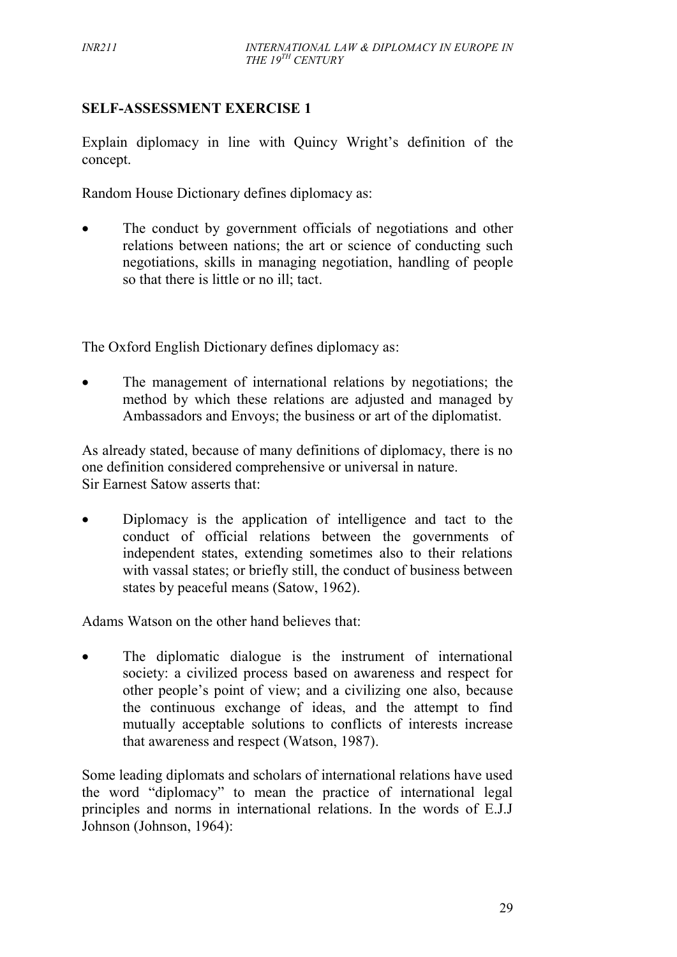#### **SELF-ASSESSMENT EXERCISE 1**

Explain diplomacy in line with Quincy Wright's definition of the concept.

Random House Dictionary defines diplomacy as:

• The conduct by government officials of negotiations and other relations between nations; the art or science of conducting such negotiations, skills in managing negotiation, handling of people so that there is little or no ill; tact.

The Oxford English Dictionary defines diplomacy as:

• The management of international relations by negotiations; the method by which these relations are adjusted and managed by Ambassadors and Envoys; the business or art of the diplomatist.

As already stated, because of many definitions of diplomacy, there is no one definition considered comprehensive or universal in nature. Sir Earnest Satow asserts that:

• Diplomacy is the application of intelligence and tact to the conduct of official relations between the governments of independent states, extending sometimes also to their relations with vassal states; or briefly still, the conduct of business between states by peaceful means (Satow, 1962).

Adams Watson on the other hand believes that:

 The diplomatic dialogue is the instrument of international society: a civilized process based on awareness and respect for other people's point of view; and a civilizing one also, because the continuous exchange of ideas, and the attempt to find mutually acceptable solutions to conflicts of interests increase that awareness and respect (Watson, 1987).

Some leading diplomats and scholars of international relations have used the word "diplomacy" to mean the practice of international legal principles and norms in international relations. In the words of E.J.J Johnson (Johnson, 1964):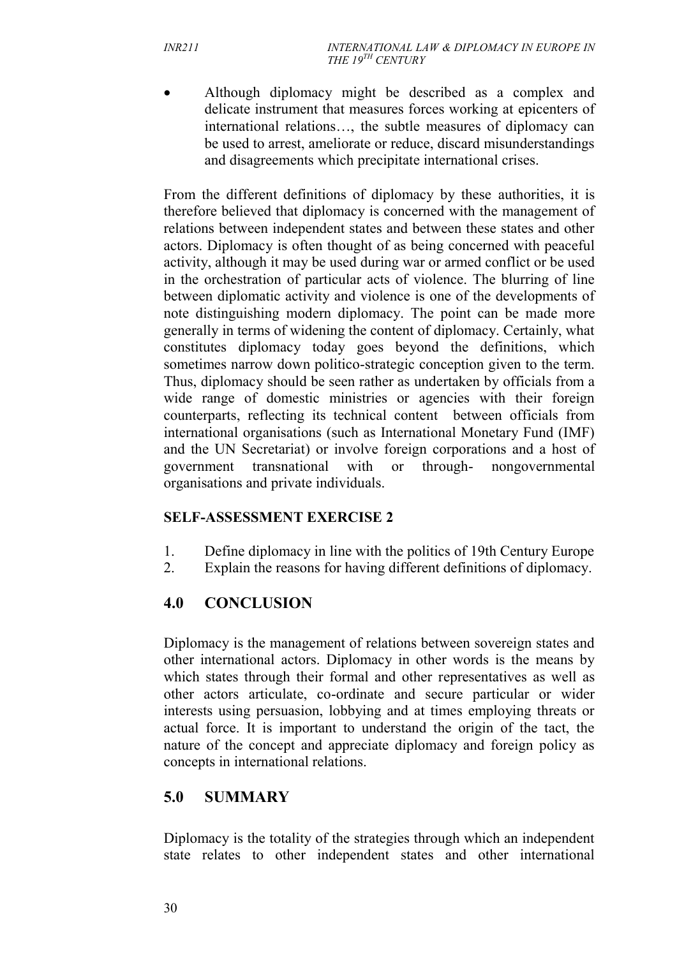Although diplomacy might be described as a complex and delicate instrument that measures forces working at epicenters of international relations…, the subtle measures of diplomacy can be used to arrest, ameliorate or reduce, discard misunderstandings and disagreements which precipitate international crises.

From the different definitions of diplomacy by these authorities, it is therefore believed that diplomacy is concerned with the management of relations between independent states and between these states and other actors. Diplomacy is often thought of as being concerned with peaceful activity, although it may be used during war or armed conflict or be used in the orchestration of particular acts of violence. The blurring of line between diplomatic activity and violence is one of the developments of note distinguishing modern diplomacy. The point can be made more generally in terms of widening the content of diplomacy. Certainly, what constitutes diplomacy today goes beyond the definitions, which sometimes narrow down politico-strategic conception given to the term. Thus, diplomacy should be seen rather as undertaken by officials from a wide range of domestic ministries or agencies with their foreign counterparts, reflecting its technical content between officials from international organisations (such as International Monetary Fund (IMF) and the UN Secretariat) or involve foreign corporations and a host of government transnational with or through- nongovernmental organisations and private individuals.

#### **SELF-ASSESSMENT EXERCISE 2**

- 1. Define diplomacy in line with the politics of 19th Century Europe<br>2. Explain the reasons for having different definitions of diplomacy
- Explain the reasons for having different definitions of diplomacy.

## **4.0 CONCLUSION**

Diplomacy is the management of relations between sovereign states and other international actors. Diplomacy in other words is the means by which states through their formal and other representatives as well as other actors articulate, co-ordinate and secure particular or wider interests using persuasion, lobbying and at times employing threats or actual force. It is important to understand the origin of the tact, the nature of the concept and appreciate diplomacy and foreign policy as concepts in international relations.

## **5.0 SUMMARY**

Diplomacy is the totality of the strategies through which an independent state relates to other independent states and other international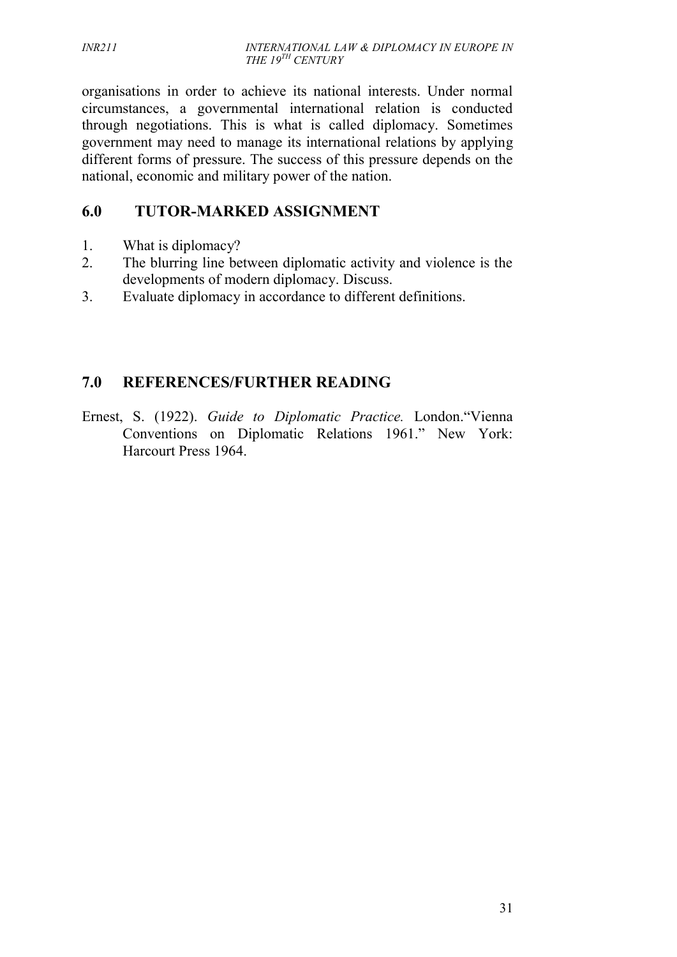organisations in order to achieve its national interests. Under normal circumstances, a governmental international relation is conducted through negotiations. This is what is called diplomacy. Sometimes government may need to manage its international relations by applying different forms of pressure. The success of this pressure depends on the national, economic and military power of the nation.

# **6.0 TUTOR-MARKED ASSIGNMENT**

- 1. What is diplomacy?
- 2. The blurring line between diplomatic activity and violence is the developments of modern diplomacy. Discuss.
- 3. Evaluate diplomacy in accordance to different definitions.

# **7.0 REFERENCES/FURTHER READING**

Ernest, S. (1922). *Guide to Diplomatic Practice.* London."Vienna Conventions on Diplomatic Relations 1961." New York: Harcourt Press 1964.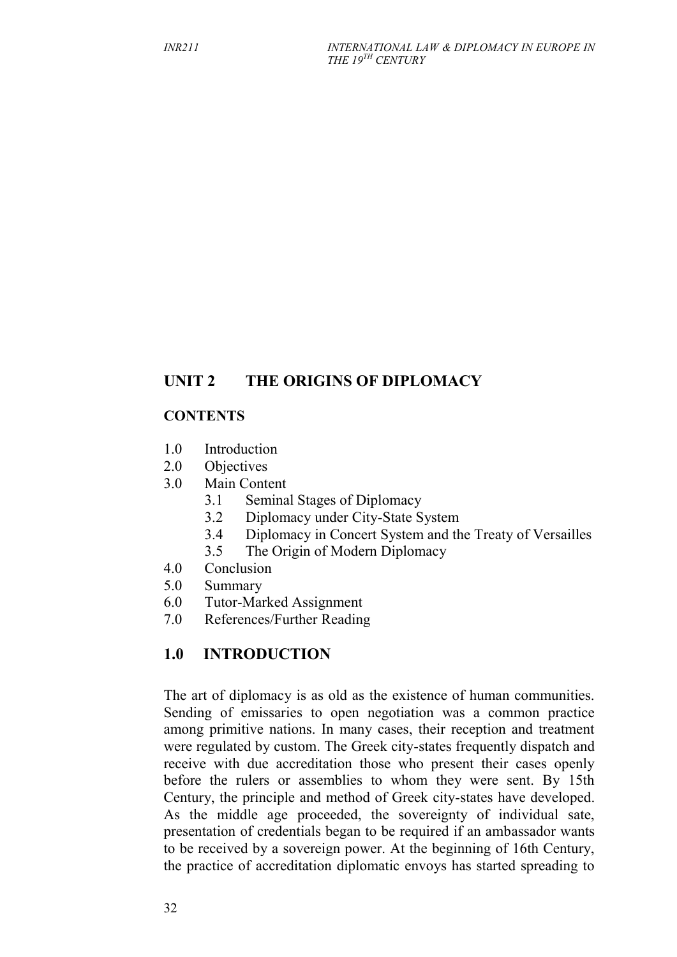## **UNIT 2 THE ORIGINS OF DIPLOMACY**

#### **CONTENTS**

- 1.0 Introduction
- 2.0 Objectives
- 3.0 Main Content
	- 3.1 Seminal Stages of Diplomacy
	- 3.2 Diplomacy under City-State System
	- 3.4 Diplomacy in Concert System and the Treaty of Versailles
	- 3.5 The Origin of Modern Diplomacy
- 4.0 Conclusion
- 5.0 Summary
- 6.0 Tutor-Marked Assignment
- 7.0 References/Further Reading

## **1.0 INTRODUCTION**

The art of diplomacy is as old as the existence of human communities. Sending of emissaries to open negotiation was a common practice among primitive nations. In many cases, their reception and treatment were regulated by custom. The Greek city-states frequently dispatch and receive with due accreditation those who present their cases openly before the rulers or assemblies to whom they were sent. By 15th Century, the principle and method of Greek city-states have developed. As the middle age proceeded, the sovereignty of individual sate, presentation of credentials began to be required if an ambassador wants to be received by a sovereign power. At the beginning of 16th Century, the practice of accreditation diplomatic envoys has started spreading to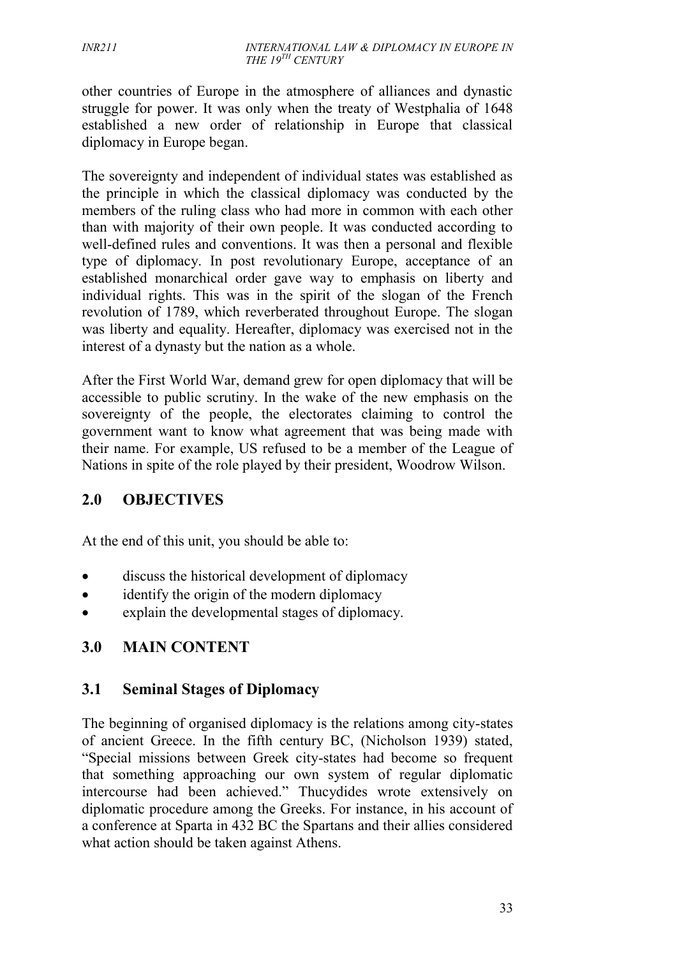other countries of Europe in the atmosphere of alliances and dynastic struggle for power. It was only when the treaty of Westphalia of 1648 established a new order of relationship in Europe that classical diplomacy in Europe began.

The sovereignty and independent of individual states was established as the principle in which the classical diplomacy was conducted by the members of the ruling class who had more in common with each other than with majority of their own people. It was conducted according to well-defined rules and conventions. It was then a personal and flexible type of diplomacy. In post revolutionary Europe, acceptance of an established monarchical order gave way to emphasis on liberty and individual rights. This was in the spirit of the slogan of the French revolution of 1789, which reverberated throughout Europe. The slogan was liberty and equality. Hereafter, diplomacy was exercised not in the interest of a dynasty but the nation as a whole.

After the First World War, demand grew for open diplomacy that will be accessible to public scrutiny. In the wake of the new emphasis on the sovereignty of the people, the electorates claiming to control the government want to know what agreement that was being made with their name. For example, US refused to be a member of the League of Nations in spite of the role played by their president, Woodrow Wilson.

## **2.0 OBJECTIVES**

At the end of this unit, you should be able to:

- discuss the historical development of diplomacy
- identify the origin of the modern diplomacy
- explain the developmental stages of diplomacy.

## **3.0 MAIN CONTENT**

#### **3.1 Seminal Stages of Diplomacy**

The beginning of organised diplomacy is the relations among city-states of ancient Greece. In the fifth century BC, (Nicholson 1939) stated, "Special missions between Greek city-states had become so frequent that something approaching our own system of regular diplomatic intercourse had been achieved." Thucydides wrote extensively on diplomatic procedure among the Greeks. For instance, in his account of a conference at Sparta in 432 BC the Spartans and their allies considered what action should be taken against Athens.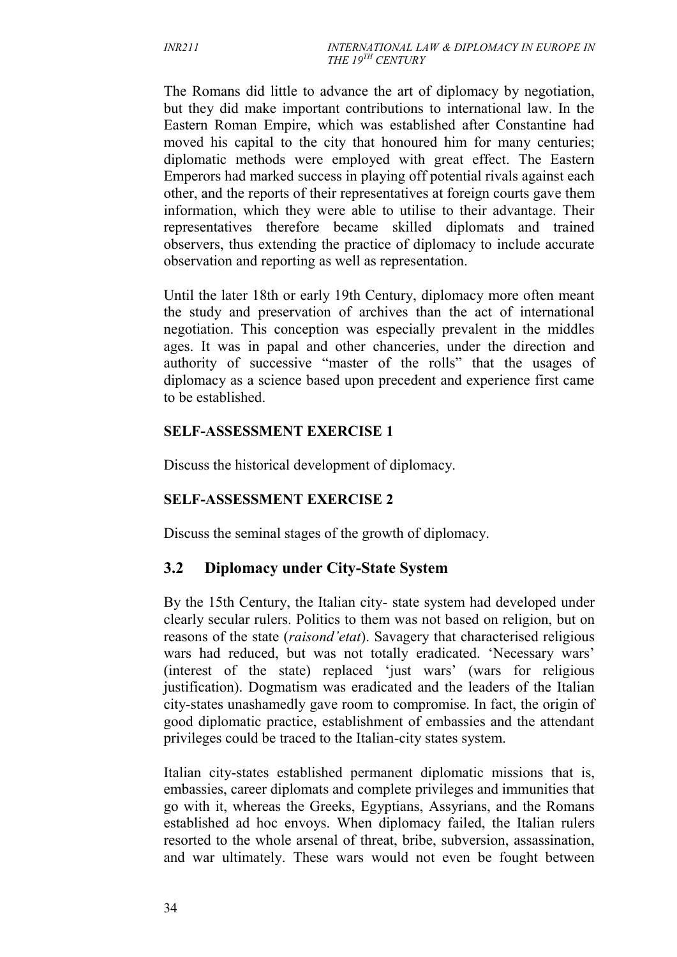The Romans did little to advance the art of diplomacy by negotiation, but they did make important contributions to international law. In the Eastern Roman Empire, which was established after Constantine had moved his capital to the city that honoured him for many centuries; diplomatic methods were employed with great effect. The Eastern Emperors had marked success in playing off potential rivals against each other, and the reports of their representatives at foreign courts gave them information, which they were able to utilise to their advantage. Their representatives therefore became skilled diplomats and trained observers, thus extending the practice of diplomacy to include accurate observation and reporting as well as representation.

Until the later 18th or early 19th Century, diplomacy more often meant the study and preservation of archives than the act of international negotiation. This conception was especially prevalent in the middles ages. It was in papal and other chanceries, under the direction and authority of successive "master of the rolls" that the usages of diplomacy as a science based upon precedent and experience first came to be established.

#### **SELF-ASSESSMENT EXERCISE 1**

Discuss the historical development of diplomacy.

#### **SELF-ASSESSMENT EXERCISE 2**

Discuss the seminal stages of the growth of diplomacy.

## **3.2 Diplomacy under City-State System**

By the 15th Century, the Italian city- state system had developed under clearly secular rulers. Politics to them was not based on religion, but on reasons of the state (*raisond'etat*). Savagery that characterised religious wars had reduced, but was not totally eradicated. 'Necessary wars' (interest of the state) replaced 'just wars' (wars for religious justification). Dogmatism was eradicated and the leaders of the Italian city-states unashamedly gave room to compromise. In fact, the origin of good diplomatic practice, establishment of embassies and the attendant privileges could be traced to the Italian-city states system.

Italian city-states established permanent diplomatic missions that is, embassies, career diplomats and complete privileges and immunities that go with it, whereas the Greeks, Egyptians, Assyrians, and the Romans established ad hoc envoys. When diplomacy failed, the Italian rulers resorted to the whole arsenal of threat, bribe, subversion, assassination, and war ultimately. These wars would not even be fought between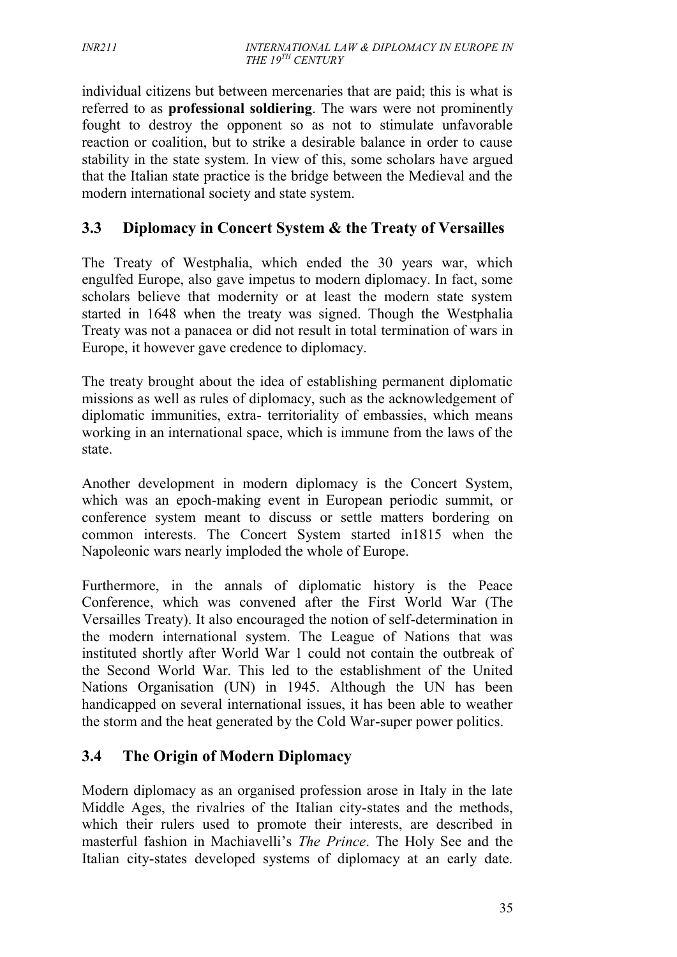individual citizens but between mercenaries that are paid; this is what is referred to as **professional soldiering**. The wars were not prominently fought to destroy the opponent so as not to stimulate unfavorable reaction or coalition, but to strike a desirable balance in order to cause stability in the state system. In view of this, some scholars have argued that the Italian state practice is the bridge between the Medieval and the modern international society and state system.

## **3.3 Diplomacy in Concert System & the Treaty of Versailles**

The Treaty of Westphalia, which ended the 30 years war, which engulfed Europe, also gave impetus to modern diplomacy. In fact, some scholars believe that modernity or at least the modern state system started in 1648 when the treaty was signed. Though the Westphalia Treaty was not a panacea or did not result in total termination of wars in Europe, it however gave credence to diplomacy.

The treaty brought about the idea of establishing permanent diplomatic missions as well as rules of diplomacy, such as the acknowledgement of diplomatic immunities, extra- territoriality of embassies, which means working in an international space, which is immune from the laws of the state.

Another development in modern diplomacy is the Concert System, which was an epoch-making event in European periodic summit, or conference system meant to discuss or settle matters bordering on common interests. The Concert System started in1815 when the Napoleonic wars nearly imploded the whole of Europe.

Furthermore, in the annals of diplomatic history is the Peace Conference, which was convened after the First World War (The Versailles Treaty). It also encouraged the notion of self-determination in the modern international system. The League of Nations that was instituted shortly after World War 1 could not contain the outbreak of the Second World War. This led to the establishment of the United Nations Organisation (UN) in 1945. Although the UN has been handicapped on several international issues, it has been able to weather the storm and the heat generated by the Cold War-super power politics.

## **3.4 The Origin of Modern Diplomacy**

Modern diplomacy as an organised profession arose in Italy in the late Middle Ages, the rivalries of the Italian city-states and the methods, which their rulers used to promote their interests, are described in masterful fashion in Machiavelli's *The Prince*. The Holy See and the Italian city-states developed systems of diplomacy at an early date.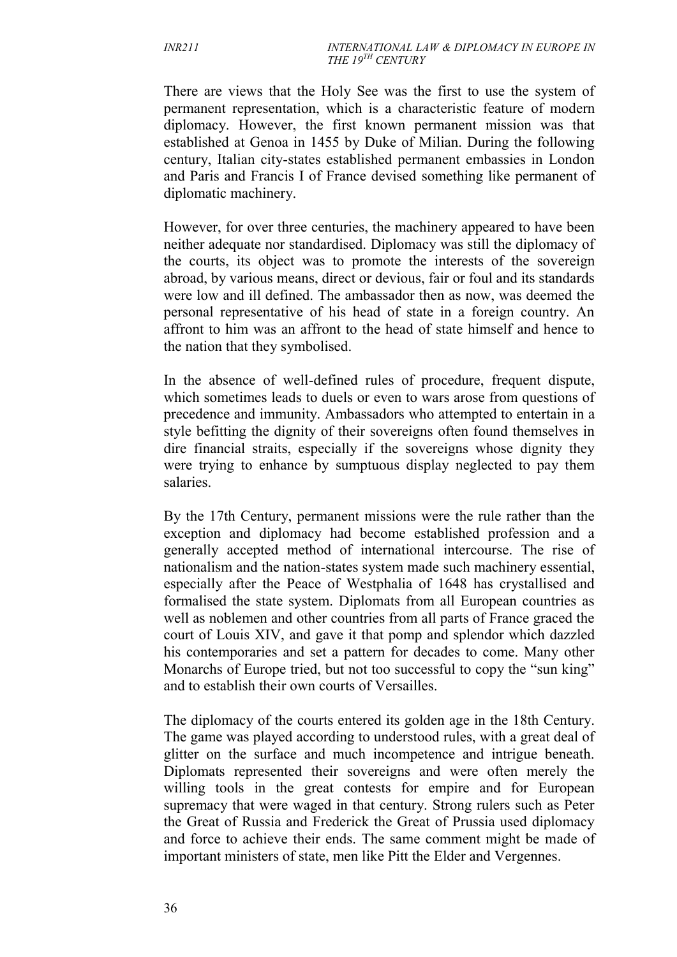There are views that the Holy See was the first to use the system of permanent representation, which is a characteristic feature of modern diplomacy. However, the first known permanent mission was that established at Genoa in 1455 by Duke of Milian. During the following century, Italian city-states established permanent embassies in London and Paris and Francis I of France devised something like permanent of diplomatic machinery.

However, for over three centuries, the machinery appeared to have been neither adequate nor standardised. Diplomacy was still the diplomacy of the courts, its object was to promote the interests of the sovereign abroad, by various means, direct or devious, fair or foul and its standards were low and ill defined. The ambassador then as now, was deemed the personal representative of his head of state in a foreign country. An affront to him was an affront to the head of state himself and hence to the nation that they symbolised.

In the absence of well-defined rules of procedure, frequent dispute, which sometimes leads to duels or even to wars arose from questions of precedence and immunity. Ambassadors who attempted to entertain in a style befitting the dignity of their sovereigns often found themselves in dire financial straits, especially if the sovereigns whose dignity they were trying to enhance by sumptuous display neglected to pay them salaries.

By the 17th Century, permanent missions were the rule rather than the exception and diplomacy had become established profession and a generally accepted method of international intercourse. The rise of nationalism and the nation-states system made such machinery essential, especially after the Peace of Westphalia of 1648 has crystallised and formalised the state system. Diplomats from all European countries as well as noblemen and other countries from all parts of France graced the court of Louis XIV, and gave it that pomp and splendor which dazzled his contemporaries and set a pattern for decades to come. Many other Monarchs of Europe tried, but not too successful to copy the "sun king" and to establish their own courts of Versailles.

The diplomacy of the courts entered its golden age in the 18th Century. The game was played according to understood rules, with a great deal of glitter on the surface and much incompetence and intrigue beneath. Diplomats represented their sovereigns and were often merely the willing tools in the great contests for empire and for European supremacy that were waged in that century. Strong rulers such as Peter the Great of Russia and Frederick the Great of Prussia used diplomacy and force to achieve their ends. The same comment might be made of important ministers of state, men like Pitt the Elder and Vergennes.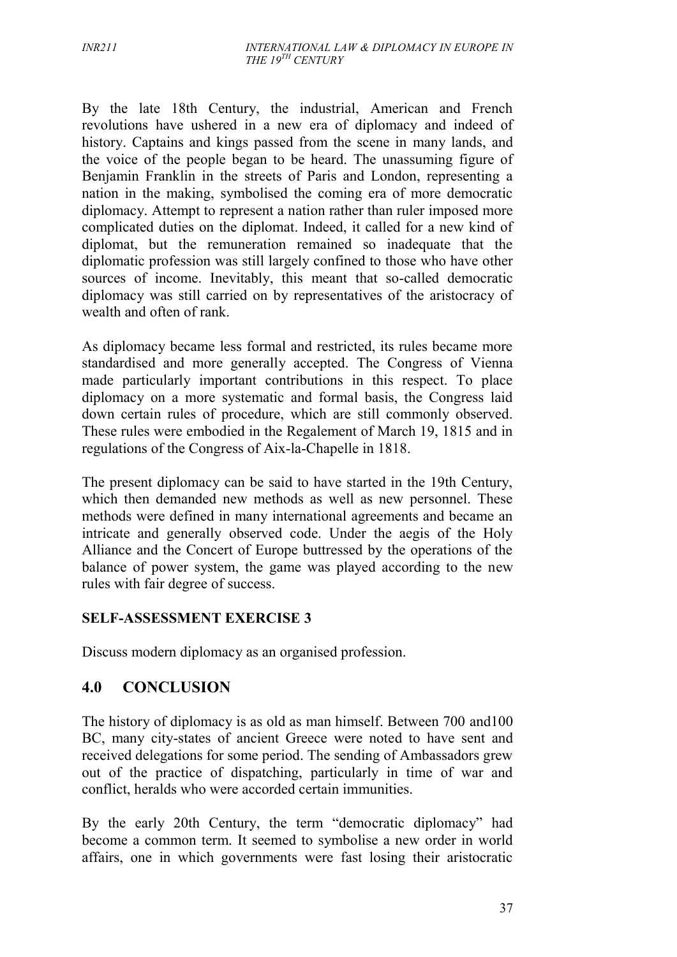By the late 18th Century, the industrial, American and French revolutions have ushered in a new era of diplomacy and indeed of history. Captains and kings passed from the scene in many lands, and the voice of the people began to be heard. The unassuming figure of Benjamin Franklin in the streets of Paris and London, representing a nation in the making, symbolised the coming era of more democratic diplomacy. Attempt to represent a nation rather than ruler imposed more complicated duties on the diplomat. Indeed, it called for a new kind of diplomat, but the remuneration remained so inadequate that the diplomatic profession was still largely confined to those who have other sources of income. Inevitably, this meant that so-called democratic diplomacy was still carried on by representatives of the aristocracy of wealth and often of rank.

As diplomacy became less formal and restricted, its rules became more standardised and more generally accepted. The Congress of Vienna made particularly important contributions in this respect. To place diplomacy on a more systematic and formal basis, the Congress laid down certain rules of procedure, which are still commonly observed. These rules were embodied in the Regalement of March 19, 1815 and in regulations of the Congress of Aix-la-Chapelle in 1818.

The present diplomacy can be said to have started in the 19th Century, which then demanded new methods as well as new personnel. These methods were defined in many international agreements and became an intricate and generally observed code. Under the aegis of the Holy Alliance and the Concert of Europe buttressed by the operations of the balance of power system, the game was played according to the new rules with fair degree of success.

#### **SELF-ASSESSMENT EXERCISE 3**

Discuss modern diplomacy as an organised profession.

## **4.0 CONCLUSION**

The history of diplomacy is as old as man himself. Between 700 and100 BC, many city-states of ancient Greece were noted to have sent and received delegations for some period. The sending of Ambassadors grew out of the practice of dispatching, particularly in time of war and conflict, heralds who were accorded certain immunities.

By the early 20th Century, the term "democratic diplomacy" had become a common term. It seemed to symbolise a new order in world affairs, one in which governments were fast losing their aristocratic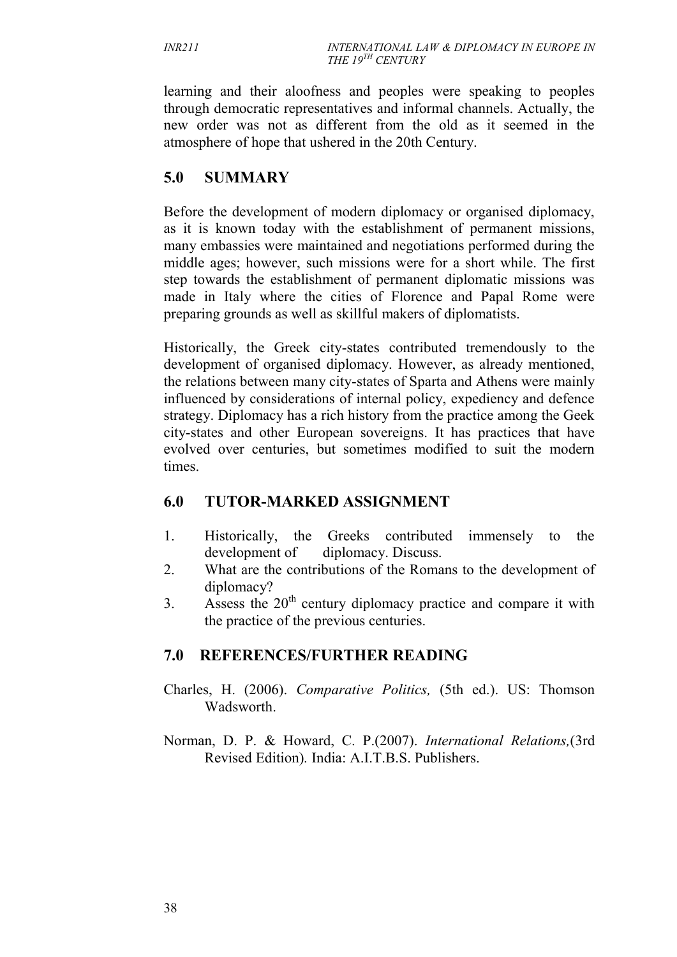learning and their aloofness and peoples were speaking to peoples through democratic representatives and informal channels. Actually, the new order was not as different from the old as it seemed in the atmosphere of hope that ushered in the 20th Century.

## **5.0 SUMMARY**

Before the development of modern diplomacy or organised diplomacy, as it is known today with the establishment of permanent missions, many embassies were maintained and negotiations performed during the middle ages; however, such missions were for a short while. The first step towards the establishment of permanent diplomatic missions was made in Italy where the cities of Florence and Papal Rome were preparing grounds as well as skillful makers of diplomatists.

Historically, the Greek city-states contributed tremendously to the development of organised diplomacy. However, as already mentioned, the relations between many city-states of Sparta and Athens were mainly influenced by considerations of internal policy, expediency and defence strategy. Diplomacy has a rich history from the practice among the Geek city-states and other European sovereigns. It has practices that have evolved over centuries, but sometimes modified to suit the modern times.

## **6.0 TUTOR-MARKED ASSIGNMENT**

- 1. Historically, the Greeks contributed immensely to the development of diplomacy. Discuss.
- 2. What are the contributions of the Romans to the development of diplomacy?
- 3. Assess the  $20<sup>th</sup>$  century diplomacy practice and compare it with the practice of the previous centuries.

## **7.0 REFERENCES/FURTHER READING**

- Charles, H. (2006). *Comparative Politics,* (5th ed.). US: Thomson Wadsworth.
- Norman, D. P. & Howard, C. P.(2007). *International Relations,*(3rd Revised Edition)*.* India: A.I.T.B.S. Publishers.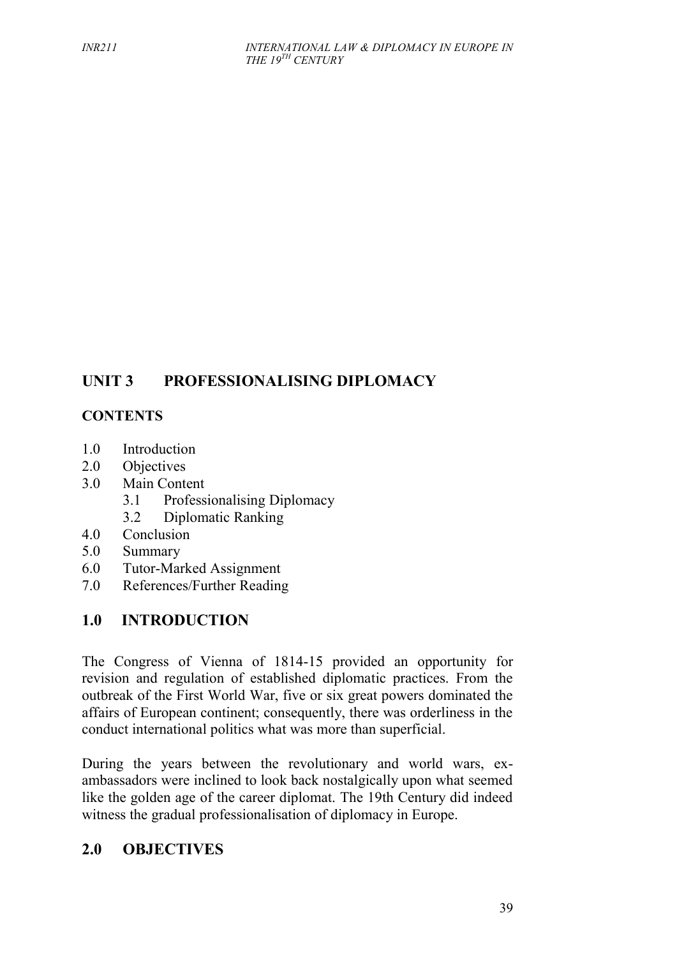## **UNIT 3 PROFESSIONALISING DIPLOMACY**

## **CONTENTS**

- 1.0 Introduction
- 2.0 Objectives
- 3.0 Main Content
	- 3.1 Professionalising Diplomacy
	- 3.2 Diplomatic Ranking
- 4.0 Conclusion
- 5.0 Summary
- 6.0 Tutor-Marked Assignment
- 7.0 References/Further Reading

## **1.0 INTRODUCTION**

The Congress of Vienna of 1814-15 provided an opportunity for revision and regulation of established diplomatic practices. From the outbreak of the First World War, five or six great powers dominated the affairs of European continent; consequently, there was orderliness in the conduct international politics what was more than superficial.

During the years between the revolutionary and world wars, ex ambassadors were inclined to look back nostalgically upon what seemed like the golden age of the career diplomat. The 19th Century did indeed witness the gradual professionalisation of diplomacy in Europe.

## **2.0 OBJECTIVES**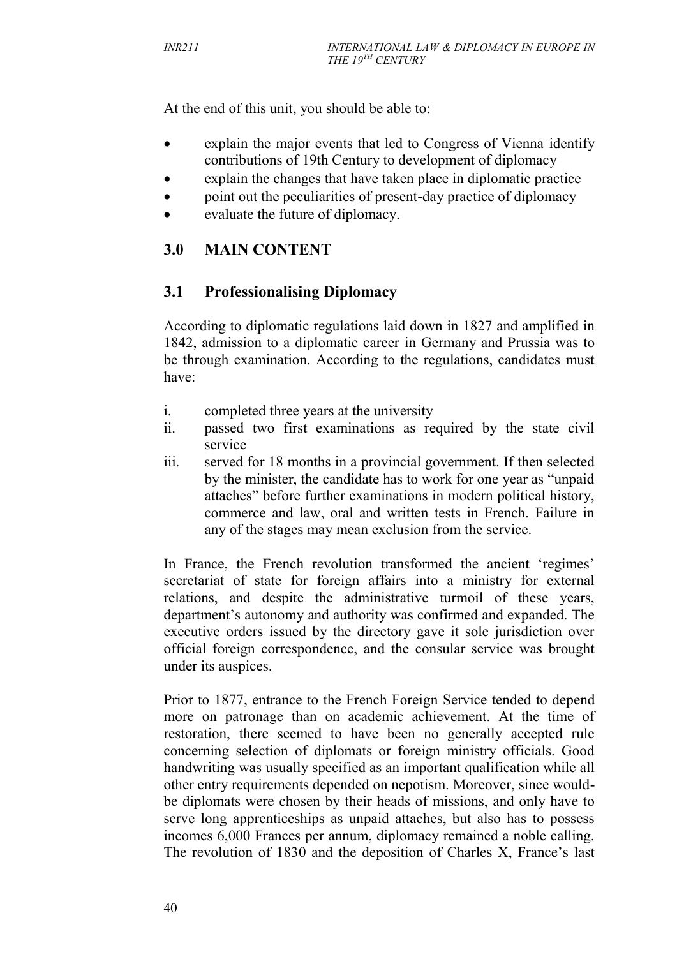At the end of this unit, you should be able to:

- explain the major events that led to Congress of Vienna identify contributions of 19th Century to development of diplomacy
- explain the changes that have taken place in diplomatic practice
- point out the peculiarities of present-day practice of diplomacy
- evaluate the future of diplomacy.

## **3.0 MAIN CONTENT**

## **3.1 Professionalising Diplomacy**

According to diplomatic regulations laid down in 1827 and amplified in 1842, admission to a diplomatic career in Germany and Prussia was to be through examination. According to the regulations, candidates must have:

- i. completed three years at the university
- ii. passed two first examinations as required by the state civil service
- iii. served for 18 months in a provincial government. If then selected by the minister, the candidate has to work for one year as "unpaid attaches" before further examinations in modern political history, commerce and law, oral and written tests in French. Failure in any of the stages may mean exclusion from the service.

In France, the French revolution transformed the ancient 'regimes' secretariat of state for foreign affairs into a ministry for external relations, and despite the administrative turmoil of these years, department's autonomy and authority was confirmed and expanded. The executive orders issued by the directory gave it sole jurisdiction over official foreign correspondence, and the consular service was brought under its auspices.

Prior to 1877, entrance to the French Foreign Service tended to depend more on patronage than on academic achievement. At the time of restoration, there seemed to have been no generally accepted rule concerning selection of diplomats or foreign ministry officials. Good handwriting was usually specified as an important qualification while all other entry requirements depended on nepotism. Moreover, since would be diplomats were chosen by their heads of missions, and only have to serve long apprenticeships as unpaid attaches, but also has to possess incomes 6,000 Frances per annum, diplomacy remained a noble calling. The revolution of 1830 and the deposition of Charles X, France's last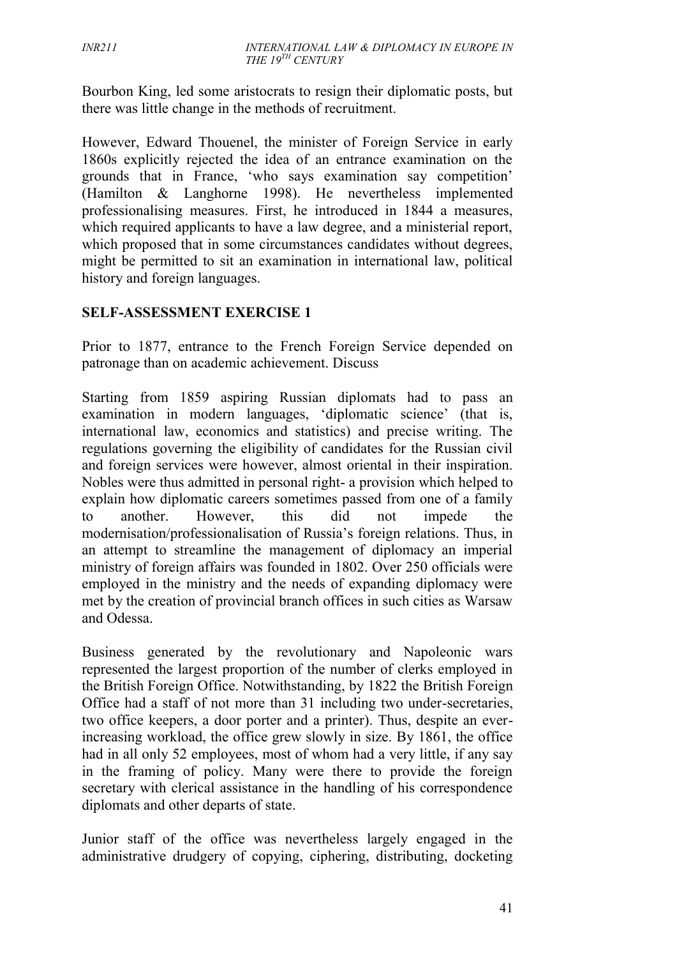Bourbon King, led some aristocrats to resign their diplomatic posts, but there was little change in the methods of recruitment.

However, Edward Thouenel, the minister of Foreign Service in early 1860s explicitly rejected the idea of an entrance examination on the grounds that in France, 'who says examination say competition' (Hamilton & Langhorne 1998). He nevertheless implemented professionalising measures. First, he introduced in 1844 a measures, which required applicants to have a law degree, and a ministerial report, which proposed that in some circumstances candidates without degrees, might be permitted to sit an examination in international law, political history and foreign languages.

#### **SELF-ASSESSMENT EXERCISE 1**

Prior to 1877, entrance to the French Foreign Service depended on patronage than on academic achievement. Discuss

Starting from 1859 aspiring Russian diplomats had to pass an examination in modern languages, 'diplomatic science' (that is, international law, economics and statistics) and precise writing. The regulations governing the eligibility of candidates for the Russian civil and foreign services were however, almost oriental in their inspiration. Nobles were thus admitted in personal right- a provision which helped to explain how diplomatic careers sometimes passed from one of a family to another. However, this did not impede the modernisation/professionalisation of Russia's foreign relations. Thus, in an attempt to streamline the management of diplomacy an imperial ministry of foreign affairs was founded in 1802. Over 250 officials were employed in the ministry and the needs of expanding diplomacy were met by the creation of provincial branch offices in such cities as Warsaw and Odessa.

Business generated by the revolutionary and Napoleonic wars represented the largest proportion of the number of clerks employed in the British Foreign Office. Notwithstanding, by 1822 the British Foreign Office had a staff of not more than 31 including two under-secretaries, two office keepers, a door porter and a printer). Thus, despite an everincreasing workload, the office grew slowly in size. By 1861, the office had in all only 52 employees, most of whom had a very little, if any say in the framing of policy. Many were there to provide the foreign secretary with clerical assistance in the handling of his correspondence diplomats and other departs of state.

Junior staff of the office was nevertheless largely engaged in the administrative drudgery of copying, ciphering, distributing, docketing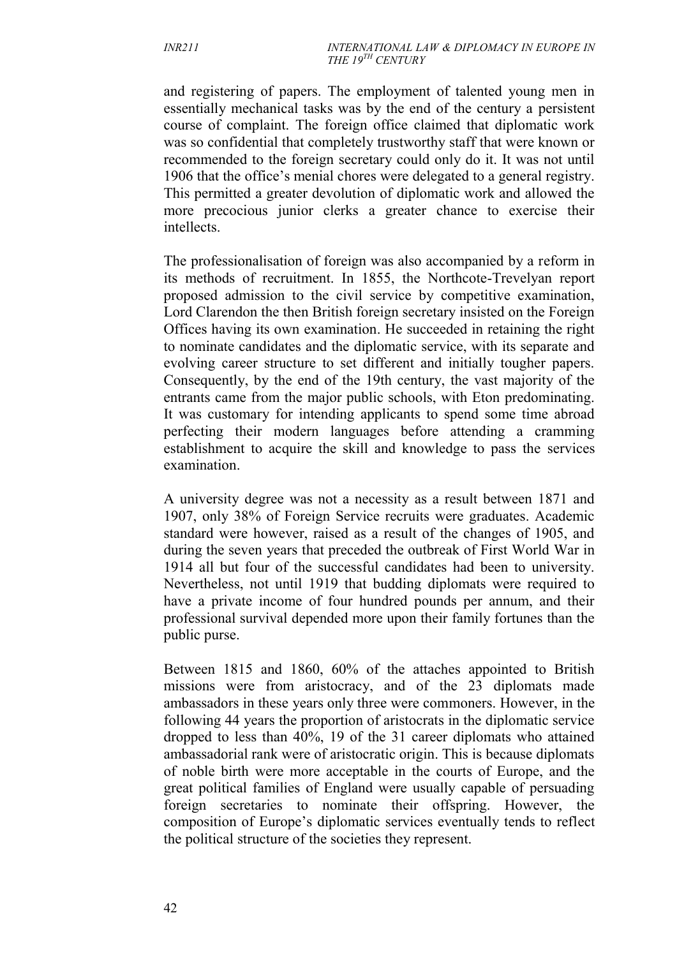and registering of papers. The employment of talented young men in essentially mechanical tasks was by the end of the century a persistent course of complaint. The foreign office claimed that diplomatic work was so confidential that completely trustworthy staff that were known or recommended to the foreign secretary could only do it. It was not until 1906 that the office's menial chores were delegated to a general registry. This permitted a greater devolution of diplomatic work and allowed the more precocious junior clerks a greater chance to exercise their intellects.

The professionalisation of foreign was also accompanied by a reform in its methods of recruitment. In 1855, the Northcote-Trevelyan report proposed admission to the civil service by competitive examination, Lord Clarendon the then British foreign secretary insisted on the Foreign Offices having its own examination. He succeeded in retaining the right to nominate candidates and the diplomatic service, with its separate and evolving career structure to set different and initially tougher papers. Consequently, by the end of the 19th century, the vast majority of the entrants came from the major public schools, with Eton predominating. It was customary for intending applicants to spend some time abroad perfecting their modern languages before attending a cramming establishment to acquire the skill and knowledge to pass the services examination.

A university degree was not a necessity as a result between 1871 and 1907, only 38% of Foreign Service recruits were graduates. Academic standard were however, raised as a result of the changes of 1905, and during the seven years that preceded the outbreak of First World War in 1914 all but four of the successful candidates had been to university. Nevertheless, not until 1919 that budding diplomats were required to have a private income of four hundred pounds per annum, and their professional survival depended more upon their family fortunes than the public purse.

Between 1815 and 1860, 60% of the attaches appointed to British missions were from aristocracy, and of the 23 diplomats made ambassadors in these years only three were commoners. However, in the following 44 years the proportion of aristocrats in the diplomatic service dropped to less than 40%, 19 of the 31 career diplomats who attained ambassadorial rank were of aristocratic origin. This is because diplomats of noble birth were more acceptable in the courts of Europe, and the great political families of England were usually capable of persuading foreign secretaries to nominate their offspring. However, the composition of Europe's diplomatic services eventually tends to reflect the political structure of the societies they represent.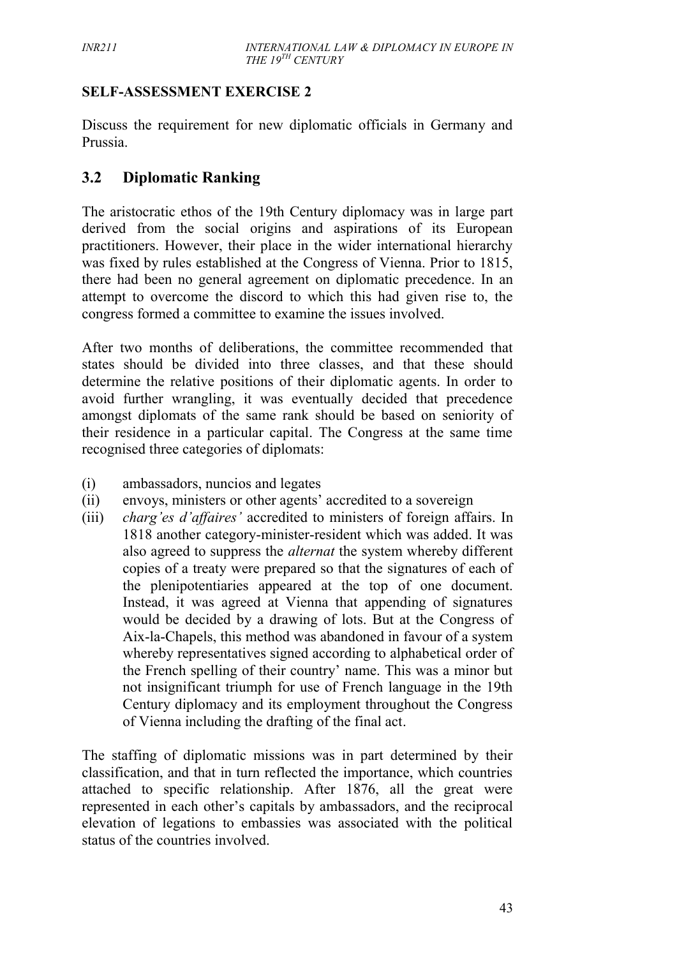#### **SELF-ASSESSMENT EXERCISE 2**

Discuss the requirement for new diplomatic officials in Germany and Prussia.

## **3.2 Diplomatic Ranking**

The aristocratic ethos of the 19th Century diplomacy was in large part derived from the social origins and aspirations of its European practitioners. However, their place in the wider international hierarchy was fixed by rules established at the Congress of Vienna. Prior to 1815, there had been no general agreement on diplomatic precedence. In an attempt to overcome the discord to which this had given rise to, the congress formed a committee to examine the issues involved.

After two months of deliberations, the committee recommended that states should be divided into three classes, and that these should determine the relative positions of their diplomatic agents. In order to avoid further wrangling, it was eventually decided that precedence amongst diplomats of the same rank should be based on seniority of their residence in a particular capital. The Congress at the same time recognised three categories of diplomats:

- (i) ambassadors, nuncios and legates
- (ii) envoys, ministers or other agents' accredited to a sovereign
- (iii) *charg'es d'affaires'* accredited to ministers of foreign affairs. In 1818 another category-minister-resident which was added. It was also agreed to suppress the *alternat* the system whereby different copies of a treaty were prepared so that the signatures of each of the plenipotentiaries appeared at the top of one document. Instead, it was agreed at Vienna that appending of signatures would be decided by a drawing of lots. But at the Congress of Aix-la-Chapels, this method was abandoned in favour of a system whereby representatives signed according to alphabetical order of the French spelling of their country' name. This was a minor but not insignificant triumph for use of French language in the 19th Century diplomacy and its employment throughout the Congress of Vienna including the drafting of the final act.

The staffing of diplomatic missions was in part determined by their classification, and that in turn reflected the importance, which countries attached to specific relationship. After 1876, all the great were represented in each other's capitals by ambassadors, and the reciprocal elevation of legations to embassies was associated with the political status of the countries involved.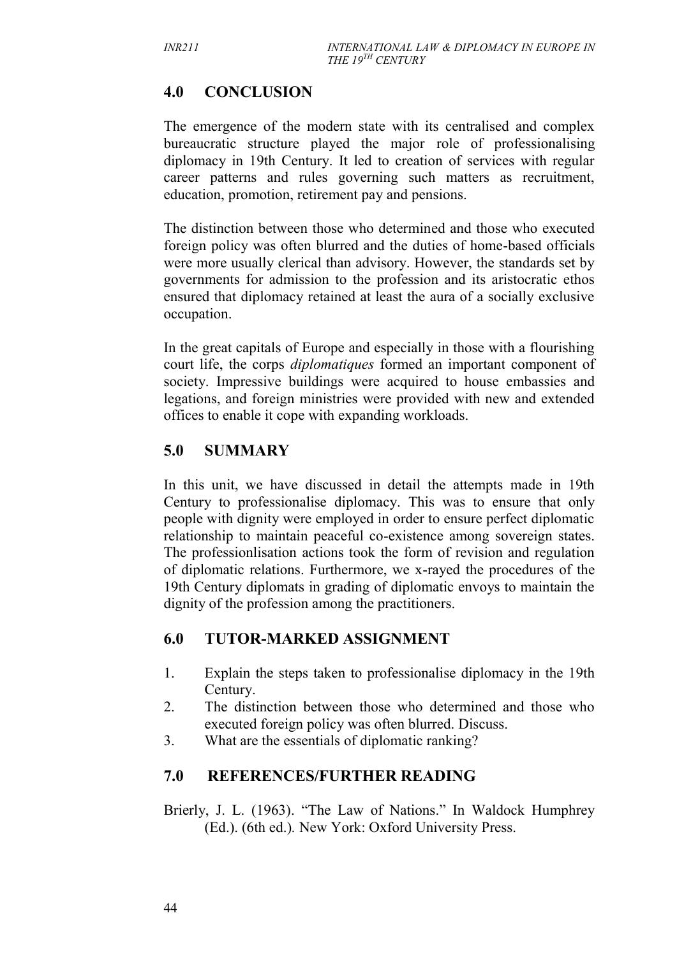## **4.0 CONCLUSION**

The emergence of the modern state with its centralised and complex bureaucratic structure played the major role of professionalising diplomacy in 19th Century. It led to creation of services with regular career patterns and rules governing such matters as recruitment, education, promotion, retirement pay and pensions.

The distinction between those who determined and those who executed foreign policy was often blurred and the duties of home-based officials were more usually clerical than advisory. However, the standards set by governments for admission to the profession and its aristocratic ethos ensured that diplomacy retained at least the aura of a socially exclusive occupation.

In the great capitals of Europe and especially in those with a flourishing court life, the corps *diplomatiques* formed an important component of society. Impressive buildings were acquired to house embassies and legations, and foreign ministries were provided with new and extended offices to enable it cope with expanding workloads.

## **5.0 SUMMARY**

In this unit, we have discussed in detail the attempts made in 19th Century to professionalise diplomacy. This was to ensure that only people with dignity were employed in order to ensure perfect diplomatic relationship to maintain peaceful co-existence among sovereign states. The professionlisation actions took the form of revision and regulation of diplomatic relations. Furthermore, we x-rayed the procedures of the 19th Century diplomats in grading of diplomatic envoys to maintain the dignity of the profession among the practitioners.

## **6.0 TUTOR-MARKED ASSIGNMENT**

- 1. Explain the steps taken to professionalise diplomacy in the 19th Century.
- 2. The distinction between those who determined and those who executed foreign policy was often blurred. Discuss.
- 3. What are the essentials of diplomatic ranking?

## **7.0 REFERENCES/FURTHER READING**

Brierly, J. L. (1963). "The Law of Nations." In Waldock Humphrey (Ed.). (6th ed.)*.* New York: Oxford University Press.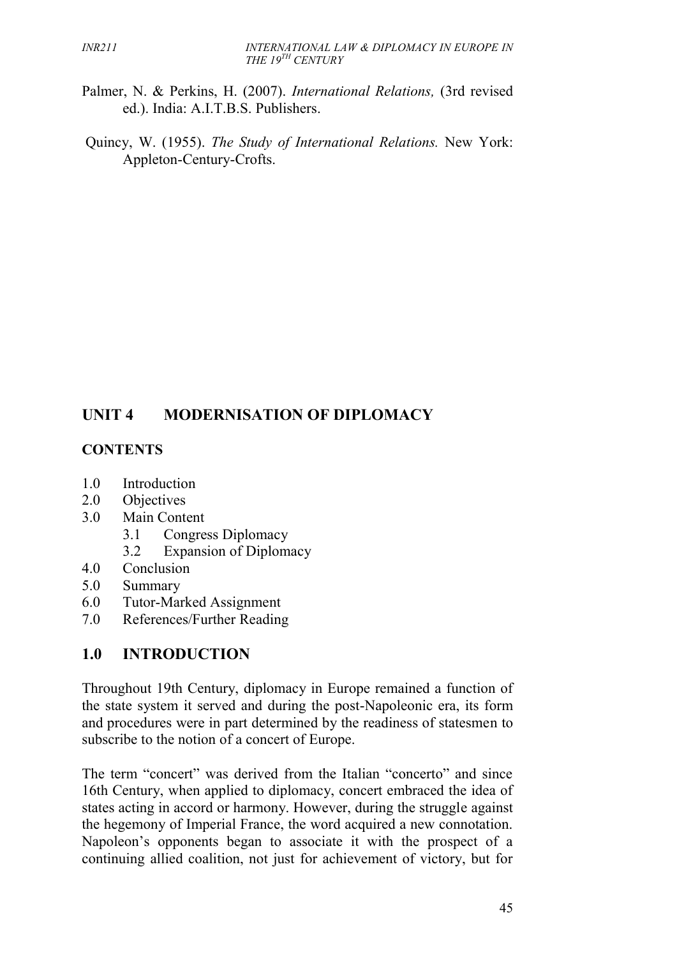- Palmer, N. & Perkins, H. (2007). *International Relations,* (3rd revised ed.). India: A.I.T.B.S. Publishers.
- Quincy, W. (1955). *The Study of International Relations.* New York: Appleton-Century-Crofts.

## **UNIT 4 MODERNISATION OF DIPLOMACY**

#### **CONTENTS**

- 1.0 Introduction
- 2.0 Objectives
- 3.0 Main Content
	- 3.1 Congress Diplomacy
	- 3.2 Expansion of Diplomacy
- 4.0 Conclusion
- 5.0 Summary
- 6.0 Tutor-Marked Assignment
- 7.0 References/Further Reading

## **1.0 INTRODUCTION**

Throughout 19th Century, diplomacy in Europe remained a function of the state system it served and during the post-Napoleonic era, its form and procedures were in part determined by the readiness of statesmen to subscribe to the notion of a concert of Europe.

The term "concert" was derived from the Italian "concerto" and since 16th Century, when applied to diplomacy, concert embraced the idea of states acting in accord or harmony. However, during the struggle against the hegemony of Imperial France, the word acquired a new connotation. Napoleon's opponents began to associate it with the prospect of a continuing allied coalition, not just for achievement of victory, but for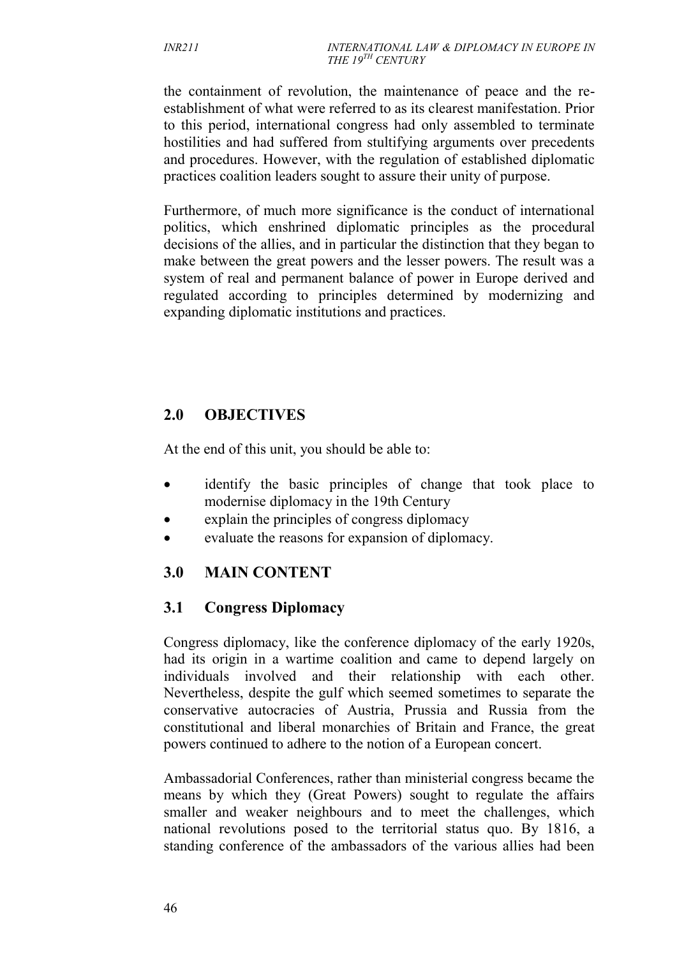the containment of revolution, the maintenance of peace and the re establishment of what were referred to as its clearest manifestation. Prior to this period, international congress had only assembled to terminate hostilities and had suffered from stultifying arguments over precedents and procedures. However, with the regulation of established diplomatic practices coalition leaders sought to assure their unity of purpose.

Furthermore, of much more significance is the conduct of international politics, which enshrined diplomatic principles as the procedural decisions of the allies, and in particular the distinction that they began to make between the great powers and the lesser powers. The result was a system of real and permanent balance of power in Europe derived and regulated according to principles determined by modernizing and expanding diplomatic institutions and practices.

## **2.0 OBJECTIVES**

At the end of this unit, you should be able to:

- identify the basic principles of change that took place to modernise diplomacy in the 19th Century
- explain the principles of congress diplomacy
- evaluate the reasons for expansion of diplomacy.

## **3.0 MAIN CONTENT**

## **3.1 Congress Diplomacy**

Congress diplomacy, like the conference diplomacy of the early 1920s, had its origin in a wartime coalition and came to depend largely on individuals involved and their relationship with each other. Nevertheless, despite the gulf which seemed sometimes to separate the conservative autocracies of Austria, Prussia and Russia from the constitutional and liberal monarchies of Britain and France, the great powers continued to adhere to the notion of a European concert.

Ambassadorial Conferences, rather than ministerial congress became the means by which they (Great Powers) sought to regulate the affairs smaller and weaker neighbours and to meet the challenges, which national revolutions posed to the territorial status quo. By 1816, a standing conference of the ambassadors of the various allies had been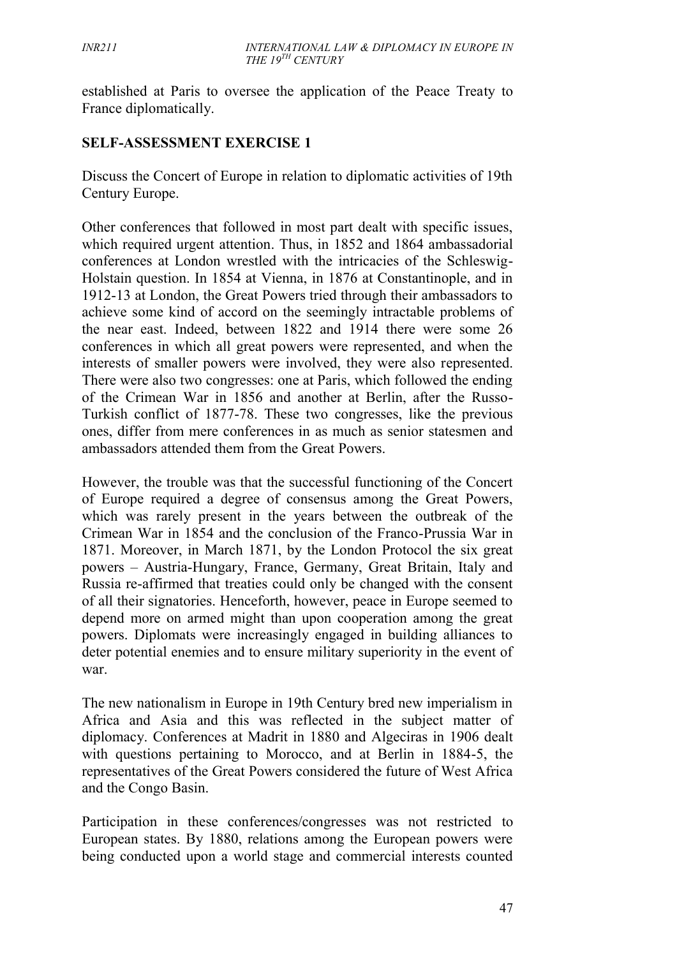established at Paris to oversee the application of the Peace Treaty to France diplomatically.

#### **SELF-ASSESSMENT EXERCISE 1**

Discuss the Concert of Europe in relation to diplomatic activities of 19th Century Europe.

Other conferences that followed in most part dealt with specific issues, which required urgent attention. Thus, in 1852 and 1864 ambassadorial conferences at London wrestled with the intricacies of the Schleswig- Holstain question. In 1854 at Vienna, in 1876 at Constantinople, and in 1912-13 at London, the Great Powers tried through their ambassadors to achieve some kind of accord on the seemingly intractable problems of the near east. Indeed, between 1822 and 1914 there were some 26 conferences in which all great powers were represented, and when the interests of smaller powers were involved, they were also represented. There were also two congresses: one at Paris, which followed the ending of the Crimean War in 1856 and another at Berlin, after the Russo- Turkish conflict of 1877-78. These two congresses, like the previous ones, differ from mere conferences in as much as senior statesmen and ambassadors attended them from the Great Powers.

However, the trouble was that the successful functioning of the Concert of Europe required a degree of consensus among the Great Powers, which was rarely present in the years between the outbreak of the Crimean War in 1854 and the conclusion of the Franco-Prussia War in 1871. Moreover, in March 1871, by the London Protocol the six great powers – Austria-Hungary, France, Germany, Great Britain, Italy and Russia re-affirmed that treaties could only be changed with the consent of all their signatories. Henceforth, however, peace in Europe seemed to depend more on armed might than upon cooperation among the great powers. Diplomats were increasingly engaged in building alliances to deter potential enemies and to ensure military superiority in the event of war.

The new nationalism in Europe in 19th Century bred new imperialism in Africa and Asia and this was reflected in the subject matter of diplomacy. Conferences at Madrit in 1880 and Algeciras in 1906 dealt with questions pertaining to Morocco, and at Berlin in 1884-5, the representatives of the Great Powers considered the future of West Africa and the Congo Basin.

Participation in these conferences/congresses was not restricted to European states. By 1880, relations among the European powers were being conducted upon a world stage and commercial interests counted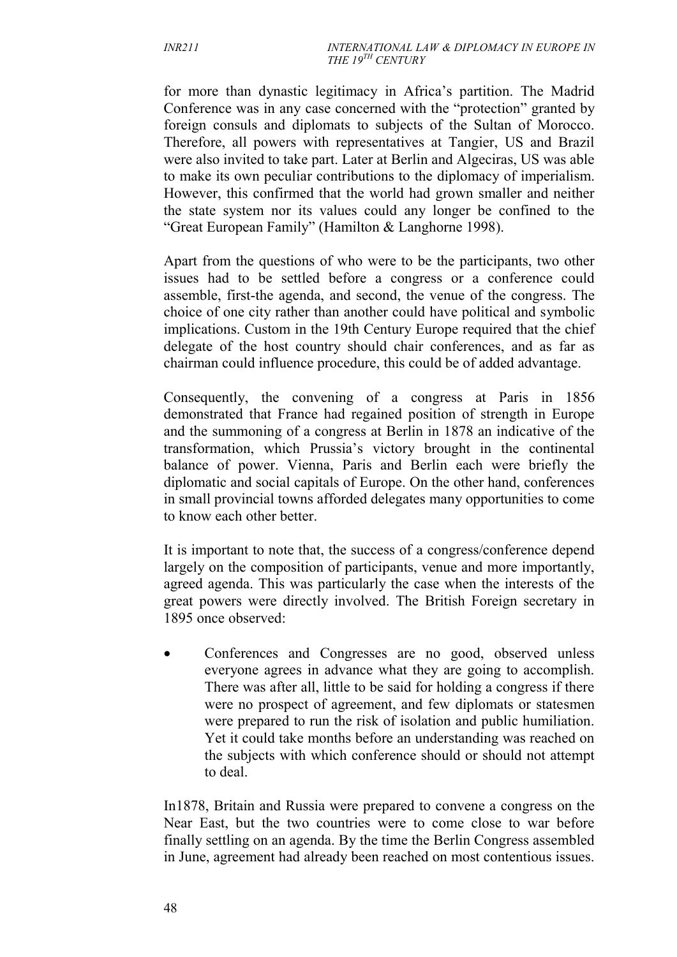for more than dynastic legitimacy in Africa's partition. The Madrid Conference was in any case concerned with the "protection" granted by foreign consuls and diplomats to subjects of the Sultan of Morocco. Therefore, all powers with representatives at Tangier, US and Brazil were also invited to take part. Later at Berlin and Algeciras, US was able to make its own peculiar contributions to the diplomacy of imperialism. However, this confirmed that the world had grown smaller and neither the state system nor its values could any longer be confined to the "Great European Family" (Hamilton & Langhorne 1998).

Apart from the questions of who were to be the participants, two other issues had to be settled before a congress or a conference could assemble, first-the agenda, and second, the venue of the congress. The choice of one city rather than another could have political and symbolic implications. Custom in the 19th Century Europe required that the chief delegate of the host country should chair conferences, and as far as chairman could influence procedure, this could be of added advantage.

Consequently, the convening of a congress at Paris in 1856 demonstrated that France had regained position of strength in Europe and the summoning of a congress at Berlin in 1878 an indicative of the transformation, which Prussia's victory brought in the continental balance of power. Vienna, Paris and Berlin each were briefly the diplomatic and social capitals of Europe. On the other hand, conferences in small provincial towns afforded delegates many opportunities to come to know each other better.

It is important to note that, the success of a congress/conference depend largely on the composition of participants, venue and more importantly, agreed agenda. This was particularly the case when the interests of the great powers were directly involved. The British Foreign secretary in 1895 once observed:

 Conferences and Congresses are no good, observed unless everyone agrees in advance what they are going to accomplish. There was after all, little to be said for holding a congress if there were no prospect of agreement, and few diplomats or statesmen were prepared to run the risk of isolation and public humiliation. Yet it could take months before an understanding was reached on the subjects with which conference should or should not attempt to deal.

In1878, Britain and Russia were prepared to convene a congress on the Near East, but the two countries were to come close to war before finally settling on an agenda. By the time the Berlin Congress assembled in June, agreement had already been reached on most contentious issues.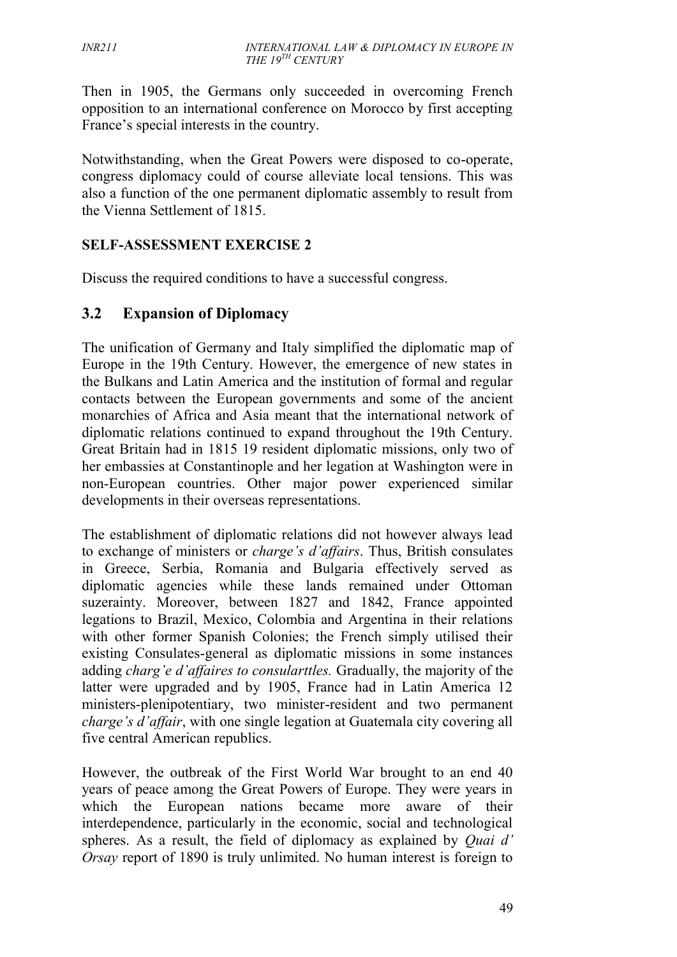Then in 1905, the Germans only succeeded in overcoming French opposition to an international conference on Morocco by first accepting France's special interests in the country.

Notwithstanding, when the Great Powers were disposed to co-operate, congress diplomacy could of course alleviate local tensions. This was also a function of the one permanent diplomatic assembly to result from the Vienna Settlement of 1815.

#### **SELF-ASSESSMENT EXERCISE 2**

Discuss the required conditions to have a successful congress.

#### **3.2 Expansion of Diplomacy**

The unification of Germany and Italy simplified the diplomatic map of Europe in the 19th Century. However, the emergence of new states in the Bulkans and Latin America and the institution of formal and regular contacts between the European governments and some of the ancient monarchies of Africa and Asia meant that the international network of diplomatic relations continued to expand throughout the 19th Century. Great Britain had in 1815 19 resident diplomatic missions, only two of her embassies at Constantinople and her legation at Washington were in non-European countries. Other major power experienced similar developments in their overseas representations.

The establishment of diplomatic relations did not however always lead to exchange of ministers or *charge's d'affairs*. Thus, British consulates in Greece, Serbia, Romania and Bulgaria effectively served as diplomatic agencies while these lands remained under Ottoman suzerainty. Moreover, between 1827 and 1842, France appointed legations to Brazil, Mexico, Colombia and Argentina in their relations with other former Spanish Colonies; the French simply utilised their existing Consulates-general as diplomatic missions in some instances adding *charg'e d'affaires to consularttles.* Gradually, the majority of the latter were upgraded and by 1905, France had in Latin America 12 ministers-plenipotentiary, two minister-resident and two permanent *charge's d'affair*, with one single legation at Guatemala city covering all five central American republics.

However, the outbreak of the First World War brought to an end 40 years of peace among the Great Powers of Europe. They were years in which the European nations became more aware of their interdependence, particularly in the economic, social and technological spheres. As a result, the field of diplomacy as explained by *Quai d' Orsay* report of 1890 is truly unlimited. No human interest is foreign to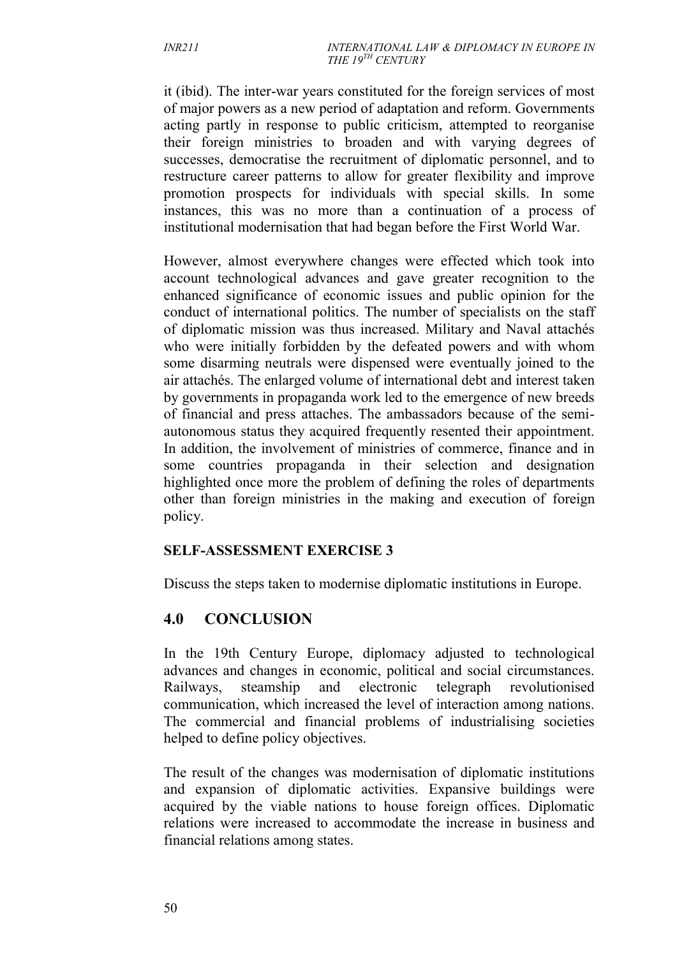it (ibid). The inter-war years constituted for the foreign services of most of major powers as a new period of adaptation and reform. Governments acting partly in response to public criticism, attempted to reorganise their foreign ministries to broaden and with varying degrees of successes, democratise the recruitment of diplomatic personnel, and to restructure career patterns to allow for greater flexibility and improve promotion prospects for individuals with special skills. In some instances, this was no more than a continuation of a process of institutional modernisation that had began before the First World War.

However, almost everywhere changes were effected which took into account technological advances and gave greater recognition to the enhanced significance of economic issues and public opinion for the conduct of international politics. The number of specialists on the staff of diplomatic mission was thus increased. Military and Naval attachés who were initially forbidden by the defeated powers and with whom some disarming neutrals were dispensed were eventually joined to the air attachés. The enlarged volume of international debt and interest taken by governments in propaganda work led to the emergence of new breeds of financial and press attaches. The ambassadors because of the semi autonomous status they acquired frequently resented their appointment. In addition, the involvement of ministries of commerce, finance and in some countries propaganda in their selection and designation highlighted once more the problem of defining the roles of departments other than foreign ministries in the making and execution of foreign policy.

#### **SELF-ASSESSMENT EXERCISE 3**

Discuss the steps taken to modernise diplomatic institutions in Europe.

#### **4.0 CONCLUSION**

In the 19th Century Europe, diplomacy adjusted to technological advances and changes in economic, political and social circumstances. Railways, steamship and electronic telegraph revolutionised communication, which increased the level of interaction among nations. The commercial and financial problems of industrialising societies helped to define policy objectives.

The result of the changes was modernisation of diplomatic institutions and expansion of diplomatic activities. Expansive buildings were acquired by the viable nations to house foreign offices. Diplomatic relations were increased to accommodate the increase in business and financial relations among states.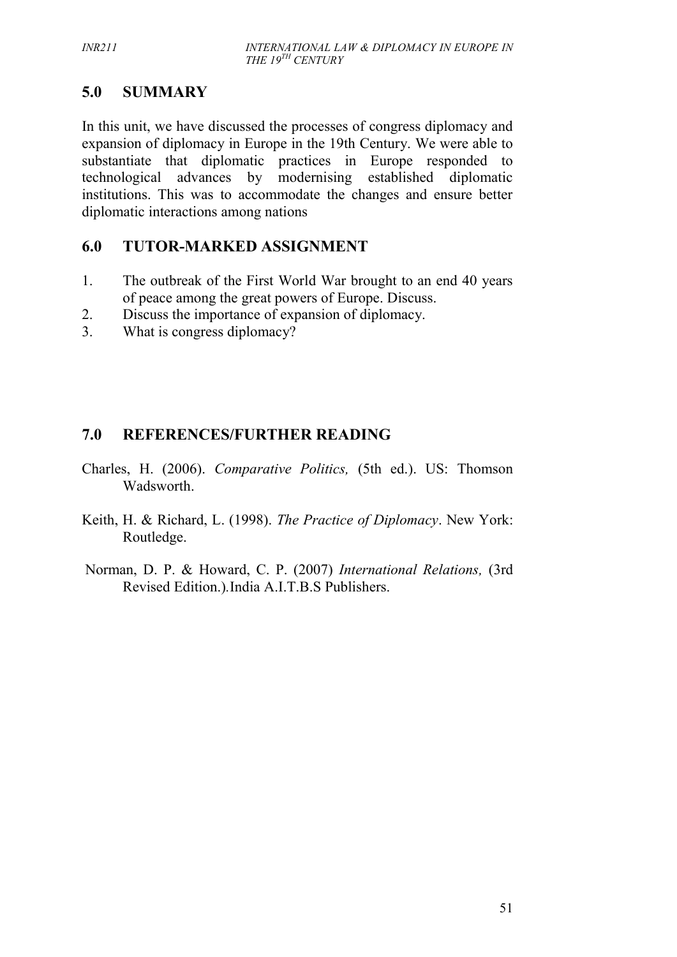## **5.0 SUMMARY**

In this unit, we have discussed the processes of congress diplomacy and expansion of diplomacy in Europe in the 19th Century. We were able to substantiate that diplomatic practices in Europe responded to technological advances by modernising established diplomatic institutions. This was to accommodate the changes and ensure better diplomatic interactions among nations

## **6.0 TUTOR-MARKED ASSIGNMENT**

- 1. The outbreak of the First World War brought to an end 40 years of peace among the great powers of Europe. Discuss.
- 2. Discuss the importance of expansion of diplomacy.
- 3. What is congress diplomacy?

## **7.0 REFERENCES/FURTHER READING**

- Charles, H. (2006). *Comparative Politics,* (5th ed.). US: Thomson Wadsworth.
- Keith, H. & Richard, L. (1998). *The Practice of Diplomacy*. New York: Routledge.
- Norman, D. P. & Howard, C. P. (2007) *International Relations,* (3rd Revised Edition.)*.*India A.I.T.B.S Publishers.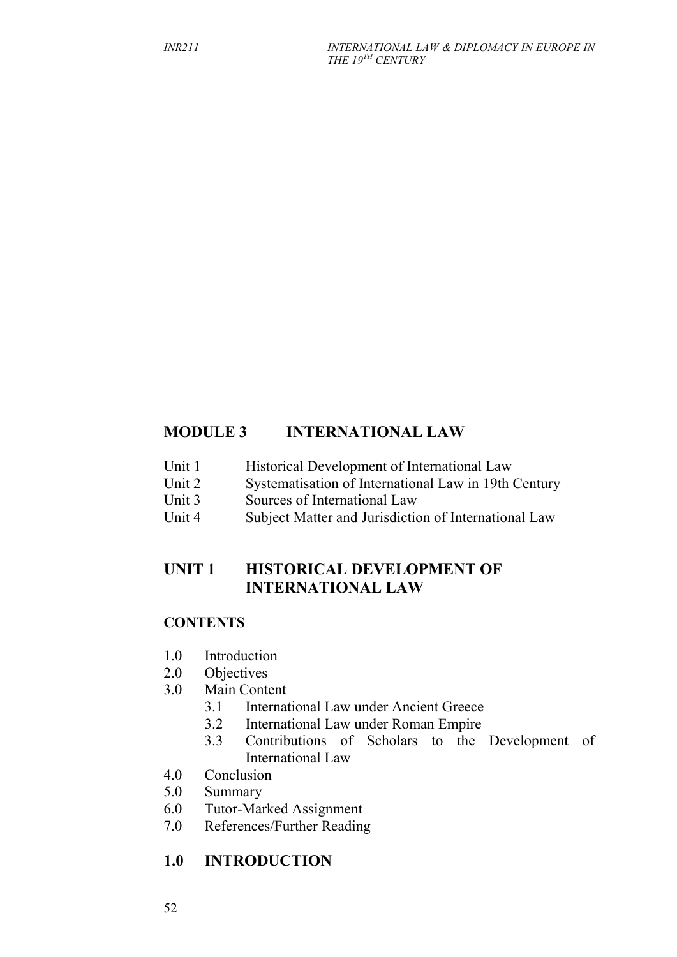## **MODULE 3 INTERNATIONAL LAW**

- Unit 1 Historical Development of International Law
- Unit 2 Systematisation of International Law in 19th Century
- Unit 3 Sources of International Law
- Unit 4 Subject Matter and Jurisdiction of International Law

## **UNIT 1 HISTORICAL DEVELOPMENT OF INTERNATIONAL LAW**

#### **CONTENTS**

- 1.0 Introduction
- 2.0 Objectives
- 3.0 Main Content
	- 3.1 International Law under Ancient Greece
	- 3.2 International Law under Roman Empire
	- 3.3 Contributions of Scholars to the Development of International Law
- 4.0 Conclusion
- 5.0 Summary
- 6.0 Tutor-Marked Assignment
- 7.0 References/Further Reading

## **1.0 INTRODUCTION**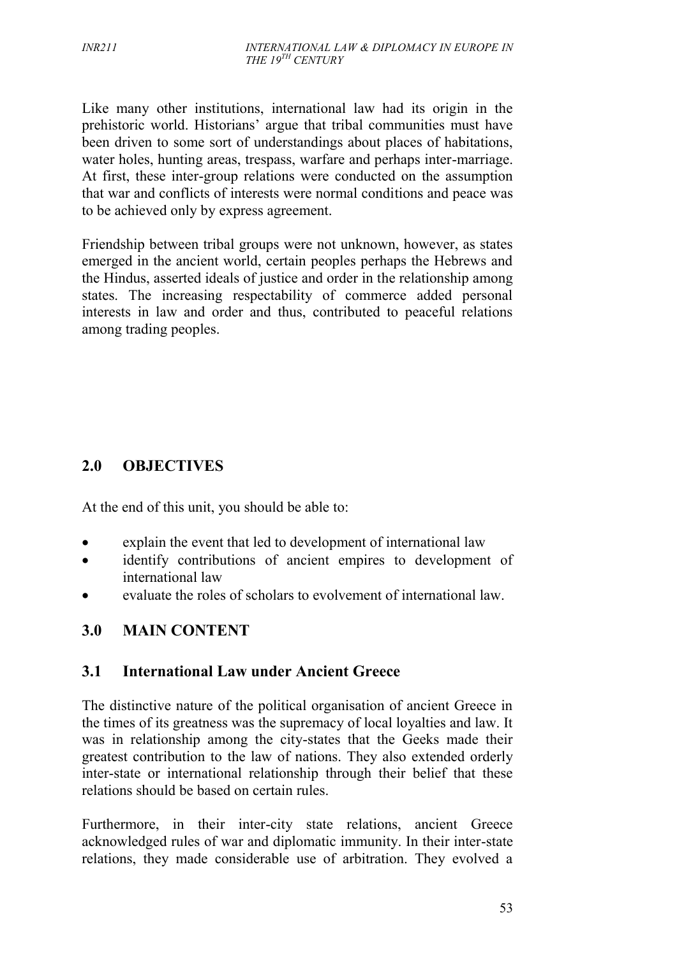Like many other institutions, international law had its origin in the prehistoric world. Historians' argue that tribal communities must have been driven to some sort of understandings about places of habitations, water holes, hunting areas, trespass, warfare and perhaps inter-marriage. At first, these inter-group relations were conducted on the assumption that war and conflicts of interests were normal conditions and peace was to be achieved only by express agreement.

Friendship between tribal groups were not unknown, however, as states emerged in the ancient world, certain peoples perhaps the Hebrews and the Hindus, asserted ideals of justice and order in the relationship among states. The increasing respectability of commerce added personal interests in law and order and thus, contributed to peaceful relations among trading peoples.

## **2.0 OBJECTIVES**

At the end of this unit, you should be able to:

- explain the event that led to development of international law
- identify contributions of ancient empires to development of international law
- evaluate the roles of scholars to evolvement of international law.

## **3.0 MAIN CONTENT**

#### **3.1 International Law under Ancient Greece**

The distinctive nature of the political organisation of ancient Greece in the times of its greatness was the supremacy of local loyalties and law. It was in relationship among the city-states that the Geeks made their greatest contribution to the law of nations. They also extended orderly inter-state or international relationship through their belief that these relations should be based on certain rules.

Furthermore, in their inter-city state relations, ancient Greece acknowledged rules of war and diplomatic immunity. In their inter-state relations, they made considerable use of arbitration. They evolved a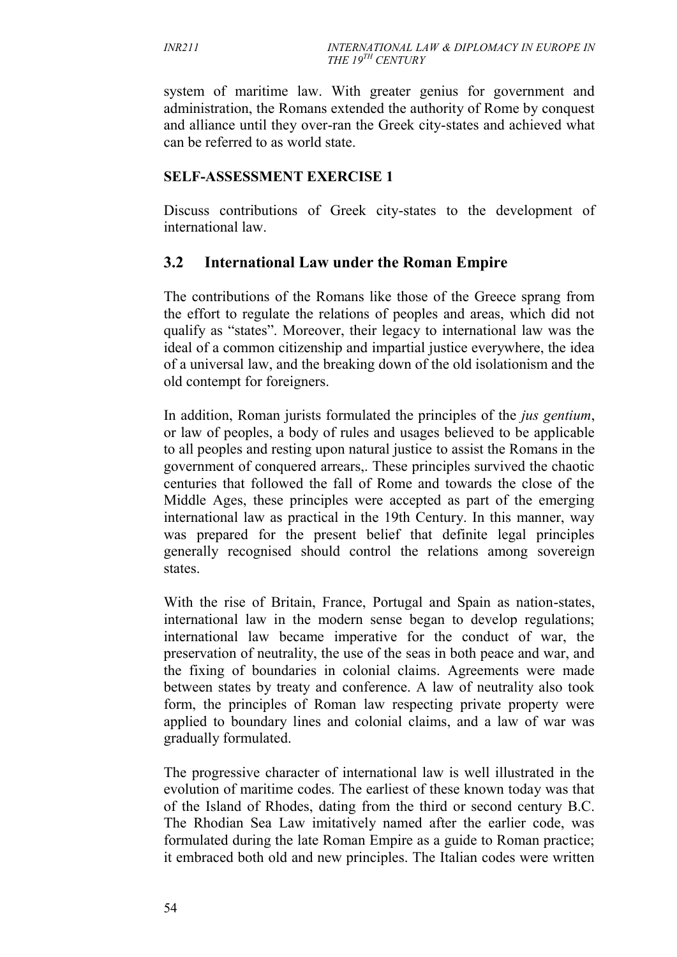system of maritime law. With greater genius for government and administration, the Romans extended the authority of Rome by conquest and alliance until they over-ran the Greek city-states and achieved what can be referred to as world state.

#### **SELF-ASSESSMENT EXERCISE 1**

Discuss contributions of Greek city-states to the development of international law.

## **3.2 International Law under the Roman Empire**

The contributions of the Romans like those of the Greece sprang from the effort to regulate the relations of peoples and areas, which did not qualify as "states". Moreover, their legacy to international law was the ideal of a common citizenship and impartial justice everywhere, the idea of a universal law, and the breaking down of the old isolationism and the old contempt for foreigners.

In addition, Roman jurists formulated the principles of the *jus gentium*, or law of peoples, a body of rules and usages believed to be applicable to all peoples and resting upon natural justice to assist the Romans in the government of conquered arrears,. These principles survived the chaotic centuries that followed the fall of Rome and towards the close of the Middle Ages, these principles were accepted as part of the emerging international law as practical in the 19th Century. In this manner, way was prepared for the present belief that definite legal principles generally recognised should control the relations among sovereign states.

With the rise of Britain, France, Portugal and Spain as nation-states, international law in the modern sense began to develop regulations; international law became imperative for the conduct of war, the preservation of neutrality, the use of the seas in both peace and war, and the fixing of boundaries in colonial claims. Agreements were made between states by treaty and conference. A law of neutrality also took form, the principles of Roman law respecting private property were applied to boundary lines and colonial claims, and a law of war was gradually formulated.

The progressive character of international law is well illustrated in the evolution of maritime codes. The earliest of these known today was that of the Island of Rhodes, dating from the third or second century B.C. The Rhodian Sea Law imitatively named after the earlier code, was formulated during the late Roman Empire as a guide to Roman practice; it embraced both old and new principles. The Italian codes were written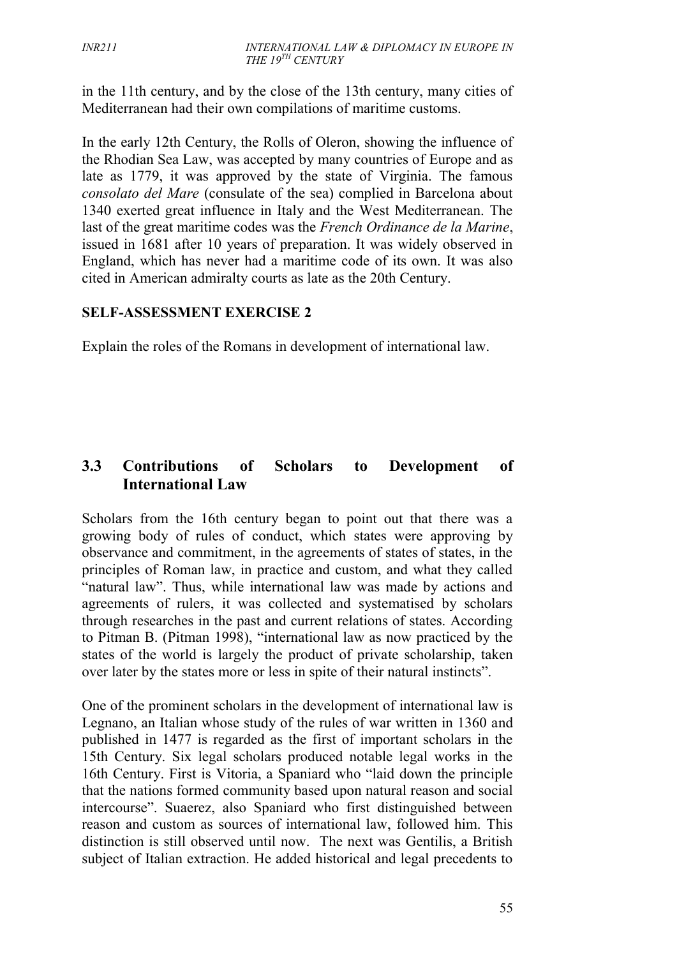in the 11th century, and by the close of the 13th century, many cities of Mediterranean had their own compilations of maritime customs.

In the early 12th Century, the Rolls of Oleron, showing the influence of the Rhodian Sea Law, was accepted by many countries of Europe and as late as 1779, it was approved by the state of Virginia. The famous *consolato del Mare* (consulate of the sea) complied in Barcelona about 1340 exerted great influence in Italy and the West Mediterranean. The last of the great maritime codes was the *French Ordinance de la Marine*, issued in 1681 after 10 years of preparation. It was widely observed in England, which has never had a maritime code of its own. It was also cited in American admiralty courts as late as the 20th Century.

#### **SELF-ASSESSMENT EXERCISE 2**

Explain the roles of the Romans in development of international law.

## **3.3 Contributions of Scholars to Development of International Law**

Scholars from the 16th century began to point out that there was a growing body of rules of conduct, which states were approving by observance and commitment, in the agreements of states of states, in the principles of Roman law, in practice and custom, and what they called "natural law". Thus, while international law was made by actions and agreements of rulers, it was collected and systematised by scholars through researches in the past and current relations of states. According to Pitman B. (Pitman 1998), "international law as now practiced by the states of the world is largely the product of private scholarship, taken over later by the states more or less in spite of their natural instincts".

One of the prominent scholars in the development of international law is Legnano, an Italian whose study of the rules of war written in 1360 and published in 1477 is regarded as the first of important scholars in the 15th Century. Six legal scholars produced notable legal works in the 16th Century. First is Vitoria, a Spaniard who "laid down the principle that the nations formed community based upon natural reason and social intercourse". Suaerez, also Spaniard who first distinguished between reason and custom as sources of international law, followed him. This distinction is still observed until now. The next was Gentilis, a British subject of Italian extraction. He added historical and legal precedents to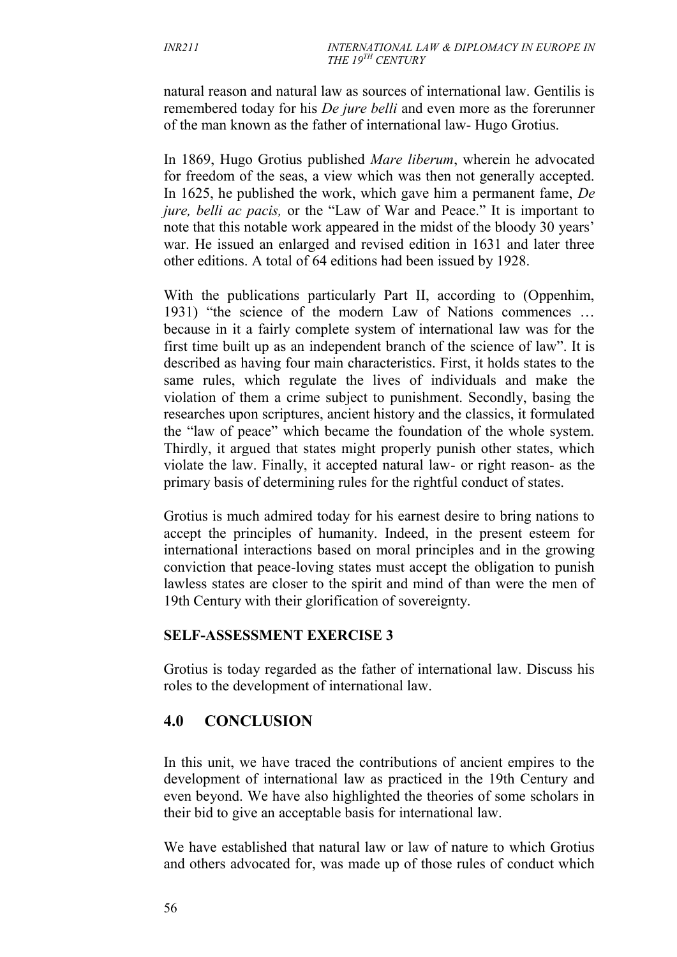natural reason and natural law as sources of international law. Gentilis is remembered today for his *De jure belli* and even more as the forerunner of the man known as the father of international law- Hugo Grotius.

In 1869, Hugo Grotius published *Mare liberum*, wherein he advocated for freedom of the seas, a view which was then not generally accepted. In 1625, he published the work, which gave him a permanent fame, *De jure, belli ac pacis,* or the "Law of War and Peace." It is important to note that this notable work appeared in the midst of the bloody 30 years' war. He issued an enlarged and revised edition in 1631 and later three other editions. A total of 64 editions had been issued by 1928.

With the publications particularly Part II, according to (Oppenhim, 1931) "the science of the modern Law of Nations commences … because in it a fairly complete system of international law was for the first time built up as an independent branch of the science of law". It is described as having four main characteristics. First, it holds states to the same rules, which regulate the lives of individuals and make the violation of them a crime subject to punishment. Secondly, basing the researches upon scriptures, ancient history and the classics, it formulated the "law of peace" which became the foundation of the whole system. Thirdly, it argued that states might properly punish other states, which violate the law. Finally, it accepted natural law- or right reason- as the primary basis of determining rules for the rightful conduct of states.

Grotius is much admired today for his earnest desire to bring nations to accept the principles of humanity. Indeed, in the present esteem for international interactions based on moral principles and in the growing conviction that peace-loving states must accept the obligation to punish lawless states are closer to the spirit and mind of than were the men of 19th Century with their glorification of sovereignty.

#### **SELF-ASSESSMENT EXERCISE 3**

Grotius is today regarded as the father of international law. Discuss his roles to the development of international law.

## **4.0 CONCLUSION**

In this unit, we have traced the contributions of ancient empires to the development of international law as practiced in the 19th Century and even beyond. We have also highlighted the theories of some scholars in their bid to give an acceptable basis for international law.

We have established that natural law or law of nature to which Grotius and others advocated for, was made up of those rules of conduct which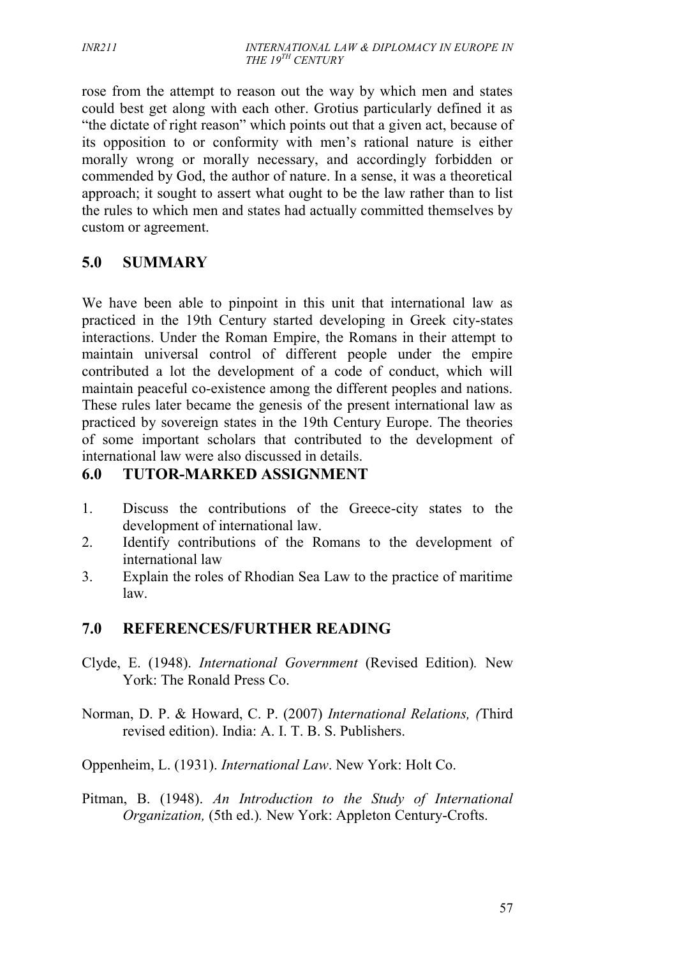rose from the attempt to reason out the way by which men and states could best get along with each other. Grotius particularly defined it as "the dictate of right reason" which points out that a given act, because of its opposition to or conformity with men's rational nature is either morally wrong or morally necessary, and accordingly forbidden or commended by God, the author of nature. In a sense, it was a theoretical approach; it sought to assert what ought to be the law rather than to list the rules to which men and states had actually committed themselves by custom or agreement.

## **5.0 SUMMARY**

We have been able to pinpoint in this unit that international law as practiced in the 19th Century started developing in Greek city-states interactions. Under the Roman Empire, the Romans in their attempt to maintain universal control of different people under the empire contributed a lot the development of a code of conduct, which will maintain peaceful co-existence among the different peoples and nations. These rules later became the genesis of the present international law as practiced by sovereign states in the 19th Century Europe. The theories of some important scholars that contributed to the development of international law were also discussed in details.

### **6.0 TUTOR-MARKED ASSIGNMENT**

- 1. Discuss the contributions of the Greece-city states to the development of international law.
- 2. Identify contributions of the Romans to the development of international law
- 3. Explain the roles of Rhodian Sea Law to the practice of maritime law.

## **7.0 REFERENCES/FURTHER READING**

- Clyde, E. (1948). *International Government* (Revised Edition)*.* New York: The Ronald Press Co.
- Norman, D. P. & Howard, C. P. (2007) *International Relations, (*Third revised edition). India: A. I. T. B. S. Publishers.
- Oppenheim, L. (1931). *International Law*. New York: Holt Co.
- Pitman, B. (1948). *An Introduction to the Study of International Organization,* (5th ed.)*.* New York: Appleton Century-Crofts.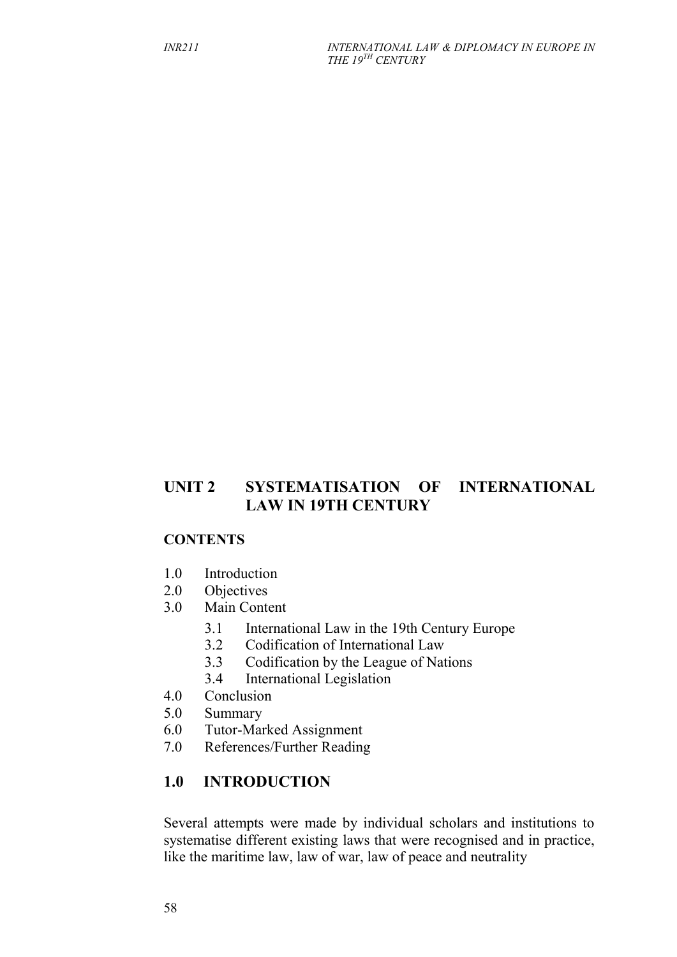## **UNIT 2 SYSTEMATISATION OF INTERNATIONAL LAW IN 19TH CENTURY**

#### **CONTENTS**

- 1.0 Introduction
- 2.0 Objectives
- 3.0 Main Content
	- 3.1 International Law in the 19th Century Europe
	- 3.2 Codification of International Law
	- 3.3 Codification by the League of Nations
	- 3.4 International Legislation
- 4.0 Conclusion
- 5.0 Summary
- 6.0 Tutor-Marked Assignment
- 7.0 References/Further Reading

## **1.0 INTRODUCTION**

Several attempts were made by individual scholars and institutions to systematise different existing laws that were recognised and in practice, like the maritime law, law of war, law of peace and neutrality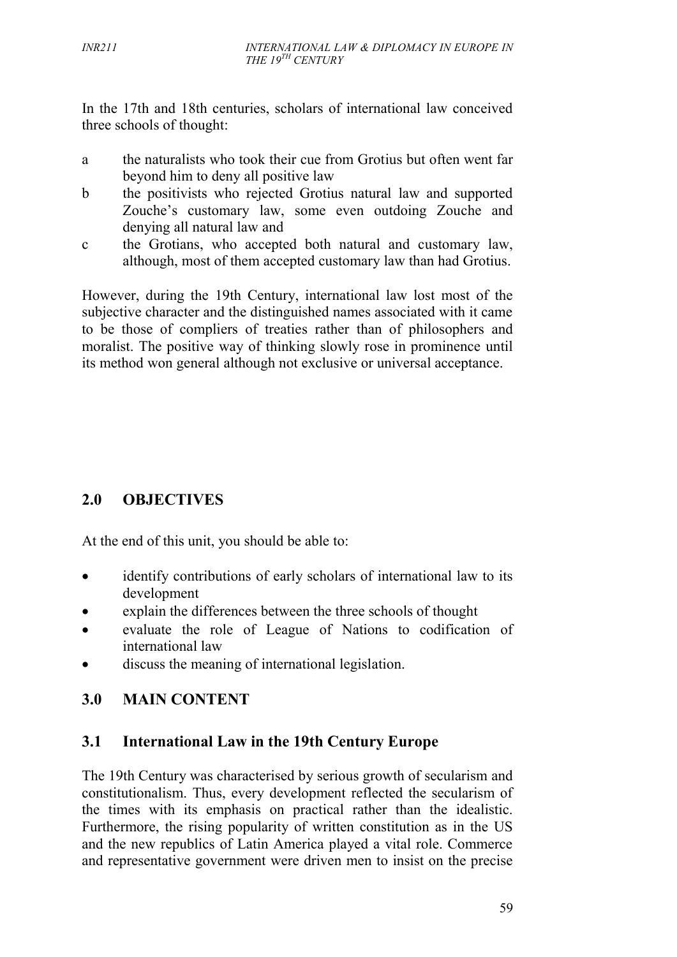In the 17th and 18th centuries, scholars of international law conceived three schools of thought:

- a the naturalists who took their cue from Grotius but often went far beyond him to deny all positive law
- b the positivists who rejected Grotius natural law and supported Zouche's customary law, some even outdoing Zouche and denying all natural law and
- c the Grotians, who accepted both natural and customary law, although, most of them accepted customary law than had Grotius.

However, during the 19th Century, international law lost most of the subjective character and the distinguished names associated with it came to be those of compliers of treaties rather than of philosophers and moralist. The positive way of thinking slowly rose in prominence until its method won general although not exclusive or universal acceptance.

# **2.0 OBJECTIVES**

At the end of this unit, you should be able to:

- identify contributions of early scholars of international law to its development
- explain the differences between the three schools of thought
- evaluate the role of League of Nations to codification of international law
- discuss the meaning of international legislation.

# **3.0 MAIN CONTENT**

## **3.1 International Law in the 19th Century Europe**

The 19th Century was characterised by serious growth of secularism and constitutionalism. Thus, every development reflected the secularism of the times with its emphasis on practical rather than the idealistic. Furthermore, the rising popularity of written constitution as in the US and the new republics of Latin America played a vital role. Commerce and representative government were driven men to insist on the precise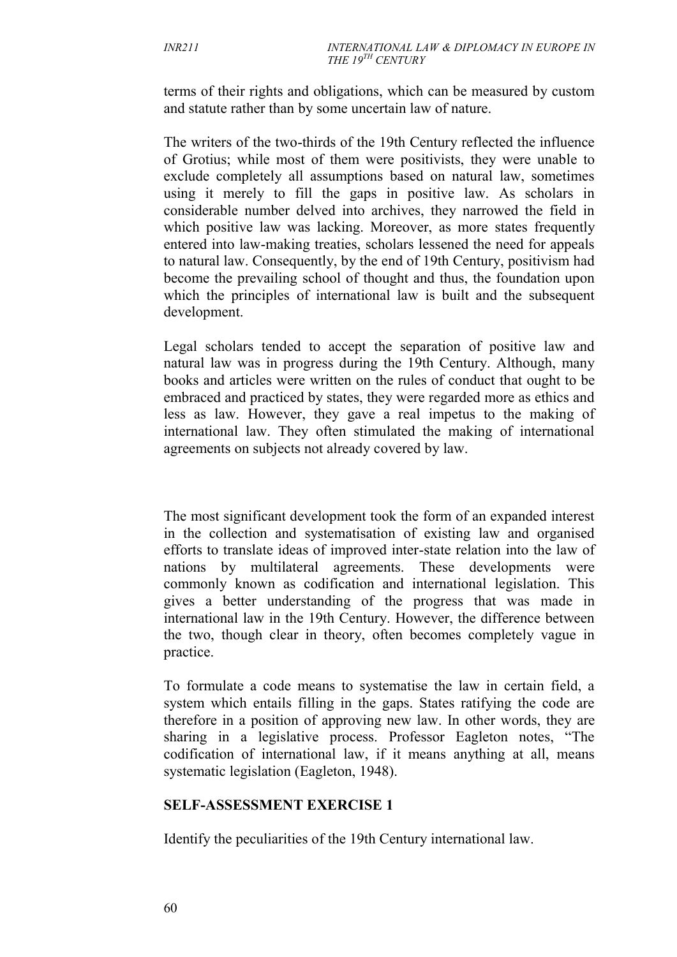terms of their rights and obligations, which can be measured by custom and statute rather than by some uncertain law of nature.

The writers of the two-thirds of the 19th Century reflected the influence of Grotius; while most of them were positivists, they were unable to exclude completely all assumptions based on natural law, sometimes using it merely to fill the gaps in positive law. As scholars in considerable number delved into archives, they narrowed the field in which positive law was lacking. Moreover, as more states frequently entered into law-making treaties, scholars lessened the need for appeals to natural law. Consequently, by the end of 19th Century, positivism had become the prevailing school of thought and thus, the foundation upon which the principles of international law is built and the subsequent development.

Legal scholars tended to accept the separation of positive law and natural law was in progress during the 19th Century. Although, many books and articles were written on the rules of conduct that ought to be embraced and practiced by states, they were regarded more as ethics and less as law. However, they gave a real impetus to the making of international law. They often stimulated the making of international agreements on subjects not already covered by law.

The most significant development took the form of an expanded interest in the collection and systematisation of existing law and organised efforts to translate ideas of improved inter-state relation into the law of nations by multilateral agreements. These developments were commonly known as codification and international legislation. This gives a better understanding of the progress that was made in international law in the 19th Century. However, the difference between the two, though clear in theory, often becomes completely vague in practice.

To formulate a code means to systematise the law in certain field, a system which entails filling in the gaps. States ratifying the code are therefore in a position of approving new law. In other words, they are sharing in a legislative process. Professor Eagleton notes, "The codification of international law, if it means anything at all, means systematic legislation (Eagleton, 1948).

### **SELF-ASSESSMENT EXERCISE 1**

Identify the peculiarities of the 19th Century international law.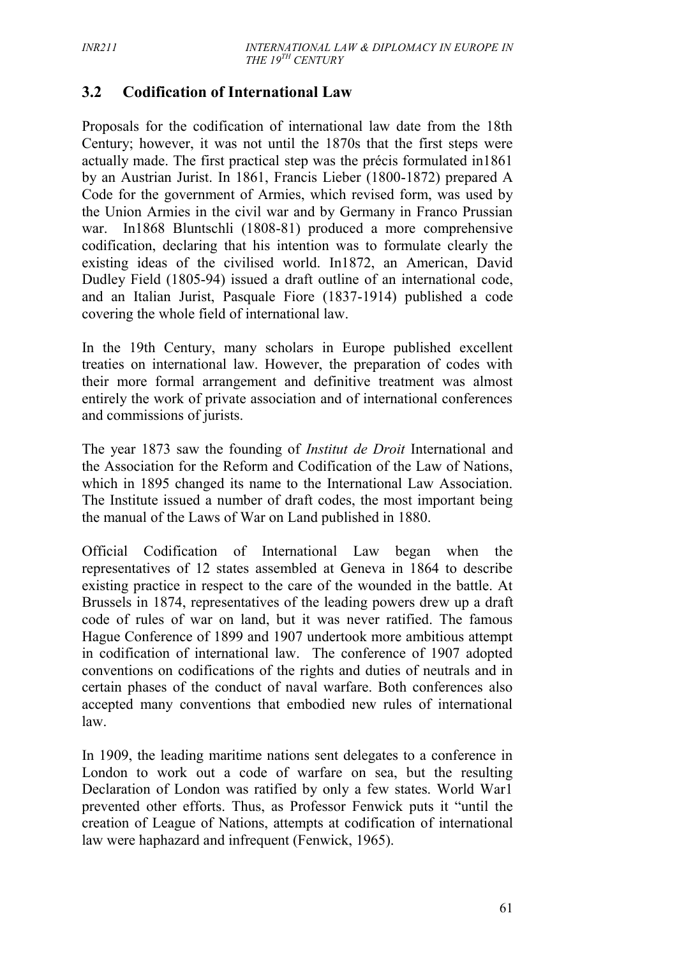## **3.2 Codification of International Law**

Proposals for the codification of international law date from the 18th Century; however, it was not until the 1870s that the first steps were actually made. The first practical step was the précis formulated in1861 by an Austrian Jurist. In 1861, Francis Lieber (1800-1872) prepared A Code for the government of Armies, which revised form, was used by the Union Armies in the civil war and by Germany in Franco Prussian war. In1868 Bluntschli (1808-81) produced a more comprehensive codification, declaring that his intention was to formulate clearly the existing ideas of the civilised world. In1872, an American, David Dudley Field (1805-94) issued a draft outline of an international code, and an Italian Jurist, Pasquale Fiore (1837-1914) published a code covering the whole field of international law.

In the 19th Century, many scholars in Europe published excellent treaties on international law. However, the preparation of codes with their more formal arrangement and definitive treatment was almost entirely the work of private association and of international conferences and commissions of jurists.

The year 1873 saw the founding of *Institut de Droit* International and the Association for the Reform and Codification of the Law of Nations, which in 1895 changed its name to the International Law Association. The Institute issued a number of draft codes, the most important being the manual of the Laws of War on Land published in 1880.

Official Codification of International Law began when the representatives of 12 states assembled at Geneva in 1864 to describe existing practice in respect to the care of the wounded in the battle. At Brussels in 1874, representatives of the leading powers drew up a draft code of rules of war on land, but it was never ratified. The famous Hague Conference of 1899 and 1907 undertook more ambitious attempt in codification of international law. The conference of 1907 adopted conventions on codifications of the rights and duties of neutrals and in certain phases of the conduct of naval warfare. Both conferences also accepted many conventions that embodied new rules of international law.

In 1909, the leading maritime nations sent delegates to a conference in London to work out a code of warfare on sea, but the resulting Declaration of London was ratified by only a few states. World War1 prevented other efforts. Thus, as Professor Fenwick puts it "until the creation of League of Nations, attempts at codification of international law were haphazard and infrequent (Fenwick, 1965).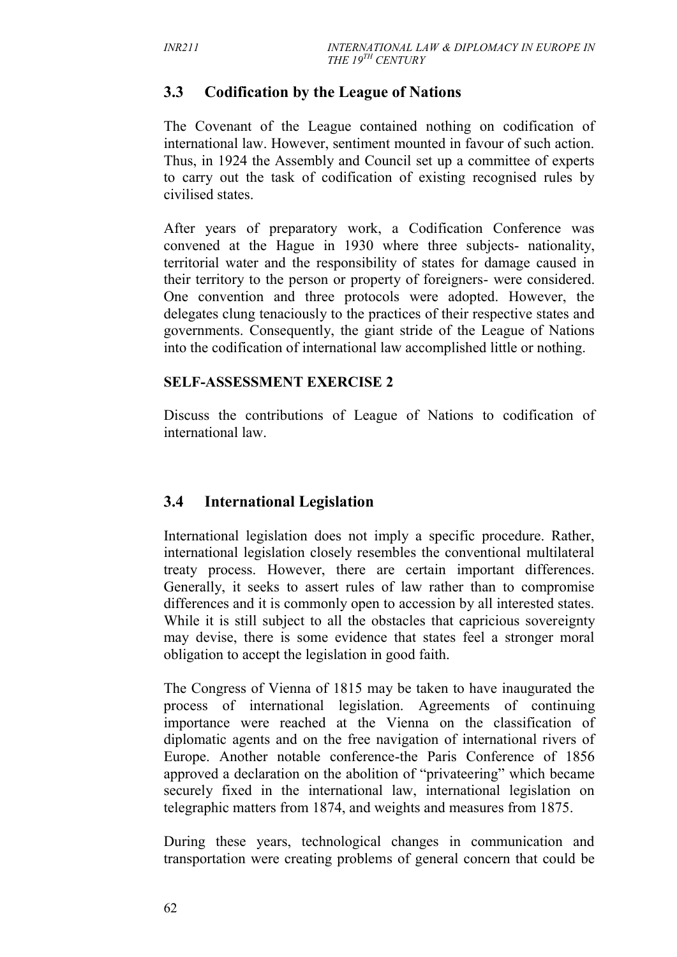## **3.3 Codification by the League of Nations**

The Covenant of the League contained nothing on codification of international law. However, sentiment mounted in favour of such action. Thus, in 1924 the Assembly and Council set up a committee of experts to carry out the task of codification of existing recognised rules by civilised states.

After years of preparatory work, a Codification Conference was convened at the Hague in 1930 where three subjects- nationality, territorial water and the responsibility of states for damage caused in their territory to the person or property of foreigners- were considered. One convention and three protocols were adopted. However, the delegates clung tenaciously to the practices of their respective states and governments. Consequently, the giant stride of the League of Nations into the codification of international law accomplished little or nothing.

#### **SELF-ASSESSMENT EXERCISE 2**

Discuss the contributions of League of Nations to codification of international law.

## **3.4 International Legislation**

International legislation does not imply a specific procedure. Rather, international legislation closely resembles the conventional multilateral treaty process. However, there are certain important differences. Generally, it seeks to assert rules of law rather than to compromise differences and it is commonly open to accession by all interested states. While it is still subject to all the obstacles that capricious sovereignty may devise, there is some evidence that states feel a stronger moral obligation to accept the legislation in good faith.

The Congress of Vienna of 1815 may be taken to have inaugurated the process of international legislation. Agreements of continuing importance were reached at the Vienna on the classification of diplomatic agents and on the free navigation of international rivers of Europe. Another notable conference-the Paris Conference of 1856 approved a declaration on the abolition of "privateering" which became securely fixed in the international law, international legislation on telegraphic matters from 1874, and weights and measures from 1875.

During these years, technological changes in communication and transportation were creating problems of general concern that could be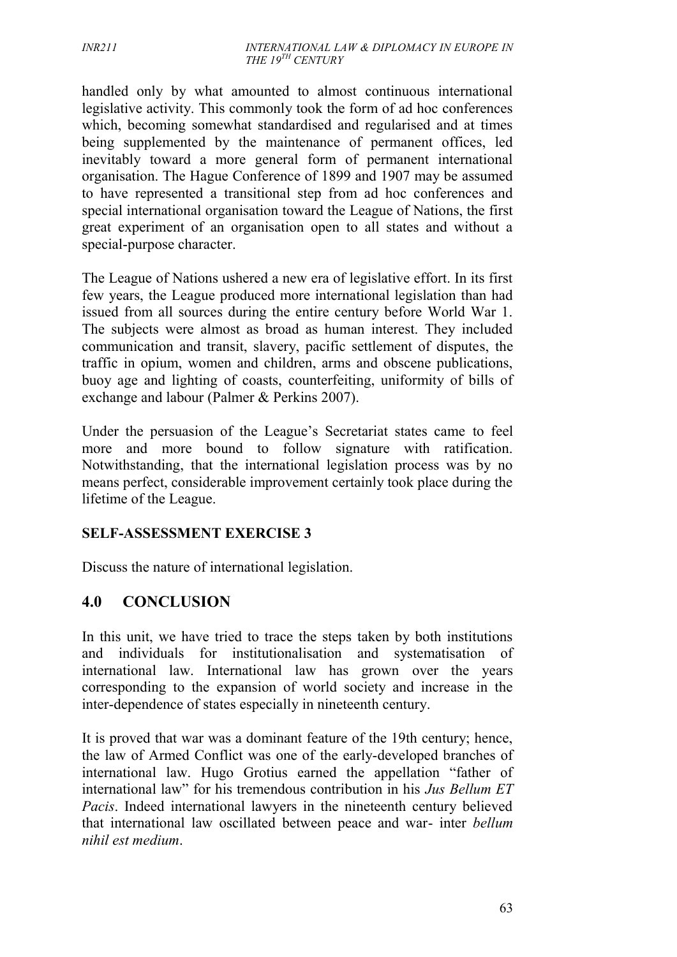handled only by what amounted to almost continuous international legislative activity. This commonly took the form of ad hoc conferences which, becoming somewhat standardised and regularised and at times being supplemented by the maintenance of permanent offices, led inevitably toward a more general form of permanent international organisation. The Hague Conference of 1899 and 1907 may be assumed to have represented a transitional step from ad hoc conferences and special international organisation toward the League of Nations, the first great experiment of an organisation open to all states and without a special-purpose character.

The League of Nations ushered a new era of legislative effort. In its first few years, the League produced more international legislation than had issued from all sources during the entire century before World War 1. The subjects were almost as broad as human interest. They included communication and transit, slavery, pacific settlement of disputes, the traffic in opium, women and children, arms and obscene publications, buoy age and lighting of coasts, counterfeiting, uniformity of bills of exchange and labour (Palmer & Perkins 2007).

Under the persuasion of the League's Secretariat states came to feel more and more bound to follow signature with ratification. Notwithstanding, that the international legislation process was by no means perfect, considerable improvement certainly took place during the lifetime of the League.

### **SELF-ASSESSMENT EXERCISE 3**

Discuss the nature of international legislation.

## **4.0 CONCLUSION**

In this unit, we have tried to trace the steps taken by both institutions and individuals for institutionalisation and systematisation of international law. International law has grown over the years corresponding to the expansion of world society and increase in the inter-dependence of states especially in nineteenth century.

It is proved that war was a dominant feature of the 19th century; hence, the law of Armed Conflict was one of the early-developed branches of international law. Hugo Grotius earned the appellation "father of international law" for his tremendous contribution in his *Jus Bellum ET Pacis*. Indeed international lawyers in the nineteenth century believed that international law oscillated between peace and war- inter *bellum nihil est medium*.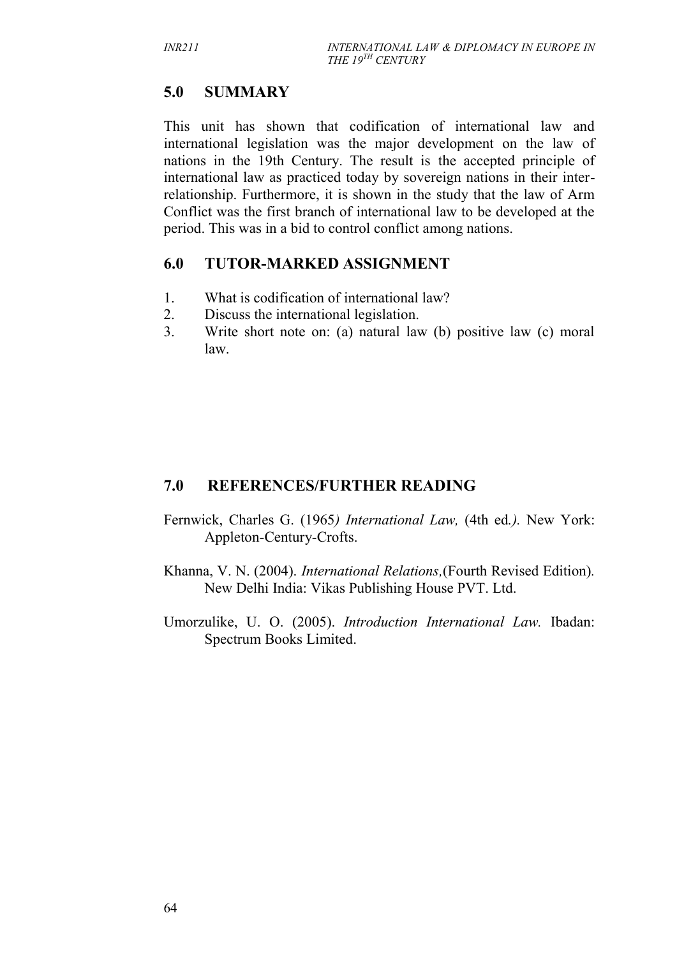# **5.0 SUMMARY**

This unit has shown that codification of international law and international legislation was the major development on the law of nations in the 19th Century. The result is the accepted principle of international law as practiced today by sovereign nations in their interrelationship. Furthermore, it is shown in the study that the law of Arm Conflict was the first branch of international law to be developed at the period. This was in a bid to control conflict among nations.

## **6.0 TUTOR-MARKED ASSIGNMENT**

- 1. What is codification of international law?
- 2. Discuss the international legislation.
- 3. Write short note on: (a) natural law (b) positive law (c) moral law.

## **7.0 REFERENCES/FURTHER READING**

- Fernwick, Charles G. (1965*) International Law,* (4th ed*.).* New York: Appleton-Century-Crofts.
- Khanna, V. N. (2004). *International Relations,*(Fourth Revised Edition)*.* New Delhi India: Vikas Publishing House PVT. Ltd.
- Umorzulike, U. O. (2005). *Introduction International Law.* Ibadan: Spectrum Books Limited.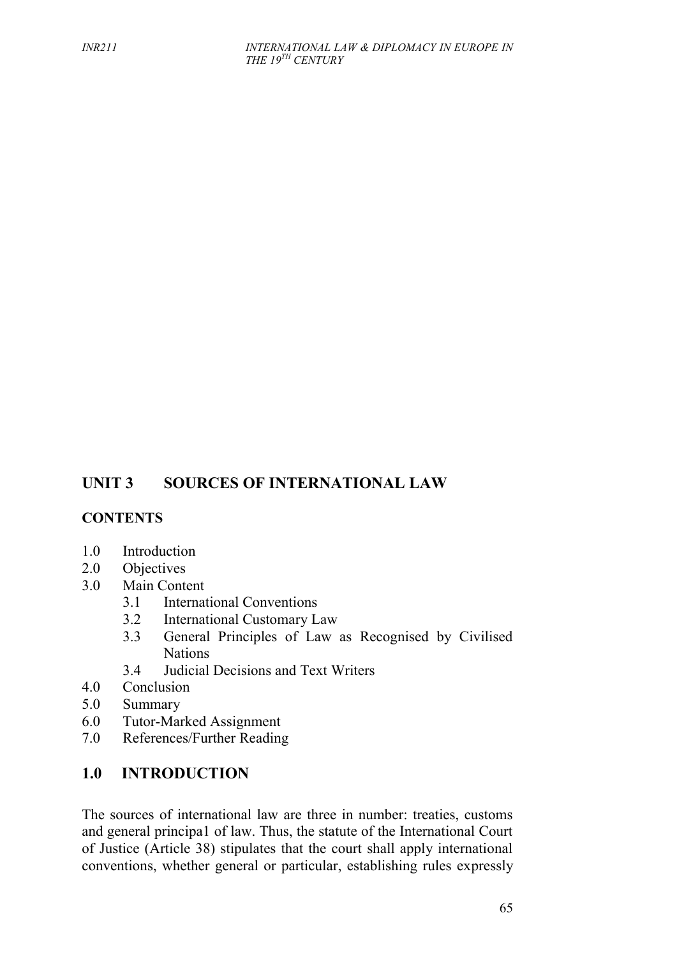# **UNIT 3 SOURCES OF INTERNATIONAL LAW**

## **CONTENTS**

- 1.0 Introduction
- 2.0 Objectives
- 3.0 Main Content
	- 3.1 International Conventions
	- 3.2 International Customary Law
	- 3.3 General Principles of Law as Recognised by Civilised Nations
	- 3.4 Judicial Decisions and Text Writers
- 4.0 Conclusion
- 5.0 Summary
- 6.0 Tutor-Marked Assignment
- 7.0 References/Further Reading

## **1.0 INTRODUCTION**

The sources of international law are three in number: treaties, customs and general principa1 of law. Thus, the statute of the International Court of Justice (Article 38) stipulates that the court shall apply international conventions, whether general or particular, establishing rules expressly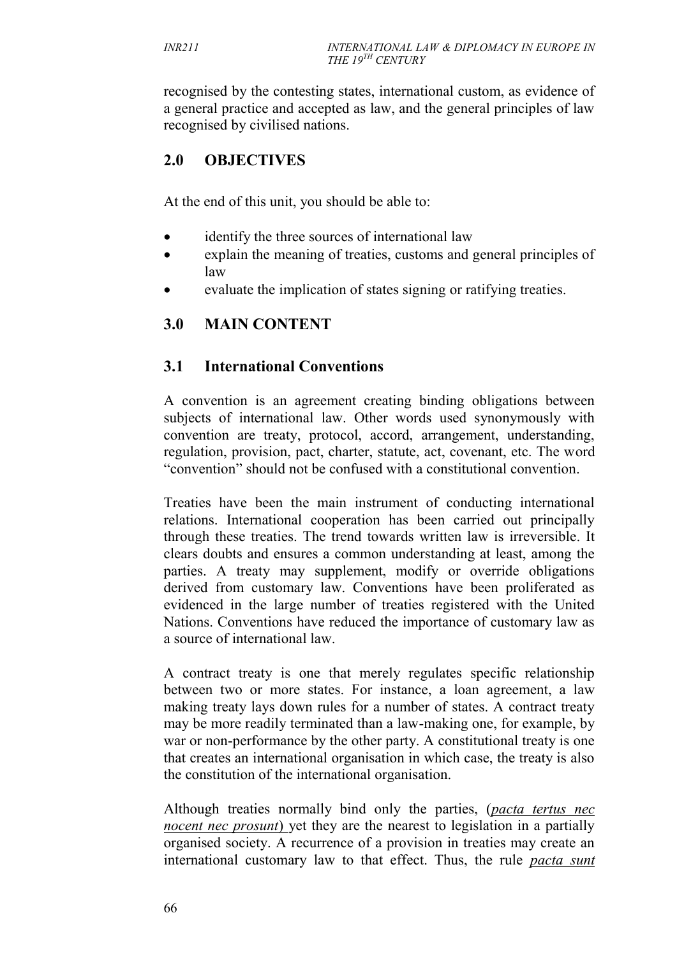recognised by the contesting states, international custom, as evidence of a general practice and accepted as law, and the general principles of law recognised by civilised nations.

# **2.0 OBJECTIVES**

At the end of this unit, you should be able to:

- identify the three sources of international law
- explain the meaning of treaties, customs and general principles of law
- evaluate the implication of states signing or ratifying treaties.

# **3.0 MAIN CONTENT**

## **3.1 International Conventions**

A convention is an agreement creating binding obligations between subjects of international law. Other words used synonymously with convention are treaty, protocol, accord, arrangement, understanding, regulation, provision, pact, charter, statute, act, covenant, etc. The word "convention" should not be confused with a constitutional convention.

Treaties have been the main instrument of conducting international relations. International cooperation has been carried out principally through these treaties. The trend towards written law is irreversible. It clears doubts and ensures a common understanding at least, among the parties. A treaty may supplement, modify or override obligations derived from customary law. Conventions have been proliferated as evidenced in the large number of treaties registered with the United Nations. Conventions have reduced the importance of customary law as a source of international law.

A contract treaty is one that merely regulates specific relationship between two or more states. For instance, a loan agreement, a law making treaty lays down rules for a number of states. A contract treaty may be more readily terminated than a law-making one, for example, by war or non-performance by the other party. A constitutional treaty is one that creates an international organisation in which case, the treaty is also the constitution of the international organisation.

Although treaties normally bind only the parties, (*pacta tertus nec nocent nec prosunt*) yet they are the nearest to legislation in a partially organised society. A recurrence of a provision in treaties may create an international customary law to that effect. Thus, the rule *pacta sunt*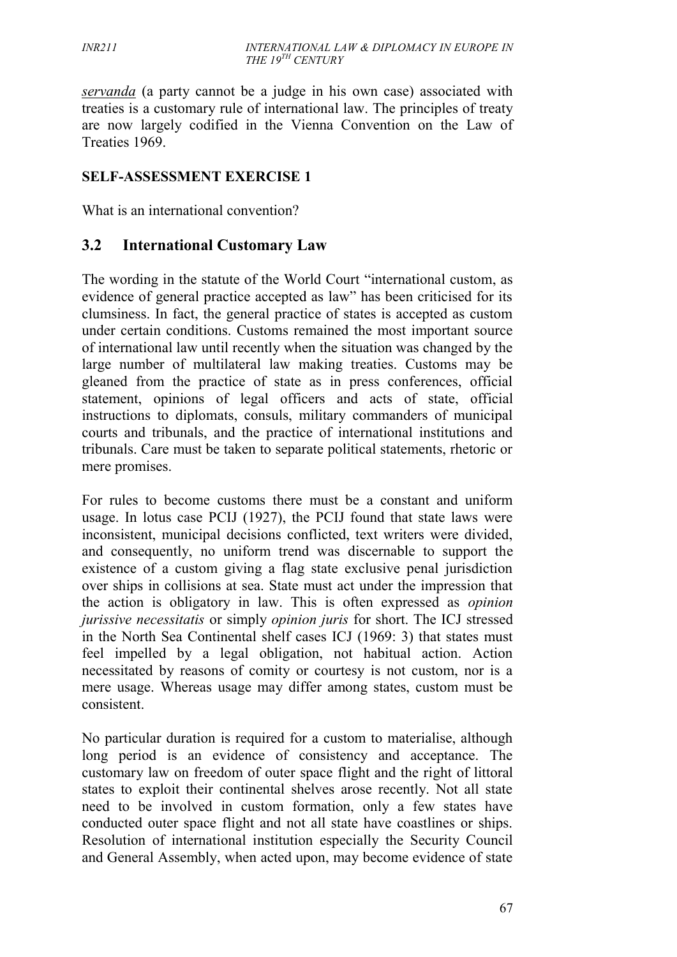*servanda* (a party cannot be a judge in his own case) associated with treaties is a customary rule of international law. The principles of treaty are now largely codified in the Vienna Convention on the Law of Treaties 1969.

### **SELF-ASSESSMENT EXERCISE 1**

What is an international convention?

## **3.2 International Customary Law**

The wording in the statute of the World Court "international custom, as evidence of general practice accepted as law" has been criticised for its clumsiness. In fact, the general practice of states is accepted as custom under certain conditions. Customs remained the most important source of international law until recently when the situation was changed by the large number of multilateral law making treaties. Customs may be gleaned from the practice of state as in press conferences, official statement, opinions of legal officers and acts of state, official instructions to diplomats, consuls, military commanders of municipal courts and tribunals, and the practice of international institutions and tribunals. Care must be taken to separate political statements, rhetoric or mere promises.

For rules to become customs there must be a constant and uniform usage. In lotus case PCIJ (1927), the PCIJ found that state laws were inconsistent, municipal decisions conflicted, text writers were divided, and consequently, no uniform trend was discernable to support the existence of a custom giving a flag state exclusive penal jurisdiction over ships in collisions at sea. State must act under the impression that the action is obligatory in law. This is often expressed as *opinion jurissive necessitatis* or simply *opinion juris* for short. The ICJ stressed in the North Sea Continental shelf cases ICJ (1969: 3) that states must feel impelled by a legal obligation, not habitual action. Action necessitated by reasons of comity or courtesy is not custom, nor is a mere usage. Whereas usage may differ among states, custom must be consistent.

No particular duration is required for a custom to materialise, although long period is an evidence of consistency and acceptance. The customary law on freedom of outer space flight and the right of littoral states to exploit their continental shelves arose recently. Not all state need to be involved in custom formation, only a few states have conducted outer space flight and not all state have coastlines or ships. Resolution of international institution especially the Security Council and General Assembly, when acted upon, may become evidence of state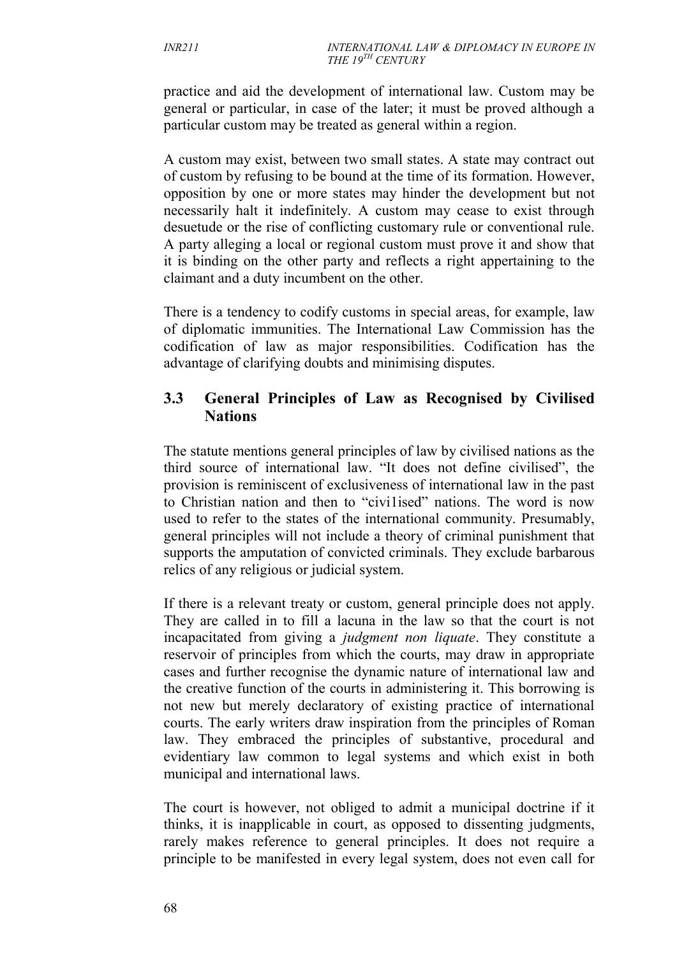practice and aid the development of international law. Custom may be general or particular, in case of the later; it must be proved although a particular custom may be treated as general within a region.

A custom may exist, between two small states. A state may contract out of custom by refusing to be bound at the time of its formation. However, opposition by one or more states may hinder the development but not necessarily halt it indefinitely. A custom may cease to exist through desuetude or the rise of conflicting customary rule or conventional rule. A party alleging a local or regional custom must prove it and show that it is binding on the other party and reflects a right appertaining to the claimant and a duty incumbent on the other.

There is a tendency to codify customs in special areas, for example, law of diplomatic immunities. The International Law Commission has the codification of law as major responsibilities. Codification has the advantage of clarifying doubts and minimising disputes.

# **3.3 General Principles of Law as Recognised by Civilised Nations**

The statute mentions general principles of law by civilised nations as the third source of international law. "It does not define civilised", the provision is reminiscent of exclusiveness of international law in the past to Christian nation and then to "civi1ised" nations. The word is now used to refer to the states of the international community. Presumably, general principles will not include a theory of criminal punishment that supports the amputation of convicted criminals. They exclude barbarous relics of any religious or judicial system.

If there is a relevant treaty or custom, general principle does not apply. They are called in to fill a lacuna in the law so that the court is not incapacitated from giving a *judgment non liquate*. They constitute a reservoir of principles from which the courts, may draw in appropriate cases and further recognise the dynamic nature of international law and the creative function of the courts in administering it. This borrowing is not new but merely declaratory of existing practice of international courts. The early writers draw inspiration from the principles of Roman law. They embraced the principles of substantive, procedural and evidentiary law common to legal systems and which exist in both municipal and international laws.

The court is however, not obliged to admit a municipal doctrine if it thinks, it is inapplicable in court, as opposed to dissenting judgments, rarely makes reference to general principles. It does not require a principle to be manifested in every legal system, does not even call for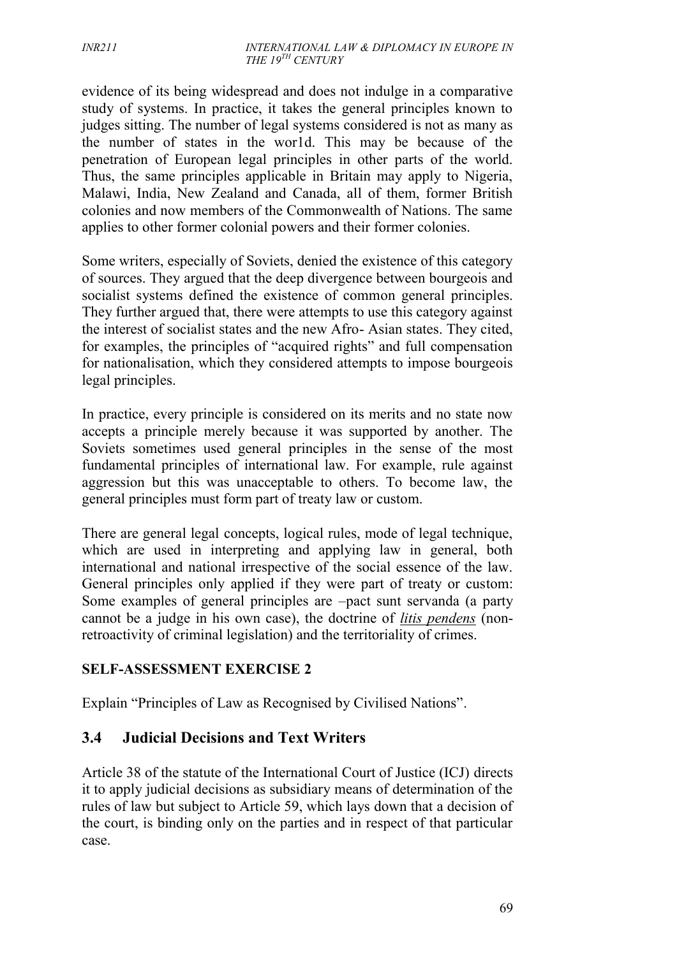evidence of its being widespread and does not indulge in a comparative study of systems. In practice, it takes the general principles known to judges sitting. The number of legal systems considered is not as many as the number of states in the wor1d. This may be because of the penetration of European legal principles in other parts of the world. Thus, the same principles applicable in Britain may apply to Nigeria, Malawi, India, New Zealand and Canada, all of them, former British colonies and now members of the Commonwealth of Nations. The same applies to other former colonial powers and their former colonies.

Some writers, especially of Soviets, denied the existence of this category of sources. They argued that the deep divergence between bourgeois and socialist systems defined the existence of common general principles. They further argued that, there were attempts to use this category against the interest of socialist states and the new Afro- Asian states. They cited, for examples, the principles of "acquired rights" and full compensation for nationalisation, which they considered attempts to impose bourgeois legal principles.

In practice, every principle is considered on its merits and no state now accepts a principle merely because it was supported by another. The Soviets sometimes used general principles in the sense of the most fundamental principles of international law. For example, rule against aggression but this was unacceptable to others. To become law, the general principles must form part of treaty law or custom.

There are general legal concepts, logical rules, mode of legal technique, which are used in interpreting and applying law in general, both international and national irrespective of the social essence of the law. General principles only applied if they were part of treaty or custom: Some examples of general principles are –pact sunt servanda (a party cannot be a judge in his own case), the doctrine of *litis pendens* (nonretroactivity of criminal legislation) and the territoriality of crimes.

### **SELF-ASSESSMENT EXERCISE 2**

Explain "Principles of Law as Recognised by Civilised Nations".

# **3.4 Judicial Decisions and Text Writers**

Article 38 of the statute of the International Court of Justice (ICJ) directs it to apply judicial decisions as subsidiary means of determination of the rules of law but subject to Article 59, which lays down that a decision of the court, is binding only on the parties and in respect of that particular case.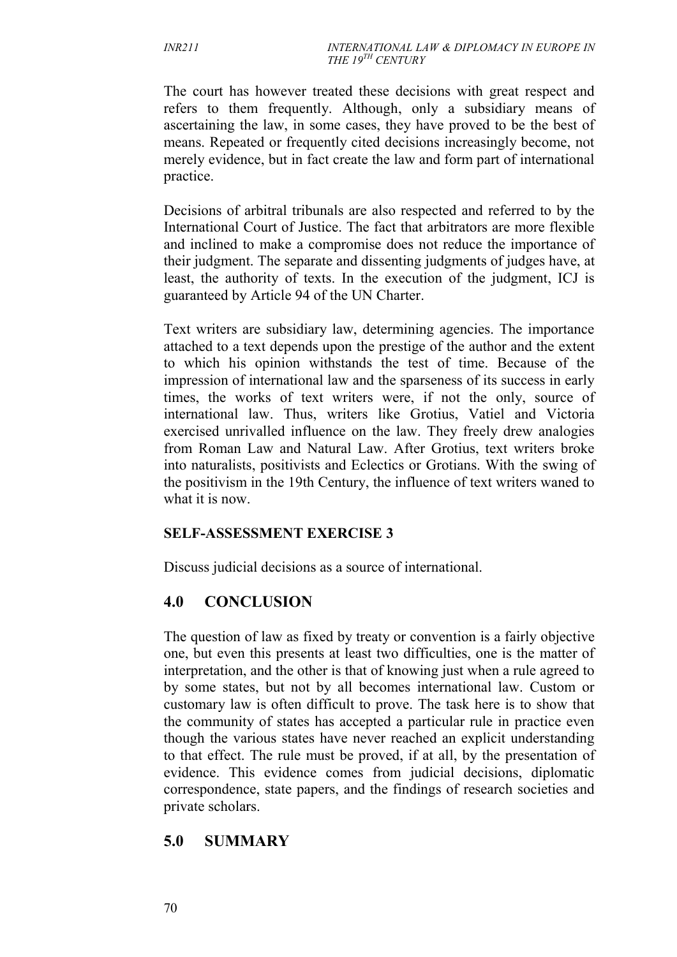The court has however treated these decisions with great respect and refers to them frequently. Although, only a subsidiary means of ascertaining the law, in some cases, they have proved to be the best of means. Repeated or frequently cited decisions increasingly become, not merely evidence, but in fact create the law and form part of international practice.

Decisions of arbitral tribunals are also respected and referred to by the International Court of Justice. The fact that arbitrators are more flexible and inclined to make a compromise does not reduce the importance of their judgment. The separate and dissenting judgments of judges have, at least, the authority of texts. In the execution of the judgment, ICJ is guaranteed by Article 94 of the UN Charter.

Text writers are subsidiary law, determining agencies. The importance attached to a text depends upon the prestige of the author and the extent to which his opinion withstands the test of time. Because of the impression of international law and the sparseness of its success in early times, the works of text writers were, if not the only, source of international law. Thus, writers like Grotius, Vatiel and Victoria exercised unrivalled influence on the law. They freely drew analogies from Roman Law and Natural Law. After Grotius, text writers broke into naturalists, positivists and Eclectics or Grotians. With the swing of the positivism in the 19th Century, the influence of text writers waned to what it is now.

### **SELF-ASSESSMENT EXERCISE 3**

Discuss judicial decisions as a source of international.

## **4.0 CONCLUSION**

The question of law as fixed by treaty or convention is a fairly objective one, but even this presents at least two difficulties, one is the matter of interpretation, and the other is that of knowing just when a rule agreed to by some states, but not by all becomes international law. Custom or customary law is often difficult to prove. The task here is to show that the community of states has accepted a particular rule in practice even though the various states have never reached an explicit understanding to that effect. The rule must be proved, if at all, by the presentation of evidence. This evidence comes from judicial decisions, diplomatic correspondence, state papers, and the findings of research societies and private scholars.

## **5.0 SUMMARY**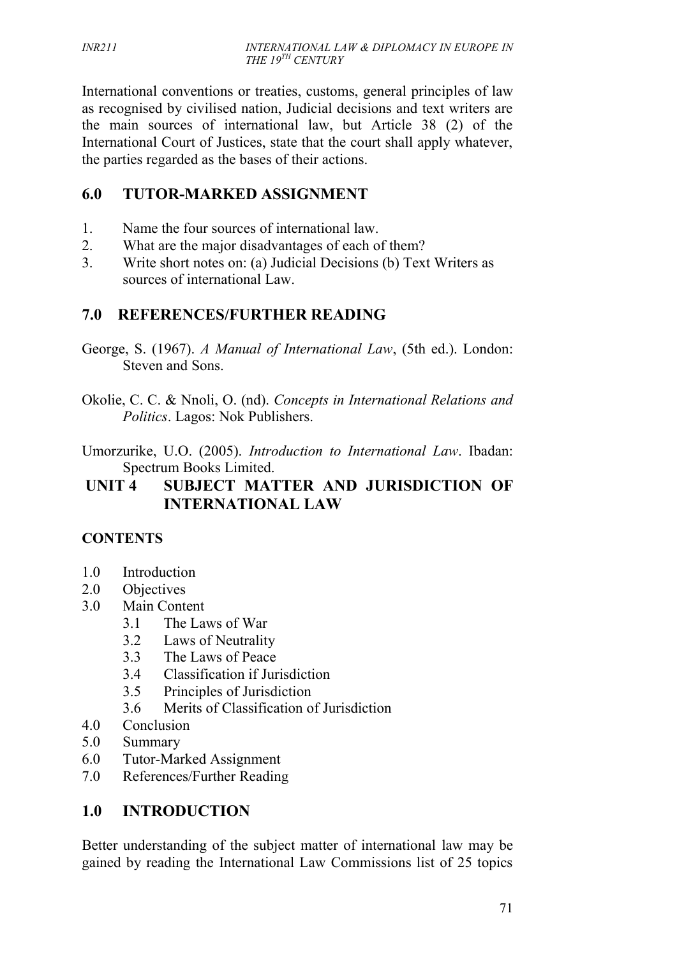International conventions or treaties, customs, general principles of law as recognised by civilised nation, Judicial decisions and text writers are the main sources of international law, but Article 38 (2) of the International Court of Justices, state that the court shall apply whatever, the parties regarded as the bases of their actions.

# **6.0 TUTOR-MARKED ASSIGNMENT**

- 1. Name the four sources of international law.
- 2. What are the major disadvantages of each of them?
- 3. Write short notes on: (a) Judicial Decisions (b) Text Writers as sources of international Law.

# **7.0 REFERENCES/FURTHER READING**

- George, S. (1967). *A Manual of International Law*, (5th ed.). London: Steven and Sons.
- Okolie, C. C. & Nnoli, O. (nd). *Concepts in International Relations and Politics*. Lagos: Nok Publishers.
- Umorzurike, U.O. (2005). *Introduction to International Law*. Ibadan: Spectrum Books Limited.

# **UNIT 4 SUBJECT MATTER AND JURISDICTION OF INTERNATIONAL LAW**

## **CONTENTS**

- 1.0 Introduction
- 2.0 Objectives
- 3.0 Main Content
	- 3.1 The Laws of War
	- 3.2 Laws of Neutrality
	- 3.3 The Laws of Peace
	- 3.4 Classification if Jurisdiction
	- 3.5 Principles of Jurisdiction
	- 3.6 Merits of Classification of Jurisdiction
- 4.0 Conclusion
- 5.0 Summary
- 6.0 Tutor-Marked Assignment
- 7.0 References/Further Reading

## **1.0 INTRODUCTION**

Better understanding of the subject matter of international law may be gained by reading the International Law Commissions list of 25 topics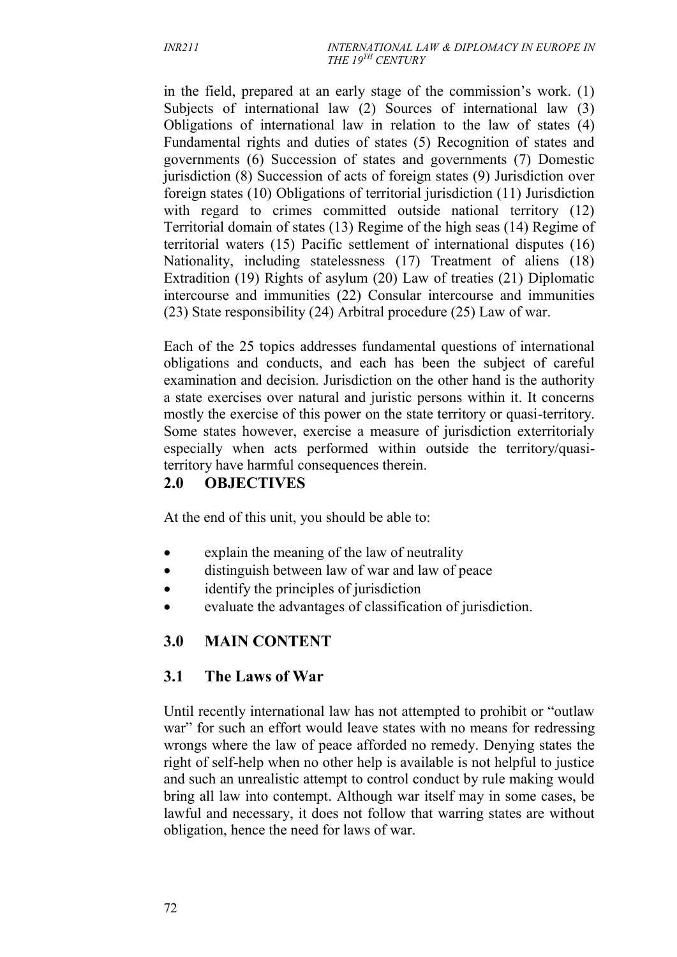in the field, prepared at an early stage of the commission's work. (1) Subjects of international law (2) Sources of international law (3) Obligations of international law in relation to the law of states (4) Fundamental rights and duties of states (5) Recognition of states and governments (6) Succession of states and governments (7) Domestic jurisdiction (8) Succession of acts of foreign states (9) Jurisdiction over foreign states (10) Obligations of territorial jurisdiction (11) Jurisdiction with regard to crimes committed outside national territory (12) Territorial domain of states (13) Regime of the high seas (14) Regime of territorial waters (15) Pacific settlement of international disputes (16) Nationality, including statelessness (17) Treatment of aliens (18) Extradition (19) Rights of asylum (20) Law of treaties (21) Diplomatic intercourse and immunities (22) Consular intercourse and immunities (23) State responsibility (24) Arbitral procedure (25) Law of war.

Each of the 25 topics addresses fundamental questions of international obligations and conducts, and each has been the subject of careful examination and decision. Jurisdiction on the other hand is the authority a state exercises over natural and juristic persons within it. It concerns mostly the exercise of this power on the state territory or quasi-territory. Some states however, exercise a measure of jurisdiction exterritorialy especially when acts performed within outside the territory/quasiterritory have harmful consequences therein.

### **2.0 OBJECTIVES**

At the end of this unit, you should be able to:

- explain the meaning of the law of neutrality
- distinguish between law of war and law of peace
- identify the principles of jurisdiction
- evaluate the advantages of classification of jurisdiction.

# **3.0 MAIN CONTENT**

## **3.1 The Laws of War**

Until recently international law has not attempted to prohibit or "outlaw war" for such an effort would leave states with no means for redressing wrongs where the law of peace afforded no remedy. Denying states the right of self-help when no other help is available is not helpful to justice and such an unrealistic attempt to control conduct by rule making would bring all law into contempt. Although war itself may in some cases, be lawful and necessary, it does not follow that warring states are without obligation, hence the need for laws of war.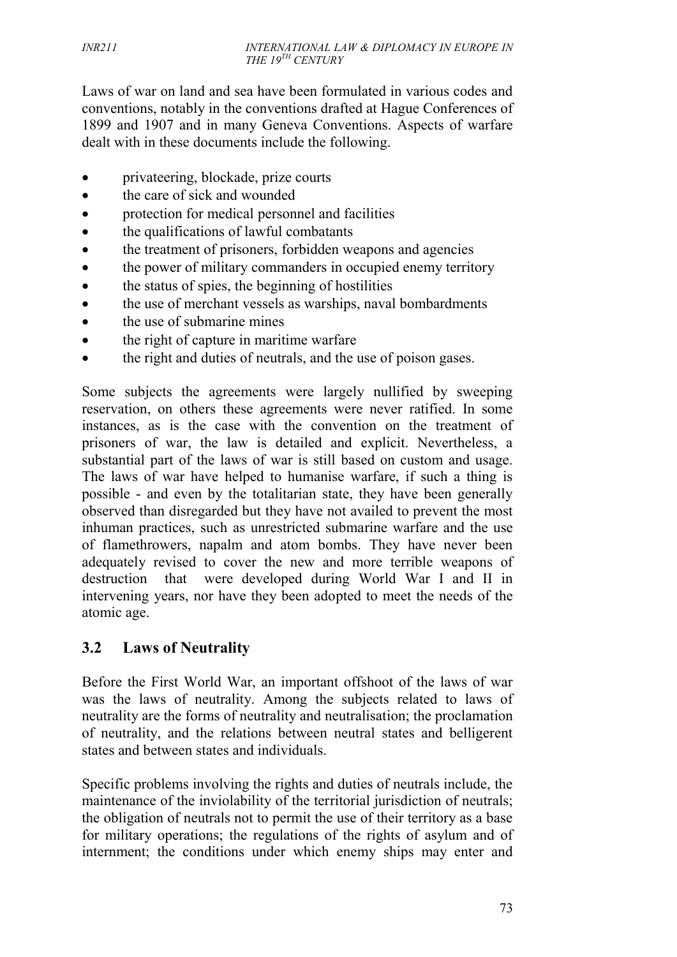Laws of war on land and sea have been formulated in various codes and conventions, notably in the conventions drafted at Hague Conferences of 1899 and 1907 and in many Geneva Conventions. Aspects of warfare dealt with in these documents include the following.

- privateering, blockade, prize courts
- the care of sick and wounded
- protection for medical personnel and facilities
- the qualifications of lawful combatants
- the treatment of prisoners, forbidden weapons and agencies
- the power of military commanders in occupied enemy territory
- the status of spies, the beginning of hostilities
- the use of merchant vessels as warships, naval bombardments
- the use of submarine mines
- the right of capture in maritime warfare
- the right and duties of neutrals, and the use of poison gases.

Some subjects the agreements were largely nullified by sweeping reservation, on others these agreements were never ratified. In some instances, as is the case with the convention on the treatment of prisoners of war, the law is detailed and explicit. Nevertheless, a substantial part of the laws of war is still based on custom and usage. The laws of war have helped to humanise warfare, if such a thing is possible - and even by the totalitarian state, they have been generally observed than disregarded but they have not availed to prevent the most inhuman practices, such as unrestricted submarine warfare and the use of flamethrowers, napalm and atom bombs. They have never been adequately revised to cover the new and more terrible weapons of destruction that were developed during World War I and II in intervening years, nor have they been adopted to meet the needs of the atomic age.

## **3.2 Laws of Neutrality**

Before the First World War, an important offshoot of the laws of war was the laws of neutrality. Among the subjects related to laws of neutrality are the forms of neutrality and neutralisation; the proclamation of neutrality, and the relations between neutral states and belligerent states and between states and individuals.

Specific problems involving the rights and duties of neutrals include, the maintenance of the inviolability of the territorial jurisdiction of neutrals; the obligation of neutrals not to permit the use of their territory as a base for military operations; the regulations of the rights of asylum and of internment; the conditions under which enemy ships may enter and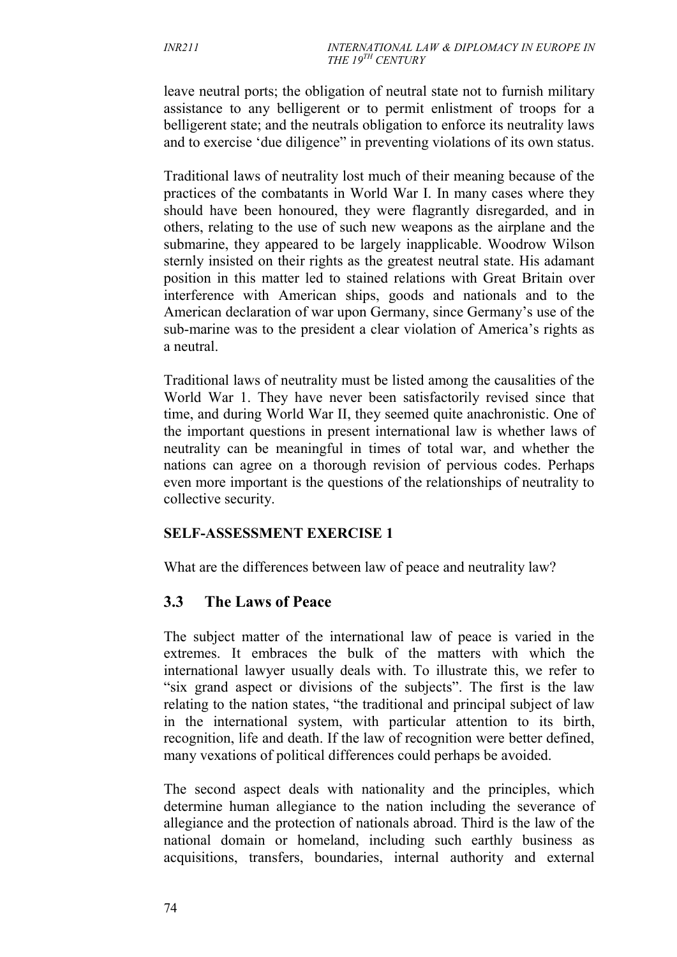leave neutral ports; the obligation of neutral state not to furnish military assistance to any belligerent or to permit enlistment of troops for a belligerent state; and the neutrals obligation to enforce its neutrality laws and to exercise 'due diligence" in preventing violations of its own status.

Traditional laws of neutrality lost much of their meaning because of the practices of the combatants in World War I. In many cases where they should have been honoured, they were flagrantly disregarded, and in others, relating to the use of such new weapons as the airplane and the submarine, they appeared to be largely inapplicable. Woodrow Wilson sternly insisted on their rights as the greatest neutral state. His adamant position in this matter led to stained relations with Great Britain over interference with American ships, goods and nationals and to the American declaration of war upon Germany, since Germany's use of the sub-marine was to the president a clear violation of America's rights as a neutral.

Traditional laws of neutrality must be listed among the causalities of the World War 1. They have never been satisfactorily revised since that time, and during World War II, they seemed quite anachronistic. One of the important questions in present international law is whether laws of neutrality can be meaningful in times of total war, and whether the nations can agree on a thorough revision of pervious codes. Perhaps even more important is the questions of the relationships of neutrality to collective security.

### **SELF-ASSESSMENT EXERCISE 1**

What are the differences between law of peace and neutrality law?

## **3.3 The Laws of Peace**

The subject matter of the international law of peace is varied in the extremes. It embraces the bulk of the matters with which the international lawyer usually deals with. To illustrate this, we refer to "six grand aspect or divisions of the subjects". The first is the law relating to the nation states, "the traditional and principal subject of law in the international system, with particular attention to its birth, recognition, life and death. If the law of recognition were better defined, many vexations of political differences could perhaps be avoided.

The second aspect deals with nationality and the principles, which determine human allegiance to the nation including the severance of allegiance and the protection of nationals abroad. Third is the law of the national domain or homeland, including such earthly business as acquisitions, transfers, boundaries, internal authority and external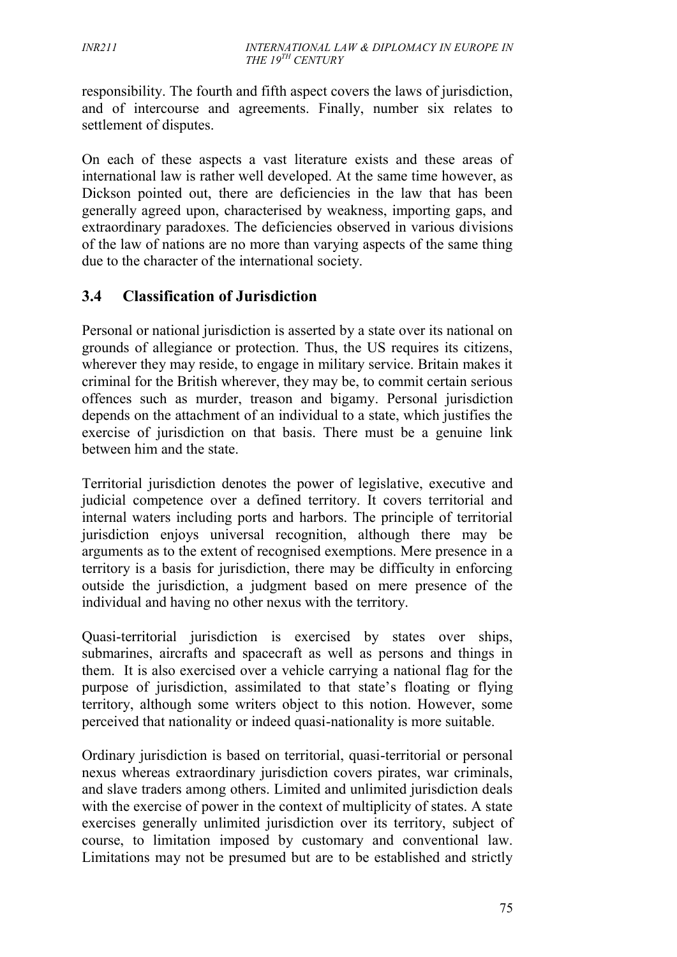responsibility. The fourth and fifth aspect covers the laws of jurisdiction, and of intercourse and agreements. Finally, number six relates to settlement of disputes.

On each of these aspects a vast literature exists and these areas of international law is rather well developed. At the same time however, as Dickson pointed out, there are deficiencies in the law that has been generally agreed upon, characterised by weakness, importing gaps, and extraordinary paradoxes. The deficiencies observed in various divisions of the law of nations are no more than varying aspects of the same thing due to the character of the international society.

## **3.4 Classification of Jurisdiction**

Personal or national jurisdiction is asserted by a state over its national on grounds of allegiance or protection. Thus, the US requires its citizens, wherever they may reside, to engage in military service. Britain makes it criminal for the British wherever, they may be, to commit certain serious offences such as murder, treason and bigamy. Personal jurisdiction depends on the attachment of an individual to a state, which justifies the exercise of jurisdiction on that basis. There must be a genuine link between him and the state.

Territorial jurisdiction denotes the power of legislative, executive and judicial competence over a defined territory. It covers territorial and internal waters including ports and harbors. The principle of territorial jurisdiction enjoys universal recognition, although there may be arguments as to the extent of recognised exemptions. Mere presence in a territory is a basis for jurisdiction, there may be difficulty in enforcing outside the jurisdiction, a judgment based on mere presence of the individual and having no other nexus with the territory.

Quasi-territorial jurisdiction is exercised by states over ships, submarines, aircrafts and spacecraft as well as persons and things in them. It is also exercised over a vehicle carrying a national flag for the purpose of jurisdiction, assimilated to that state's floating or flying territory, although some writers object to this notion. However, some perceived that nationality or indeed quasi-nationality is more suitable.

Ordinary jurisdiction is based on territorial, quasi-territorial or personal nexus whereas extraordinary jurisdiction covers pirates, war criminals, and slave traders among others. Limited and unlimited jurisdiction deals with the exercise of power in the context of multiplicity of states. A state exercises generally unlimited jurisdiction over its territory, subject of course, to limitation imposed by customary and conventional law. Limitations may not be presumed but are to be established and strictly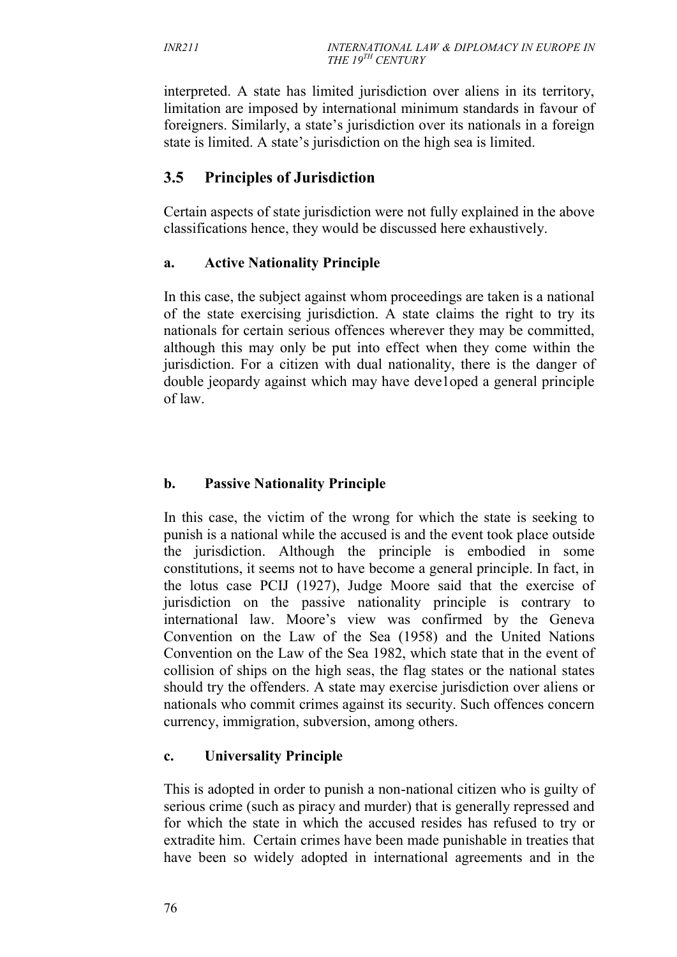interpreted. A state has limited jurisdiction over aliens in its territory, limitation are imposed by international minimum standards in favour of foreigners. Similarly, a state's jurisdiction over its nationals in a foreign state is limited. A state's jurisdiction on the high sea is limited.

# **3.5 Principles of Jurisdiction**

Certain aspects of state jurisdiction were not fully explained in the above classifications hence, they would be discussed here exhaustively.

### **a. Active Nationality Principle**

In this case, the subject against whom proceedings are taken is a national of the state exercising jurisdiction. A state claims the right to try its nationals for certain serious offences wherever they may be committed, although this may only be put into effect when they come within the jurisdiction. For a citizen with dual nationality, there is the danger of double jeopardy against which may have deve1oped a general principle of law.

## **b. Passive Nationality Principle**

In this case, the victim of the wrong for which the state is seeking to punish is a national while the accused is and the event took place outside the jurisdiction. Although the principle is embodied in some constitutions, it seems not to have become a general principle. In fact, in the lotus case PCIJ (1927), Judge Moore said that the exercise of jurisdiction on the passive nationality principle is contrary to international law. Moore's view was confirmed by the Geneva Convention on the Law of the Sea (1958) and the United Nations Convention on the Law of the Sea 1982, which state that in the event of collision of ships on the high seas, the flag states or the national states should try the offenders. A state may exercise jurisdiction over aliens or nationals who commit crimes against its security. Such offences concern currency, immigration, subversion, among others.

## **c. Universality Principle**

This is adopted in order to punish a non-national citizen who is guilty of serious crime (such as piracy and murder) that is generally repressed and for which the state in which the accused resides has refused to try or extradite him. Certain crimes have been made punishable in treaties that have been so widely adopted in international agreements and in the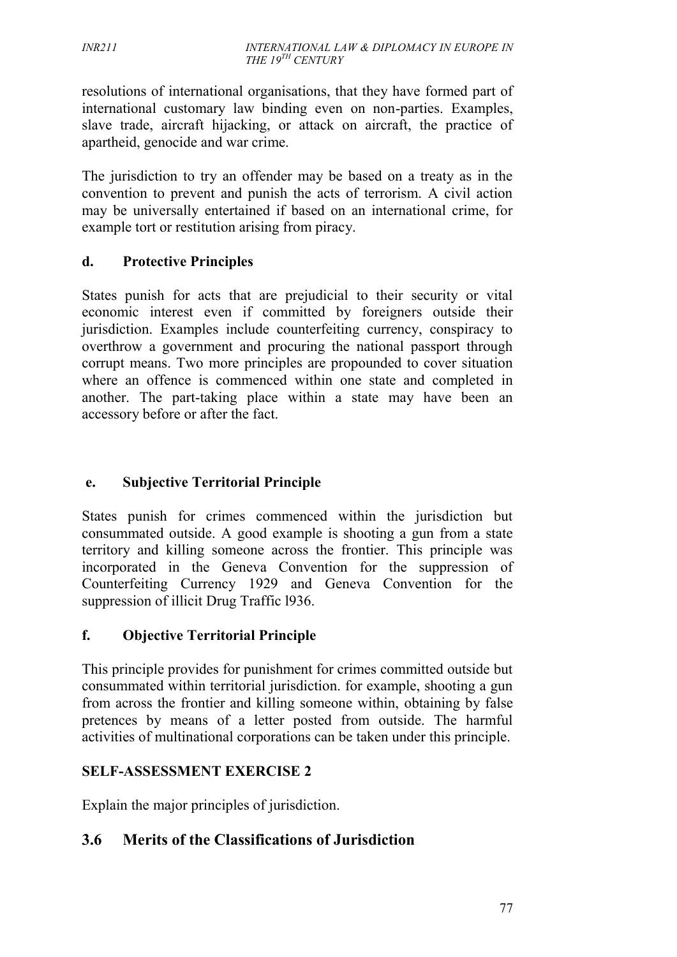resolutions of international organisations, that they have formed part of international customary law binding even on non-parties. Examples, slave trade, aircraft hijacking, or attack on aircraft, the practice of apartheid, genocide and war crime.

The jurisdiction to try an offender may be based on a treaty as in the convention to prevent and punish the acts of terrorism. A civil action may be universally entertained if based on an international crime, for example tort or restitution arising from piracy.

### **d. Protective Principles**

States punish for acts that are prejudicial to their security or vital economic interest even if committed by foreigners outside their jurisdiction. Examples include counterfeiting currency, conspiracy to overthrow a government and procuring the national passport through corrupt means. Two more principles are propounded to cover situation where an offence is commenced within one state and completed in another. The part-taking place within a state may have been an accessory before or after the fact.

### **e. Subjective Territorial Principle**

States punish for crimes commenced within the jurisdiction but consummated outside. A good example is shooting a gun from a state territory and killing someone across the frontier. This principle was incorporated in the Geneva Convention for the suppression of Counterfeiting Currency 1929 and Geneva Convention for the suppression of illicit Drug Traffic l936.

### **f. Objective Territorial Principle**

This principle provides for punishment for crimes committed outside but consummated within territorial jurisdiction. for example, shooting a gun from across the frontier and killing someone within, obtaining by false pretences by means of a letter posted from outside. The harmful activities of multinational corporations can be taken under this principle.

### **SELF-ASSESSMENT EXERCISE 2**

Explain the major principles of jurisdiction.

## **3.6 Merits of the Classifications of Jurisdiction**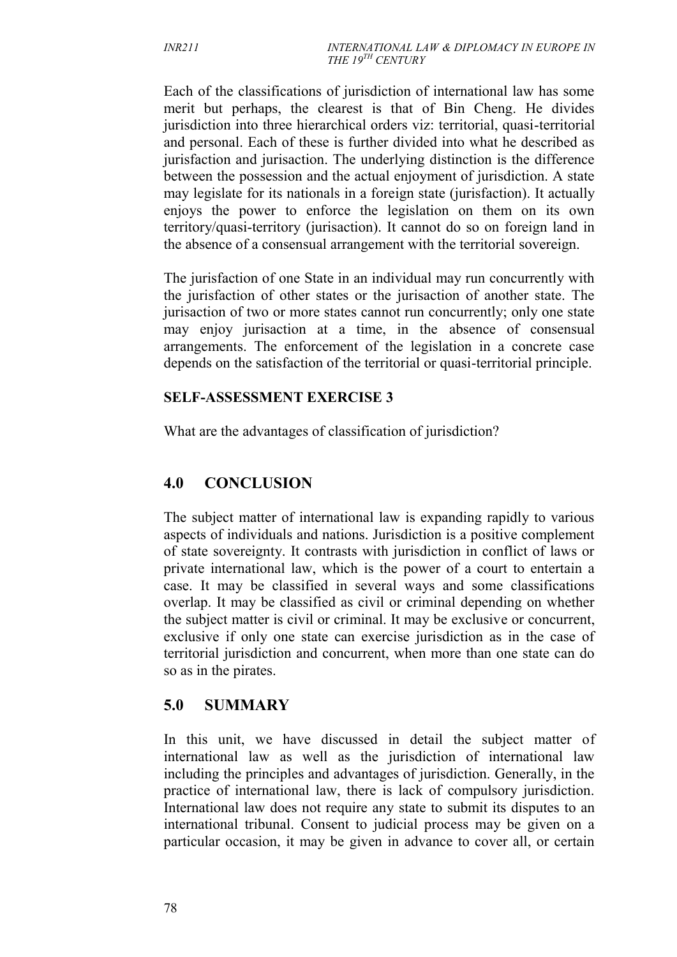Each of the classifications of jurisdiction of international law has some merit but perhaps, the clearest is that of Bin Cheng. He divides jurisdiction into three hierarchical orders viz: territorial, quasi-territorial and personal. Each of these is further divided into what he described as jurisfaction and jurisaction. The underlying distinction is the difference between the possession and the actual enjoyment of jurisdiction. A state may legislate for its nationals in a foreign state (jurisfaction). It actually enjoys the power to enforce the legislation on them on its own territory/quasi-territory (jurisaction). It cannot do so on foreign land in the absence of a consensual arrangement with the territorial sovereign.

The jurisfaction of one State in an individual may run concurrently with the jurisfaction of other states or the jurisaction of another state. The jurisaction of two or more states cannot run concurrently; only one state may enjoy jurisaction at a time, in the absence of consensual arrangements. The enforcement of the legislation in a concrete case depends on the satisfaction of the territorial or quasi-territorial principle.

## **SELF-ASSESSMENT EXERCISE 3**

What are the advantages of classification of jurisdiction?

# **4.0 CONCLUSION**

The subject matter of international law is expanding rapidly to various aspects of individuals and nations. Jurisdiction is a positive complement of state sovereignty. It contrasts with jurisdiction in conflict of laws or private international law, which is the power of a court to entertain a case. It may be classified in several ways and some classifications overlap. It may be classified as civil or criminal depending on whether the subject matter is civil or criminal. It may be exclusive or concurrent, exclusive if only one state can exercise jurisdiction as in the case of territorial jurisdiction and concurrent, when more than one state can do so as in the pirates.

## **5.0 SUMMARY**

In this unit, we have discussed in detail the subject matter of international law as well as the jurisdiction of international law including the principles and advantages of jurisdiction. Generally, in the practice of international law, there is lack of compulsory jurisdiction. International law does not require any state to submit its disputes to an international tribunal. Consent to judicial process may be given on a particular occasion, it may be given in advance to cover all, or certain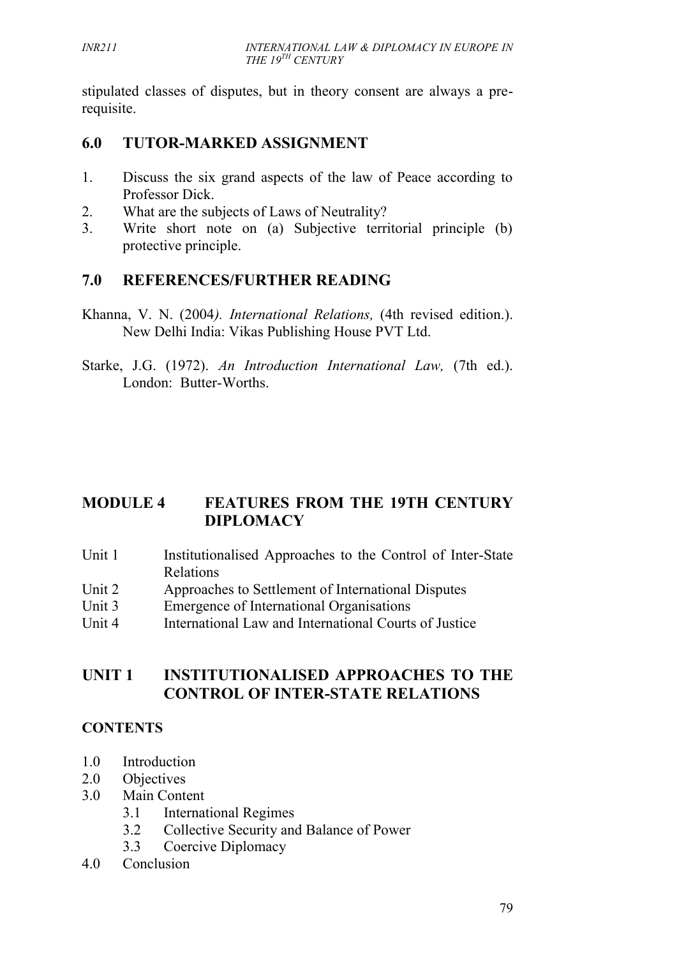stipulated classes of disputes, but in theory consent are always a prerequisite.

# **6.0 TUTOR-MARKED ASSIGNMENT**

- 1. Discuss the six grand aspects of the law of Peace according to Professor Dick.
- 2. What are the subjects of Laws of Neutrality?
- 3. Write short note on (a) Subjective territorial principle (b) protective principle.

# **7.0 REFERENCES/FURTHER READING**

- Khanna, V. N. (2004*). International Relations,* (4th revised edition.). New Delhi India: Vikas Publishing House PVT Ltd.
- Starke, J.G. (1972). *An Introduction International Law,* (7th ed.). London: Butter-Worths.

# **MODULE 4 FEATURES FROM THE 19TH CENTURY DIPLOMACY**

- Unit 1 Institutionalised Approaches to the Control of Inter-State Relations
- Unit 2 Approaches to Settlement of International Disputes
- Unit 3 Emergence of International Organisations
- Unit 4 International Law and International Courts of Justice

# **UNIT 1 INSTITUTIONALISED APPROACHES TO THE CONTROL OF INTER-STATE RELATIONS**

# **CONTENTS**

- 1.0 Introduction
- 2.0 Objectives
- 3.0 Main Content
	- 3.1 International Regimes
	- 3.2 Collective Security and Balance of Power
	- 3.3 Coercive Diplomacy
- 4.0 Conclusion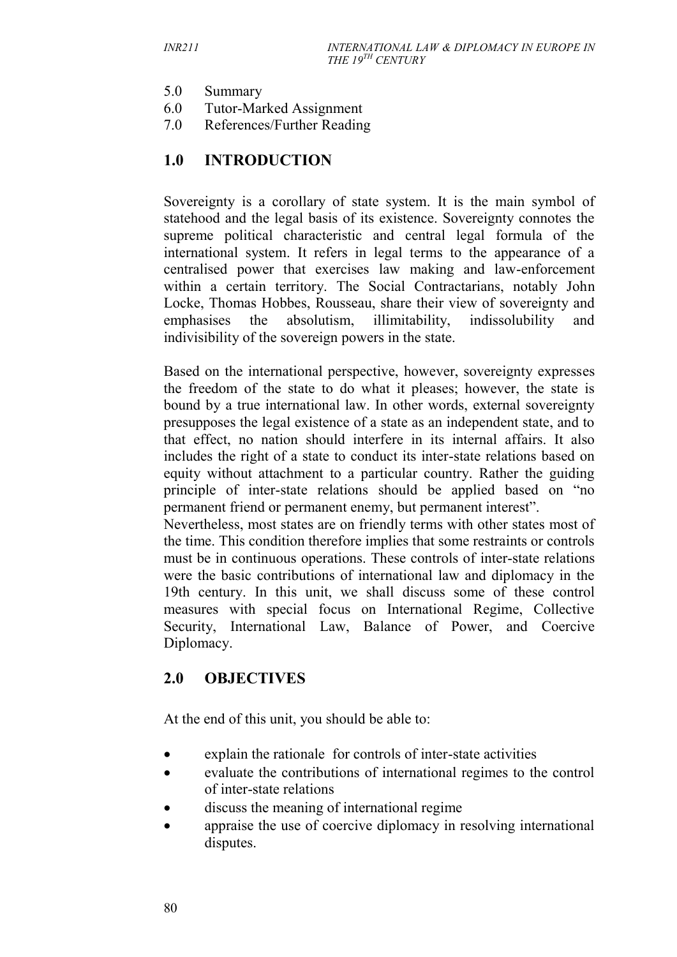- 5.0 Summary
- 6.0 Tutor-Marked Assignment
- 7.0 References/Further Reading

## **1.0 INTRODUCTION**

Sovereignty is a corollary of state system. It is the main symbol of statehood and the legal basis of its existence. Sovereignty connotes the supreme political characteristic and central legal formula of the international system. It refers in legal terms to the appearance of a centralised power that exercises law making and law-enforcement within a certain territory. The Social Contractarians, notably John Locke, Thomas Hobbes, Rousseau, share their view of sovereignty and emphasises the absolutism, illimitability, indissolubility and indivisibility of the sovereign powers in the state.

Based on the international perspective, however, sovereignty expresses the freedom of the state to do what it pleases; however, the state is bound by a true international law. In other words, external sovereignty presupposes the legal existence of a state as an independent state, and to that effect, no nation should interfere in its internal affairs. It also includes the right of a state to conduct its inter-state relations based on equity without attachment to a particular country. Rather the guiding principle of inter-state relations should be applied based on "no permanent friend or permanent enemy, but permanent interest".

Nevertheless, most states are on friendly terms with other states most of the time. This condition therefore implies that some restraints or controls must be in continuous operations. These controls of inter-state relations were the basic contributions of international law and diplomacy in the 19th century. In this unit, we shall discuss some of these control measures with special focus on International Regime, Collective Security, International Law, Balance of Power, and Coercive Diplomacy.

## **2.0 OBJECTIVES**

At the end of this unit, you should be able to:

- explain the rationale for controls of inter-state activities
- evaluate the contributions of international regimes to the control of inter-state relations
- discuss the meaning of international regime
- appraise the use of coercive diplomacy in resolving international disputes.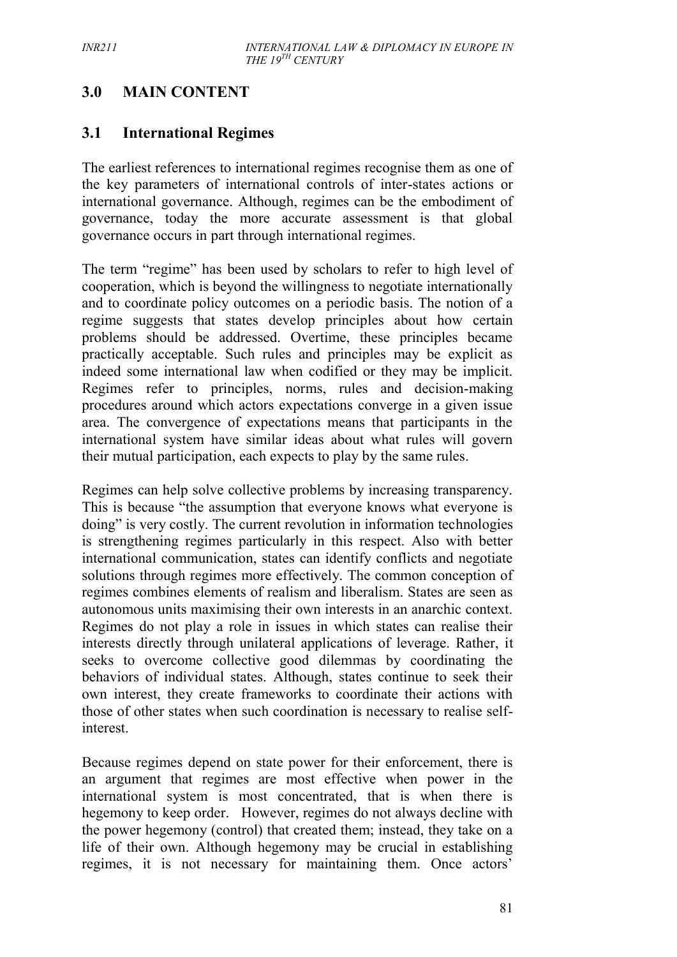# **3.0 MAIN CONTENT**

## **3.1 International Regimes**

The earliest references to international regimes recognise them as one of the key parameters of international controls of inter-states actions or international governance. Although, regimes can be the embodiment of governance, today the more accurate assessment is that global governance occurs in part through international regimes.

The term "regime" has been used by scholars to refer to high level of cooperation, which is beyond the willingness to negotiate internationally and to coordinate policy outcomes on a periodic basis. The notion of a regime suggests that states develop principles about how certain problems should be addressed. Overtime, these principles became practically acceptable. Such rules and principles may be explicit as indeed some international law when codified or they may be implicit. Regimes refer to principles, norms, rules and decision-making procedures around which actors expectations converge in a given issue area. The convergence of expectations means that participants in the international system have similar ideas about what rules will govern their mutual participation, each expects to play by the same rules.

Regimes can help solve collective problems by increasing transparency. This is because "the assumption that everyone knows what everyone is doing" is very costly. The current revolution in information technologies is strengthening regimes particularly in this respect. Also with better international communication, states can identify conflicts and negotiate solutions through regimes more effectively. The common conception of regimes combines elements of realism and liberalism. States are seen as autonomous units maximising their own interests in an anarchic context. Regimes do not play a role in issues in which states can realise their interests directly through unilateral applications of leverage. Rather, it seeks to overcome collective good dilemmas by coordinating the behaviors of individual states. Although, states continue to seek their own interest, they create frameworks to coordinate their actions with those of other states when such coordination is necessary to realise selfinterest.

Because regimes depend on state power for their enforcement, there is an argument that regimes are most effective when power in the international system is most concentrated, that is when there is hegemony to keep order. However, regimes do not always decline with the power hegemony (control) that created them; instead, they take on a life of their own. Although hegemony may be crucial in establishing regimes, it is not necessary for maintaining them. Once actors'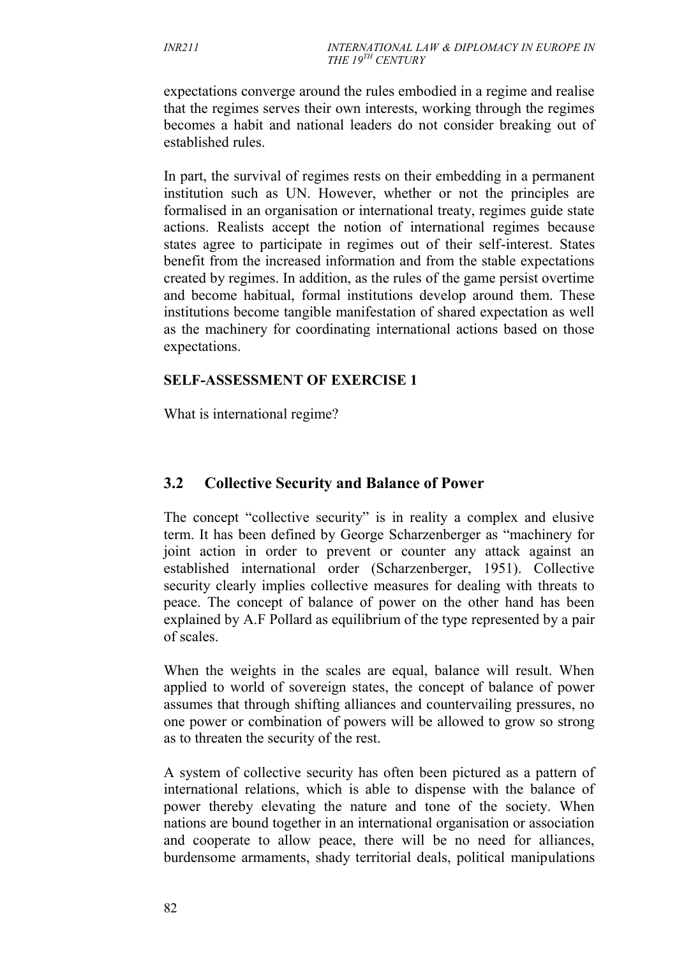expectations converge around the rules embodied in a regime and realise that the regimes serves their own interests, working through the regimes becomes a habit and national leaders do not consider breaking out of established rules.

In part, the survival of regimes rests on their embedding in a permanent institution such as UN. However, whether or not the principles are formalised in an organisation or international treaty, regimes guide state actions. Realists accept the notion of international regimes because states agree to participate in regimes out of their self-interest. States benefit from the increased information and from the stable expectations created by regimes. In addition, as the rules of the game persist overtime and become habitual, formal institutions develop around them. These institutions become tangible manifestation of shared expectation as well as the machinery for coordinating international actions based on those expectations.

#### **SELF-ASSESSMENT OF EXERCISE 1**

What is international regime?

## **3.2 Collective Security and Balance of Power**

The concept "collective security" is in reality a complex and elusive term. It has been defined by George Scharzenberger as "machinery for joint action in order to prevent or counter any attack against an established international order (Scharzenberger, 1951). Collective security clearly implies collective measures for dealing with threats to peace. The concept of balance of power on the other hand has been explained by A.F Pollard as equilibrium of the type represented by a pair of scales.

When the weights in the scales are equal, balance will result. When applied to world of sovereign states, the concept of balance of power assumes that through shifting alliances and countervailing pressures, no one power or combination of powers will be allowed to grow so strong as to threaten the security of the rest.

A system of collective security has often been pictured as a pattern of international relations, which is able to dispense with the balance of power thereby elevating the nature and tone of the society. When nations are bound together in an international organisation or association and cooperate to allow peace, there will be no need for alliances, burdensome armaments, shady territorial deals, political manipulations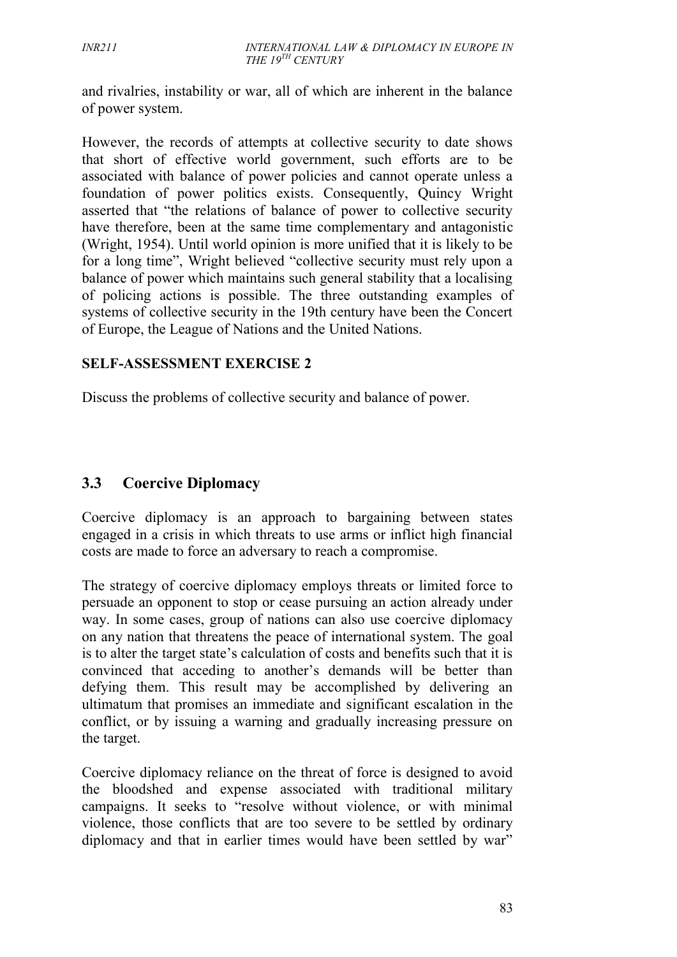and rivalries, instability or war, all of which are inherent in the balance of power system.

However, the records of attempts at collective security to date shows that short of effective world government, such efforts are to be associated with balance of power policies and cannot operate unless a foundation of power politics exists. Consequently, Quincy Wright asserted that "the relations of balance of power to collective security have therefore, been at the same time complementary and antagonistic (Wright, 1954). Until world opinion is more unified that it is likely to be for a long time", Wright believed "collective security must rely upon a balance of power which maintains such general stability that a localising of policing actions is possible. The three outstanding examples of systems of collective security in the 19th century have been the Concert of Europe, the League of Nations and the United Nations.

#### **SELF-ASSESSMENT EXERCISE 2**

Discuss the problems of collective security and balance of power.

## **3.3 Coercive Diplomacy**

Coercive diplomacy is an approach to bargaining between states engaged in a crisis in which threats to use arms or inflict high financial costs are made to force an adversary to reach a compromise.

The strategy of coercive diplomacy employs threats or limited force to persuade an opponent to stop or cease pursuing an action already under way. In some cases, group of nations can also use coercive diplomacy on any nation that threatens the peace of international system. The goal is to alter the target state's calculation of costs and benefits such that it is convinced that acceding to another's demands will be better than defying them. This result may be accomplished by delivering an ultimatum that promises an immediate and significant escalation in the conflict, or by issuing a warning and gradually increasing pressure on the target.

Coercive diplomacy reliance on the threat of force is designed to avoid the bloodshed and expense associated with traditional military campaigns. It seeks to "resolve without violence, or with minimal violence, those conflicts that are too severe to be settled by ordinary diplomacy and that in earlier times would have been settled by war"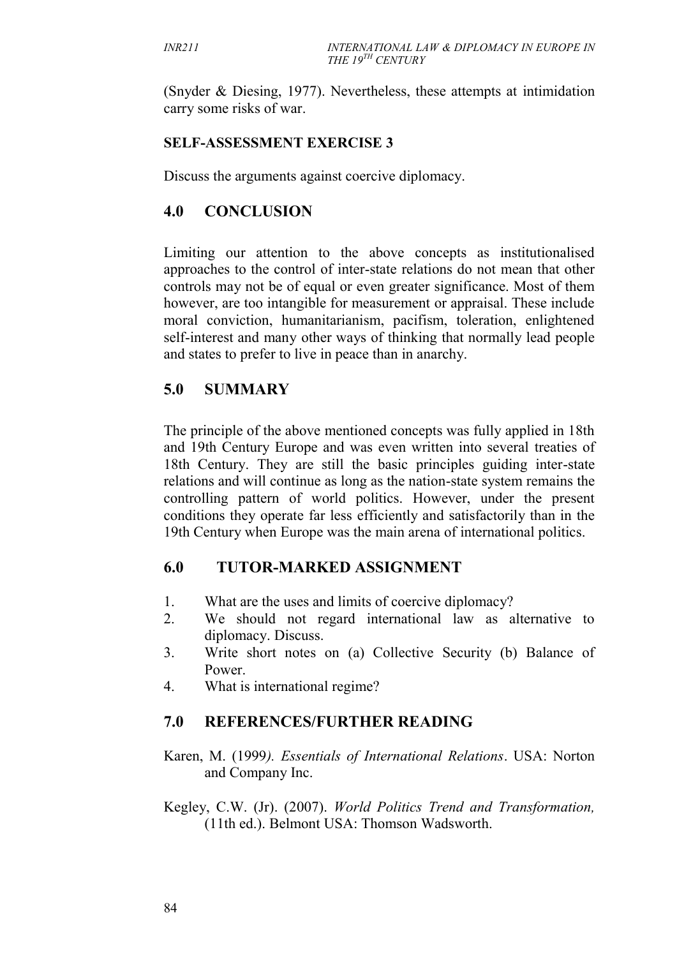(Snyder & Diesing, 1977). Nevertheless, these attempts at intimidation carry some risks of war.

#### **SELF-ASSESSMENT EXERCISE 3**

Discuss the arguments against coercive diplomacy.

### **4.0 CONCLUSION**

Limiting our attention to the above concepts as institutionalised approaches to the control of inter-state relations do not mean that other controls may not be of equal or even greater significance. Most of them however, are too intangible for measurement or appraisal. These include moral conviction, humanitarianism, pacifism, toleration, enlightened self-interest and many other ways of thinking that normally lead people and states to prefer to live in peace than in anarchy.

## **5.0 SUMMARY**

The principle of the above mentioned concepts was fully applied in 18th and 19th Century Europe and was even written into several treaties of 18th Century. They are still the basic principles guiding inter-state relations and will continue as long as the nation-state system remains the controlling pattern of world politics. However, under the present conditions they operate far less efficiently and satisfactorily than in the 19th Century when Europe was the main arena of international politics.

## **6.0 TUTOR-MARKED ASSIGNMENT**

- 1. What are the uses and limits of coercive diplomacy?
- 2. We should not regard international law as alternative to diplomacy. Discuss.
- 3. Write short notes on (a) Collective Security (b) Balance of Power.
- 4. What is international regime?

## **7.0 REFERENCES/FURTHER READING**

Karen, M. (1999*). Essentials of International Relations*. USA: Norton and Company Inc.

Kegley, C.W. (Jr). (2007). *World Politics Trend and Transformation,* (11th ed.). Belmont USA: Thomson Wadsworth.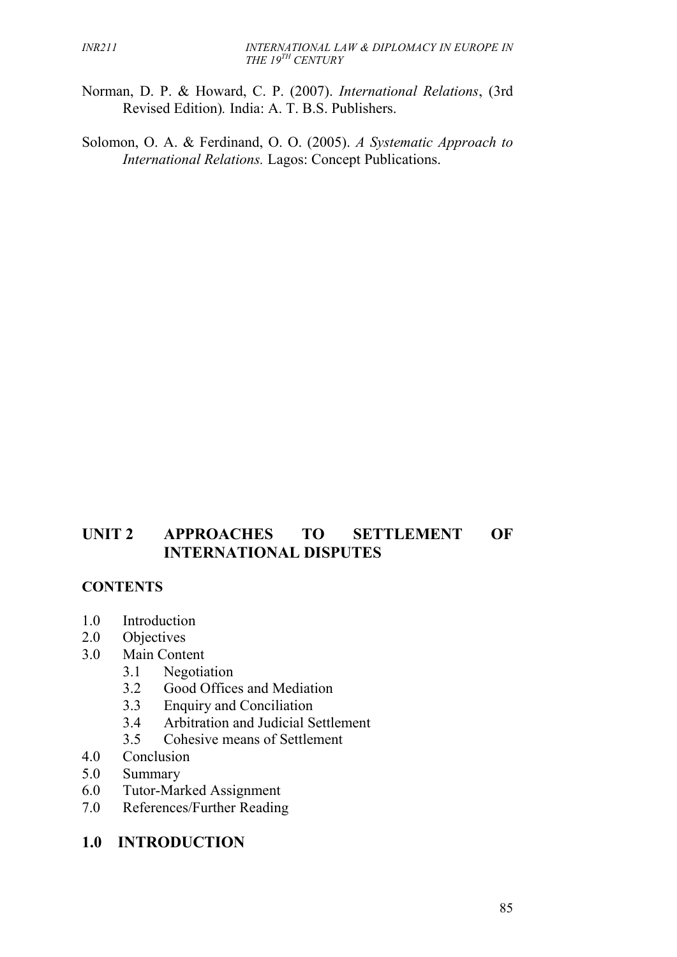- Norman, D. P. & Howard, C. P. (2007). *International Relations*, (3rd Revised Edition)*.* India: A. T. B.S. Publishers.
- Solomon, O. A. & Ferdinand, O. O. (2005). *A Systematic Approach to International Relations.* Lagos: Concept Publications.

## **UNIT 2 APPROACHES TO SETTLEMENT OF INTERNATIONAL DISPUTES**

### **CONTENTS**

- 1.0 Introduction
- 2.0 Objectives
- 3.0 Main Content
	- 3.1 Negotiation
	- 3.2 Good Offices and Mediation
	- 3.3 Enquiry and Conciliation
	- 3.4 Arbitration and Judicial Settlement
	- 3.5 Cohesive means of Settlement
- 4.0 Conclusion
- 5.0 Summary
- 6.0 Tutor-Marked Assignment
- 7.0 References/Further Reading
- **1.0 INTRODUCTION**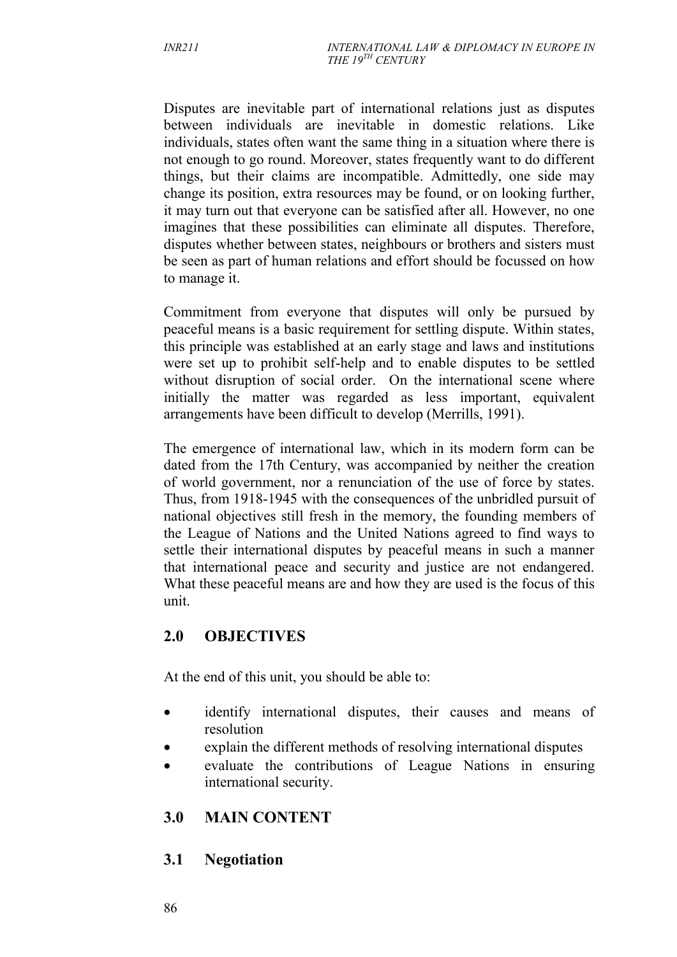Disputes are inevitable part of international relations just as disputes between individuals are inevitable in domestic relations. Like individuals, states often want the same thing in a situation where there is not enough to go round. Moreover, states frequently want to do different things, but their claims are incompatible. Admittedly, one side may change its position, extra resources may be found, or on looking further, it may turn out that everyone can be satisfied after all. However, no one imagines that these possibilities can eliminate all disputes. Therefore, disputes whether between states, neighbours or brothers and sisters must be seen as part of human relations and effort should be focussed on how to manage it.

Commitment from everyone that disputes will only be pursued by peaceful means is a basic requirement for settling dispute. Within states, this principle was established at an early stage and laws and institutions were set up to prohibit self-help and to enable disputes to be settled without disruption of social order. On the international scene where initially the matter was regarded as less important, equivalent arrangements have been difficult to develop (Merrills, 1991).

The emergence of international law, which in its modern form can be dated from the 17th Century, was accompanied by neither the creation of world government, nor a renunciation of the use of force by states. Thus, from 1918-1945 with the consequences of the unbridled pursuit of national objectives still fresh in the memory, the founding members of the League of Nations and the United Nations agreed to find ways to settle their international disputes by peaceful means in such a manner that international peace and security and justice are not endangered. What these peaceful means are and how they are used is the focus of this unit.

## **2.0 OBJECTIVES**

At the end of this unit, you should be able to:

- identify international disputes, their causes and means of resolution
- explain the different methods of resolving international disputes
- evaluate the contributions of League Nations in ensuring international security.

## **3.0 MAIN CONTENT**

## **3.1 Negotiation**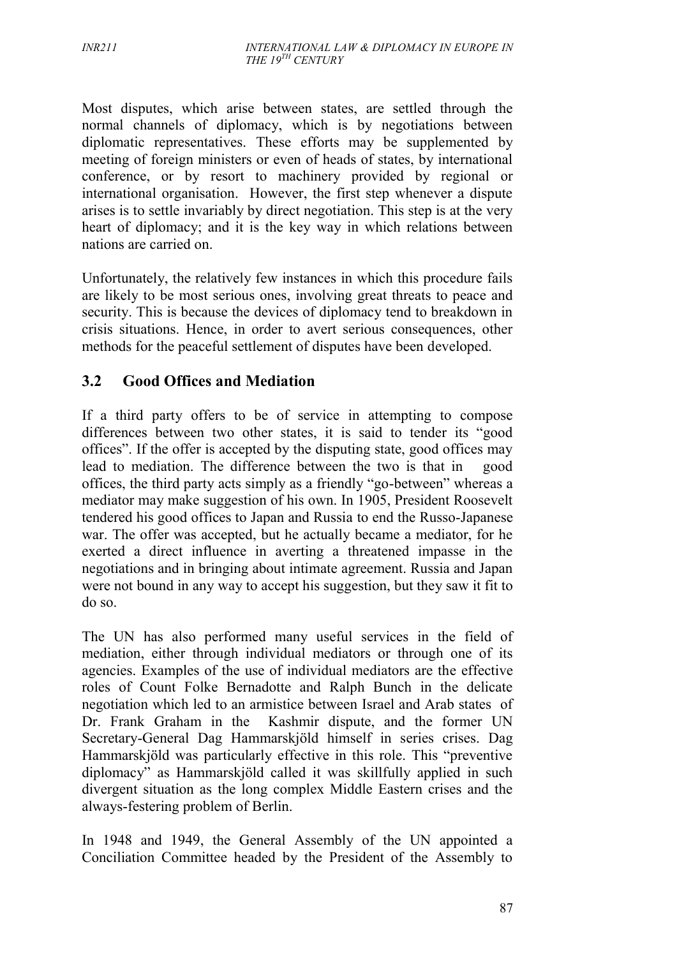Most disputes, which arise between states, are settled through the normal channels of diplomacy, which is by negotiations between diplomatic representatives. These efforts may be supplemented by meeting of foreign ministers or even of heads of states, by international conference, or by resort to machinery provided by regional or international organisation. However, the first step whenever a dispute arises is to settle invariably by direct negotiation. This step is at the very heart of diplomacy; and it is the key way in which relations between nations are carried on.

Unfortunately, the relatively few instances in which this procedure fails are likely to be most serious ones, involving great threats to peace and security. This is because the devices of diplomacy tend to breakdown in crisis situations. Hence, in order to avert serious consequences, other methods for the peaceful settlement of disputes have been developed.

## **3.2 Good Offices and Mediation**

If a third party offers to be of service in attempting to compose differences between two other states, it is said to tender its "good offices". If the offer is accepted by the disputing state, good offices may lead to mediation. The difference between the two is that in good offices, the third party acts simply as a friendly "go-between" whereas a mediator may make suggestion of his own. In 1905, President Roosevelt tendered his good offices to Japan and Russia to end the Russo-Japanese war. The offer was accepted, but he actually became a mediator, for he exerted a direct influence in averting a threatened impasse in the negotiations and in bringing about intimate agreement. Russia and Japan were not bound in any way to accept his suggestion, but they saw it fit to do so.

The UN has also performed many useful services in the field of mediation, either through individual mediators or through one of its agencies. Examples of the use of individual mediators are the effective roles of Count Folke Bernadotte and Ralph Bunch in the delicate negotiation which led to an armistice between Israel and Arab states of Dr. Frank Graham in the Kashmir dispute, and the former UN Secretary-General Dag Hammarskjöld himself in series crises. Dag Hammarskjöld was particularly effective in this role. This "preventive diplomacy" as Hammarskjöld called it was skillfully applied in such divergent situation as the long complex Middle Eastern crises and the always-festering problem of Berlin.

In 1948 and 1949, the General Assembly of the UN appointed a Conciliation Committee headed by the President of the Assembly to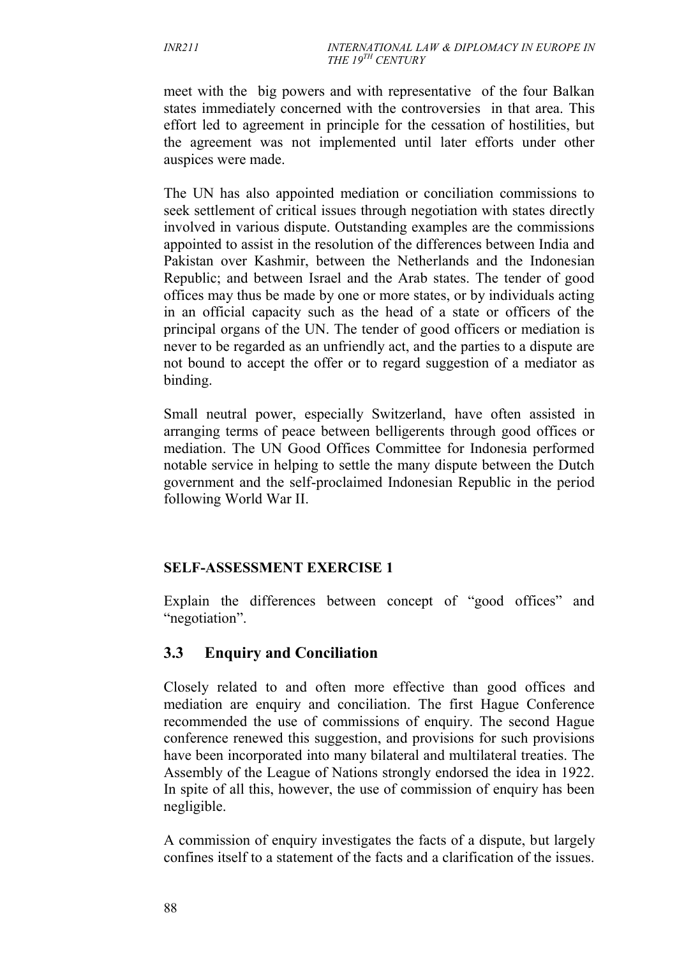meet with the big powers and with representative of the four Balkan states immediately concerned with the controversies in that area. This effort led to agreement in principle for the cessation of hostilities, but the agreement was not implemented until later efforts under other auspices were made.

The UN has also appointed mediation or conciliation commissions to seek settlement of critical issues through negotiation with states directly involved in various dispute. Outstanding examples are the commissions appointed to assist in the resolution of the differences between India and Pakistan over Kashmir, between the Netherlands and the Indonesian Republic; and between Israel and the Arab states. The tender of good offices may thus be made by one or more states, or by individuals acting in an official capacity such as the head of a state or officers of the principal organs of the UN. The tender of good officers or mediation is never to be regarded as an unfriendly act, and the parties to a dispute are not bound to accept the offer or to regard suggestion of a mediator as binding.

Small neutral power, especially Switzerland, have often assisted in arranging terms of peace between belligerents through good offices or mediation. The UN Good Offices Committee for Indonesia performed notable service in helping to settle the many dispute between the Dutch government and the self-proclaimed Indonesian Republic in the period following World War II.

### **SELF-ASSESSMENT EXERCISE 1**

Explain the differences between concept of "good offices" and "negotiation".

# **3.3 Enquiry and Conciliation**

Closely related to and often more effective than good offices and mediation are enquiry and conciliation. The first Hague Conference recommended the use of commissions of enquiry. The second Hague conference renewed this suggestion, and provisions for such provisions have been incorporated into many bilateral and multilateral treaties. The Assembly of the League of Nations strongly endorsed the idea in 1922. In spite of all this, however, the use of commission of enquiry has been negligible.

A commission of enquiry investigates the facts of a dispute, but largely confines itself to a statement of the facts and a clarification of the issues.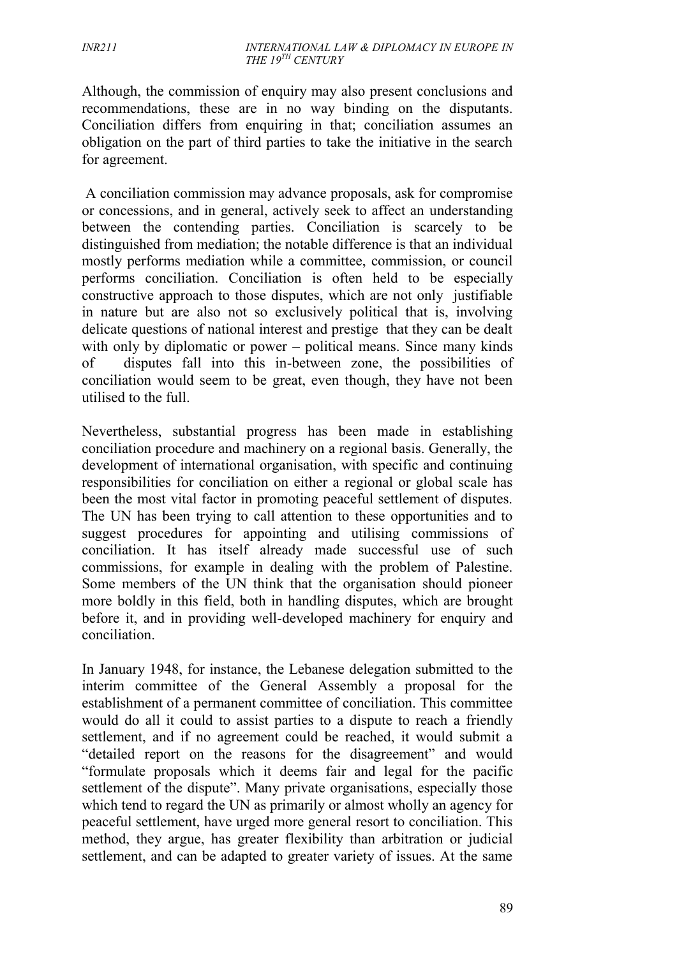Although, the commission of enquiry may also present conclusions and recommendations, these are in no way binding on the disputants. Conciliation differs from enquiring in that; conciliation assumes an obligation on the part of third parties to take the initiative in the search for agreement.

A conciliation commission may advance proposals, ask for compromise or concessions, and in general, actively seek to affect an understanding between the contending parties. Conciliation is scarcely to be distinguished from mediation; the notable difference is that an individual mostly performs mediation while a committee, commission, or council performs conciliation. Conciliation is often held to be especially constructive approach to those disputes, which are not only justifiable in nature but are also not so exclusively political that is, involving delicate questions of national interest and prestige that they can be dealt with only by diplomatic or power – political means. Since many kinds of disputes fall into this in-between zone, the possibilities of conciliation would seem to be great, even though, they have not been utilised to the full.

Nevertheless, substantial progress has been made in establishing conciliation procedure and machinery on a regional basis. Generally, the development of international organisation, with specific and continuing responsibilities for conciliation on either a regional or global scale has been the most vital factor in promoting peaceful settlement of disputes. The UN has been trying to call attention to these opportunities and to suggest procedures for appointing and utilising commissions of conciliation. It has itself already made successful use of such commissions, for example in dealing with the problem of Palestine. Some members of the UN think that the organisation should pioneer more boldly in this field, both in handling disputes, which are brought before it, and in providing well-developed machinery for enquiry and conciliation.

In January 1948, for instance, the Lebanese delegation submitted to the interim committee of the General Assembly a proposal for the establishment of a permanent committee of conciliation. This committee would do all it could to assist parties to a dispute to reach a friendly settlement, and if no agreement could be reached, it would submit a "detailed report on the reasons for the disagreement" and would "formulate proposals which it deems fair and legal for the pacific settlement of the dispute". Many private organisations, especially those which tend to regard the UN as primarily or almost wholly an agency for peaceful settlement, have urged more general resort to conciliation. This method, they argue, has greater flexibility than arbitration or judicial settlement, and can be adapted to greater variety of issues. At the same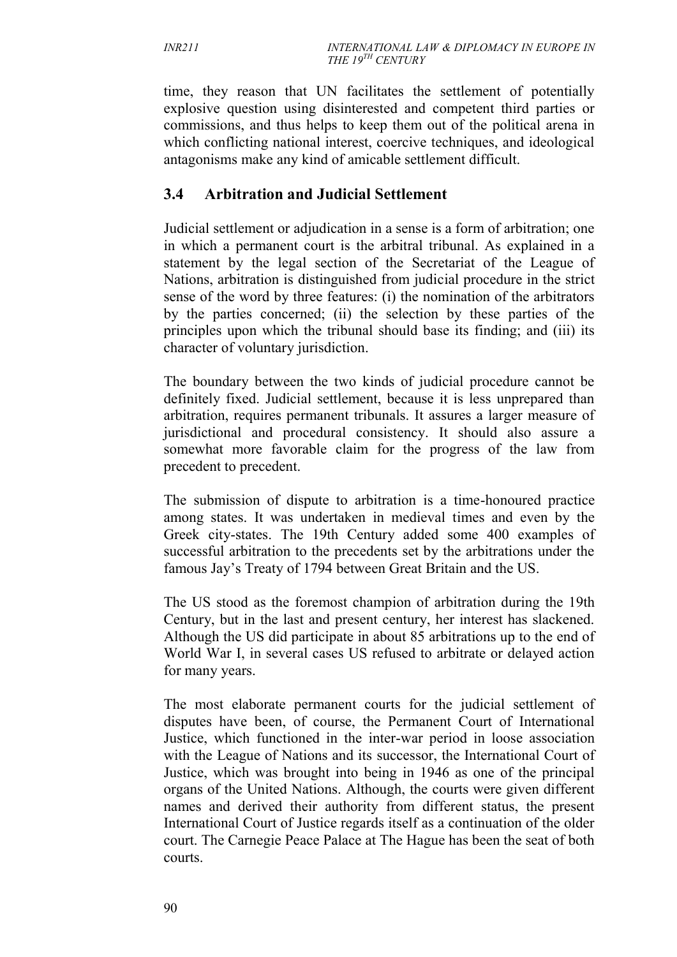time, they reason that UN facilitates the settlement of potentially explosive question using disinterested and competent third parties or commissions, and thus helps to keep them out of the political arena in which conflicting national interest, coercive techniques, and ideological antagonisms make any kind of amicable settlement difficult.

# **3.4 Arbitration and Judicial Settlement**

Judicial settlement or adjudication in a sense is a form of arbitration; one in which a permanent court is the arbitral tribunal. As explained in a statement by the legal section of the Secretariat of the League of Nations, arbitration is distinguished from judicial procedure in the strict sense of the word by three features: (i) the nomination of the arbitrators by the parties concerned; (ii) the selection by these parties of the principles upon which the tribunal should base its finding; and (iii) its character of voluntary jurisdiction.

The boundary between the two kinds of judicial procedure cannot be definitely fixed. Judicial settlement, because it is less unprepared than arbitration, requires permanent tribunals. It assures a larger measure of jurisdictional and procedural consistency. It should also assure a somewhat more favorable claim for the progress of the law from precedent to precedent.

The submission of dispute to arbitration is a time-honoured practice among states. It was undertaken in medieval times and even by the Greek city-states. The 19th Century added some 400 examples of successful arbitration to the precedents set by the arbitrations under the famous Jay's Treaty of 1794 between Great Britain and the US.

The US stood as the foremost champion of arbitration during the 19th Century, but in the last and present century, her interest has slackened. Although the US did participate in about 85 arbitrations up to the end of World War I, in several cases US refused to arbitrate or delayed action for many years.

The most elaborate permanent courts for the judicial settlement of disputes have been, of course, the Permanent Court of International Justice, which functioned in the inter-war period in loose association with the League of Nations and its successor, the International Court of Justice, which was brought into being in 1946 as one of the principal organs of the United Nations. Although, the courts were given different names and derived their authority from different status, the present International Court of Justice regards itself as a continuation of the older court. The Carnegie Peace Palace at The Hague has been the seat of both courts.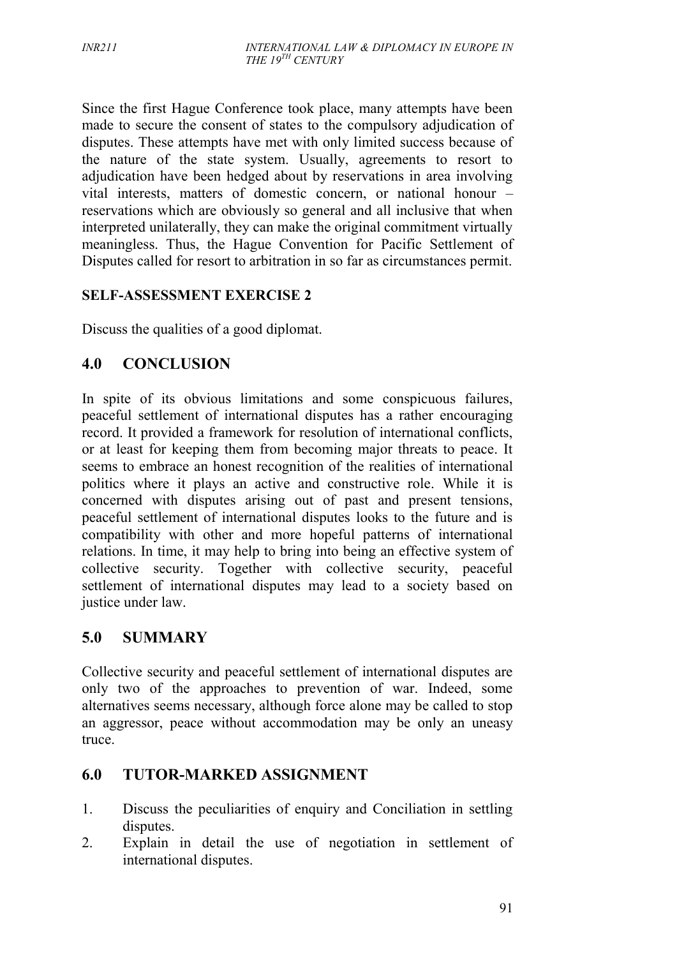Since the first Hague Conference took place, many attempts have been made to secure the consent of states to the compulsory adjudication of disputes. These attempts have met with only limited success because of the nature of the state system. Usually, agreements to resort to adjudication have been hedged about by reservations in area involving vital interests, matters of domestic concern, or national honour – reservations which are obviously so general and all inclusive that when interpreted unilaterally, they can make the original commitment virtually meaningless. Thus, the Hague Convention for Pacific Settlement of Disputes called for resort to arbitration in so far as circumstances permit.

### **SELF-ASSESSMENT EXERCISE 2**

Discuss the qualities of a good diplomat.

# **4.0 CONCLUSION**

In spite of its obvious limitations and some conspicuous failures, peaceful settlement of international disputes has a rather encouraging record. It provided a framework for resolution of international conflicts, or at least for keeping them from becoming major threats to peace. It seems to embrace an honest recognition of the realities of international politics where it plays an active and constructive role. While it is concerned with disputes arising out of past and present tensions, peaceful settlement of international disputes looks to the future and is compatibility with other and more hopeful patterns of international relations. In time, it may help to bring into being an effective system of collective security. Together with collective security, peaceful settlement of international disputes may lead to a society based on justice under law.

## **5.0 SUMMARY**

Collective security and peaceful settlement of international disputes are only two of the approaches to prevention of war. Indeed, some alternatives seems necessary, although force alone may be called to stop an aggressor, peace without accommodation may be only an uneasy truce.

## **6.0 TUTOR-MARKED ASSIGNMENT**

- 1. Discuss the peculiarities of enquiry and Conciliation in settling disputes.
- 2. Explain in detail the use of negotiation in settlement of international disputes.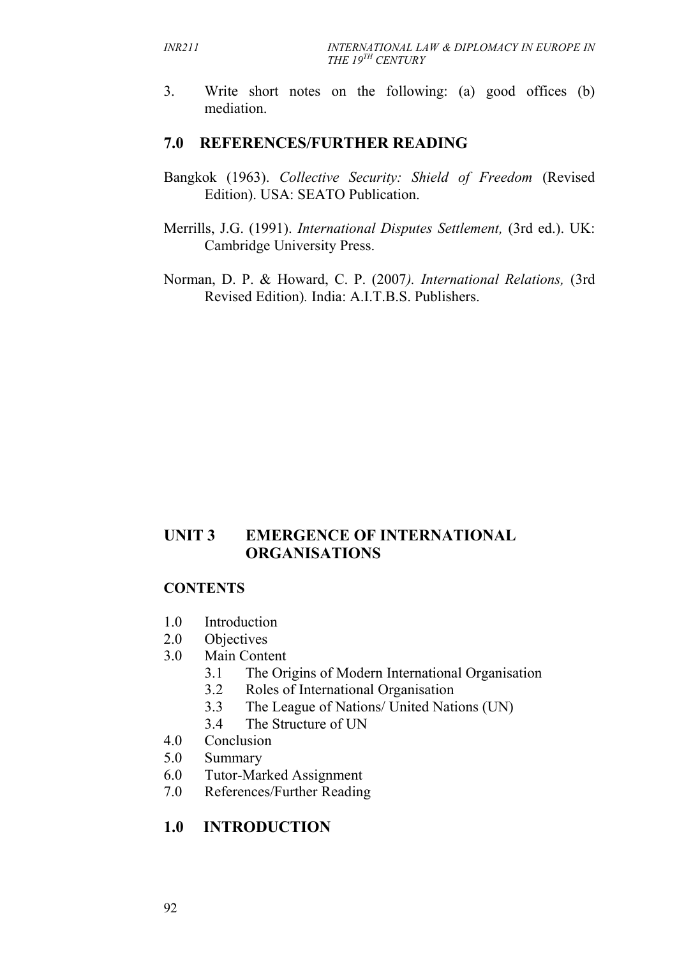3. Write short notes on the following: (a) good offices (b) mediation.

#### **7.0 REFERENCES/FURTHER READING**

- Bangkok (1963). *Collective Security: Shield of Freedom* (Revised Edition). USA: SEATO Publication.
- Merrills, J.G. (1991). *International Disputes Settlement,* (3rd ed.). UK: Cambridge University Press.
- Norman, D. P. & Howard, C. P. (2007*). International Relations,* (3rd Revised Edition)*.* India: A.I.T.B.S. Publishers.

## **UNIT 3 EMERGENCE OF INTERNATIONAL ORGANISATIONS**

#### **CONTENTS**

- 1.0 Introduction
- 2.0 Objectives
- 3.0 Main Content
	- 3.1 The Origins of Modern International Organisation
	- 3.2 Roles of International Organisation
	- 3.3 The League of Nations/ United Nations (UN)
	- 3.4 The Structure of UN
- 4.0 Conclusion
- 5.0 Summary
- 6.0 Tutor-Marked Assignment
- 7.0 References/Further Reading

### **1.0 INTRODUCTION**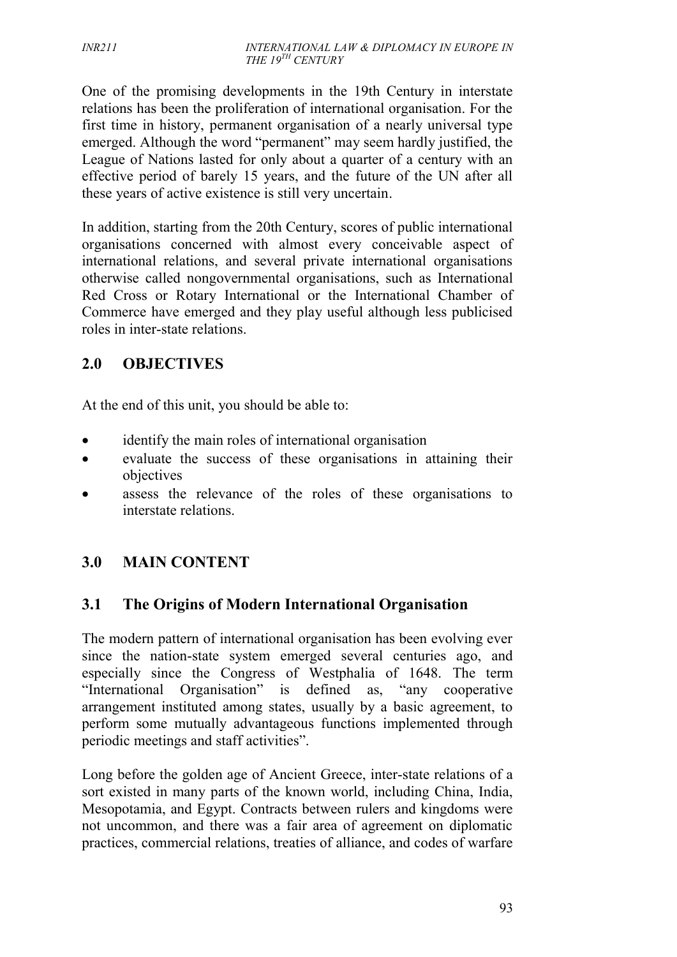One of the promising developments in the 19th Century in interstate relations has been the proliferation of international organisation. For the first time in history, permanent organisation of a nearly universal type emerged. Although the word "permanent" may seem hardly justified, the League of Nations lasted for only about a quarter of a century with an effective period of barely 15 years, and the future of the UN after all these years of active existence is still very uncertain.

In addition, starting from the 20th Century, scores of public international organisations concerned with almost every conceivable aspect of international relations, and several private international organisations otherwise called nongovernmental organisations, such as International Red Cross or Rotary International or the International Chamber of Commerce have emerged and they play useful although less publicised roles in inter-state relations.

# **2.0 OBJECTIVES**

At the end of this unit, you should be able to:

- identify the main roles of international organisation
- evaluate the success of these organisations in attaining their objectives
- assess the relevance of the roles of these organisations to interstate relations.

# **3.0 MAIN CONTENT**

# **3.1 The Origins of Modern International Organisation**

The modern pattern of international organisation has been evolving ever since the nation-state system emerged several centuries ago, and especially since the Congress of Westphalia of 1648. The term "International Organisation" is defined as, "any cooperative arrangement instituted among states, usually by a basic agreement, to perform some mutually advantageous functions implemented through periodic meetings and staff activities".

Long before the golden age of Ancient Greece, inter-state relations of a sort existed in many parts of the known world, including China, India, Mesopotamia, and Egypt. Contracts between rulers and kingdoms were not uncommon, and there was a fair area of agreement on diplomatic practices, commercial relations, treaties of alliance, and codes of warfare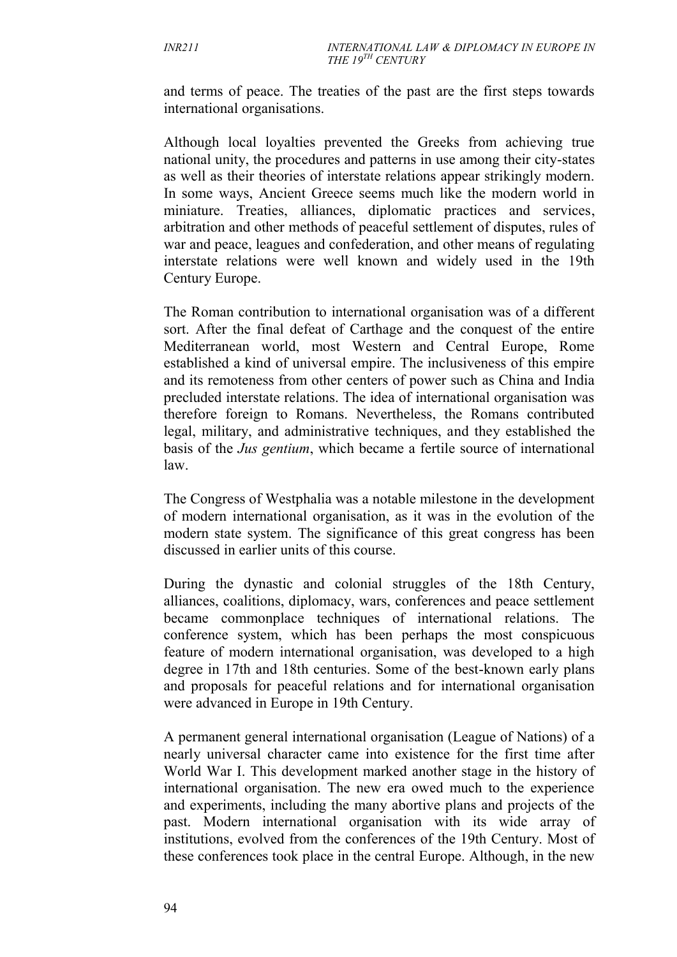and terms of peace. The treaties of the past are the first steps towards international organisations.

Although local loyalties prevented the Greeks from achieving true national unity, the procedures and patterns in use among their city-states as well as their theories of interstate relations appear strikingly modern. In some ways, Ancient Greece seems much like the modern world in miniature. Treaties, alliances, diplomatic practices and services, arbitration and other methods of peaceful settlement of disputes, rules of war and peace, leagues and confederation, and other means of regulating interstate relations were well known and widely used in the 19th Century Europe.

The Roman contribution to international organisation was of a different sort. After the final defeat of Carthage and the conquest of the entire Mediterranean world, most Western and Central Europe, Rome established a kind of universal empire. The inclusiveness of this empire and its remoteness from other centers of power such as China and India precluded interstate relations. The idea of international organisation was therefore foreign to Romans. Nevertheless, the Romans contributed legal, military, and administrative techniques, and they established the basis of the *Jus gentium*, which became a fertile source of international law.

The Congress of Westphalia was a notable milestone in the development of modern international organisation, as it was in the evolution of the modern state system. The significance of this great congress has been discussed in earlier units of this course.

During the dynastic and colonial struggles of the 18th Century, alliances, coalitions, diplomacy, wars, conferences and peace settlement became commonplace techniques of international relations. The conference system, which has been perhaps the most conspicuous feature of modern international organisation, was developed to a high degree in 17th and 18th centuries. Some of the best-known early plans and proposals for peaceful relations and for international organisation were advanced in Europe in 19th Century.

A permanent general international organisation (League of Nations) of a nearly universal character came into existence for the first time after World War I. This development marked another stage in the history of international organisation. The new era owed much to the experience and experiments, including the many abortive plans and projects of the past. Modern international organisation with its wide array of institutions, evolved from the conferences of the 19th Century. Most of these conferences took place in the central Europe. Although, in the new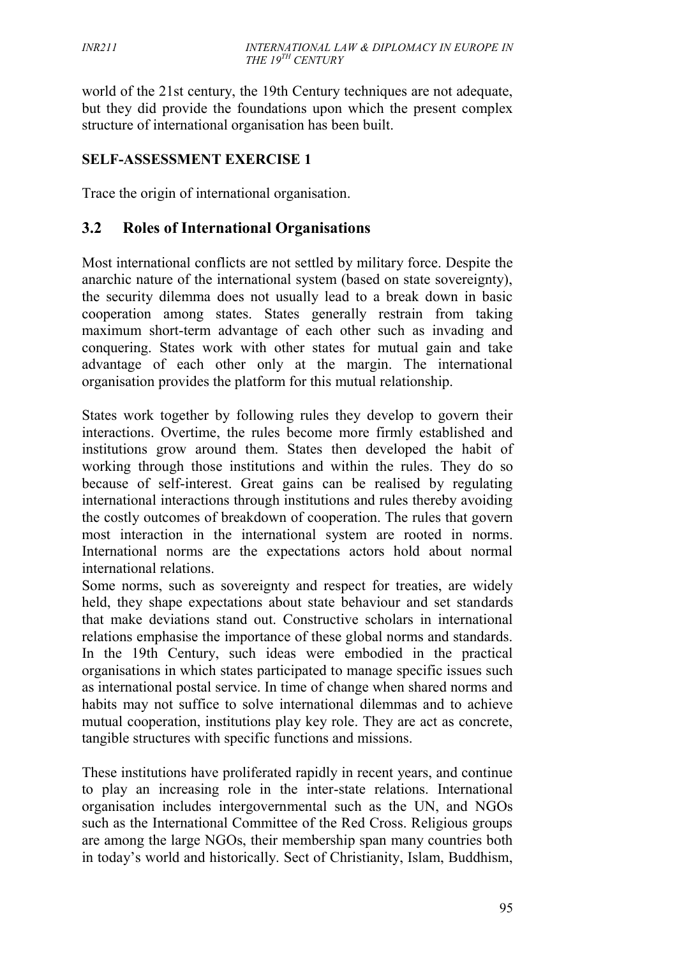world of the 21st century, the 19th Century techniques are not adequate, but they did provide the foundations upon which the present complex structure of international organisation has been built.

#### **SELF-ASSESSMENT EXERCISE 1**

Trace the origin of international organisation.

#### **3.2 Roles of International Organisations**

Most international conflicts are not settled by military force. Despite the anarchic nature of the international system (based on state sovereignty), the security dilemma does not usually lead to a break down in basic cooperation among states. States generally restrain from taking maximum short-term advantage of each other such as invading and conquering. States work with other states for mutual gain and take advantage of each other only at the margin. The international organisation provides the platform for this mutual relationship.

States work together by following rules they develop to govern their interactions. Overtime, the rules become more firmly established and institutions grow around them. States then developed the habit of working through those institutions and within the rules. They do so because of self-interest. Great gains can be realised by regulating international interactions through institutions and rules thereby avoiding the costly outcomes of breakdown of cooperation. The rules that govern most interaction in the international system are rooted in norms. International norms are the expectations actors hold about normal international relations.

Some norms, such as sovereignty and respect for treaties, are widely held, they shape expectations about state behaviour and set standards that make deviations stand out. Constructive scholars in international relations emphasise the importance of these global norms and standards. In the 19th Century, such ideas were embodied in the practical organisations in which states participated to manage specific issues such as international postal service. In time of change when shared norms and habits may not suffice to solve international dilemmas and to achieve mutual cooperation, institutions play key role. They are act as concrete, tangible structures with specific functions and missions.

These institutions have proliferated rapidly in recent years, and continue to play an increasing role in the inter-state relations. International organisation includes intergovernmental such as the UN, and NGOs such as the International Committee of the Red Cross. Religious groups are among the large NGOs, their membership span many countries both in today's world and historically. Sect of Christianity, Islam, Buddhism,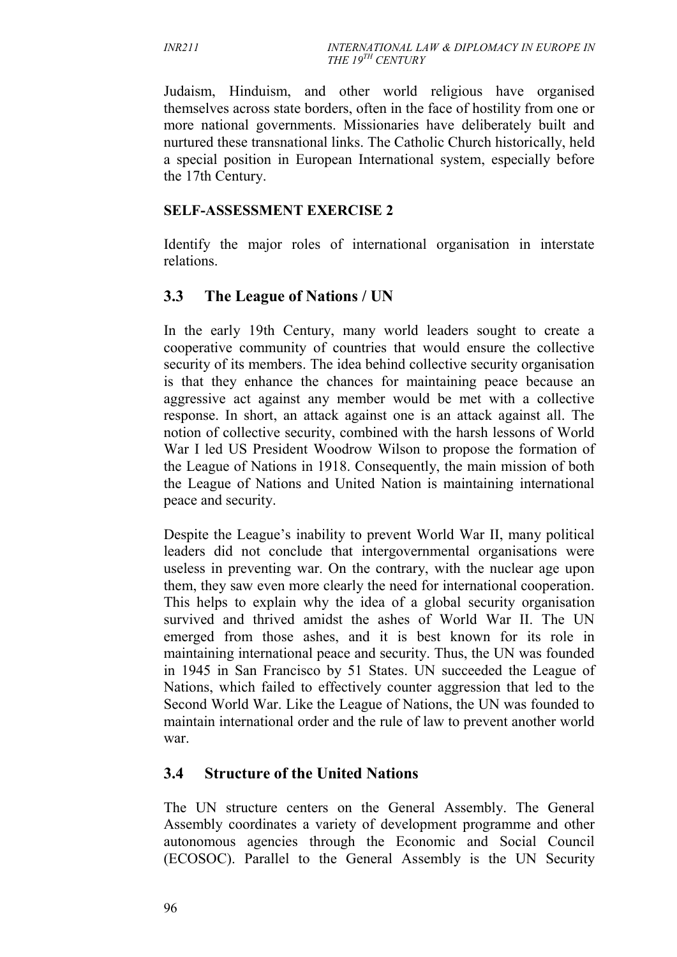Judaism, Hinduism, and other world religious have organised themselves across state borders, often in the face of hostility from one or more national governments. Missionaries have deliberately built and nurtured these transnational links. The Catholic Church historically, held a special position in European International system, especially before the 17th Century.

#### **SELF-ASSESSMENT EXERCISE 2**

Identify the major roles of international organisation in interstate relations.

### **3.3 The League of Nations / UN**

In the early 19th Century, many world leaders sought to create a cooperative community of countries that would ensure the collective security of its members. The idea behind collective security organisation is that they enhance the chances for maintaining peace because an aggressive act against any member would be met with a collective response. In short, an attack against one is an attack against all. The notion of collective security, combined with the harsh lessons of World War I led US President Woodrow Wilson to propose the formation of the League of Nations in 1918. Consequently, the main mission of both the League of Nations and United Nation is maintaining international peace and security.

Despite the League's inability to prevent World War II, many political leaders did not conclude that intergovernmental organisations were useless in preventing war. On the contrary, with the nuclear age upon them, they saw even more clearly the need for international cooperation. This helps to explain why the idea of a global security organisation survived and thrived amidst the ashes of World War II. The UN emerged from those ashes, and it is best known for its role in maintaining international peace and security. Thus, the UN was founded in 1945 in San Francisco by 51 States. UN succeeded the League of Nations, which failed to effectively counter aggression that led to the Second World War. Like the League of Nations, the UN was founded to maintain international order and the rule of law to prevent another world war.

# **3.4 Structure of the United Nations**

The UN structure centers on the General Assembly. The General Assembly coordinates a variety of development programme and other autonomous agencies through the Economic and Social Council (ECOSOC). Parallel to the General Assembly is the UN Security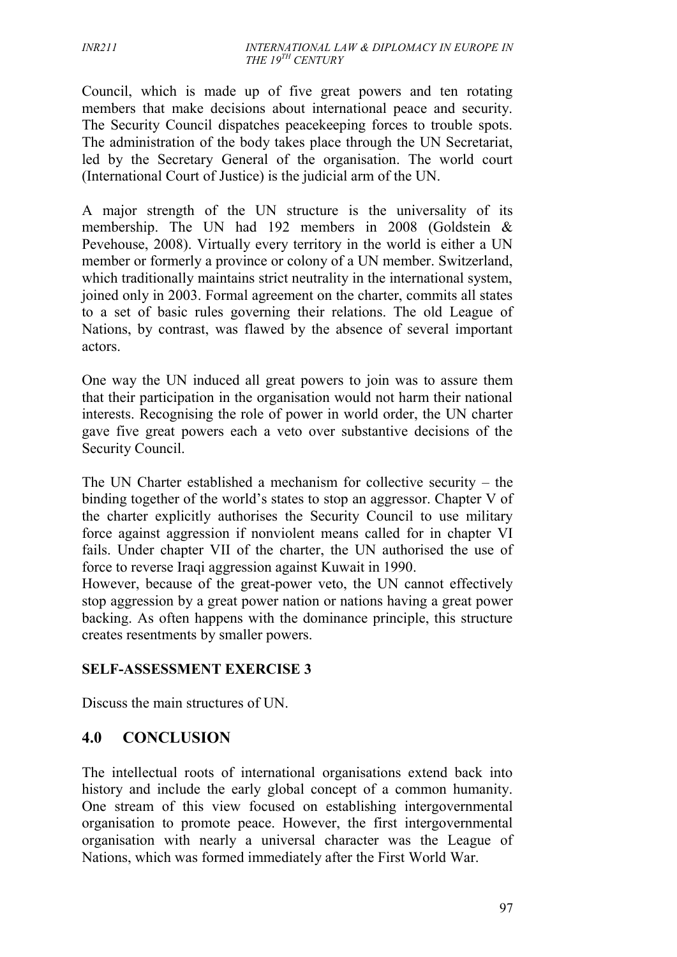Council, which is made up of five great powers and ten rotating members that make decisions about international peace and security. The Security Council dispatches peacekeeping forces to trouble spots. The administration of the body takes place through the UN Secretariat, led by the Secretary General of the organisation. The world court (International Court of Justice) is the judicial arm of the UN.

A major strength of the UN structure is the universality of its membership. The UN had 192 members in 2008 (Goldstein & Pevehouse, 2008). Virtually every territory in the world is either a UN member or formerly a province or colony of a UN member. Switzerland, which traditionally maintains strict neutrality in the international system, joined only in 2003. Formal agreement on the charter, commits all states to a set of basic rules governing their relations. The old League of Nations, by contrast, was flawed by the absence of several important actors.

One way the UN induced all great powers to join was to assure them that their participation in the organisation would not harm their national interests. Recognising the role of power in world order, the UN charter gave five great powers each a veto over substantive decisions of the Security Council.

The UN Charter established a mechanism for collective security – the binding together of the world's states to stop an aggressor. Chapter V of the charter explicitly authorises the Security Council to use military force against aggression if nonviolent means called for in chapter VI fails. Under chapter VII of the charter, the UN authorised the use of force to reverse Iraqi aggression against Kuwait in 1990.

However, because of the great-power veto, the UN cannot effectively stop aggression by a great power nation or nations having a great power backing. As often happens with the dominance principle, this structure creates resentments by smaller powers.

#### **SELF-ASSESSMENT EXERCISE 3**

Discuss the main structures of UN.

# **4.0 CONCLUSION**

The intellectual roots of international organisations extend back into history and include the early global concept of a common humanity. One stream of this view focused on establishing intergovernmental organisation to promote peace. However, the first intergovernmental organisation with nearly a universal character was the League of Nations, which was formed immediately after the First World War.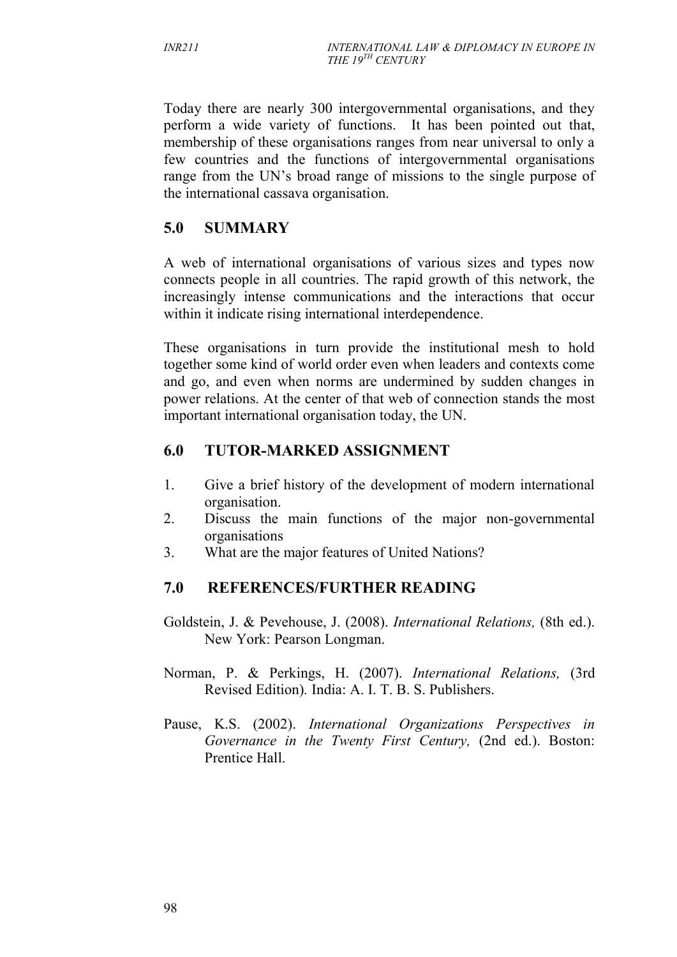Today there are nearly 300 intergovernmental organisations, and they perform a wide variety of functions. It has been pointed out that, membership of these organisations ranges from near universal to only a few countries and the functions of intergovernmental organisations range from the UN's broad range of missions to the single purpose of the international cassava organisation.

# **5.0 SUMMARY**

A web of international organisations of various sizes and types now connects people in all countries. The rapid growth of this network, the increasingly intense communications and the interactions that occur within it indicate rising international interdependence.

These organisations in turn provide the institutional mesh to hold together some kind of world order even when leaders and contexts come and go, and even when norms are undermined by sudden changes in power relations. At the center of that web of connection stands the most important international organisation today, the UN.

# **6.0 TUTOR-MARKED ASSIGNMENT**

- 1. Give a brief history of the development of modern international organisation.
- 2. Discuss the main functions of the major non-governmental organisations
- 3. What are the major features of United Nations?

# **7.0 REFERENCES/FURTHER READING**

- Goldstein, J. & Pevehouse, J. (2008). *International Relations,* (8th ed.). New York: Pearson Longman.
- Norman, P. & Perkings, H. (2007). *International Relations,* (3rd Revised Edition)*.* India: A. I. T. B. S. Publishers.
- Pause, K.S. (2002). *International Organizations Perspectives in Governance in the Twenty First Century,* (2nd ed.). Boston: Prentice Hall.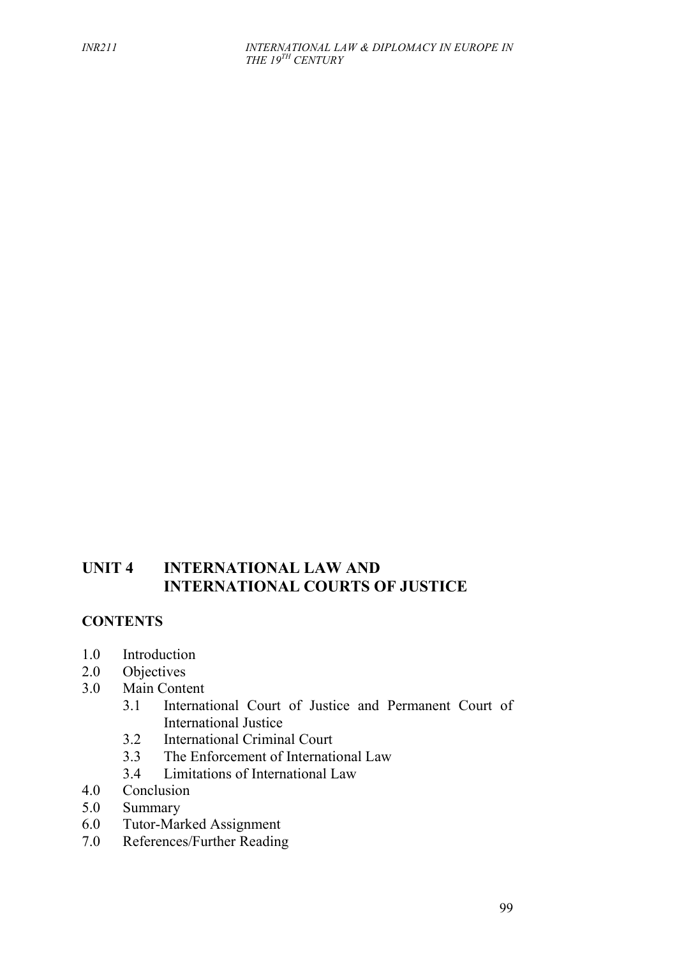# **UNIT 4 INTERNATIONAL LAW AND INTERNATIONAL COURTS OF JUSTICE**

# **CONTENTS**

- 1.0 Introduction
- 2.0 Objectives
- 3.0 Main Content
	- 3.1 International Court of Justice and Permanent Court of International Justice
	- 3.2 International Criminal Court<br>3.3 The Enforcement of Internati
	- The Enforcement of International Law
	- 3.4 Limitations of International Law
- 4.0 Conclusion
- 5.0 Summary
- 6.0 Tutor-Marked Assignment<br>7.0 References/Further Reading
- References/Further Reading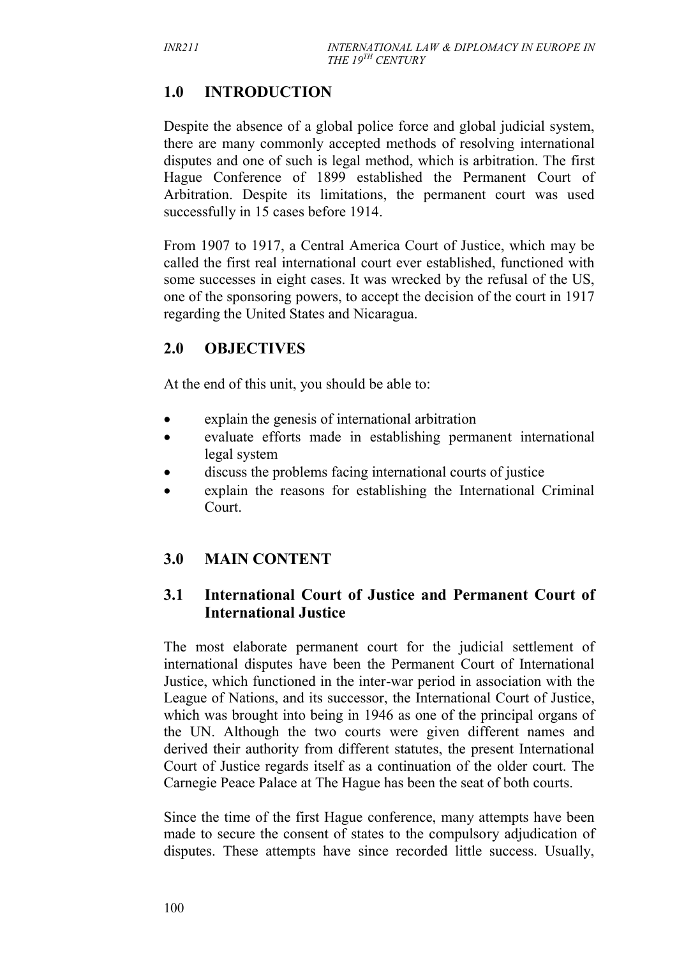# **1.0 INTRODUCTION**

Despite the absence of a global police force and global judicial system, there are many commonly accepted methods of resolving international disputes and one of such is legal method, which is arbitration. The first Hague Conference of 1899 established the Permanent Court of Arbitration. Despite its limitations, the permanent court was used successfully in 15 cases before 1914.

From 1907 to 1917, a Central America Court of Justice, which may be called the first real international court ever established, functioned with some successes in eight cases. It was wrecked by the refusal of the US, one of the sponsoring powers, to accept the decision of the court in 1917 regarding the United States and Nicaragua.

# **2.0 OBJECTIVES**

At the end of this unit, you should be able to:

- explain the genesis of international arbitration
- evaluate efforts made in establishing permanent international legal system
- discuss the problems facing international courts of justice
- explain the reasons for establishing the International Criminal Court.

# **3.0 MAIN CONTENT**

# **3.1 International Court of Justice and Permanent Court of International Justice**

The most elaborate permanent court for the judicial settlement of international disputes have been the Permanent Court of International Justice, which functioned in the inter-war period in association with the League of Nations, and its successor, the International Court of Justice, which was brought into being in 1946 as one of the principal organs of the UN. Although the two courts were given different names and derived their authority from different statutes, the present International Court of Justice regards itself as a continuation of the older court. The Carnegie Peace Palace at The Hague has been the seat of both courts.

Since the time of the first Hague conference, many attempts have been made to secure the consent of states to the compulsory adjudication of disputes. These attempts have since recorded little success. Usually,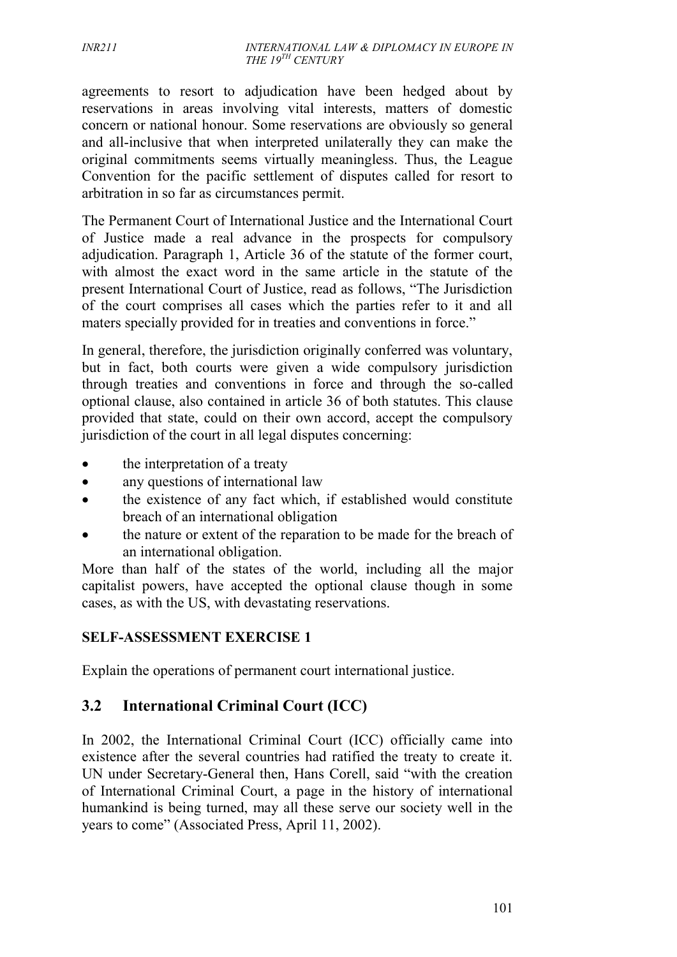#### *INR211 INTERNATIONAL LAW & DIPLOMACY IN EUROPE IN THE 19TH CENTURY*

agreements to resort to adjudication have been hedged about by reservations in areas involving vital interests, matters of domestic concern or national honour. Some reservations are obviously so general and all-inclusive that when interpreted unilaterally they can make the original commitments seems virtually meaningless. Thus, the League Convention for the pacific settlement of disputes called for resort to arbitration in so far as circumstances permit.

The Permanent Court of International Justice and the International Court of Justice made a real advance in the prospects for compulsory adjudication. Paragraph 1, Article 36 of the statute of the former court, with almost the exact word in the same article in the statute of the present International Court of Justice, read as follows, "The Jurisdiction of the court comprises all cases which the parties refer to it and all maters specially provided for in treaties and conventions in force."

In general, therefore, the jurisdiction originally conferred was voluntary, but in fact, both courts were given a wide compulsory jurisdiction through treaties and conventions in force and through the so-called optional clause, also contained in article 36 of both statutes. This clause provided that state, could on their own accord, accept the compulsory jurisdiction of the court in all legal disputes concerning:

- the interpretation of a treaty
- any questions of international law
- the existence of any fact which, if established would constitute breach of an international obligation
- the nature or extent of the reparation to be made for the breach of an international obligation.

More than half of the states of the world, including all the major capitalist powers, have accepted the optional clause though in some cases, as with the US, with devastating reservations.

#### **SELF-ASSESSMENT EXERCISE 1**

Explain the operations of permanent court international justice.

# **3.2 International Criminal Court (ICC)**

In 2002, the International Criminal Court (ICC) officially came into existence after the several countries had ratified the treaty to create it. UN under Secretary-General then, Hans Corell, said "with the creation of International Criminal Court, a page in the history of international humankind is being turned, may all these serve our society well in the years to come" (Associated Press, April 11, 2002).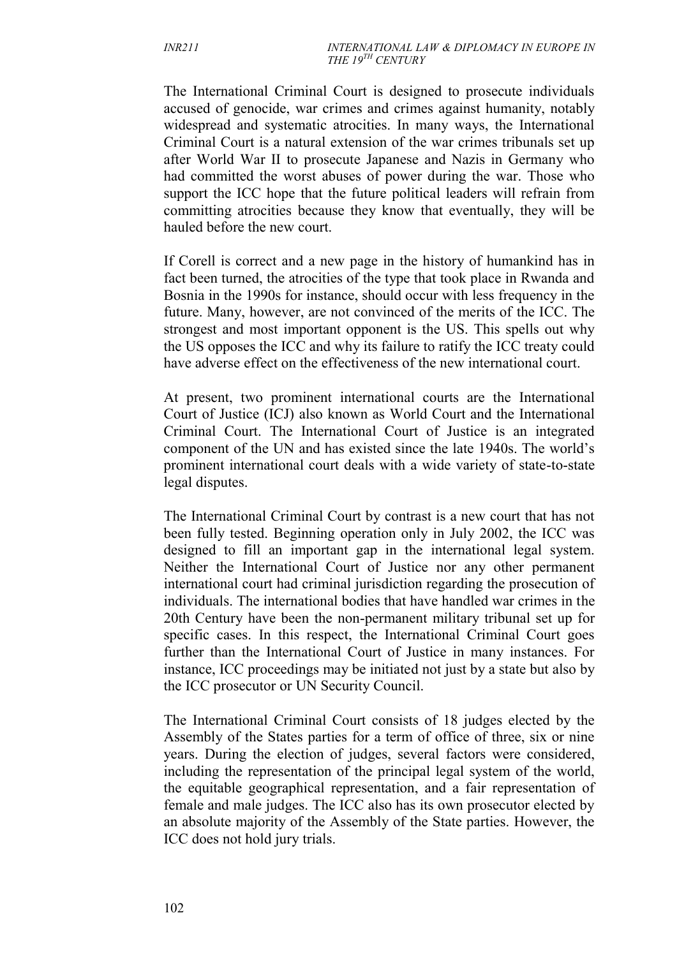The International Criminal Court is designed to prosecute individuals accused of genocide, war crimes and crimes against humanity, notably widespread and systematic atrocities. In many ways, the International Criminal Court is a natural extension of the war crimes tribunals set up after World War II to prosecute Japanese and Nazis in Germany who had committed the worst abuses of power during the war. Those who support the ICC hope that the future political leaders will refrain from committing atrocities because they know that eventually, they will be hauled before the new court.

If Corell is correct and a new page in the history of humankind has in fact been turned, the atrocities of the type that took place in Rwanda and Bosnia in the 1990s for instance, should occur with less frequency in the future. Many, however, are not convinced of the merits of the ICC. The strongest and most important opponent is the US. This spells out why the US opposes the ICC and why its failure to ratify the ICC treaty could have adverse effect on the effectiveness of the new international court.

At present, two prominent international courts are the International Court of Justice (ICJ) also known as World Court and the International Criminal Court. The International Court of Justice is an integrated component of the UN and has existed since the late 1940s. The world's prominent international court deals with a wide variety of state-to-state legal disputes.

The International Criminal Court by contrast is a new court that has not been fully tested. Beginning operation only in July 2002, the ICC was designed to fill an important gap in the international legal system. Neither the International Court of Justice nor any other permanent international court had criminal jurisdiction regarding the prosecution of individuals. The international bodies that have handled war crimes in the 20th Century have been the non-permanent military tribunal set up for specific cases. In this respect, the International Criminal Court goes further than the International Court of Justice in many instances. For instance, ICC proceedings may be initiated not just by a state but also by the ICC prosecutor or UN Security Council.

The International Criminal Court consists of 18 judges elected by the Assembly of the States parties for a term of office of three, six or nine years. During the election of judges, several factors were considered, including the representation of the principal legal system of the world, the equitable geographical representation, and a fair representation of female and male judges. The ICC also has its own prosecutor elected by an absolute majority of the Assembly of the State parties. However, the ICC does not hold jury trials.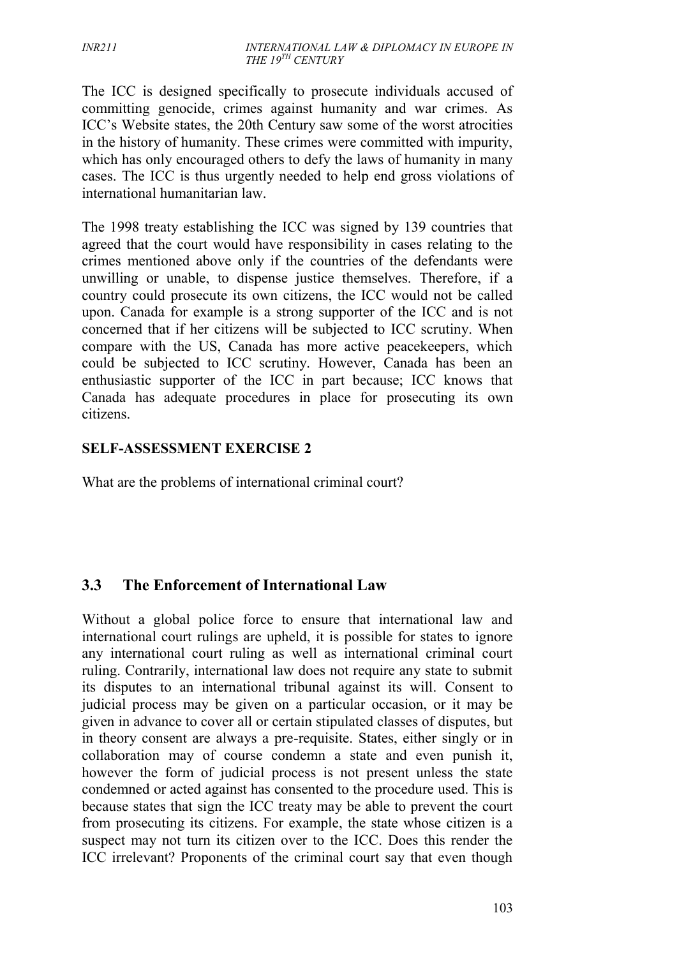The ICC is designed specifically to prosecute individuals accused of committing genocide, crimes against humanity and war crimes. As ICC's Website states, the 20th Century saw some of the worst atrocities in the history of humanity. These crimes were committed with impurity, which has only encouraged others to defy the laws of humanity in many cases. The ICC is thus urgently needed to help end gross violations of international humanitarian law.

The 1998 treaty establishing the ICC was signed by 139 countries that agreed that the court would have responsibility in cases relating to the crimes mentioned above only if the countries of the defendants were unwilling or unable, to dispense justice themselves. Therefore, if a country could prosecute its own citizens, the ICC would not be called upon. Canada for example is a strong supporter of the ICC and is not concerned that if her citizens will be subjected to ICC scrutiny. When compare with the US, Canada has more active peacekeepers, which could be subjected to ICC scrutiny. However, Canada has been an enthusiastic supporter of the ICC in part because; ICC knows that Canada has adequate procedures in place for prosecuting its own citizens.

#### **SELF-ASSESSMENT EXERCISE 2**

What are the problems of international criminal court?

# **3.3 The Enforcement of International Law**

Without a global police force to ensure that international law and international court rulings are upheld, it is possible for states to ignore any international court ruling as well as international criminal court ruling. Contrarily, international law does not require any state to submit its disputes to an international tribunal against its will. Consent to judicial process may be given on a particular occasion, or it may be given in advance to cover all or certain stipulated classes of disputes, but in theory consent are always a pre-requisite. States, either singly or in collaboration may of course condemn a state and even punish it, however the form of judicial process is not present unless the state condemned or acted against has consented to the procedure used. This is because states that sign the ICC treaty may be able to prevent the court from prosecuting its citizens. For example, the state whose citizen is a suspect may not turn its citizen over to the ICC. Does this render the ICC irrelevant? Proponents of the criminal court say that even though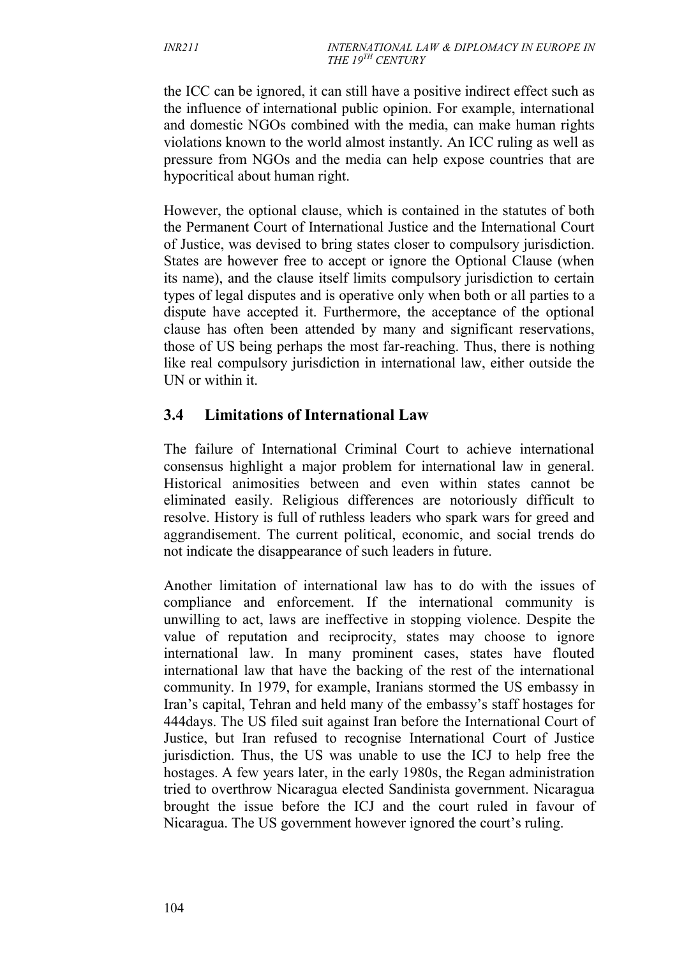the ICC can be ignored, it can still have a positive indirect effect such as the influence of international public opinion. For example, international and domestic NGOs combined with the media, can make human rights violations known to the world almost instantly. An ICC ruling as well as pressure from NGOs and the media can help expose countries that are hypocritical about human right.

However, the optional clause, which is contained in the statutes of both the Permanent Court of International Justice and the International Court of Justice, was devised to bring states closer to compulsory jurisdiction. States are however free to accept or ignore the Optional Clause (when its name), and the clause itself limits compulsory jurisdiction to certain types of legal disputes and is operative only when both or all parties to a dispute have accepted it. Furthermore, the acceptance of the optional clause has often been attended by many and significant reservations, those of US being perhaps the most far-reaching. Thus, there is nothing like real compulsory jurisdiction in international law, either outside the UN or within it.

# **3.4 Limitations of International Law**

The failure of International Criminal Court to achieve international consensus highlight a major problem for international law in general. Historical animosities between and even within states cannot be eliminated easily. Religious differences are notoriously difficult to resolve. History is full of ruthless leaders who spark wars for greed and aggrandisement. The current political, economic, and social trends do not indicate the disappearance of such leaders in future.

Another limitation of international law has to do with the issues of compliance and enforcement. If the international community is unwilling to act, laws are ineffective in stopping violence. Despite the value of reputation and reciprocity, states may choose to ignore international law. In many prominent cases, states have flouted international law that have the backing of the rest of the international community. In 1979, for example, Iranians stormed the US embassy in Iran's capital, Tehran and held many of the embassy's staff hostages for 444days. The US filed suit against Iran before the International Court of Justice, but Iran refused to recognise International Court of Justice jurisdiction. Thus, the US was unable to use the ICJ to help free the hostages. A few years later, in the early 1980s, the Regan administration tried to overthrow Nicaragua elected Sandinista government. Nicaragua brought the issue before the ICJ and the court ruled in favour of Nicaragua. The US government however ignored the court's ruling.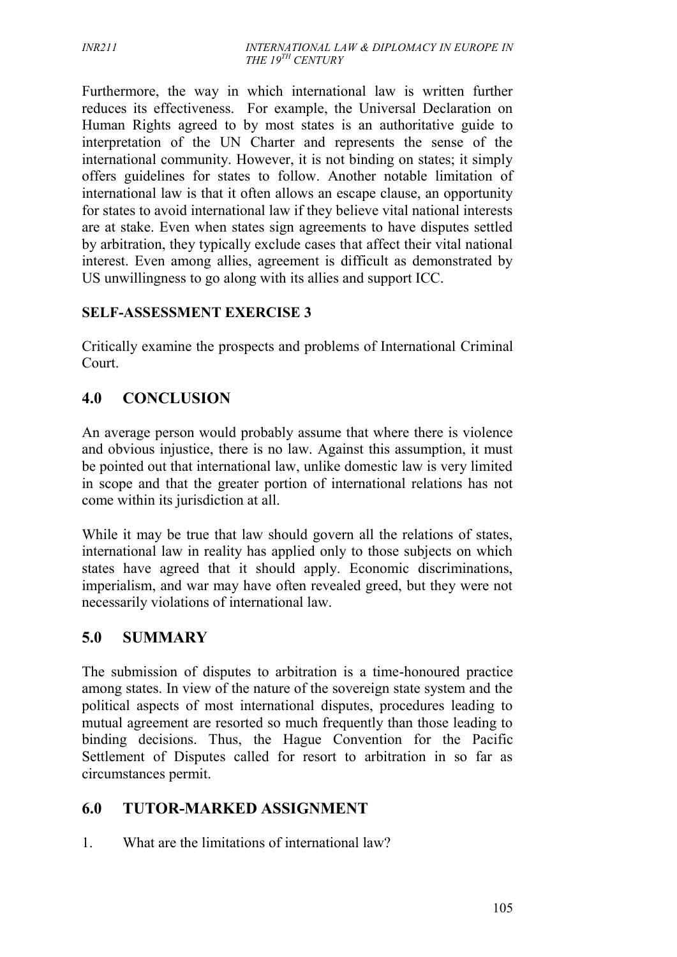Furthermore, the way in which international law is written further reduces its effectiveness. For example, the Universal Declaration on Human Rights agreed to by most states is an authoritative guide to interpretation of the UN Charter and represents the sense of the international community. However, it is not binding on states; it simply offers guidelines for states to follow. Another notable limitation of international law is that it often allows an escape clause, an opportunity for states to avoid international law if they believe vital national interests are at stake. Even when states sign agreements to have disputes settled by arbitration, they typically exclude cases that affect their vital national interest. Even among allies, agreement is difficult as demonstrated by US unwillingness to go along with its allies and support ICC.

### **SELF-ASSESSMENT EXERCISE 3**

Critically examine the prospects and problems of International Criminal Court.

# **4.0 CONCLUSION**

An average person would probably assume that where there is violence and obvious injustice, there is no law. Against this assumption, it must be pointed out that international law, unlike domestic law is very limited in scope and that the greater portion of international relations has not come within its jurisdiction at all.

While it may be true that law should govern all the relations of states, international law in reality has applied only to those subjects on which states have agreed that it should apply. Economic discriminations, imperialism, and war may have often revealed greed, but they were not necessarily violations of international law.

# **5.0 SUMMARY**

The submission of disputes to arbitration is a time-honoured practice among states. In view of the nature of the sovereign state system and the political aspects of most international disputes, procedures leading to mutual agreement are resorted so much frequently than those leading to binding decisions. Thus, the Hague Convention for the Pacific Settlement of Disputes called for resort to arbitration in so far as circumstances permit.

# **6.0 TUTOR-MARKED ASSIGNMENT**

1. What are the limitations of international law?